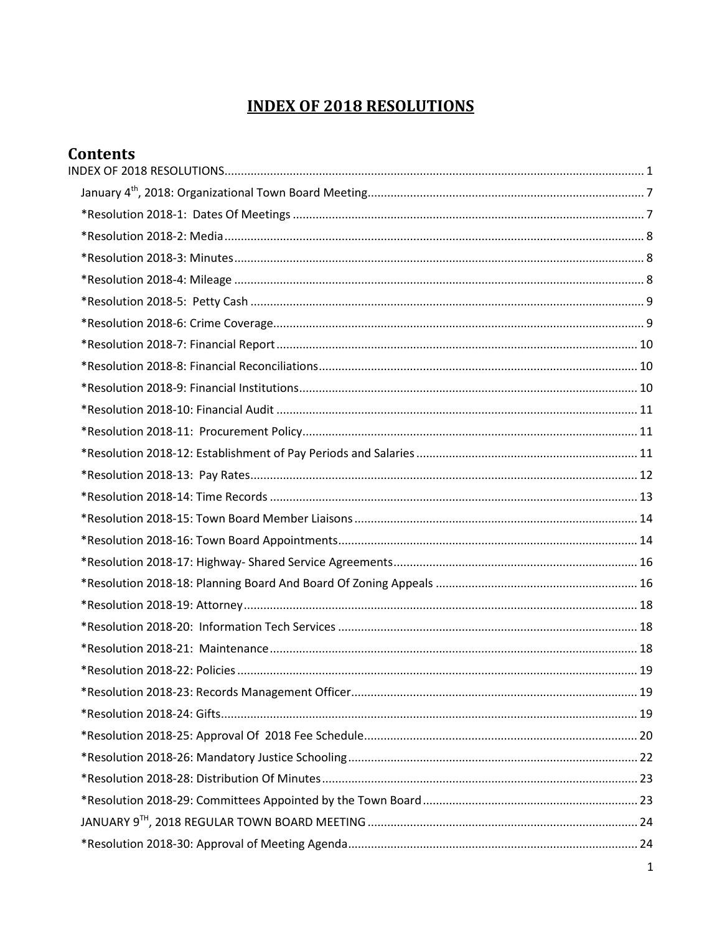## **INDEX OF 2018 RESOLUTIONS**

<span id="page-0-0"></span>

| <b>Contents</b> |  |
|-----------------|--|
|                 |  |
|                 |  |
|                 |  |
|                 |  |
|                 |  |
|                 |  |
|                 |  |
|                 |  |
|                 |  |
|                 |  |
|                 |  |
|                 |  |
|                 |  |
|                 |  |
|                 |  |
|                 |  |
|                 |  |
|                 |  |
|                 |  |
|                 |  |
|                 |  |
|                 |  |
|                 |  |
|                 |  |
|                 |  |
|                 |  |
|                 |  |
|                 |  |
|                 |  |
|                 |  |
|                 |  |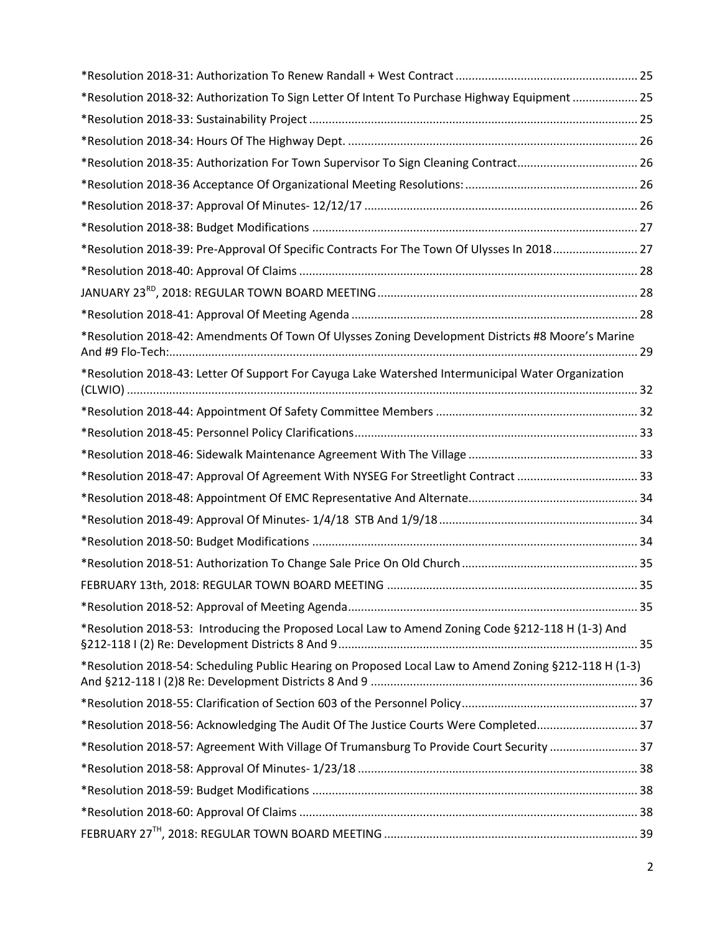| *Resolution 2018-32: Authorization To Sign Letter Of Intent To Purchase Highway Equipment  25         |  |
|-------------------------------------------------------------------------------------------------------|--|
|                                                                                                       |  |
|                                                                                                       |  |
| *Resolution 2018-35: Authorization For Town Supervisor To Sign Cleaning Contract 26                   |  |
|                                                                                                       |  |
|                                                                                                       |  |
|                                                                                                       |  |
| *Resolution 2018-39: Pre-Approval Of Specific Contracts For The Town Of Ulysses In 2018 27            |  |
|                                                                                                       |  |
|                                                                                                       |  |
|                                                                                                       |  |
| *Resolution 2018-42: Amendments Of Town Of Ulysses Zoning Development Districts #8 Moore's Marine     |  |
| *Resolution 2018-43: Letter Of Support For Cayuga Lake Watershed Intermunicipal Water Organization    |  |
|                                                                                                       |  |
|                                                                                                       |  |
|                                                                                                       |  |
|                                                                                                       |  |
|                                                                                                       |  |
|                                                                                                       |  |
|                                                                                                       |  |
|                                                                                                       |  |
|                                                                                                       |  |
|                                                                                                       |  |
| *Resolution 2018-53: Introducing the Proposed Local Law to Amend Zoning Code §212-118 H (1-3) And     |  |
| *Resolution 2018-54: Scheduling Public Hearing on Proposed Local Law to Amend Zoning §212-118 H (1-3) |  |
|                                                                                                       |  |
| *Resolution 2018-56: Acknowledging The Audit Of The Justice Courts Were Completed 37                  |  |
| *Resolution 2018-57: Agreement With Village Of Trumansburg To Provide Court Security  37              |  |
|                                                                                                       |  |
|                                                                                                       |  |
|                                                                                                       |  |
|                                                                                                       |  |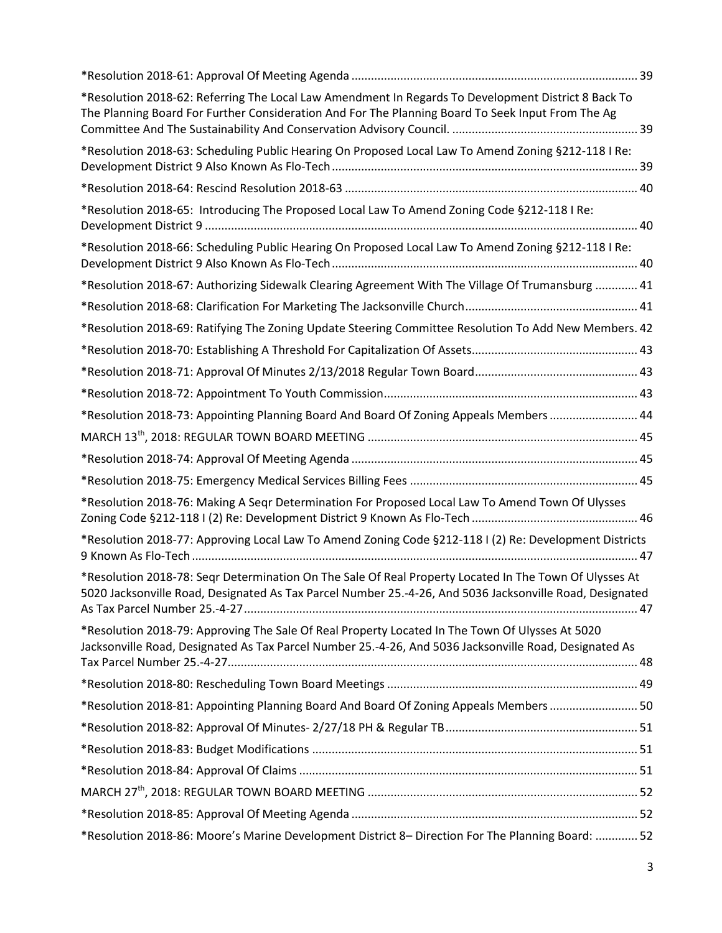| *Resolution 2018-62: Referring The Local Law Amendment In Regards To Development District 8 Back To<br>The Planning Board For Further Consideration And For The Planning Board To Seek Input From The Ag           |  |
|--------------------------------------------------------------------------------------------------------------------------------------------------------------------------------------------------------------------|--|
| *Resolution 2018-63: Scheduling Public Hearing On Proposed Local Law To Amend Zoning §212-118   Re:                                                                                                                |  |
|                                                                                                                                                                                                                    |  |
| *Resolution 2018-65: Introducing The Proposed Local Law To Amend Zoning Code §212-118   Re:                                                                                                                        |  |
| *Resolution 2018-66: Scheduling Public Hearing On Proposed Local Law To Amend Zoning §212-118 I Re:                                                                                                                |  |
| *Resolution 2018-67: Authorizing Sidewalk Clearing Agreement With The Village Of Trumansburg  41                                                                                                                   |  |
|                                                                                                                                                                                                                    |  |
| *Resolution 2018-69: Ratifying The Zoning Update Steering Committee Resolution To Add New Members. 42                                                                                                              |  |
|                                                                                                                                                                                                                    |  |
|                                                                                                                                                                                                                    |  |
|                                                                                                                                                                                                                    |  |
| *Resolution 2018-73: Appointing Planning Board And Board Of Zoning Appeals Members  44                                                                                                                             |  |
|                                                                                                                                                                                                                    |  |
|                                                                                                                                                                                                                    |  |
|                                                                                                                                                                                                                    |  |
| *Resolution 2018-76: Making A Seqr Determination For Proposed Local Law To Amend Town Of Ulysses                                                                                                                   |  |
| *Resolution 2018-77: Approving Local Law To Amend Zoning Code §212-118 I (2) Re: Development Districts                                                                                                             |  |
| *Resolution 2018-78: Segr Determination On The Sale Of Real Property Located In The Town Of Ulysses At<br>5020 Jacksonville Road, Designated As Tax Parcel Number 25.-4-26, And 5036 Jacksonville Road, Designated |  |
| *Resolution 2018-79: Approving The Sale Of Real Property Located In The Town Of Ulysses At 5020<br>Jacksonville Road, Designated As Tax Parcel Number 25.-4-26, And 5036 Jacksonville Road, Designated As          |  |
|                                                                                                                                                                                                                    |  |
| *Resolution 2018-81: Appointing Planning Board And Board Of Zoning Appeals Members  50                                                                                                                             |  |
|                                                                                                                                                                                                                    |  |
|                                                                                                                                                                                                                    |  |
|                                                                                                                                                                                                                    |  |
|                                                                                                                                                                                                                    |  |
|                                                                                                                                                                                                                    |  |
| *Resolution 2018-86: Moore's Marine Development District 8- Direction For The Planning Board:  52                                                                                                                  |  |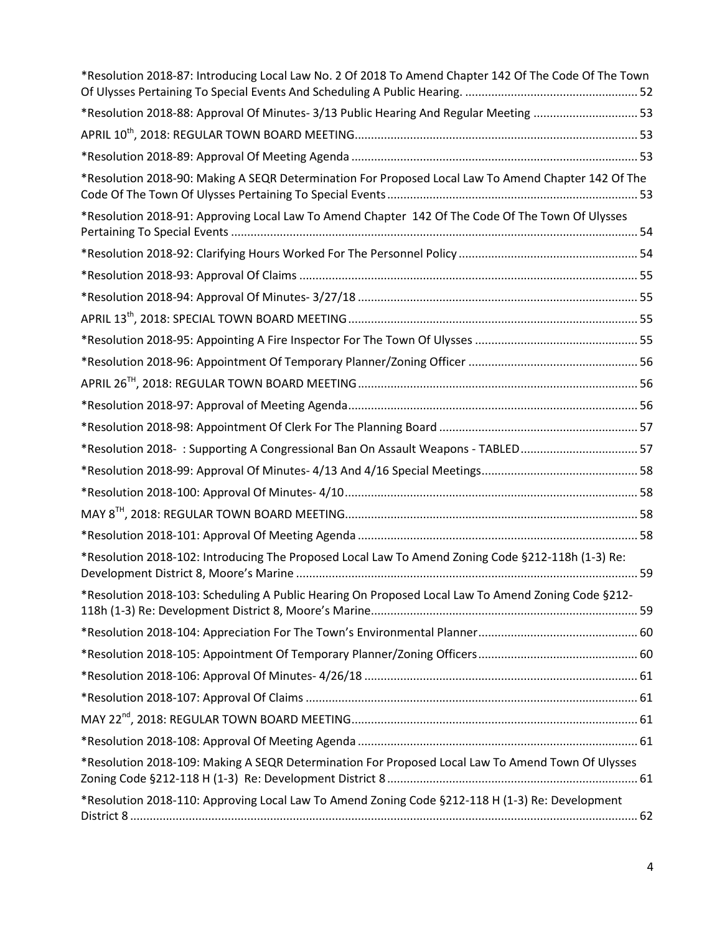| *Resolution 2018-87: Introducing Local Law No. 2 Of 2018 To Amend Chapter 142 Of The Code Of The Town |  |
|-------------------------------------------------------------------------------------------------------|--|
| *Resolution 2018-88: Approval Of Minutes- 3/13 Public Hearing And Regular Meeting 53                  |  |
|                                                                                                       |  |
|                                                                                                       |  |
| *Resolution 2018-90: Making A SEQR Determination For Proposed Local Law To Amend Chapter 142 Of The   |  |
| *Resolution 2018-91: Approving Local Law To Amend Chapter 142 Of The Code Of The Town Of Ulysses      |  |
|                                                                                                       |  |
|                                                                                                       |  |
|                                                                                                       |  |
|                                                                                                       |  |
|                                                                                                       |  |
|                                                                                                       |  |
|                                                                                                       |  |
|                                                                                                       |  |
|                                                                                                       |  |
| *Resolution 2018-: Supporting A Congressional Ban On Assault Weapons - TABLED 57                      |  |
|                                                                                                       |  |
|                                                                                                       |  |
|                                                                                                       |  |
|                                                                                                       |  |
| *Resolution 2018-102: Introducing The Proposed Local Law To Amend Zoning Code §212-118h (1-3) Re:     |  |
| *Resolution 2018-103: Scheduling A Public Hearing On Proposed Local Law To Amend Zoning Code §212-    |  |
|                                                                                                       |  |
|                                                                                                       |  |
|                                                                                                       |  |
|                                                                                                       |  |
|                                                                                                       |  |
|                                                                                                       |  |
| *Resolution 2018-109: Making A SEQR Determination For Proposed Local Law To Amend Town Of Ulysses     |  |
| *Resolution 2018-110: Approving Local Law To Amend Zoning Code §212-118 H (1-3) Re: Development       |  |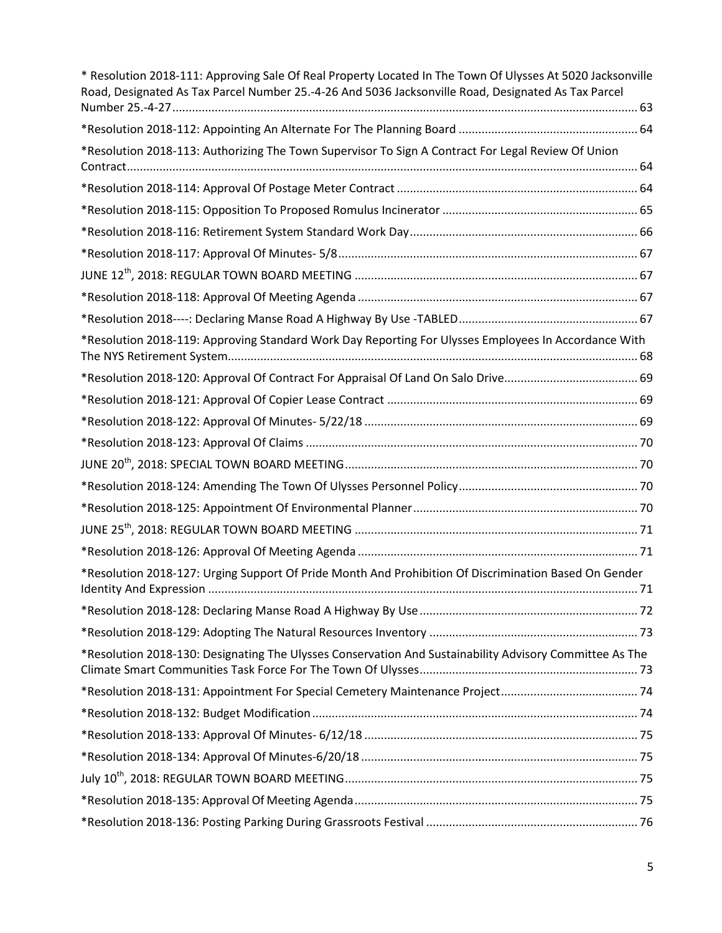| * Resolution 2018-111: Approving Sale Of Real Property Located In The Town Of Ulysses At 5020 Jacksonville<br>Road, Designated As Tax Parcel Number 25.-4-26 And 5036 Jacksonville Road, Designated As Tax Parcel |  |
|-------------------------------------------------------------------------------------------------------------------------------------------------------------------------------------------------------------------|--|
|                                                                                                                                                                                                                   |  |
|                                                                                                                                                                                                                   |  |
| *Resolution 2018-113: Authorizing The Town Supervisor To Sign A Contract For Legal Review Of Union                                                                                                                |  |
|                                                                                                                                                                                                                   |  |
|                                                                                                                                                                                                                   |  |
|                                                                                                                                                                                                                   |  |
|                                                                                                                                                                                                                   |  |
|                                                                                                                                                                                                                   |  |
|                                                                                                                                                                                                                   |  |
|                                                                                                                                                                                                                   |  |
| *Resolution 2018-119: Approving Standard Work Day Reporting For Ulysses Employees In Accordance With                                                                                                              |  |
|                                                                                                                                                                                                                   |  |
|                                                                                                                                                                                                                   |  |
|                                                                                                                                                                                                                   |  |
|                                                                                                                                                                                                                   |  |
|                                                                                                                                                                                                                   |  |
|                                                                                                                                                                                                                   |  |
|                                                                                                                                                                                                                   |  |
|                                                                                                                                                                                                                   |  |
|                                                                                                                                                                                                                   |  |
| *Resolution 2018-127: Urging Support Of Pride Month And Prohibition Of Discrimination Based On Gender                                                                                                             |  |
|                                                                                                                                                                                                                   |  |
|                                                                                                                                                                                                                   |  |
| *Resolution 2018-130: Designating The Ulysses Conservation And Sustainability Advisory Committee As The                                                                                                           |  |
|                                                                                                                                                                                                                   |  |
|                                                                                                                                                                                                                   |  |
|                                                                                                                                                                                                                   |  |
|                                                                                                                                                                                                                   |  |
|                                                                                                                                                                                                                   |  |
|                                                                                                                                                                                                                   |  |
|                                                                                                                                                                                                                   |  |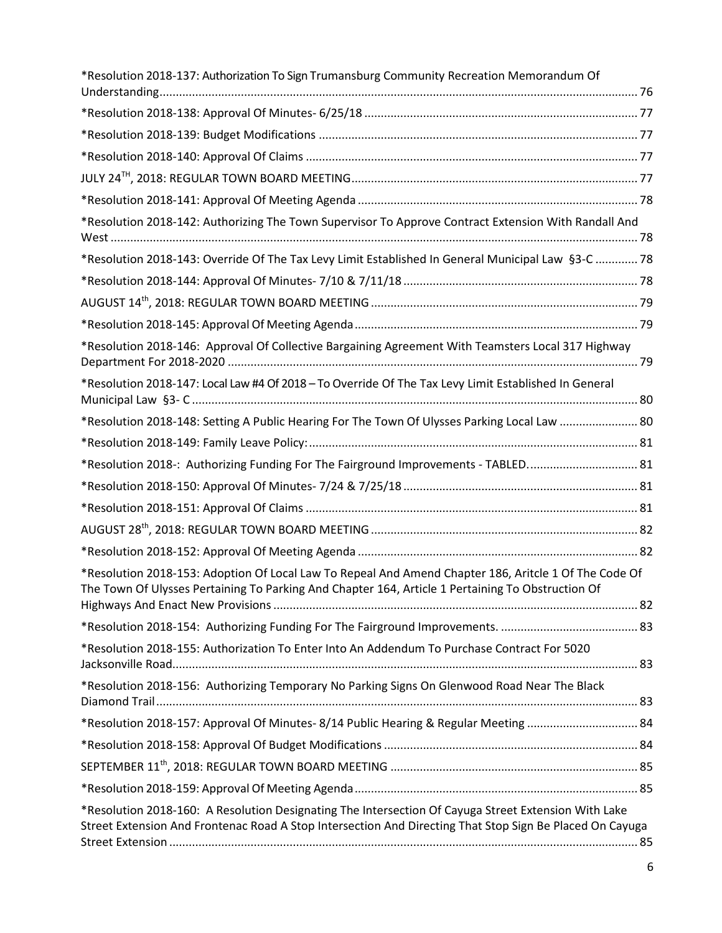| *Resolution 2018-137: Authorization To Sign Trumansburg Community Recreation Memorandum Of                                                                                                                       |  |
|------------------------------------------------------------------------------------------------------------------------------------------------------------------------------------------------------------------|--|
|                                                                                                                                                                                                                  |  |
|                                                                                                                                                                                                                  |  |
|                                                                                                                                                                                                                  |  |
|                                                                                                                                                                                                                  |  |
|                                                                                                                                                                                                                  |  |
| *Resolution 2018-142: Authorizing The Town Supervisor To Approve Contract Extension With Randall And                                                                                                             |  |
| *Resolution 2018-143: Override Of The Tax Levy Limit Established In General Municipal Law §3-C  78                                                                                                               |  |
|                                                                                                                                                                                                                  |  |
|                                                                                                                                                                                                                  |  |
|                                                                                                                                                                                                                  |  |
| *Resolution 2018-146: Approval Of Collective Bargaining Agreement With Teamsters Local 317 Highway                                                                                                               |  |
| *Resolution 2018-147: Local Law #4 Of 2018 - To Override Of The Tax Levy Limit Established In General                                                                                                            |  |
| *Resolution 2018-148: Setting A Public Hearing For The Town Of Ulysses Parking Local Law  80                                                                                                                     |  |
|                                                                                                                                                                                                                  |  |
| *Resolution 2018-: Authorizing Funding For The Fairground Improvements - TABLED 81                                                                                                                               |  |
|                                                                                                                                                                                                                  |  |
|                                                                                                                                                                                                                  |  |
|                                                                                                                                                                                                                  |  |
|                                                                                                                                                                                                                  |  |
| *Resolution 2018-153: Adoption Of Local Law To Repeal And Amend Chapter 186, Aritcle 1 Of The Code Of<br>The Town Of Ulysses Pertaining To Parking And Chapter 164, Article 1 Pertaining To Obstruction Of       |  |
|                                                                                                                                                                                                                  |  |
|                                                                                                                                                                                                                  |  |
| *Resolution 2018-155: Authorization To Enter Into An Addendum To Purchase Contract For 5020                                                                                                                      |  |
| *Resolution 2018-156: Authorizing Temporary No Parking Signs On Glenwood Road Near The Black                                                                                                                     |  |
| *Resolution 2018-157: Approval Of Minutes- 8/14 Public Hearing & Regular Meeting  84                                                                                                                             |  |
|                                                                                                                                                                                                                  |  |
|                                                                                                                                                                                                                  |  |
|                                                                                                                                                                                                                  |  |
| *Resolution 2018-160: A Resolution Designating The Intersection Of Cayuga Street Extension With Lake<br>Street Extension And Frontenac Road A Stop Intersection And Directing That Stop Sign Be Placed On Cayuga |  |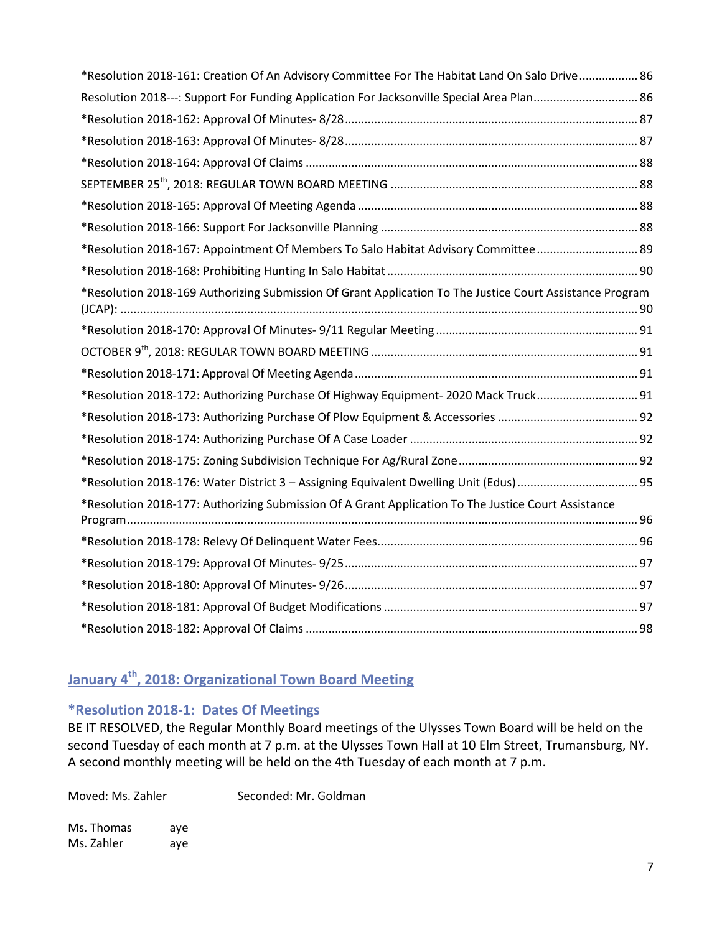| *Resolution 2018-161: Creation Of An Advisory Committee For The Habitat Land On Salo Drive 86            |  |
|----------------------------------------------------------------------------------------------------------|--|
| Resolution 2018---: Support For Funding Application For Jacksonville Special Area Plan 86                |  |
|                                                                                                          |  |
|                                                                                                          |  |
|                                                                                                          |  |
|                                                                                                          |  |
|                                                                                                          |  |
|                                                                                                          |  |
| *Resolution 2018-167: Appointment Of Members To Salo Habitat Advisory Committee 89                       |  |
|                                                                                                          |  |
| *Resolution 2018-169 Authorizing Submission Of Grant Application To The Justice Court Assistance Program |  |
|                                                                                                          |  |
|                                                                                                          |  |
|                                                                                                          |  |
| *Resolution 2018-172: Authorizing Purchase Of Highway Equipment-2020 Mack Truck 91                       |  |
|                                                                                                          |  |
|                                                                                                          |  |
|                                                                                                          |  |
| *Resolution 2018-176: Water District 3 - Assigning Equivalent Dwelling Unit (Edus) 95                    |  |
| *Resolution 2018-177: Authorizing Submission Of A Grant Application To The Justice Court Assistance      |  |
|                                                                                                          |  |
|                                                                                                          |  |
|                                                                                                          |  |
|                                                                                                          |  |
|                                                                                                          |  |

# <span id="page-6-0"></span>**January 4th, 2018: Organizational Town Board Meeting**

## <span id="page-6-1"></span>**\*Resolution 2018-1: Dates Of Meetings**

BE IT RESOLVED, the Regular Monthly Board meetings of the Ulysses Town Board will be held on the second Tuesday of each month at 7 p.m. at the Ulysses Town Hall at 10 Elm Street, Trumansburg, NY. A second monthly meeting will be held on the 4th Tuesday of each month at 7 p.m.

Moved: Ms. Zahler Seconded: Mr. Goldman

Ms. Thomas aye Ms. Zahler aye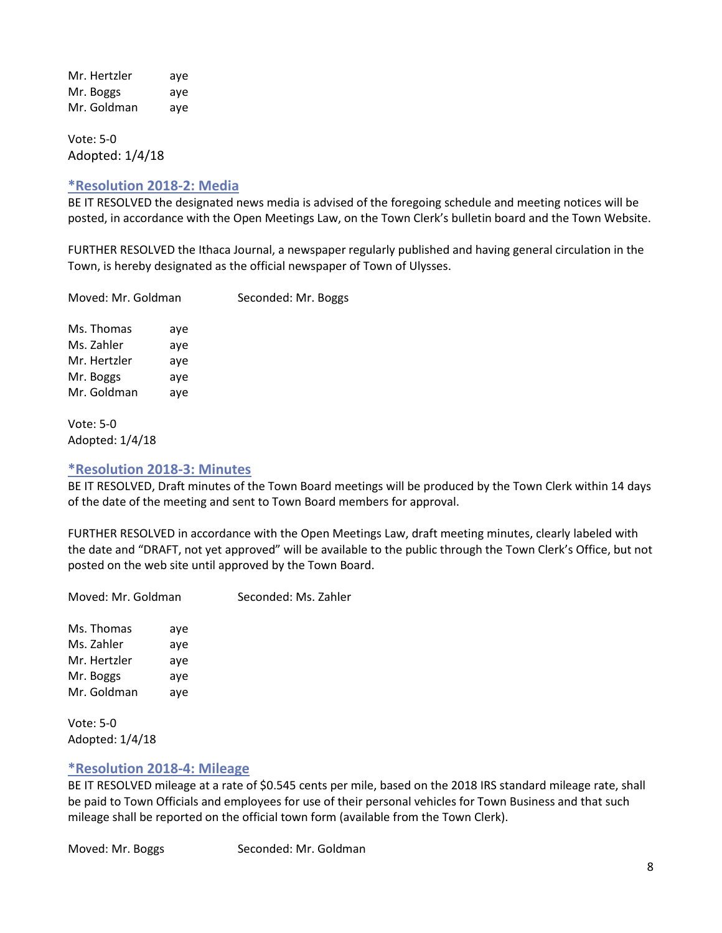Mr. Hertzler aye Mr. Boggs aye Mr. Goldman aye

Vote: 5-0 Adopted: 1/4/18

#### <span id="page-7-0"></span>**\*Resolution 2018-2: Media**

BE IT RESOLVED the designated news media is advised of the foregoing schedule and meeting notices will be posted, in accordance with the Open Meetings Law, on the Town Clerk's bulletin board and the Town Website.

FURTHER RESOLVED the Ithaca Journal, a newspaper regularly published and having general circulation in the Town, is hereby designated as the official newspaper of Town of Ulysses.

Moved: Mr. Goldman Seconded: Mr. Boggs

Ms. Thomas aye Ms. Zahler aye Mr. Hertzler aye Mr. Boggs aye Mr. Goldman aye

Vote: 5-0 Adopted: 1/4/18

#### <span id="page-7-1"></span>**\*Resolution 2018-3: Minutes**

BE IT RESOLVED, Draft minutes of the Town Board meetings will be produced by the Town Clerk within 14 days of the date of the meeting and sent to Town Board members for approval.

FURTHER RESOLVED in accordance with the Open Meetings Law, draft meeting minutes, clearly labeled with the date and "DRAFT, not yet approved" will be available to the public through the Town Clerk's Office, but not posted on the web site until approved by the Town Board.

Moved: Mr. Goldman Seconded: Ms. Zahler Ms. Thomas aye Ms. Zahler aye Mr. Hertzler aye Mr. Boggs aye Mr. Goldman aye

Vote: 5-0 Adopted: 1/4/18

## <span id="page-7-2"></span>**\*Resolution 2018-4: Mileage**

BE IT RESOLVED mileage at a rate of \$0.545 cents per mile, based on the 2018 IRS standard mileage rate, shall be paid to Town Officials and employees for use of their personal vehicles for Town Business and that such mileage shall be reported on the official town form (available from the Town Clerk).

Moved: Mr. Boggs Seconded: Mr. Goldman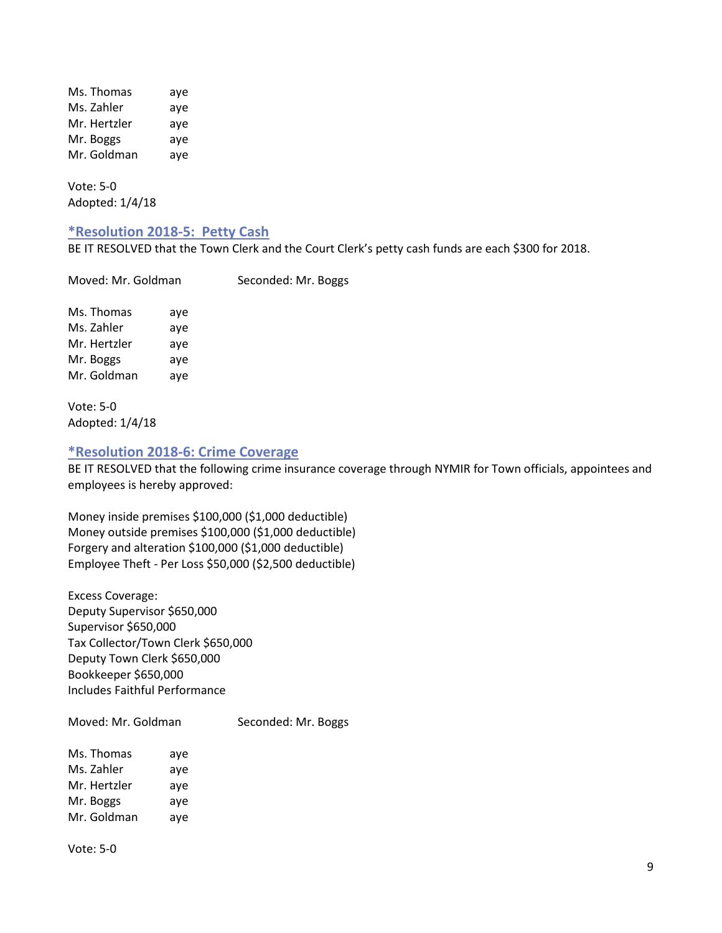Ms. Thomas aye Ms. Zahler aye Mr. Hertzler aye Mr. Boggs aye Mr. Goldman aye

Vote: 5-0 Adopted: 1/4/18

#### <span id="page-8-0"></span>**\*Resolution 2018-5: Petty Cash**

BE IT RESOLVED that the Town Clerk and the Court Clerk's petty cash funds are each \$300 for 2018.

Moved: Mr. Goldman Seconded: Mr. Boggs Ms. Thomas aye Ms. Zahler aye Mr. Hertzler aye Mr. Boggs aye Mr. Goldman aye

Vote: 5-0 Adopted: 1/4/18

#### <span id="page-8-1"></span>**\*Resolution 2018-6: Crime Coverage**

BE IT RESOLVED that the following crime insurance coverage through NYMIR for Town officials, appointees and employees is hereby approved:

Money inside premises \$100,000 (\$1,000 deductible) Money outside premises \$100,000 (\$1,000 deductible) Forgery and alteration \$100,000 (\$1,000 deductible) Employee Theft - Per Loss \$50,000 (\$2,500 deductible)

Excess Coverage: Deputy Supervisor \$650,000 Supervisor \$650,000 Tax Collector/Town Clerk \$650,000 Deputy Town Clerk \$650,000 Bookkeeper \$650,000 Includes Faithful Performance

Moved: Mr. Goldman Seconded: Mr. Boggs Ms. Thomas aye Ms. Zahler aye

Mr. Hertzler aye Mr. Boggs aye Mr. Goldman aye

Vote: 5-0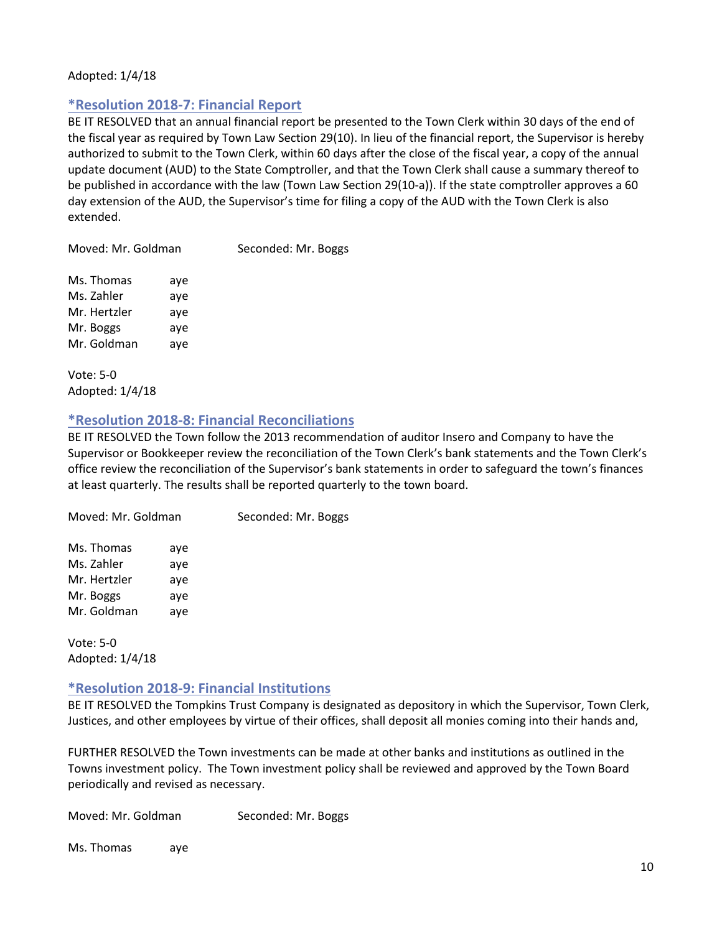#### <span id="page-9-0"></span>Adopted: 1/4/18

## **\*Resolution 2018-7: Financial Report**

BE IT RESOLVED that an annual financial report be presented to the Town Clerk within 30 days of the end of the fiscal year as required by Town Law Section 29(10). In lieu of the financial report, the Supervisor is hereby authorized to submit to the Town Clerk, within 60 days after the close of the fiscal year, a copy of the annual update document (AUD) to the State Comptroller, and that the Town Clerk shall cause a summary thereof to be published in accordance with the law (Town Law Section 29(10-a)). If the state comptroller approves a 60 day extension of the AUD, the Supervisor's time for filing a copy of the AUD with the Town Clerk is also extended.

Moved: Mr. Goldman Seconded: Mr. Boggs

| Ms. Thomas   | aye |
|--------------|-----|
| Ms. Zahler   | aye |
| Mr. Hertzler | aye |
| Mr. Boggs    | aye |
| Mr. Goldman  | aye |

Vote: 5-0 Adopted: 1/4/18

## <span id="page-9-1"></span>**\*Resolution 2018-8: Financial Reconciliations**

BE IT RESOLVED the Town follow the 2013 recommendation of auditor Insero and Company to have the Supervisor or Bookkeeper review the reconciliation of the Town Clerk's bank statements and the Town Clerk's office review the reconciliation of the Supervisor's bank statements in order to safeguard the town's finances at least quarterly. The results shall be reported quarterly to the town board.

Moved: Mr. Goldman Seconded: Mr. Boggs Ms. Thomas aye Ms. Zahler aye Mr. Hertzler aye Mr. Boggs aye Mr. Goldman aye

Vote: 5-0 Adopted: 1/4/18

## <span id="page-9-2"></span>**\*Resolution 2018-9: Financial Institutions**

BE IT RESOLVED the Tompkins Trust Company is designated as depository in which the Supervisor, Town Clerk, Justices, and other employees by virtue of their offices, shall deposit all monies coming into their hands and,

FURTHER RESOLVED the Town investments can be made at other banks and institutions as outlined in the Towns investment policy. The Town investment policy shall be reviewed and approved by the Town Board periodically and revised as necessary.

Moved: Mr. Goldman Seconded: Mr. Boggs

Ms. Thomas aye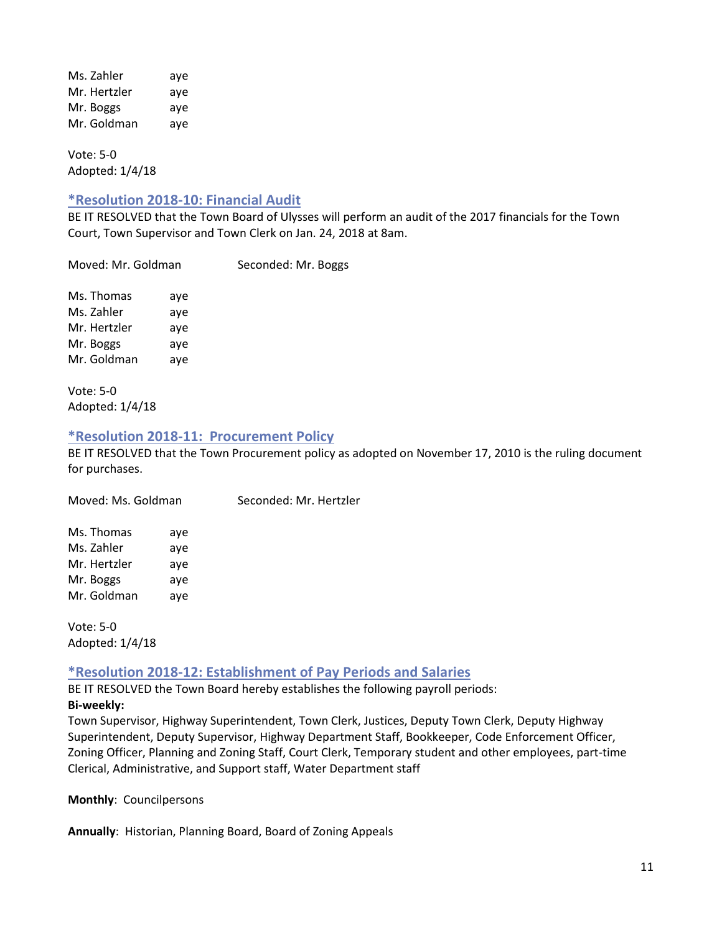Ms. Zahler aye Mr. Hertzler aye Mr. Boggs aye Mr. Goldman aye

Vote: 5-0 Adopted: 1/4/18

#### <span id="page-10-0"></span>**\*Resolution 2018-10: Financial Audit**

BE IT RESOLVED that the Town Board of Ulysses will perform an audit of the 2017 financials for the Town Court, Town Supervisor and Town Clerk on Jan. 24, 2018 at 8am.

Moved: Mr. Goldman Seconded: Mr. Boggs

Ms. Thomas aye Ms. Zahler aye Mr. Hertzler aye Mr. Boggs aye Mr. Goldman aye

Vote: 5-0 Adopted: 1/4/18

#### <span id="page-10-1"></span>**\*Resolution 2018-11: Procurement Policy**

BE IT RESOLVED that the Town Procurement policy as adopted on November 17, 2010 is the ruling document for purchases.

| Moved: Ms. Goldman                                                   |                                 | Seconded: Mr. Hertzler |
|----------------------------------------------------------------------|---------------------------------|------------------------|
| Ms. Thomas<br>Ms. Zahler<br>Mr. Hertzler<br>Mr. Boggs<br>Mr. Goldman | aye<br>aye<br>aye<br>aye<br>aye |                        |
|                                                                      |                                 |                        |

Vote: 5-0 Adopted: 1/4/18

## <span id="page-10-2"></span>**\*Resolution 2018-12: Establishment of Pay Periods and Salaries**

BE IT RESOLVED the Town Board hereby establishes the following payroll periods: **Bi-weekly:** 

Town Supervisor, Highway Superintendent, Town Clerk, Justices, Deputy Town Clerk, Deputy Highway Superintendent, Deputy Supervisor, Highway Department Staff, Bookkeeper, Code Enforcement Officer, Zoning Officer, Planning and Zoning Staff, Court Clerk, Temporary student and other employees, part-time Clerical, Administrative, and Support staff, Water Department staff

**Monthly**: Councilpersons

**Annually**: Historian, Planning Board, Board of Zoning Appeals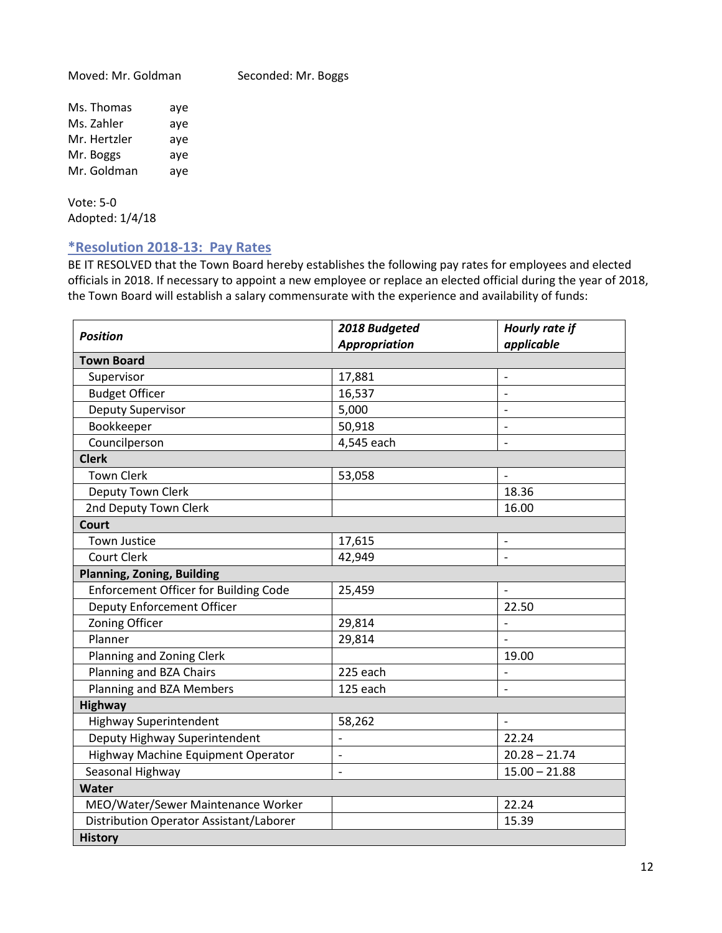Moved: Mr. Goldman Seconded: Mr. Boggs

Ms. Thomas aye Ms. Zahler aye Mr. Hertzler aye Mr. Boggs aye Mr. Goldman aye

Vote: 5-0 Adopted: 1/4/18

## <span id="page-11-0"></span>**\*Resolution 2018-13: Pay Rates**

BE IT RESOLVED that the Town Board hereby establishes the following pay rates for employees and elected officials in 2018. If necessary to appoint a new employee or replace an elected official during the year of 2018, the Town Board will establish a salary commensurate with the experience and availability of funds:

| <b>Position</b>                              | 2018 Budgeted            | Hourly rate if           |
|----------------------------------------------|--------------------------|--------------------------|
|                                              | <b>Appropriation</b>     | applicable               |
| <b>Town Board</b>                            |                          |                          |
| Supervisor                                   | 17,881                   | $\overline{\phantom{a}}$ |
| <b>Budget Officer</b>                        | 16,537                   | $\overline{a}$           |
| Deputy Supervisor                            | 5,000                    | $\overline{\phantom{a}}$ |
| Bookkeeper                                   | 50,918                   | $\overline{\phantom{a}}$ |
| Councilperson                                | 4,545 each               | $\overline{\phantom{a}}$ |
| <b>Clerk</b>                                 |                          |                          |
| <b>Town Clerk</b>                            | 53,058                   | $\blacksquare$           |
| Deputy Town Clerk                            |                          | 18.36                    |
| 2nd Deputy Town Clerk                        |                          | 16.00                    |
| <b>Court</b>                                 |                          |                          |
| <b>Town Justice</b>                          | 17,615                   |                          |
| <b>Court Clerk</b>                           | 42,949                   |                          |
| <b>Planning, Zoning, Building</b>            |                          |                          |
| <b>Enforcement Officer for Building Code</b> | 25,459                   | $\overline{a}$           |
| <b>Deputy Enforcement Officer</b>            |                          | 22.50                    |
| Zoning Officer                               | 29,814                   | $\frac{1}{2}$            |
| Planner                                      | 29,814                   | $\overline{a}$           |
| Planning and Zoning Clerk                    |                          | 19.00                    |
| Planning and BZA Chairs                      | 225 each                 | $\qquad \qquad -$        |
| Planning and BZA Members                     | 125 each                 | $\overline{\phantom{a}}$ |
| <b>Highway</b>                               |                          |                          |
| <b>Highway Superintendent</b>                | 58,262                   | $\overline{\phantom{a}}$ |
| Deputy Highway Superintendent                |                          | 22.24                    |
| Highway Machine Equipment Operator           | $\overline{a}$           | $20.28 - 21.74$          |
| Seasonal Highway                             | $\overline{\phantom{a}}$ | $15.00 - 21.88$          |
| Water                                        |                          |                          |
| MEO/Water/Sewer Maintenance Worker           |                          | 22.24                    |
| Distribution Operator Assistant/Laborer      |                          | 15.39                    |
| <b>History</b>                               |                          |                          |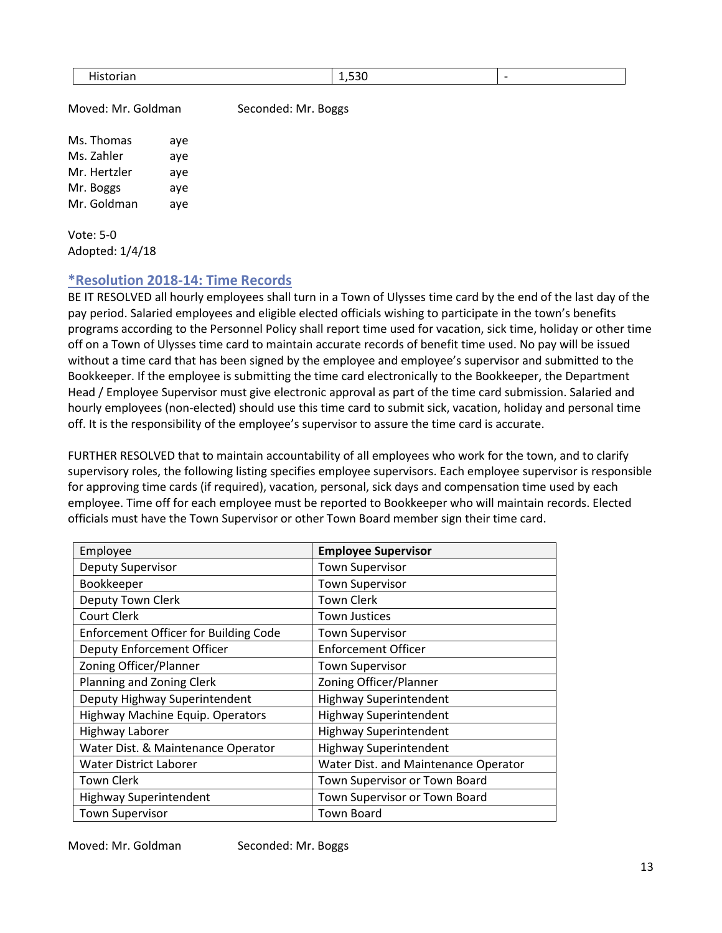Moved: Mr. Goldman Seconded: Mr. Boggs

Ms. Thomas aye Ms. Zahler aye Mr. Hertzler aye Mr. Boggs aye Mr. Goldman aye

Vote: 5-0 Adopted: 1/4/18

#### <span id="page-12-0"></span>**\*Resolution 2018-14: Time Records**

BE IT RESOLVED all hourly employees shall turn in a Town of Ulysses time card by the end of the last day of the pay period. Salaried employees and eligible elected officials wishing to participate in the town's benefits programs according to the Personnel Policy shall report time used for vacation, sick time, holiday or other time off on a Town of Ulysses time card to maintain accurate records of benefit time used. No pay will be issued without a time card that has been signed by the employee and employee's supervisor and submitted to the Bookkeeper. If the employee is submitting the time card electronically to the Bookkeeper, the Department Head / Employee Supervisor must give electronic approval as part of the time card submission. Salaried and hourly employees (non-elected) should use this time card to submit sick, vacation, holiday and personal time off. It is the responsibility of the employee's supervisor to assure the time card is accurate.

FURTHER RESOLVED that to maintain accountability of all employees who work for the town, and to clarify supervisory roles, the following listing specifies employee supervisors. Each employee supervisor is responsible for approving time cards (if required), vacation, personal, sick days and compensation time used by each employee. Time off for each employee must be reported to Bookkeeper who will maintain records. Elected officials must have the Town Supervisor or other Town Board member sign their time card.

| Employee                                     | <b>Employee Supervisor</b>           |
|----------------------------------------------|--------------------------------------|
| Deputy Supervisor                            | <b>Town Supervisor</b>               |
| Bookkeeper                                   | <b>Town Supervisor</b>               |
| Deputy Town Clerk                            | <b>Town Clerk</b>                    |
| Court Clerk                                  | <b>Town Justices</b>                 |
| <b>Enforcement Officer for Building Code</b> | <b>Town Supervisor</b>               |
| <b>Deputy Enforcement Officer</b>            | <b>Enforcement Officer</b>           |
| Zoning Officer/Planner                       | <b>Town Supervisor</b>               |
| Planning and Zoning Clerk                    | Zoning Officer/Planner               |
| Deputy Highway Superintendent                | <b>Highway Superintendent</b>        |
| Highway Machine Equip. Operators             | <b>Highway Superintendent</b>        |
| Highway Laborer                              | <b>Highway Superintendent</b>        |
| Water Dist. & Maintenance Operator           | <b>Highway Superintendent</b>        |
| <b>Water District Laborer</b>                | Water Dist. and Maintenance Operator |
| <b>Town Clerk</b>                            | Town Supervisor or Town Board        |
| <b>Highway Superintendent</b>                | Town Supervisor or Town Board        |
| <b>Town Supervisor</b>                       | <b>Town Board</b>                    |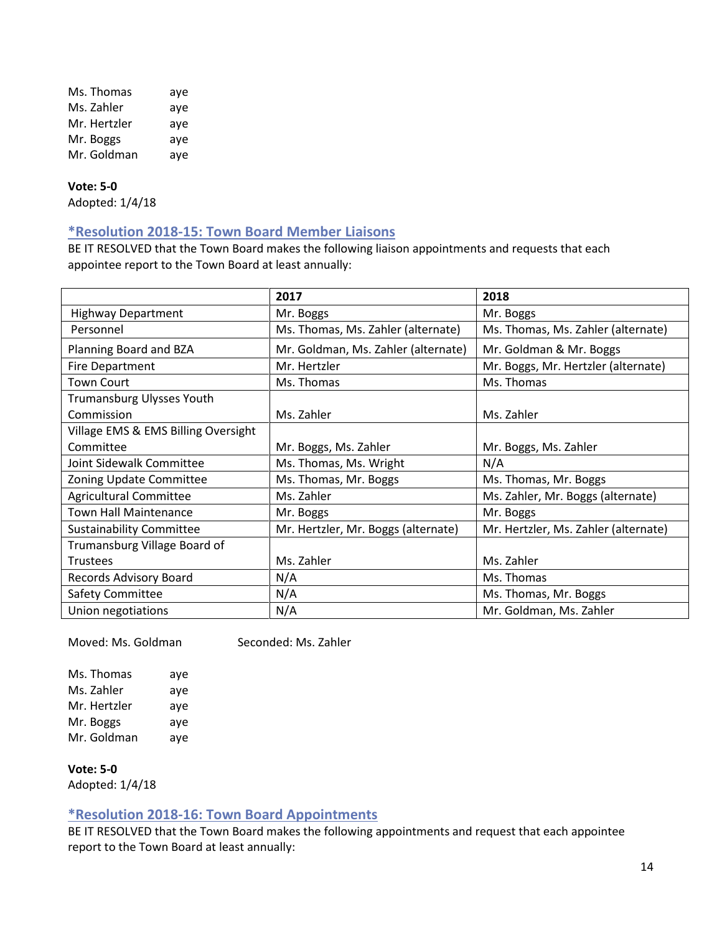| Ms. Thomas   | aye |
|--------------|-----|
| Ms. Zahler   | aye |
| Mr. Hertzler | aye |
| Mr. Boggs    | aye |
| Mr. Goldman  | aye |

#### **Vote: 5-0**

<span id="page-13-0"></span>Adopted: 1/4/18

## **\*Resolution 2018-15: Town Board Member Liaisons**

BE IT RESOLVED that the Town Board makes the following liaison appointments and requests that each appointee report to the Town Board at least annually:

|                                     | 2017                                | 2018                                 |
|-------------------------------------|-------------------------------------|--------------------------------------|
| <b>Highway Department</b>           | Mr. Boggs                           | Mr. Boggs                            |
| Personnel                           | Ms. Thomas, Ms. Zahler (alternate)  | Ms. Thomas, Ms. Zahler (alternate)   |
| Planning Board and BZA              | Mr. Goldman, Ms. Zahler (alternate) | Mr. Goldman & Mr. Boggs              |
| <b>Fire Department</b>              | Mr. Hertzler                        | Mr. Boggs, Mr. Hertzler (alternate)  |
| <b>Town Court</b>                   | Ms. Thomas                          | Ms. Thomas                           |
| Trumansburg Ulysses Youth           |                                     |                                      |
| Commission                          | Ms. Zahler                          | Ms. Zahler                           |
| Village EMS & EMS Billing Oversight |                                     |                                      |
| Committee                           | Mr. Boggs, Ms. Zahler               | Mr. Boggs, Ms. Zahler                |
| Joint Sidewalk Committee            | Ms. Thomas, Ms. Wright              | N/A                                  |
| Zoning Update Committee             | Ms. Thomas, Mr. Boggs               | Ms. Thomas, Mr. Boggs                |
| Agricultural Committee              | Ms. Zahler                          | Ms. Zahler, Mr. Boggs (alternate)    |
| Town Hall Maintenance               | Mr. Boggs                           | Mr. Boggs                            |
| <b>Sustainability Committee</b>     | Mr. Hertzler, Mr. Boggs (alternate) | Mr. Hertzler, Ms. Zahler (alternate) |
| Trumansburg Village Board of        |                                     |                                      |
| <b>Trustees</b>                     | Ms. Zahler                          | Ms. Zahler                           |
| Records Advisory Board              | N/A                                 | Ms. Thomas                           |
| Safety Committee                    | N/A                                 | Ms. Thomas, Mr. Boggs                |
| Union negotiations                  | N/A                                 | Mr. Goldman, Ms. Zahler              |

Moved: Ms. Goldman Seconded: Ms. Zahler

Ms. Thomas aye Ms. Zahler aye Mr. Hertzler aye Mr. Boggs aye Mr. Goldman aye

**Vote: 5-0** Adopted: 1/4/18

<span id="page-13-1"></span>

## **\*Resolution 2018-16: Town Board Appointments**

BE IT RESOLVED that the Town Board makes the following appointments and request that each appointee report to the Town Board at least annually: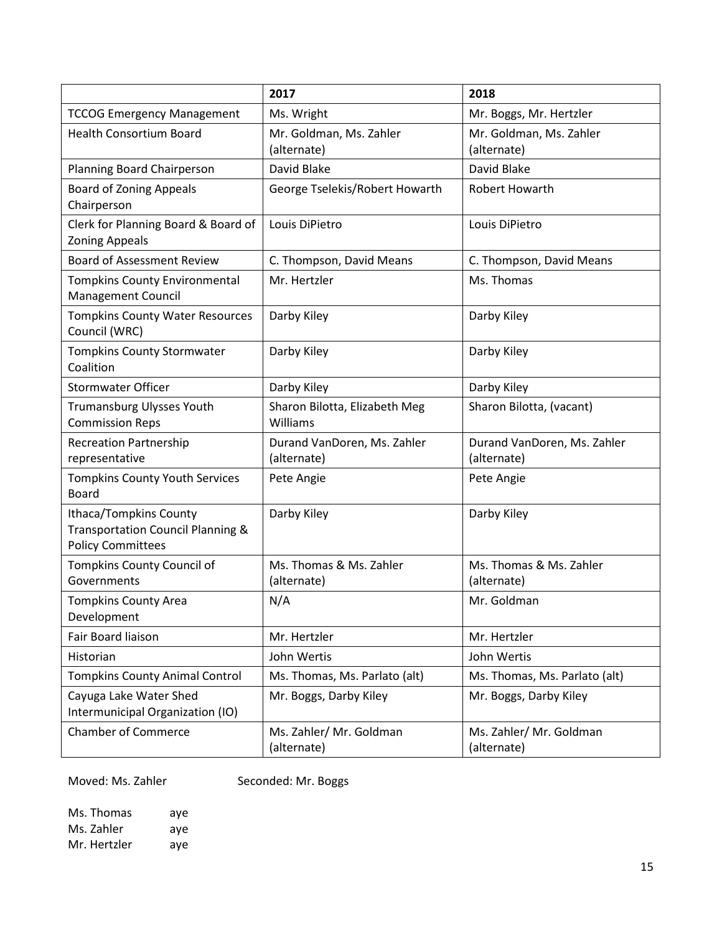|                                                                                                    | 2017                                       | 2018                                       |
|----------------------------------------------------------------------------------------------------|--------------------------------------------|--------------------------------------------|
| <b>TCCOG Emergency Management</b>                                                                  | Ms. Wright                                 | Mr. Boggs, Mr. Hertzler                    |
| <b>Health Consortium Board</b>                                                                     | Mr. Goldman, Ms. Zahler<br>(alternate)     | Mr. Goldman, Ms. Zahler<br>(alternate)     |
| Planning Board Chairperson                                                                         | David Blake                                | David Blake                                |
| <b>Board of Zoning Appeals</b><br>Chairperson                                                      | George Tselekis/Robert Howarth             | <b>Robert Howarth</b>                      |
| Clerk for Planning Board & Board of<br><b>Zoning Appeals</b>                                       | Louis DiPietro                             | Louis DiPietro                             |
| <b>Board of Assessment Review</b>                                                                  | C. Thompson, David Means                   | C. Thompson, David Means                   |
| <b>Tompkins County Environmental</b><br><b>Management Council</b>                                  | Mr. Hertzler                               | Ms. Thomas                                 |
| <b>Tompkins County Water Resources</b><br>Council (WRC)                                            | Darby Kiley                                | Darby Kiley                                |
| <b>Tompkins County Stormwater</b><br>Coalition                                                     | Darby Kiley                                | Darby Kiley                                |
| <b>Stormwater Officer</b>                                                                          | Darby Kiley                                | Darby Kiley                                |
| <b>Trumansburg Ulysses Youth</b><br><b>Commission Reps</b>                                         | Sharon Bilotta, Elizabeth Meg<br>Williams  | Sharon Bilotta, (vacant)                   |
| <b>Recreation Partnership</b><br>representative                                                    | Durand VanDoren, Ms. Zahler<br>(alternate) | Durand VanDoren, Ms. Zahler<br>(alternate) |
| <b>Tompkins County Youth Services</b><br><b>Board</b>                                              | Pete Angie                                 | Pete Angie                                 |
| Ithaca/Tompkins County<br><b>Transportation Council Planning &amp;</b><br><b>Policy Committees</b> | Darby Kiley                                | Darby Kiley                                |
| Tompkins County Council of<br>Governments                                                          | Ms. Thomas & Ms. Zahler<br>(alternate)     | Ms. Thomas & Ms. Zahler<br>(alternate)     |
| <b>Tompkins County Area</b><br>Development                                                         | N/A                                        | Mr. Goldman                                |
| Fair Board liaison                                                                                 | Mr. Hertzler                               | Mr. Hertzler                               |
| Historian                                                                                          | John Wertis                                | John Wertis                                |
| <b>Tompkins County Animal Control</b>                                                              | Ms. Thomas, Ms. Parlato (alt)              | Ms. Thomas, Ms. Parlato (alt)              |
| Cayuga Lake Water Shed<br>Intermunicipal Organization (IO)                                         | Mr. Boggs, Darby Kiley                     | Mr. Boggs, Darby Kiley                     |
| <b>Chamber of Commerce</b>                                                                         | Ms. Zahler/ Mr. Goldman<br>(alternate)     | Ms. Zahler/ Mr. Goldman<br>(alternate)     |

Moved: Ms. Zahler Seconded: Mr. Boggs

Ms. Thomas aye Ms. Zahler aye<br>Mr. Hertzler aye Mr. Hertzler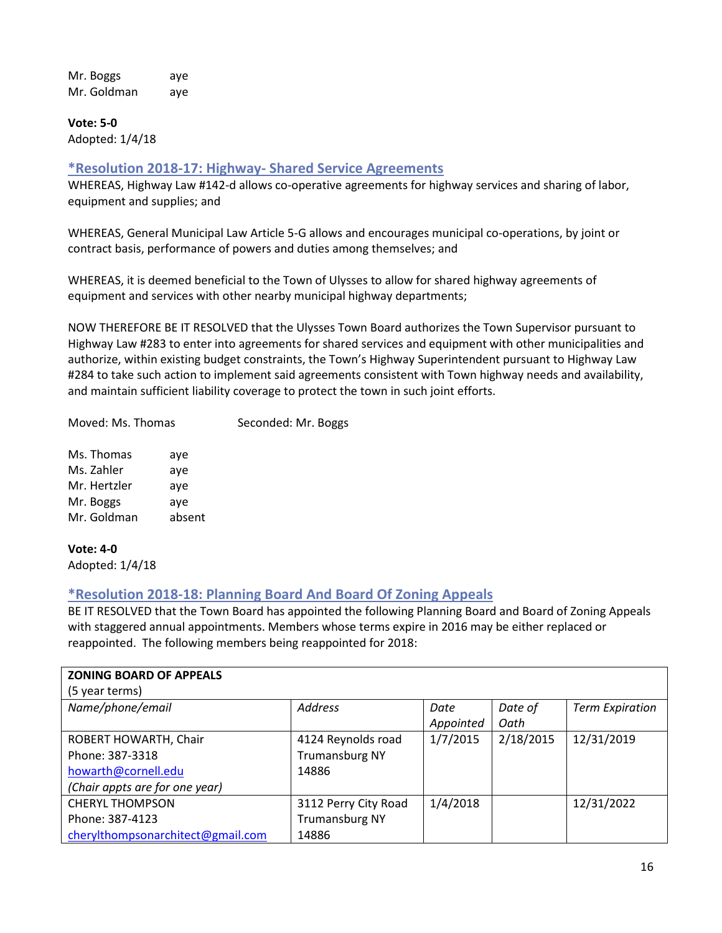Mr. Boggs aye Mr. Goldman aye

**Vote: 5-0** Adopted: 1/4/18

## <span id="page-15-0"></span>**\*Resolution 2018-17: Highway- Shared Service Agreements**

WHEREAS, Highway Law #142-d allows co-operative agreements for highway services and sharing of labor, equipment and supplies; and

WHEREAS, General Municipal Law Article 5-G allows and encourages municipal co-operations, by joint or contract basis, performance of powers and duties among themselves; and

WHEREAS, it is deemed beneficial to the Town of Ulysses to allow for shared highway agreements of equipment and services with other nearby municipal highway departments;

NOW THEREFORE BE IT RESOLVED that the Ulysses Town Board authorizes the Town Supervisor pursuant to Highway Law #283 to enter into agreements for shared services and equipment with other municipalities and authorize, within existing budget constraints, the Town's Highway Superintendent pursuant to Highway Law #284 to take such action to implement said agreements consistent with Town highway needs and availability, and maintain sufficient liability coverage to protect the town in such joint efforts.

Moved: Ms. Thomas Seconded: Mr. Boggs

Ms. Thomas aye Ms. Zahler aye Mr. Hertzler aye Mr. Boggs aye Mr. Goldman absent

#### **Vote: 4-0**

<span id="page-15-1"></span>Adopted: 1/4/18

## **\*Resolution 2018-18: Planning Board And Board Of Zoning Appeals**

BE IT RESOLVED that the Town Board has appointed the following Planning Board and Board of Zoning Appeals with staggered annual appointments. Members whose terms expire in 2016 may be either replaced or reappointed. The following members being reappointed for 2018:

| <b>ZONING BOARD OF APPEALS</b>    |                       |           |           |                        |
|-----------------------------------|-----------------------|-----------|-----------|------------------------|
| (5 year terms)                    |                       |           |           |                        |
| Name/phone/email                  | <b>Address</b>        | Date      | Date of   | <b>Term Expiration</b> |
|                                   |                       | Appointed | Oath      |                        |
| ROBERT HOWARTH, Chair             | 4124 Reynolds road    | 1/7/2015  | 2/18/2015 | 12/31/2019             |
| Phone: 387-3318                   | <b>Trumansburg NY</b> |           |           |                        |
| howarth@cornell.edu               | 14886                 |           |           |                        |
| (Chair appts are for one year)    |                       |           |           |                        |
| <b>CHERYL THOMPSON</b>            | 3112 Perry City Road  | 1/4/2018  |           | 12/31/2022             |
| Phone: 387-4123                   | <b>Trumansburg NY</b> |           |           |                        |
| cherylthompsonarchitect@gmail.com | 14886                 |           |           |                        |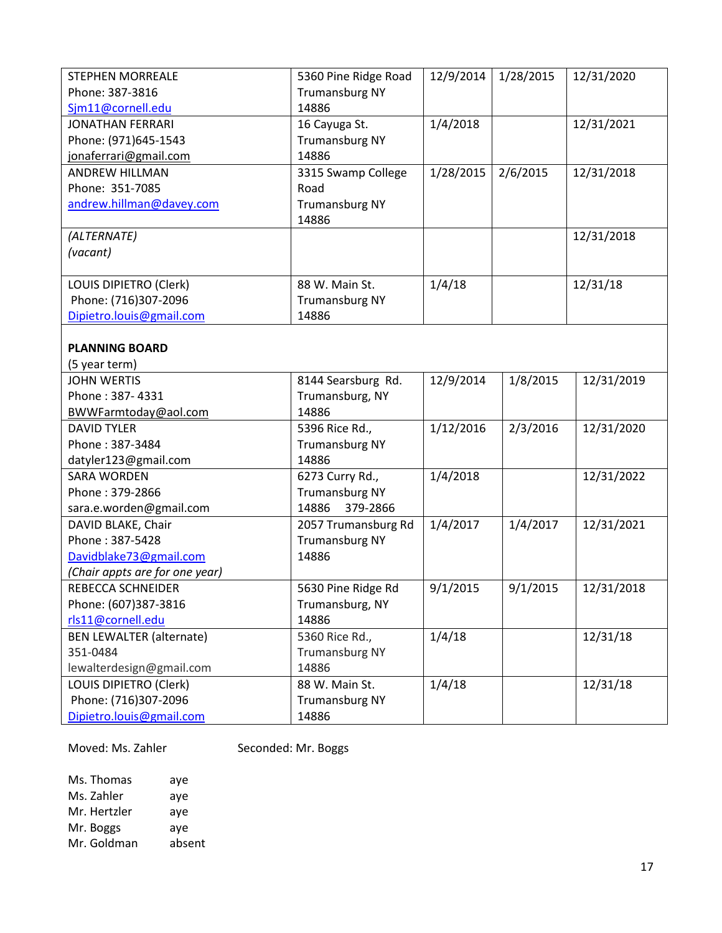| <b>STEPHEN MORREALE</b>         | 5360 Pine Ridge Road           | 12/9/2014 | 1/28/2015 | 12/31/2020 |
|---------------------------------|--------------------------------|-----------|-----------|------------|
| Phone: 387-3816                 | <b>Trumansburg NY</b>          |           |           |            |
| Sjm11@cornell.edu               | 14886                          |           |           |            |
| <b>JONATHAN FERRARI</b>         | 16 Cayuga St.                  | 1/4/2018  |           | 12/31/2021 |
| Phone: (971)645-1543            | <b>Trumansburg NY</b>          |           |           |            |
| jonaferrari@gmail.com           | 14886                          |           |           |            |
| <b>ANDREW HILLMAN</b>           | 3315 Swamp College             | 1/28/2015 | 2/6/2015  | 12/31/2018 |
| Phone: 351-7085                 | Road                           |           |           |            |
| andrew.hillman@davey.com        | <b>Trumansburg NY</b><br>14886 |           |           |            |
| (ALTERNATE)                     |                                |           |           | 12/31/2018 |
| (vacant)                        |                                |           |           |            |
|                                 |                                |           |           |            |
| LOUIS DIPIETRO (Clerk)          | 88 W. Main St.                 | 1/4/18    |           | 12/31/18   |
| Phone: (716)307-2096            | <b>Trumansburg NY</b>          |           |           |            |
| Dipietro.louis@gmail.com        | 14886                          |           |           |            |
|                                 |                                |           |           |            |
| <b>PLANNING BOARD</b>           |                                |           |           |            |
| (5 year term)                   |                                |           |           |            |
| <b>JOHN WERTIS</b>              | 8144 Searsburg Rd.             | 12/9/2014 | 1/8/2015  | 12/31/2019 |
| Phone: 387-4331                 | Trumansburg, NY                |           |           |            |
| BWWFarmtoday@aol.com            | 14886                          |           |           |            |
| <b>DAVID TYLER</b>              | 5396 Rice Rd.,                 | 1/12/2016 | 2/3/2016  | 12/31/2020 |
| Phone: 387-3484                 | <b>Trumansburg NY</b>          |           |           |            |
| datyler123@gmail.com            | 14886                          |           |           |            |
| <b>SARA WORDEN</b>              | 6273 Curry Rd.,                | 1/4/2018  |           | 12/31/2022 |
| Phone: 379-2866                 | <b>Trumansburg NY</b>          |           |           |            |
| sara.e.worden@gmail.com         | 379-2866<br>14886              |           |           |            |
| DAVID BLAKE, Chair              | 2057 Trumansburg Rd            | 1/4/2017  | 1/4/2017  | 12/31/2021 |
| Phone: 387-5428                 | <b>Trumansburg NY</b>          |           |           |            |
| Davidblake73@gmail.com          | 14886                          |           |           |            |
| (Chair appts are for one year)  |                                |           |           |            |
| <b>REBECCA SCHNEIDER</b>        | 5630 Pine Ridge Rd             | 9/1/2015  | 9/1/2015  | 12/31/2018 |
| Phone: (607)387-3816            | Trumansburg, NY                |           |           |            |
| rls11@cornell.edu               | 14886                          |           |           |            |
| <b>BEN LEWALTER (alternate)</b> | 5360 Rice Rd.,                 | 1/4/18    |           | 12/31/18   |
| 351-0484                        | <b>Trumansburg NY</b>          |           |           |            |
| lewalterdesign@gmail.com        | 14886                          |           |           |            |
| LOUIS DIPIETRO (Clerk)          | 88 W. Main St.                 | 1/4/18    |           | 12/31/18   |
| Phone: (716)307-2096            | <b>Trumansburg NY</b>          |           |           |            |
| Dipietro.louis@gmail.com        | 14886                          |           |           |            |

Moved: Ms. Zahler Seconded: Mr. Boggs

Ms. Thomas aye Ms. Zahler aye Mr. Hertzler aye Mr. Boggs aye Mr. Goldman absent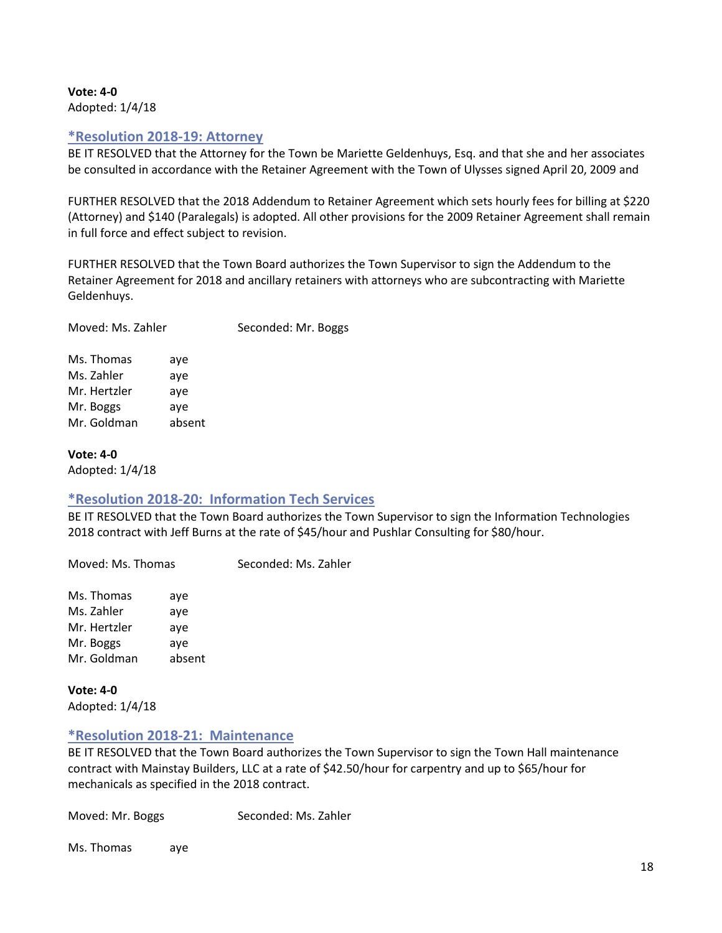#### **Vote: 4-0** Adopted: 1/4/18

## <span id="page-17-0"></span>**\*Resolution 2018-19: Attorney**

BE IT RESOLVED that the Attorney for the Town be Mariette Geldenhuys, Esq. and that she and her associates be consulted in accordance with the Retainer Agreement with the Town of Ulysses signed April 20, 2009 and

FURTHER RESOLVED that the 2018 Addendum to Retainer Agreement which sets hourly fees for billing at \$220 (Attorney) and \$140 (Paralegals) is adopted. All other provisions for the 2009 Retainer Agreement shall remain in full force and effect subject to revision.

FURTHER RESOLVED that the Town Board authorizes the Town Supervisor to sign the Addendum to the Retainer Agreement for 2018 and ancillary retainers with attorneys who are subcontracting with Mariette Geldenhuys.

| Moved: Ms. Zahler |     | Seconded: Mr. Boggs |
|-------------------|-----|---------------------|
| Ms. Thomas        | ave |                     |

Ms. Zahler aye Mr. Hertzler aye Mr. Boggs aye Mr. Goldman absent

**Vote: 4-0** Adopted: 1/4/18

## <span id="page-17-1"></span>**\*Resolution 2018-20: Information Tech Services**

BE IT RESOLVED that the Town Board authorizes the Town Supervisor to sign the Information Technologies 2018 contract with Jeff Burns at the rate of \$45/hour and Pushlar Consulting for \$80/hour.

Moved: Ms. Thomas Seconded: Ms. Zahler Ms. Thomas aye Ms. Zahler aye Mr. Hertzler aye

Mr. Boggs aye Mr. Goldman absent

**Vote: 4-0** Adopted: 1/4/18

## <span id="page-17-2"></span>**\*Resolution 2018-21: Maintenance**

BE IT RESOLVED that the Town Board authorizes the Town Supervisor to sign the Town Hall maintenance contract with Mainstay Builders, LLC at a rate of \$42.50/hour for carpentry and up to \$65/hour for mechanicals as specified in the 2018 contract.

Moved: Mr. Boggs Seconded: Ms. Zahler

Ms. Thomas aye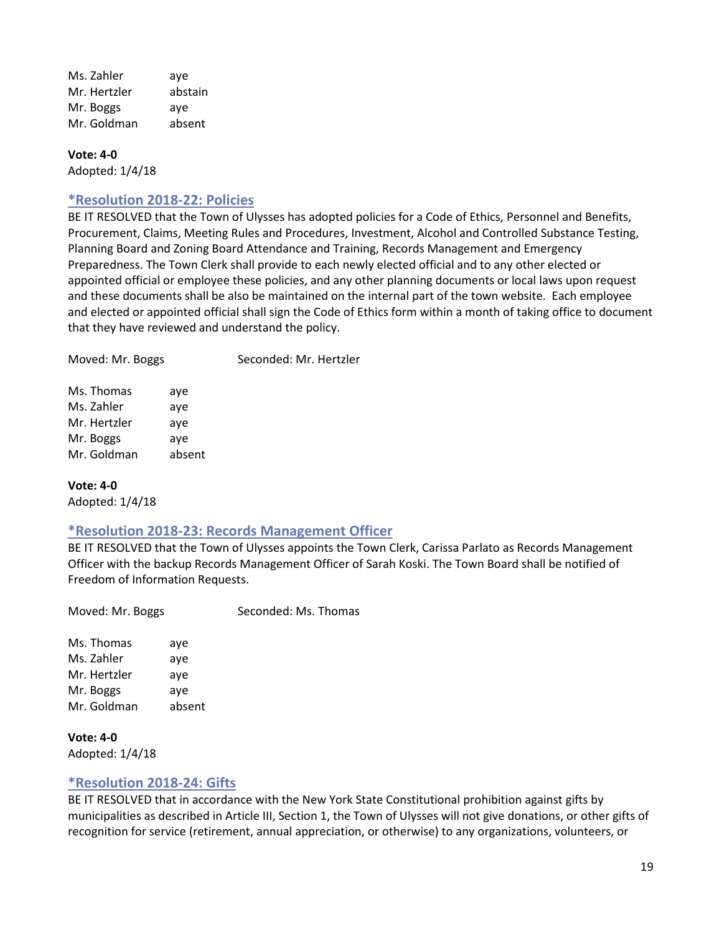Ms. Zahler aye Mr. Hertzler abstain Mr. Boggs aye Mr. Goldman absent

## **Vote: 4-0**

<span id="page-18-0"></span>Adopted: 1/4/18

#### **\*Resolution 2018-22: Policies**

BE IT RESOLVED that the Town of Ulysses has adopted policies for a Code of Ethics, Personnel and Benefits, Procurement, Claims, Meeting Rules and Procedures, Investment, Alcohol and Controlled Substance Testing, Planning Board and Zoning Board Attendance and Training, Records Management and Emergency Preparedness. The Town Clerk shall provide to each newly elected official and to any other elected or appointed official or employee these policies, and any other planning documents or local laws upon request and these documents shall be also be maintained on the internal part of the town website. Each employee and elected or appointed official shall sign the Code of Ethics form within a month of taking office to document that they have reviewed and understand the policy.

| Moved: Mr. Boggs |     | Seconded: Mr. Hertzler |
|------------------|-----|------------------------|
| Ms. Thomas       | ave |                        |

Ms. Zahler aye Mr. Hertzler aye Mr. Boggs aye Mr. Goldman absent

#### **Vote: 4-0**

<span id="page-18-1"></span>Adopted: 1/4/18

#### **\*Resolution 2018-23: Records Management Officer**

BE IT RESOLVED that the Town of Ulysses appoints the Town Clerk, Carissa Parlato as Records Management Officer with the backup Records Management Officer of Sarah Koski. The Town Board shall be notified of Freedom of Information Requests.

Moved: Mr. Boggs Seconded: Ms. Thomas

Ms. Thomas aye Ms. Zahler aye Mr. Hertzler aye Mr. Boggs aye Mr. Goldman absent

**Vote: 4-0** Adopted: 1/4/18

#### <span id="page-18-2"></span>**\*Resolution 2018-24: Gifts**

BE IT RESOLVED that in accordance with the New York State Constitutional prohibition against gifts by municipalities as described in Article III, Section 1, the Town of Ulysses will not give donations, or other gifts of recognition for service (retirement, annual appreciation, or otherwise) to any organizations, volunteers, or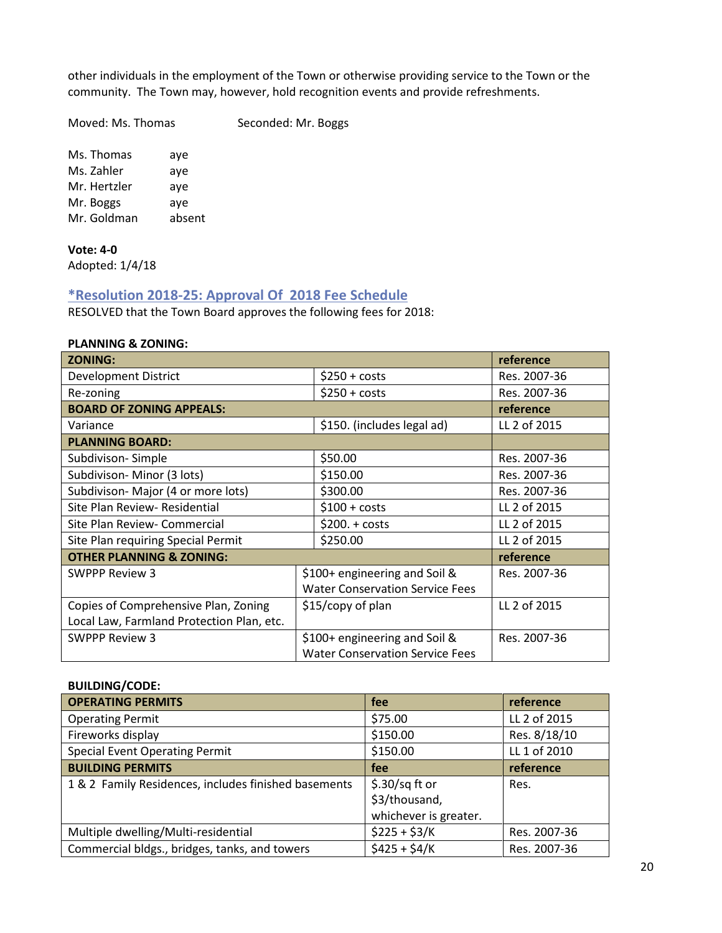other individuals in the employment of the Town or otherwise providing service to the Town or the community. The Town may, however, hold recognition events and provide refreshments.

Moved: Ms. Thomas Seconded: Mr. Boggs

Ms. Thomas aye Ms. Zahler aye Mr. Hertzler aye Mr. Boggs aye Mr. Goldman absent

**Vote: 4-0** Adopted: 1/4/18

## <span id="page-19-0"></span>**\*Resolution 2018-25: Approval Of 2018 Fee Schedule**

RESOLVED that the Town Board approves the following fees for 2018:

## **PLANNING & ZONING:**

| <b>ZONING:</b>                            |                                        | reference    |
|-------------------------------------------|----------------------------------------|--------------|
| <b>Development District</b>               | $$250 + costs$                         | Res. 2007-36 |
| Re-zoning                                 | $$250 + costs$                         | Res. 2007-36 |
| <b>BOARD OF ZONING APPEALS:</b>           |                                        | reference    |
| Variance                                  | \$150. (includes legal ad)             | LL 2 of 2015 |
| <b>PLANNING BOARD:</b>                    |                                        |              |
| Subdivison-Simple                         | \$50.00                                | Res. 2007-36 |
| Subdivison-Minor (3 lots)                 | \$150.00                               | Res. 2007-36 |
| Subdivison-Major (4 or more lots)         | \$300.00                               | Res. 2007-36 |
| Site Plan Review- Residential             | $$100 + costs$                         | LL 2 of 2015 |
| Site Plan Review- Commercial              | $$200.+costs$                          | LL 2 of 2015 |
| Site Plan requiring Special Permit        | \$250.00                               | LL 2 of 2015 |
| <b>OTHER PLANNING &amp; ZONING:</b>       |                                        | reference    |
| <b>SWPPP Review 3</b>                     | \$100+ engineering and Soil &          | Res. 2007-36 |
|                                           | <b>Water Conservation Service Fees</b> |              |
| Copies of Comprehensive Plan, Zoning      | \$15/copy of plan                      | LL 2 of 2015 |
| Local Law, Farmland Protection Plan, etc. |                                        |              |
| <b>SWPPP Review 3</b>                     | \$100+ engineering and Soil &          | Res. 2007-36 |
|                                           | <b>Water Conservation Service Fees</b> |              |

#### **BUILDING/CODE:**

| <b>OPERATING PERMITS</b>                             | fee                                                       | reference    |
|------------------------------------------------------|-----------------------------------------------------------|--------------|
| <b>Operating Permit</b>                              | \$75.00                                                   | LL 2 of 2015 |
| Fireworks display                                    | \$150.00                                                  | Res. 8/18/10 |
| <b>Special Event Operating Permit</b>                | \$150.00                                                  | LL 1 of 2010 |
| <b>BUILDING PERMITS</b>                              | fee                                                       | reference    |
| 1 & 2 Family Residences, includes finished basements | $$.30/sq$ ft or<br>\$3/thousand,<br>whichever is greater. | Res.         |
| Multiple dwelling/Multi-residential                  | $$225 + $3/K$                                             | Res. 2007-36 |
| Commercial bldgs., bridges, tanks, and towers        | $$425 + $4/K$$                                            | Res. 2007-36 |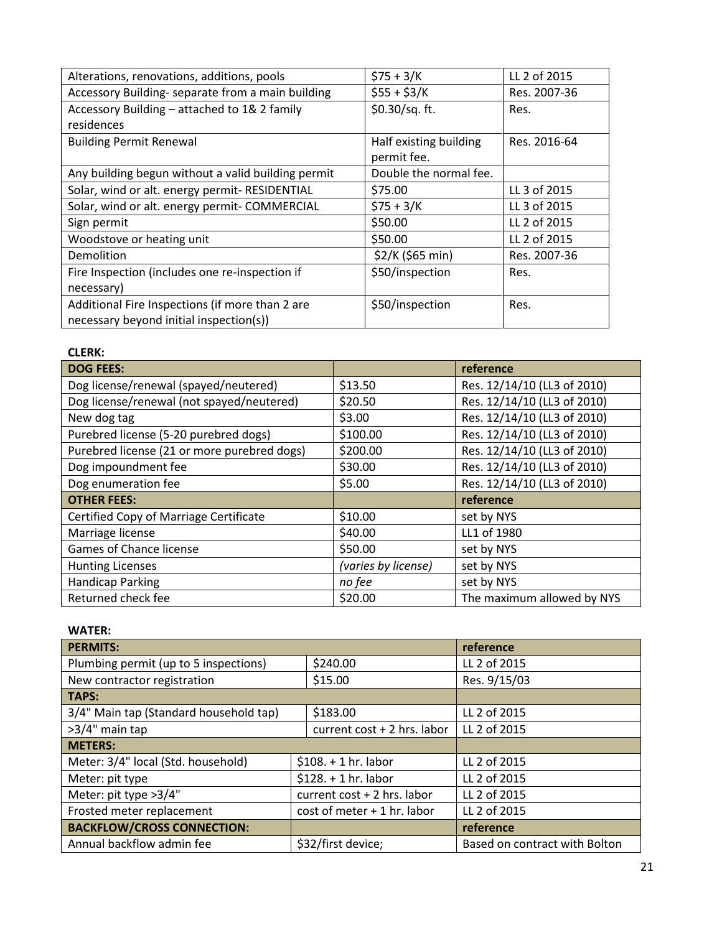| Alterations, renovations, additions, pools                                                 | $$75 + 3/K$                           | LL 2 of 2015 |
|--------------------------------------------------------------------------------------------|---------------------------------------|--------------|
| Accessory Building- separate from a main building                                          | $$55 + $3/K$                          | Res. 2007-36 |
| Accessory Building – attached to 1& 2 family                                               | \$0.30/sq. ft.                        | Res.         |
| residences                                                                                 |                                       |              |
| <b>Building Permit Renewal</b>                                                             | Half existing building<br>permit fee. | Res. 2016-64 |
| Any building begun without a valid building permit                                         | Double the normal fee.                |              |
| Solar, wind or alt. energy permit- RESIDENTIAL                                             | \$75.00                               | LL 3 of 2015 |
| Solar, wind or alt. energy permit- COMMERCIAL                                              | $$75 + 3/K$                           | LL 3 of 2015 |
| Sign permit                                                                                | \$50.00                               | LL 2 of 2015 |
| Woodstove or heating unit                                                                  | \$50.00                               | LL 2 of 2015 |
| Demolition                                                                                 | \$2/K (\$65 min)                      | Res. 2007-36 |
| Fire Inspection (includes one re-inspection if                                             | \$50/inspection                       | Res.         |
| necessary)                                                                                 |                                       |              |
| Additional Fire Inspections (if more than 2 are<br>necessary beyond initial inspection(s)) | \$50/inspection                       | Res.         |

| <b>CLERK:</b>                                 |                     |                             |
|-----------------------------------------------|---------------------|-----------------------------|
| <b>DOG FEES:</b>                              |                     | reference                   |
| Dog license/renewal (spayed/neutered)         | \$13.50             | Res. 12/14/10 (LL3 of 2010) |
| Dog license/renewal (not spayed/neutered)     | \$20.50             | Res. 12/14/10 (LL3 of 2010) |
| New dog tag                                   | \$3.00              | Res. 12/14/10 (LL3 of 2010) |
| Purebred license (5-20 purebred dogs)         | \$100.00            | Res. 12/14/10 (LL3 of 2010) |
| Purebred license (21 or more purebred dogs)   | \$200.00            | Res. 12/14/10 (LL3 of 2010) |
| Dog impoundment fee                           | \$30.00             | Res. 12/14/10 (LL3 of 2010) |
| Dog enumeration fee                           | \$5.00              | Res. 12/14/10 (LL3 of 2010) |
| <b>OTHER FEES:</b>                            |                     | reference                   |
| <b>Certified Copy of Marriage Certificate</b> | \$10.00             | set by NYS                  |
| Marriage license                              | \$40.00             | LL1 of 1980                 |
| Games of Chance license                       | \$50.00             | set by NYS                  |
| <b>Hunting Licenses</b>                       | (varies by license) | set by NYS                  |
| <b>Handicap Parking</b>                       | no fee              | set by NYS                  |
| Returned check fee                            | \$20.00             | The maximum allowed by NYS  |

| <b>WATER:</b>                                              |                               |                             |                               |
|------------------------------------------------------------|-------------------------------|-----------------------------|-------------------------------|
| <b>PERMITS:</b>                                            |                               |                             | reference                     |
| Plumbing permit (up to 5 inspections)                      |                               | \$240.00                    | LL 2 of 2015                  |
| New contractor registration                                |                               | \$15.00                     | Res. 9/15/03                  |
| TAPS:                                                      |                               |                             |                               |
| 3/4" Main tap (Standard household tap)                     |                               | \$183.00                    | LL 2 of 2015                  |
| >3/4" main tap                                             |                               | current cost + 2 hrs. labor | LL 2 of 2015                  |
| <b>METERS:</b>                                             |                               |                             |                               |
| Meter: 3/4" local (Std. household)                         |                               | $$108. + 1 hr.$ labor       | LL 2 of 2015                  |
| Meter: pit type                                            | $$128.+1hr.$ labor            |                             | LL 2 of 2015                  |
| Meter: pit type >3/4"                                      | current $cost + 2$ hrs. labor |                             | LL 2 of 2015                  |
| Frosted meter replacement<br>$cost$ of meter + 1 hr. labor |                               | LL 2 of 2015                |                               |
| <b>BACKFLOW/CROSS CONNECTION:</b>                          |                               |                             | reference                     |
| Annual backflow admin fee                                  |                               | \$32/first device;          | Based on contract with Bolton |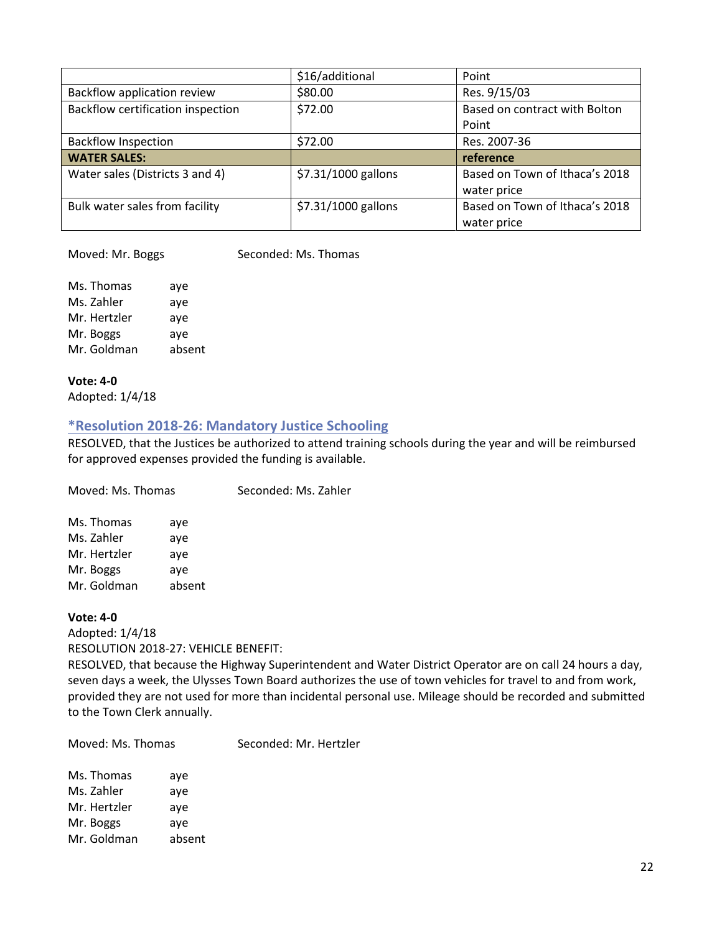|                                   | \$16/additional     | Point                          |
|-----------------------------------|---------------------|--------------------------------|
| Backflow application review       | \$80.00             | Res. 9/15/03                   |
| Backflow certification inspection | \$72.00             | Based on contract with Bolton  |
|                                   |                     | Point                          |
| <b>Backflow Inspection</b>        | \$72.00             | Res. 2007-36                   |
| <b>WATER SALES:</b>               |                     | reference                      |
| Water sales (Districts 3 and 4)   | \$7.31/1000 gallons | Based on Town of Ithaca's 2018 |
|                                   |                     | water price                    |
| Bulk water sales from facility    | \$7.31/1000 gallons | Based on Town of Ithaca's 2018 |
|                                   |                     | water price                    |

Moved: Mr. Boggs Seconded: Ms. Thomas

Ms. Thomas aye Ms. Zahler aye Mr. Hertzler aye Mr. Boggs aye Mr. Goldman absent

# **Vote: 4-0**

<span id="page-21-0"></span>Adopted: 1/4/18

## **\*Resolution 2018-26: Mandatory Justice Schooling**

RESOLVED, that the Justices be authorized to attend training schools during the year and will be reimbursed for approved expenses provided the funding is available.

| Moved: Ms. Thomas |        | Seconded: Ms. Zahler |
|-------------------|--------|----------------------|
| Ms. Thomas        | aye    |                      |
| Ms. Zahler        | ave    |                      |
| Mr. Hertzler      | ave    |                      |
| Mr. Boggs         | aye    |                      |
| Mr. Goldman       | absent |                      |

#### **Vote: 4-0**

Adopted: 1/4/18 RESOLUTION 2018-27: VEHICLE BENEFIT:

RESOLVED, that because the Highway Superintendent and Water District Operator are on call 24 hours a day, seven days a week, the Ulysses Town Board authorizes the use of town vehicles for travel to and from work, provided they are not used for more than incidental personal use. Mileage should be recorded and submitted to the Town Clerk annually.

Moved: Ms. Thomas Seconded: Mr. Hertzler

| aye    |
|--------|
| aye    |
| aye    |
| aye    |
| absent |
|        |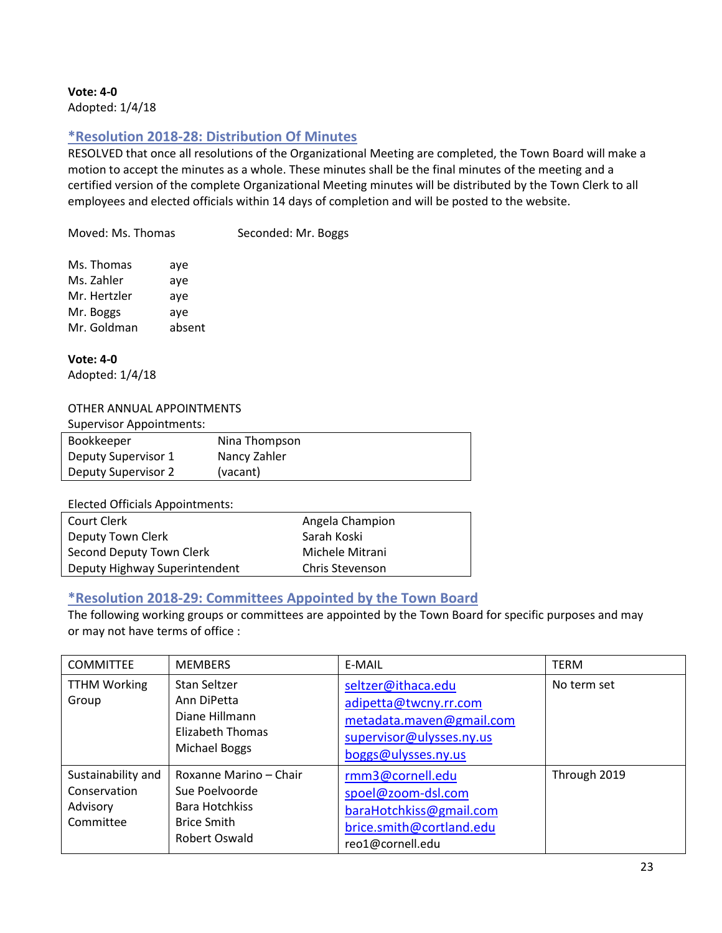**Vote: 4-0** Adopted: 1/4/18

## <span id="page-22-0"></span>**\*Resolution 2018-28: Distribution Of Minutes**

RESOLVED that once all resolutions of the Organizational Meeting are completed, the Town Board will make a motion to accept the minutes as a whole. These minutes shall be the final minutes of the meeting and a certified version of the complete Organizational Meeting minutes will be distributed by the Town Clerk to all employees and elected officials within 14 days of completion and will be posted to the website.

Moved: Ms. Thomas Seconded: Mr. Boggs

| Ms. Thomas   | aye    |
|--------------|--------|
| Ms. Zahler   | aye    |
| Mr. Hertzler | aye    |
| Mr. Boggs    | aye    |
| Mr. Goldman  | absent |

**Vote: 4-0** Adopted: 1/4/18

#### OTHER ANNUAL APPOINTMENTS

| <b>Supervisor Appointments:</b> |               |
|---------------------------------|---------------|
| Bookkeeper                      | Nina Thompson |
| Deputy Supervisor 1             | Nancy Zahler  |
| <b>Deputy Supervisor 2</b>      | (vacant)      |

Elected Officials Appointments:

| Court Clerk                   | Angela Champion |
|-------------------------------|-----------------|
| Deputy Town Clerk             | Sarah Koski     |
| Second Deputy Town Clerk      | Michele Mitrani |
| Deputy Highway Superintendent | Chris Stevenson |

## <span id="page-22-1"></span>**\*Resolution 2018-29: Committees Appointed by the Town Board**

The following working groups or committees are appointed by the Town Board for specific purposes and may or may not have terms of office :

| <b>COMMITTEE</b>                                            | <b>MEMBERS</b>                                                                                                  | E-MAIL                                                                                                                     | <b>TERM</b>  |
|-------------------------------------------------------------|-----------------------------------------------------------------------------------------------------------------|----------------------------------------------------------------------------------------------------------------------------|--------------|
| <b>TTHM Working</b><br>Group                                | Stan Seltzer<br>Ann DiPetta<br>Diane Hillmann<br>Elizabeth Thomas<br>Michael Boggs                              | seltzer@ithaca.edu<br>adipetta@twcny.rr.com<br>metadata.maven@gmail.com<br>supervisor@ulysses.ny.us<br>boggs@ulysses.ny.us | No term set  |
| Sustainability and<br>Conservation<br>Advisory<br>Committee | Roxanne Marino – Chair<br>Sue Poelvoorde<br><b>Bara Hotchkiss</b><br><b>Brice Smith</b><br><b>Robert Oswald</b> | rmm3@cornell.edu<br>spoel@zoom-dsl.com<br>baraHotchkiss@gmail.com<br>brice.smith@cortland.edu<br>reo1@cornell.edu          | Through 2019 |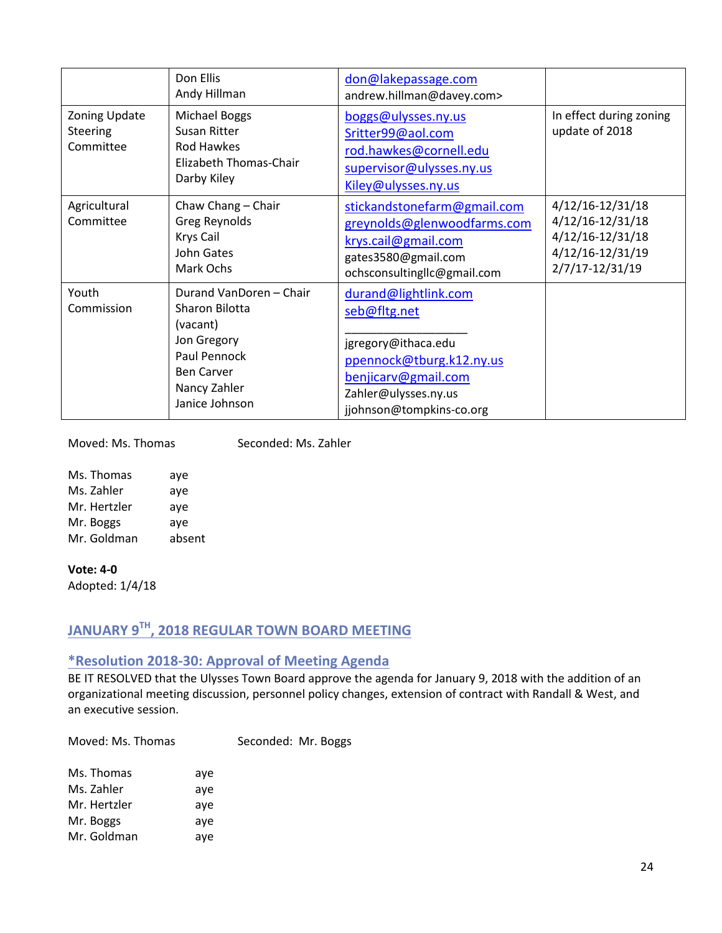|                                               | Don Ellis<br>Andy Hillman                                                                                                                   | don@lakepassage.com<br>andrew.hillman@davey.com>                                                                                                                   |                                                                                                 |
|-----------------------------------------------|---------------------------------------------------------------------------------------------------------------------------------------------|--------------------------------------------------------------------------------------------------------------------------------------------------------------------|-------------------------------------------------------------------------------------------------|
| Zoning Update<br><b>Steering</b><br>Committee | <b>Michael Boggs</b><br>Susan Ritter<br>Rod Hawkes<br>Elizabeth Thomas-Chair<br>Darby Kiley                                                 | boggs@ulysses.ny.us<br>Sritter99@aol.com<br>rod.hawkes@cornell.edu<br>supervisor@ulysses.ny.us<br>Kiley@ulysses.ny.us                                              | In effect during zoning<br>update of 2018                                                       |
| Agricultural<br>Committee                     | Chaw Chang - Chair<br>Greg Reynolds<br>Krys Cail<br>John Gates<br>Mark Ochs                                                                 | stickandstonefarm@gmail.com<br>greynolds@glenwoodfarms.com<br>krys.cail@gmail.com<br>gates3580@gmail.com<br>ochsconsultingllc@gmail.com                            | 4/12/16-12/31/18<br>4/12/16-12/31/18<br>4/12/16-12/31/18<br>4/12/16-12/31/19<br>2/7/17-12/31/19 |
| Youth<br>Commission                           | Durand VanDoren - Chair<br>Sharon Bilotta<br>(vacant)<br>Jon Gregory<br>Paul Pennock<br><b>Ben Carver</b><br>Nancy Zahler<br>Janice Johnson | durand@lightlink.com<br>seb@fltg.net<br>jgregory@ithaca.edu<br>ppennock@tburg.k12.ny.us<br>benjicarv@gmail.com<br>Zahler@ulysses.ny.us<br>jjohnson@tompkins-co.org |                                                                                                 |

Moved: Ms. Thomas Seconded: Ms. Zahler

| Ms. Thomas   | aye    |
|--------------|--------|
| Ms. Zahler   | aye    |
| Mr. Hertzler | aye    |
| Mr. Boggs    | aye    |
| Mr. Goldman  | absent |

**Vote: 4-0**

Adopted: 1/4/18

# <span id="page-23-0"></span>**JANUARY 9TH, 2018 REGULAR TOWN BOARD MEETING**

## <span id="page-23-1"></span>**\*Resolution 2018-30: Approval of Meeting Agenda**

BE IT RESOLVED that the Ulysses Town Board approve the agenda for January 9, 2018 with the addition of an organizational meeting discussion, personnel policy changes, extension of contract with Randall & West, and an executive session.

| Moved: Ms. Thomas |     | Seconded: Mr. Boggs |  |
|-------------------|-----|---------------------|--|
| Ms. Thomas        | aye |                     |  |
| Ms. Zahler        | aye |                     |  |
| Mr. Hertzler      | aye |                     |  |
| Mr. Boggs         | aye |                     |  |
| Mr. Goldman       | aye |                     |  |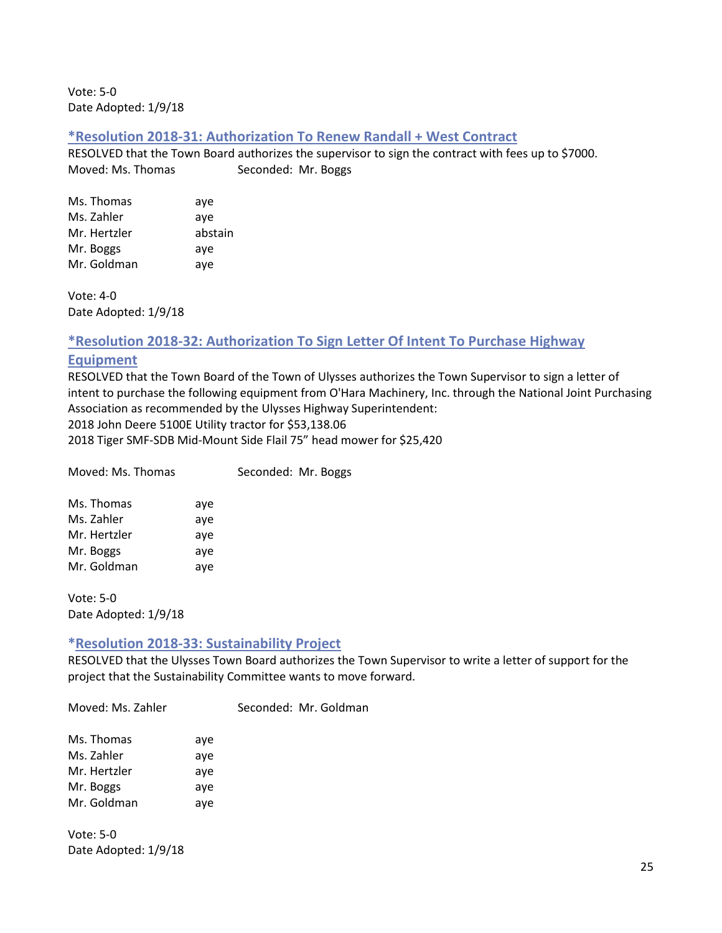Vote: 5-0 Date Adopted: 1/9/18

#### <span id="page-24-0"></span>**\*Resolution 2018-31: Authorization To Renew Randall + West Contract**

RESOLVED that the Town Board authorizes the supervisor to sign the contract with fees up to \$7000. Moved: Ms. Thomas Seconded: Mr. Boggs

| Ms. Thomas   | aye     |
|--------------|---------|
| Ms. Zahler   | aye     |
| Mr. Hertzler | abstain |
| Mr. Boggs    | aye     |
| Mr. Goldman  | aye     |

Vote: 4-0 Date Adopted: 1/9/18

#### <span id="page-24-1"></span>**\*Resolution 2018-32: Authorization To Sign Letter Of Intent To Purchase Highway**

#### **Equipment**

RESOLVED that the Town Board of the Town of Ulysses authorizes the Town Supervisor to sign a letter of intent to purchase the following equipment from O'Hara Machinery, Inc. through the National Joint Purchasing Association as recommended by the Ulysses Highway Superintendent: 2018 John Deere 5100E Utility tractor for \$53,138.06

2018 Tiger SMF-SDB Mid-Mount Side Flail 75" head mower for \$25,420

| Moved: Ms. Thomas |     | Seconded: Mr. Boggs |
|-------------------|-----|---------------------|
| Ms. Thomas        | ave |                     |
| Ms. Zahler        | ave |                     |
| Mr. Hertzler      | ave |                     |
| Mr. Boggs         | aye |                     |

Vote: 5-0 Date Adopted: 1/9/18

Mr. Goldman aye

## <span id="page-24-2"></span>**\*Resolution 2018-33: Sustainability Project**

RESOLVED that the Ulysses Town Board authorizes the Town Supervisor to write a letter of support for the project that the Sustainability Committee wants to move forward.

Moved: Ms. Zahler Seconded: Mr. Goldman

| Ms. Thomas   | aye |
|--------------|-----|
| Ms. Zahler   | aye |
| Mr. Hertzler | aye |
| Mr. Boggs    | aye |
| Mr. Goldman  | aye |

Vote: 5-0 Date Adopted: 1/9/18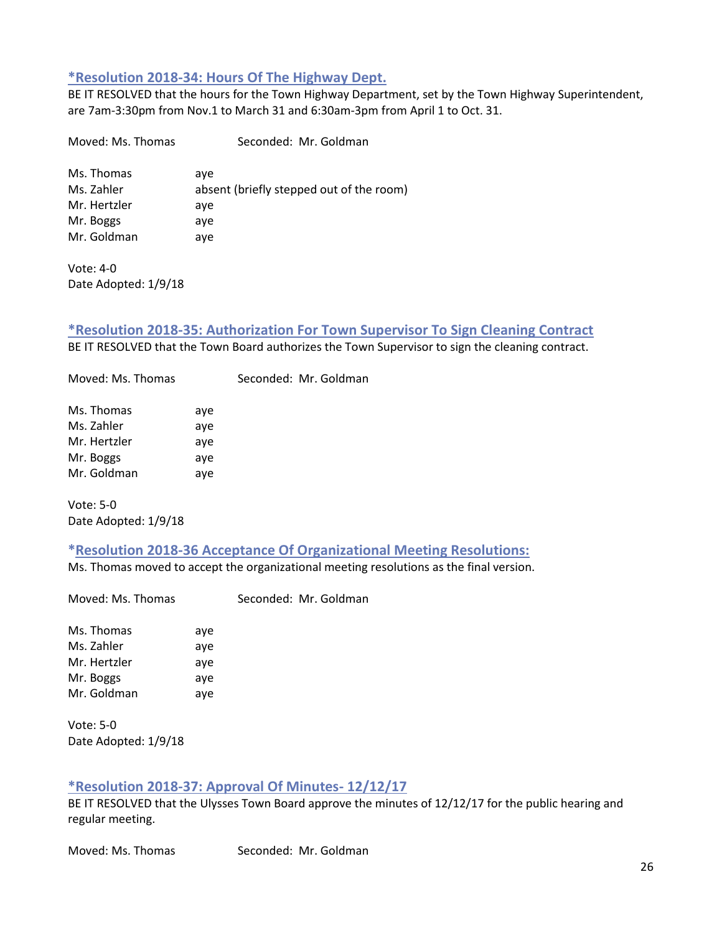## <span id="page-25-0"></span>**\*Resolution 2018-34: Hours Of The Highway Dept.**

BE IT RESOLVED that the hours for the Town Highway Department, set by the Town Highway Superintendent, are 7am-3:30pm from Nov.1 to March 31 and 6:30am-3pm from April 1 to Oct. 31.

Moved: Ms. Thomas Seconded: Mr. Goldman Ms. Thomas aye Ms. Zahler **absent** (briefly stepped out of the room) Mr. Hertzler aye Mr. Boggs aye Mr. Goldman aye

Vote: 4-0 Date Adopted: 1/9/18

#### <span id="page-25-1"></span>**\*Resolution 2018-35: Authorization For Town Supervisor To Sign Cleaning Contract** BE IT RESOLVED that the Town Board authorizes the Town Supervisor to sign the cleaning contract.

| Ms. Thomas   | aye |
|--------------|-----|
| Ms. Zahler   | aye |
| Mr. Hertzler | aye |
| Mr. Boggs    | aye |
| Mr. Goldman  | aye |

Vote: 5-0 Date Adopted: 1/9/18

## <span id="page-25-2"></span>**\*Resolution 2018-36 Acceptance Of Organizational Meeting Resolutions:**

Ms. Thomas moved to accept the organizational meeting resolutions as the final version.

Moved: Ms. Thomas Seconded: Mr. Goldman

Moved: Ms. Thomas Seconded: Mr. Goldman

Ms. Thomas aye Ms. Zahler aye Mr. Hertzler aye Mr. Boggs aye Mr. Goldman aye

Vote: 5-0 Date Adopted: 1/9/18

## <span id="page-25-3"></span>**\*Resolution 2018-37: Approval Of Minutes- 12/12/17**

BE IT RESOLVED that the Ulysses Town Board approve the minutes of 12/12/17 for the public hearing and regular meeting.

Moved: Ms. Thomas Seconded: Mr. Goldman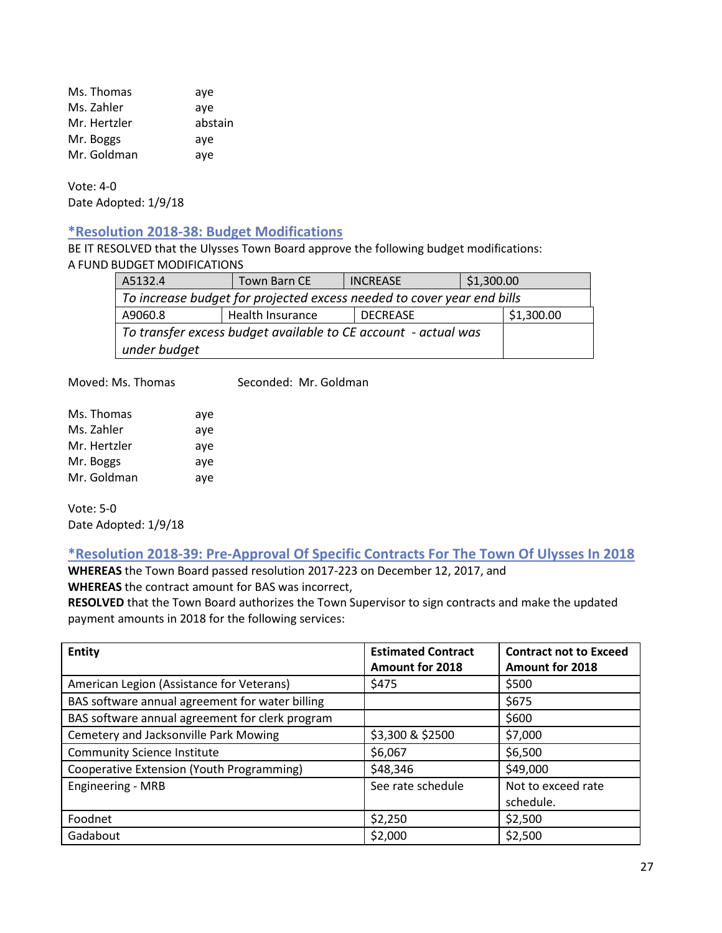Ms. Thomas aye Ms. Zahler aye Mr. Hertzler abstain Mr. Boggs aye Mr. Goldman aye

Vote: 4-0 Date Adopted: 1/9/18

## <span id="page-26-0"></span>**\*Resolution 2018-38: Budget Modifications**

BE IT RESOLVED that the Ulysses Town Board approve the following budget modifications: A FUND BUDGET MODIFICATIONS

| A5132.4                                                                | Town Barn CE     | <b>INCREASE</b> | \$1,300.00 |            |
|------------------------------------------------------------------------|------------------|-----------------|------------|------------|
| To increase budget for projected excess needed to cover year end bills |                  |                 |            |            |
| A9060.8                                                                | Health Insurance | <b>DECREASE</b> |            | \$1,300.00 |
| To transfer excess budget available to CE account - actual was         |                  |                 |            |            |
| under budget                                                           |                  |                 |            |            |

Moved: Ms. Thomas Seconded: Mr. Goldman

| Ms. Thomas   | aye |
|--------------|-----|
| Ms. Zahler   | aye |
| Mr. Hertzler | aye |
| Mr. Boggs    | aye |
| Mr. Goldman  | aye |

Vote: 5-0 Date Adopted: 1/9/18

<span id="page-26-1"></span>**\*Resolution 2018-39: Pre-Approval Of Specific Contracts For The Town Of Ulysses In 2018**

**WHEREAS** the Town Board passed resolution 2017-223 on December 12, 2017, and **WHEREAS** the contract amount for BAS was incorrect,

**RESOLVED** that the Town Board authorizes the Town Supervisor to sign contracts and make the updated payment amounts in 2018 for the following services:

| <b>Entity</b>                                   | <b>Estimated Contract</b> | <b>Contract not to Exceed</b> |
|-------------------------------------------------|---------------------------|-------------------------------|
|                                                 | <b>Amount for 2018</b>    | Amount for 2018               |
| American Legion (Assistance for Veterans)       | \$475                     | \$500                         |
| BAS software annual agreement for water billing |                           | \$675                         |
| BAS software annual agreement for clerk program |                           | \$600                         |
| Cemetery and Jacksonville Park Mowing           | \$3,300 & \$2500          | \$7,000                       |
| <b>Community Science Institute</b>              | \$6,067                   | \$6,500                       |
| Cooperative Extension (Youth Programming)       | \$48,346                  | \$49,000                      |
| <b>Engineering - MRB</b>                        | See rate schedule         | Not to exceed rate            |
|                                                 |                           | schedule.                     |
| Foodnet                                         | \$2,250                   | \$2,500                       |
| Gadabout                                        | \$2,000                   | \$2,500                       |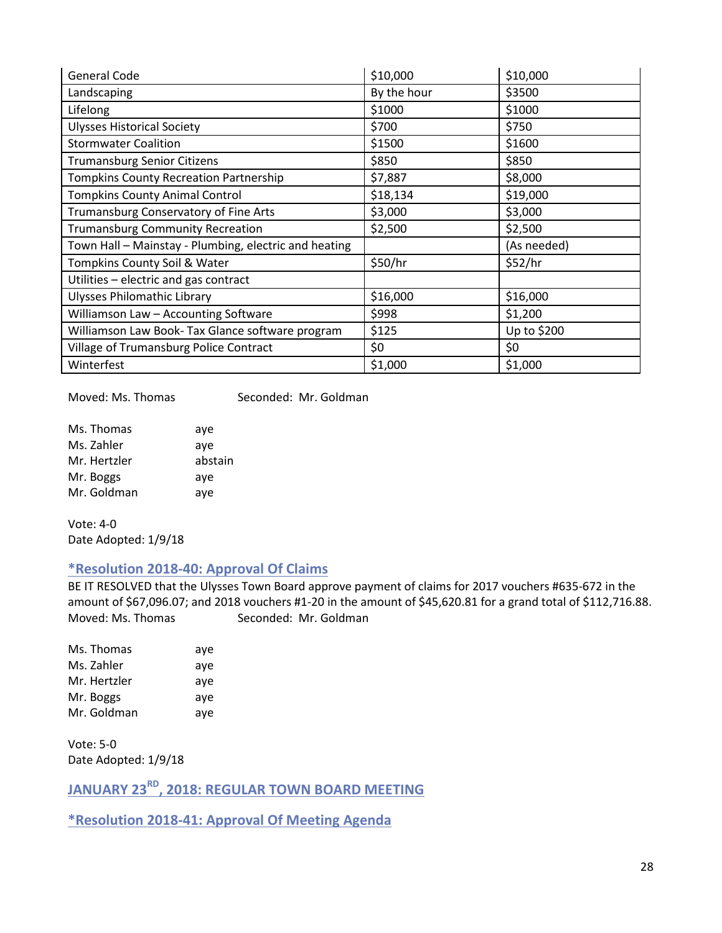| General Code                                          | \$10,000    | \$10,000    |
|-------------------------------------------------------|-------------|-------------|
| Landscaping                                           | By the hour | \$3500      |
| Lifelong                                              | \$1000      | \$1000      |
| <b>Ulysses Historical Society</b>                     | \$700       | \$750       |
| <b>Stormwater Coalition</b>                           | \$1500      | \$1600      |
| <b>Trumansburg Senior Citizens</b>                    | \$850       | \$850       |
| <b>Tompkins County Recreation Partnership</b>         | \$7,887     | \$8,000     |
| <b>Tompkins County Animal Control</b>                 | \$18,134    | \$19,000    |
| Trumansburg Conservatory of Fine Arts                 | \$3,000     | \$3,000     |
| <b>Trumansburg Community Recreation</b>               | \$2,500     | \$2,500     |
| Town Hall - Mainstay - Plumbing, electric and heating |             | (As needed) |
| Tompkins County Soil & Water                          | \$50/hr     | \$52/hr     |
| Utilities - electric and gas contract                 |             |             |
| Ulysses Philomathic Library                           | \$16,000    | \$16,000    |
| Williamson Law - Accounting Software                  | \$998       | \$1,200     |
| Williamson Law Book- Tax Glance software program      | \$125       | Up to \$200 |
| Village of Trumansburg Police Contract                | \$0         | \$0         |
| Winterfest                                            | \$1,000     | \$1,000     |

Moved: Ms. Thomas Seconded: Mr. Goldman

| Ms. Thomas   | aye     |
|--------------|---------|
| Ms. Zahler   | aye     |
| Mr. Hertzler | abstain |
| Mr. Boggs    | aye     |
| Mr. Goldman  | aye     |

Vote: 4-0 Date Adopted: 1/9/18

#### <span id="page-27-0"></span>**\*Resolution 2018-40: Approval Of Claims**

BE IT RESOLVED that the Ulysses Town Board approve payment of claims for 2017 vouchers #635-672 in the amount of \$67,096.07; and 2018 vouchers #1-20 in the amount of \$45,620.81 for a grand total of \$112,716.88. Moved: Ms. Thomas Seconded: Mr. Goldman

| Ms. Thomas   | aye |
|--------------|-----|
| Ms. Zahler   | aye |
| Mr. Hertzler | aye |
| Mr. Boggs    | aye |
| Mr. Goldman  | aye |

Vote: 5-0 Date Adopted: 1/9/18

<span id="page-27-1"></span>**JANUARY 23RD, 2018: REGULAR TOWN BOARD MEETING**

<span id="page-27-2"></span>**\*Resolution 2018-41: Approval Of Meeting Agenda**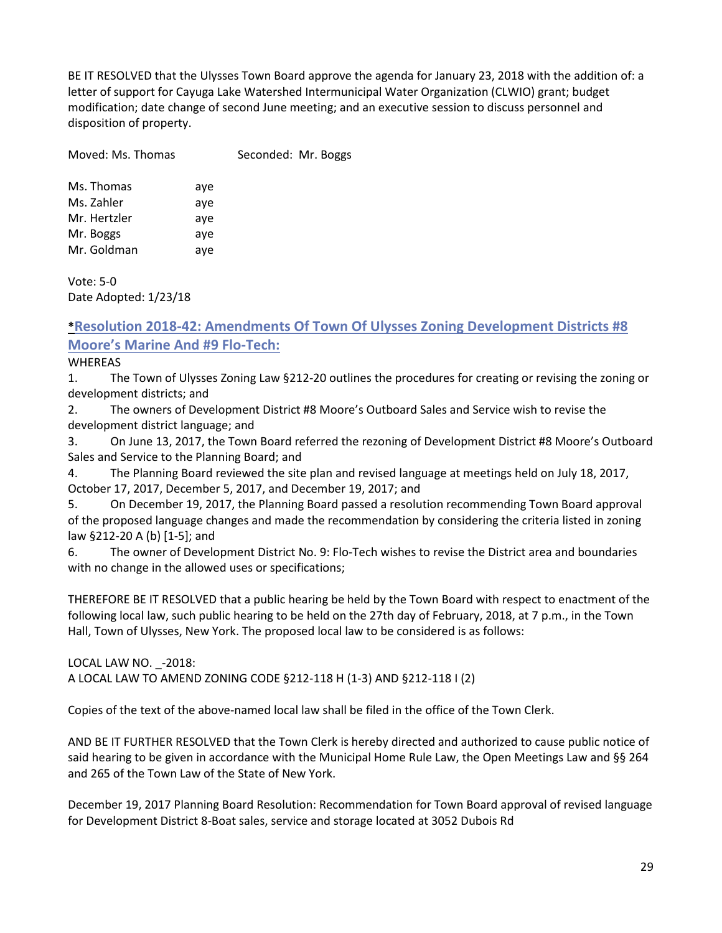BE IT RESOLVED that the Ulysses Town Board approve the agenda for January 23, 2018 with the addition of: a letter of support for Cayuga Lake Watershed Intermunicipal Water Organization (CLWIO) grant; budget modification; date change of second June meeting; and an executive session to discuss personnel and disposition of property.

| Moved: Ms. Thomas | Seconded: Mr. Boggs |  |
|-------------------|---------------------|--|
|                   |                     |  |

| Ms. Thomas   | aye |
|--------------|-----|
| Ms. Zahler   | aye |
| Mr. Hertzler | aye |
| Mr. Boggs    | aye |
| Mr. Goldman  | aye |

Vote: 5-0 Date Adopted: 1/23/18

## <span id="page-28-0"></span>**\*Resolution 2018-42: Amendments Of Town Of Ulysses Zoning Development Districts #8 Moore's Marine And #9 Flo-Tech:**

WHEREAS

1. The Town of Ulysses Zoning Law §212-20 outlines the procedures for creating or revising the zoning or development districts; and

2. The owners of Development District #8 Moore's Outboard Sales and Service wish to revise the development district language; and

3. On June 13, 2017, the Town Board referred the rezoning of Development District #8 Moore's Outboard Sales and Service to the Planning Board; and

4. The Planning Board reviewed the site plan and revised language at meetings held on July 18, 2017, October 17, 2017, December 5, 2017, and December 19, 2017; and

5. On December 19, 2017, the Planning Board passed a resolution recommending Town Board approval of the proposed language changes and made the recommendation by considering the criteria listed in zoning law §212-20 A (b) [1-5]; and

6. The owner of Development District No. 9: Flo-Tech wishes to revise the District area and boundaries with no change in the allowed uses or specifications;

THEREFORE BE IT RESOLVED that a public hearing be held by the Town Board with respect to enactment of the following local law, such public hearing to be held on the 27th day of February, 2018, at 7 p.m., in the Town Hall, Town of Ulysses, New York. The proposed local law to be considered is as follows:

LOCAL LAW NO. - 2018: A LOCAL LAW TO AMEND ZONING CODE §212-118 H (1-3) AND §212-118 I (2)

Copies of the text of the above-named local law shall be filed in the office of the Town Clerk.

AND BE IT FURTHER RESOLVED that the Town Clerk is hereby directed and authorized to cause public notice of said hearing to be given in accordance with the Municipal Home Rule Law, the Open Meetings Law and §§ 264 and 265 of the Town Law of the State of New York.

December 19, 2017 Planning Board Resolution: Recommendation for Town Board approval of revised language for Development District 8-Boat sales, service and storage located at 3052 Dubois Rd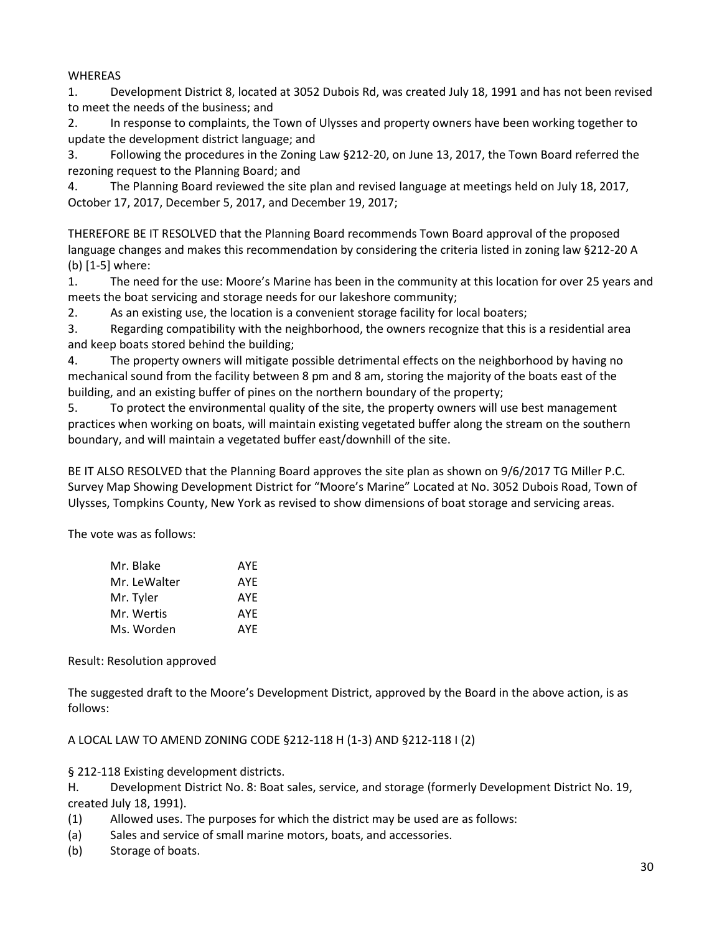#### WHEREAS

1. Development District 8, located at 3052 Dubois Rd, was created July 18, 1991 and has not been revised to meet the needs of the business; and

2. In response to complaints, the Town of Ulysses and property owners have been working together to update the development district language; and

3. Following the procedures in the Zoning Law §212-20, on June 13, 2017, the Town Board referred the rezoning request to the Planning Board; and

4. The Planning Board reviewed the site plan and revised language at meetings held on July 18, 2017, October 17, 2017, December 5, 2017, and December 19, 2017;

THEREFORE BE IT RESOLVED that the Planning Board recommends Town Board approval of the proposed language changes and makes this recommendation by considering the criteria listed in zoning law §212-20 A (b) [1-5] where:

1. The need for the use: Moore's Marine has been in the community at this location for over 25 years and meets the boat servicing and storage needs for our lakeshore community;

2. As an existing use, the location is a convenient storage facility for local boaters;

3. Regarding compatibility with the neighborhood, the owners recognize that this is a residential area and keep boats stored behind the building;

4. The property owners will mitigate possible detrimental effects on the neighborhood by having no mechanical sound from the facility between 8 pm and 8 am, storing the majority of the boats east of the building, and an existing buffer of pines on the northern boundary of the property;

5. To protect the environmental quality of the site, the property owners will use best management practices when working on boats, will maintain existing vegetated buffer along the stream on the southern boundary, and will maintain a vegetated buffer east/downhill of the site.

BE IT ALSO RESOLVED that the Planning Board approves the site plan as shown on 9/6/2017 TG Miller P.C. Survey Map Showing Development District for "Moore's Marine" Located at No. 3052 Dubois Road, Town of Ulysses, Tompkins County, New York as revised to show dimensions of boat storage and servicing areas.

The vote was as follows:

| Mr. Blake    | AYE |
|--------------|-----|
| Mr. LeWalter | AYE |
| Mr. Tyler    | AYE |
| Mr. Wertis   | AYE |
| Ms. Worden   | AYE |

Result: Resolution approved

The suggested draft to the Moore's Development District, approved by the Board in the above action, is as follows:

A LOCAL LAW TO AMEND ZONING CODE §212-118 H (1-3) AND §212-118 I (2)

§ 212-118 Existing development districts.

H. Development District No. 8: Boat sales, service, and storage (formerly Development District No. 19, created July 18, 1991).

- (1) Allowed uses. The purposes for which the district may be used are as follows:
- (a) Sales and service of small marine motors, boats, and accessories.
- (b) Storage of boats.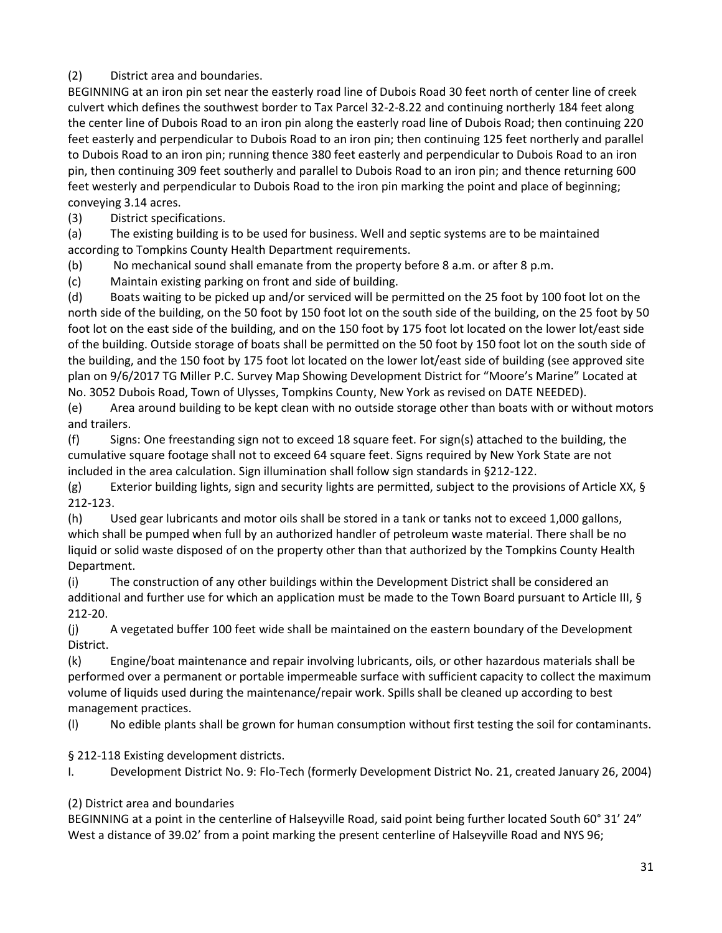## (2) District area and boundaries.

BEGINNING at an iron pin set near the easterly road line of Dubois Road 30 feet north of center line of creek culvert which defines the southwest border to Tax Parcel 32-2-8.22 and continuing northerly 184 feet along the center line of Dubois Road to an iron pin along the easterly road line of Dubois Road; then continuing 220 feet easterly and perpendicular to Dubois Road to an iron pin; then continuing 125 feet northerly and parallel to Dubois Road to an iron pin; running thence 380 feet easterly and perpendicular to Dubois Road to an iron pin, then continuing 309 feet southerly and parallel to Dubois Road to an iron pin; and thence returning 600 feet westerly and perpendicular to Dubois Road to the iron pin marking the point and place of beginning; conveying 3.14 acres.

(3) District specifications.

(a) The existing building is to be used for business. Well and septic systems are to be maintained according to Tompkins County Health Department requirements.

(b) No mechanical sound shall emanate from the property before 8 a.m. or after 8 p.m.

(c) Maintain existing parking on front and side of building.

(d) Boats waiting to be picked up and/or serviced will be permitted on the 25 foot by 100 foot lot on the north side of the building, on the 50 foot by 150 foot lot on the south side of the building, on the 25 foot by 50 foot lot on the east side of the building, and on the 150 foot by 175 foot lot located on the lower lot/east side of the building. Outside storage of boats shall be permitted on the 50 foot by 150 foot lot on the south side of the building, and the 150 foot by 175 foot lot located on the lower lot/east side of building (see approved site plan on 9/6/2017 TG Miller P.C. Survey Map Showing Development District for "Moore's Marine" Located at No. 3052 Dubois Road, Town of Ulysses, Tompkins County, New York as revised on DATE NEEDED).

(e) Area around building to be kept clean with no outside storage other than boats with or without motors and trailers.

(f) Signs: One freestanding sign not to exceed 18 square feet. For sign(s) attached to the building, the cumulative square footage shall not to exceed 64 square feet. Signs required by New York State are not included in the area calculation. Sign illumination shall follow sign standards in §212-122.

(g) Exterior building lights, sign and security lights are permitted, subject to the provisions of Article XX,  $\S$ 212-123.

(h) Used gear lubricants and motor oils shall be stored in a tank or tanks not to exceed 1,000 gallons, which shall be pumped when full by an authorized handler of petroleum waste material. There shall be no liquid or solid waste disposed of on the property other than that authorized by the Tompkins County Health Department.

(i) The construction of any other buildings within the Development District shall be considered an additional and further use for which an application must be made to the Town Board pursuant to Article III, § 212-20.

(j) A vegetated buffer 100 feet wide shall be maintained on the eastern boundary of the Development District.

(k) Engine/boat maintenance and repair involving lubricants, oils, or other hazardous materials shall be performed over a permanent or portable impermeable surface with sufficient capacity to collect the maximum volume of liquids used during the maintenance/repair work. Spills shall be cleaned up according to best management practices.

(l) No edible plants shall be grown for human consumption without first testing the soil for contaminants.

§ 212-118 Existing development districts.

I. Development District No. 9: Flo-Tech (formerly Development District No. 21, created January 26, 2004)

(2) District area and boundaries

BEGINNING at a point in the centerline of Halseyville Road, said point being further located South 60° 31' 24" West a distance of 39.02' from a point marking the present centerline of Halseyville Road and NYS 96;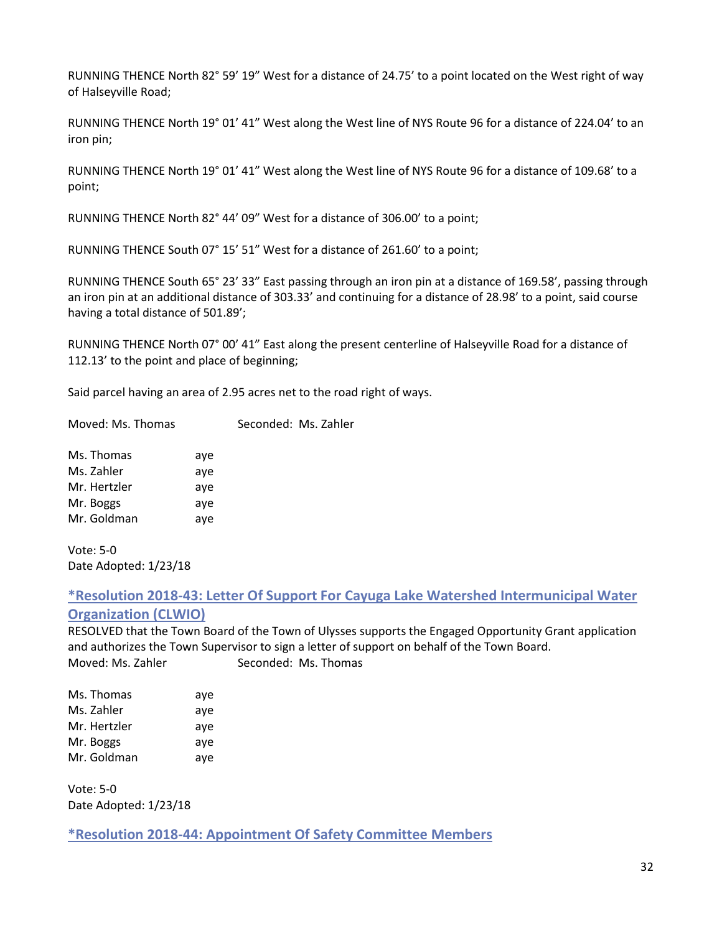RUNNING THENCE North 82° 59' 19" West for a distance of 24.75' to a point located on the West right of way of Halseyville Road;

RUNNING THENCE North 19° 01' 41" West along the West line of NYS Route 96 for a distance of 224.04' to an iron pin;

RUNNING THENCE North 19° 01' 41" West along the West line of NYS Route 96 for a distance of 109.68' to a point;

RUNNING THENCE North 82° 44' 09" West for a distance of 306.00' to a point;

RUNNING THENCE South 07° 15' 51" West for a distance of 261.60' to a point;

RUNNING THENCE South 65° 23' 33" East passing through an iron pin at a distance of 169.58', passing through an iron pin at an additional distance of 303.33' and continuing for a distance of 28.98' to a point, said course having a total distance of 501.89';

RUNNING THENCE North 07° 00' 41" East along the present centerline of Halseyville Road for a distance of 112.13' to the point and place of beginning;

Said parcel having an area of 2.95 acres net to the road right of ways.

Moved: Ms. Thomas Seconded: Ms. Zahler

| Ms. Thomas   | aye |
|--------------|-----|
| Ms. Zahler   | aye |
| Mr. Hertzler | aye |
| Mr. Boggs    | aye |
| Mr. Goldman  | aye |

Vote: 5-0 Date Adopted: 1/23/18

## <span id="page-31-0"></span>**\*Resolution 2018-43: Letter Of Support For Cayuga Lake Watershed Intermunicipal Water**

#### **Organization (CLWIO)**

RESOLVED that the Town Board of the Town of Ulysses supports the Engaged Opportunity Grant application and authorizes the Town Supervisor to sign a letter of support on behalf of the Town Board. Moved: Ms. Zahler Seconded: Ms. Thomas

| Ms. Thomas   | aye |
|--------------|-----|
| Ms. Zahler   | aye |
| Mr. Hertzler | aye |
| Mr. Boggs    | aye |
| Mr. Goldman  | aye |

Vote: 5-0 Date Adopted: 1/23/18

<span id="page-31-1"></span>**\*Resolution 2018-44: Appointment Of Safety Committee Members**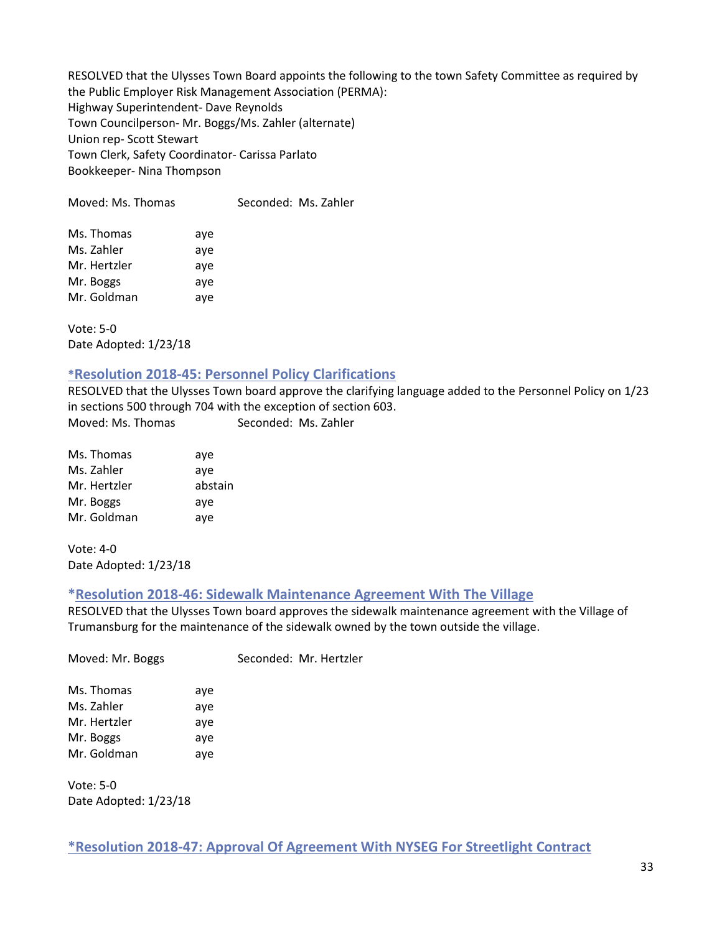RESOLVED that the Ulysses Town Board appoints the following to the town Safety Committee as required by the Public Employer Risk Management Association (PERMA): Highway Superintendent- Dave Reynolds Town Councilperson- Mr. Boggs/Ms. Zahler (alternate) Union rep- Scott Stewart Town Clerk, Safety Coordinator- Carissa Parlato Bookkeeper- Nina Thompson

Moved: Ms. Thomas Seconded: Ms. Zahler

| Ms. Thomas   | aye |
|--------------|-----|
| Ms. Zahler   | aye |
| Mr. Hertzler | aye |
| Mr. Boggs    | aye |
| Mr. Goldman  | aye |

Vote: 5-0 Date Adopted: 1/23/18

### <span id="page-32-0"></span>**\*Resolution 2018-45: Personnel Policy Clarifications**

RESOLVED that the Ulysses Town board approve the clarifying language added to the Personnel Policy on 1/23 in sections 500 through 704 with the exception of section 603. Moved: Ms. Thomas Seconded: Ms. Zahler

| Ms. Thomas   | aye     |
|--------------|---------|
| Ms. Zahler   | ave     |
| Mr. Hertzler | abstain |
| Mr. Boggs    | aye     |
| Mr. Goldman  | aye     |

Vote: 4-0 Date Adopted: 1/23/18

#### <span id="page-32-1"></span>**\*Resolution 2018-46: Sidewalk Maintenance Agreement With The Village**

RESOLVED that the Ulysses Town board approves the sidewalk maintenance agreement with the Village of Trumansburg for the maintenance of the sidewalk owned by the town outside the village.

| Moved: Mr. Boggs |     | Seconded: Mr. Hertzler |
|------------------|-----|------------------------|
| Ms. Thomas       | aye |                        |
| Ms. Zahler       | aye |                        |
| Mr. Hertzler     | aye |                        |
| Mr. Boggs        | aye |                        |
| Mr. Goldman      | aye |                        |
|                  |     |                        |

Vote: 5-0 Date Adopted: 1/23/18

<span id="page-32-2"></span>**\*Resolution 2018-47: Approval Of Agreement With NYSEG For Streetlight Contract**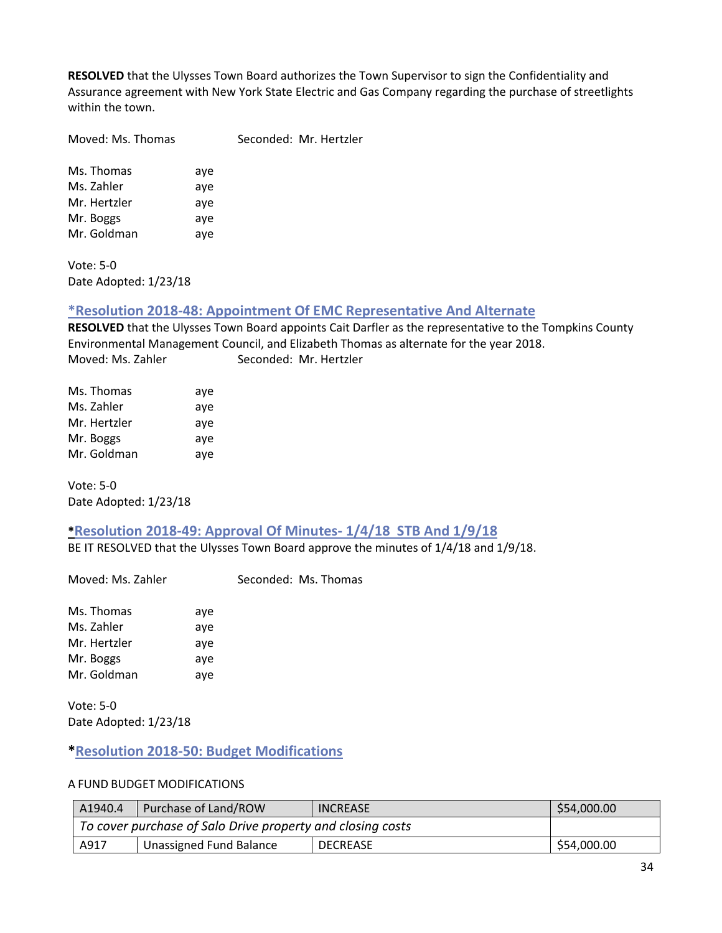**RESOLVED** that the Ulysses Town Board authorizes the Town Supervisor to sign the Confidentiality and Assurance agreement with New York State Electric and Gas Company regarding the purchase of streetlights within the town.

Moved: Ms. Thomas Seconded: Mr. Hertzler

Ms. Thomas aye Ms. Zahler aye Mr. Hertzler aye Mr. Boggs aye Mr. Goldman aye

Vote: 5-0 Date Adopted: 1/23/18

#### <span id="page-33-0"></span>**\*Resolution 2018-48: Appointment Of EMC Representative And Alternate**

**RESOLVED** that the Ulysses Town Board appoints Cait Darfler as the representative to the Tompkins County Environmental Management Council, and Elizabeth Thomas as alternate for the year 2018. Moved: Ms. Zahler Seconded: Mr. Hertzler

| Ms. Thomas   | aye |
|--------------|-----|
| Ms. Zahler   | aye |
| Mr. Hertzler | aye |
| Mr. Boggs    | aye |
| Mr. Goldman  | aye |

Vote: 5-0 Date Adopted: 1/23/18

## <span id="page-33-1"></span>**\*Resolution 2018-49: Approval Of Minutes- 1/4/18 STB And 1/9/18**

BE IT RESOLVED that the Ulysses Town Board approve the minutes of 1/4/18 and 1/9/18.

Moved: Ms. Zahler Seconded: Ms. Thomas

| Ms. Thomas   | aye |
|--------------|-----|
| Ms. Zahler   | aye |
| Mr. Hertzler | aye |
| Mr. Boggs    | aye |
| Mr. Goldman  | aye |

Vote: 5-0 Date Adopted: 1/23/18

## <span id="page-33-2"></span>**\*Resolution 2018-50: Budget Modifications**

#### A FUND BUDGET MODIFICATIONS

| A1940.4 | Purchase of Land/ROW                                       | <b>INCREASE</b> | \$54,000.00 |
|---------|------------------------------------------------------------|-----------------|-------------|
|         | To cover purchase of Salo Drive property and closing costs |                 |             |
| A917    | Unassigned Fund Balance                                    | <b>DECREASE</b> | \$54,000.00 |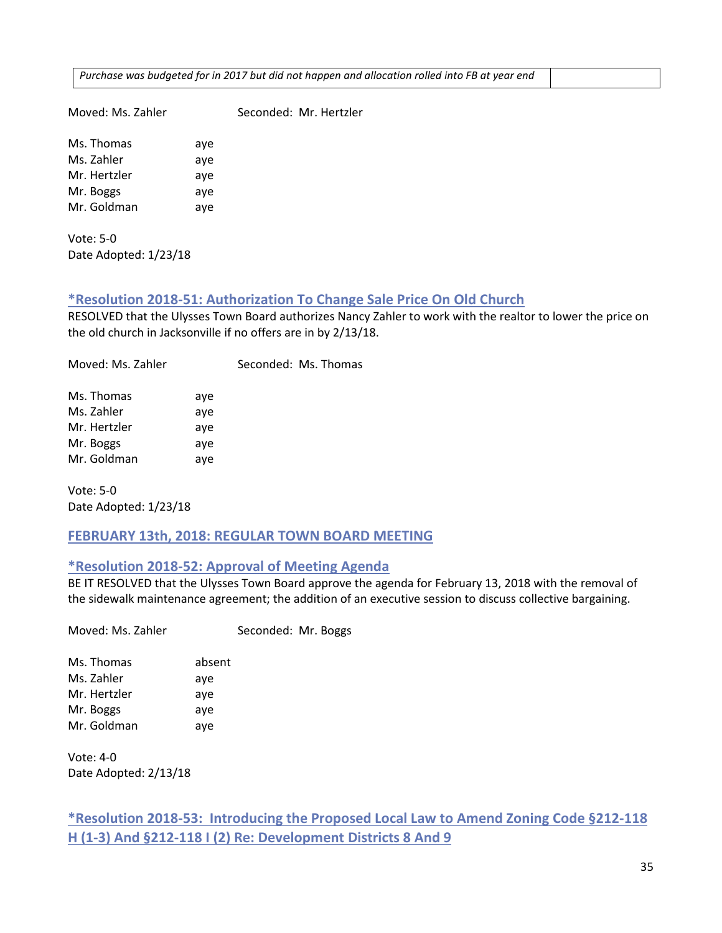*Purchase was budgeted for in 2017 but did not happen and allocation rolled into FB at year end*

Moved: Ms. Zahler Seconded: Mr. Hertzler

Ms. Thomas aye Ms. Zahler aye Mr. Hertzler aye Mr. Boggs aye Mr. Goldman aye

Vote: 5-0 Date Adopted: 1/23/18

## <span id="page-34-0"></span>**\*Resolution 2018-51: Authorization To Change Sale Price On Old Church**

RESOLVED that the Ulysses Town Board authorizes Nancy Zahler to work with the realtor to lower the price on the old church in Jacksonville if no offers are in by 2/13/18.

Moved: Ms. Zahler Seconded: Ms. Thomas Ms. Thomas aye Ms. Zahler aye Mr. Hertzler aye Mr. Boggs aye

Vote: 5-0 Date Adopted: 1/23/18

Mr. Goldman aye

## <span id="page-34-1"></span>**FEBRUARY 13th, 2018: REGULAR TOWN BOARD MEETING**

## <span id="page-34-2"></span>**\*Resolution 2018-52: Approval of Meeting Agenda**

BE IT RESOLVED that the Ulysses Town Board approve the agenda for February 13, 2018 with the removal of the sidewalk maintenance agreement; the addition of an executive session to discuss collective bargaining.

Moved: Ms. Zahler Seconded: Mr. Boggs

Ms. Thomas absent Ms. Zahler ave Mr. Hertzler aye Mr. Boggs aye Mr. Goldman aye

Vote: 4-0 Date Adopted: 2/13/18

## <span id="page-34-3"></span>**\*Resolution 2018-53: Introducing the Proposed Local Law to Amend Zoning Code §212-118 H (1-3) And §212-118 I (2) Re: Development Districts 8 And 9**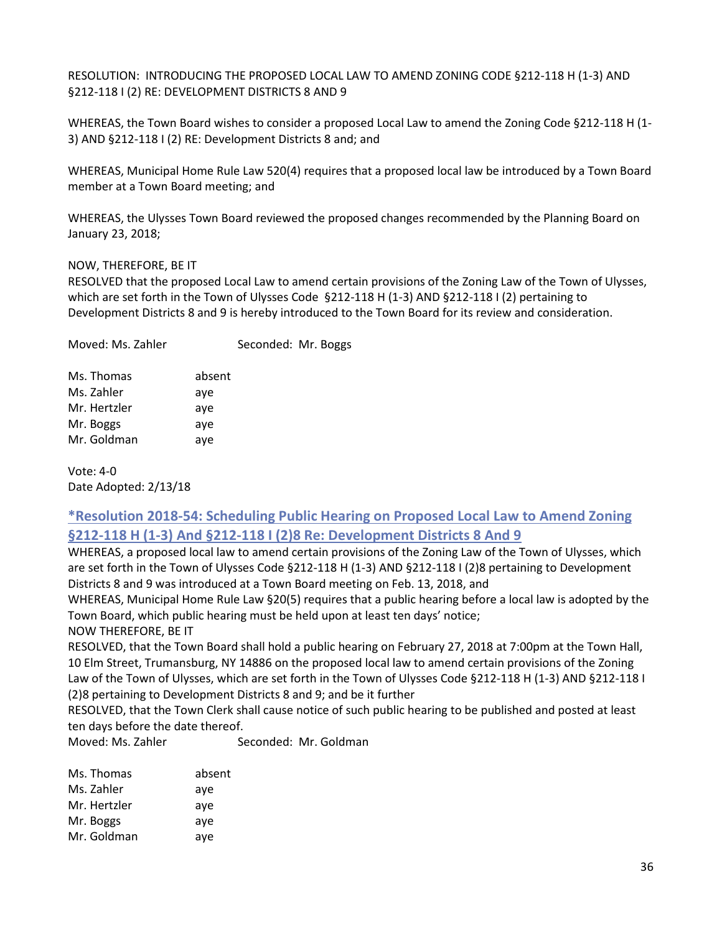RESOLUTION: INTRODUCING THE PROPOSED LOCAL LAW TO AMEND ZONING CODE §212-118 H (1-3) AND §212-118 I (2) RE: DEVELOPMENT DISTRICTS 8 AND 9

WHEREAS, the Town Board wishes to consider a proposed Local Law to amend the Zoning Code §212-118 H (1- 3) AND §212-118 I (2) RE: Development Districts 8 and; and

WHEREAS, Municipal Home Rule Law 520(4) requires that a proposed local law be introduced by a Town Board member at a Town Board meeting; and

WHEREAS, the Ulysses Town Board reviewed the proposed changes recommended by the Planning Board on January 23, 2018;

#### NOW, THEREFORE, BE IT

RESOLVED that the proposed Local Law to amend certain provisions of the Zoning Law of the Town of Ulysses, which are set forth in the Town of Ulysses Code §212-118 H (1-3) AND §212-118 I (2) pertaining to Development Districts 8 and 9 is hereby introduced to the Town Board for its review and consideration.

| Moved: Ms. Zahler |        | Seconded: Mr. Boggs |  |
|-------------------|--------|---------------------|--|
| Ms. Thomas        | absent |                     |  |
| Ms. Zahler        | aye    |                     |  |
| Mr. Hertzler      | aye    |                     |  |
| Mr. Boggs         | aye    |                     |  |
| Mr. Goldman       | aye    |                     |  |
|                   |        |                     |  |

Vote: 4-0 Date Adopted: 2/13/18

## <span id="page-35-0"></span>**\*Resolution 2018-54: Scheduling Public Hearing on Proposed Local Law to Amend Zoning §212-118 H (1-3) And §212-118 I (2)8 Re: Development Districts 8 And 9**

WHEREAS, a proposed local law to amend certain provisions of the Zoning Law of the Town of Ulysses, which are set forth in the Town of Ulysses Code §212-118 H (1-3) AND §212-118 I (2)8 pertaining to Development Districts 8 and 9 was introduced at a Town Board meeting on Feb. 13, 2018, and

WHEREAS, Municipal Home Rule Law §20(5) requires that a public hearing before a local law is adopted by the Town Board, which public hearing must be held upon at least ten days' notice;

NOW THEREFORE, BE IT

RESOLVED, that the Town Board shall hold a public hearing on February 27, 2018 at 7:00pm at the Town Hall, 10 Elm Street, Trumansburg, NY 14886 on the proposed local law to amend certain provisions of the Zoning Law of the Town of Ulysses, which are set forth in the Town of Ulysses Code §212-118 H (1-3) AND §212-118 I (2)8 pertaining to Development Districts 8 and 9; and be it further

RESOLVED, that the Town Clerk shall cause notice of such public hearing to be published and posted at least ten days before the date thereof.

Moved: Ms. Zahler Seconded: Mr. Goldman

| Ms. Thomas   | absent |
|--------------|--------|
| Ms. Zahler   | aye    |
| Mr. Hertzler | aye    |
| Mr. Boggs    | aye    |
| Mr. Goldman  | aye    |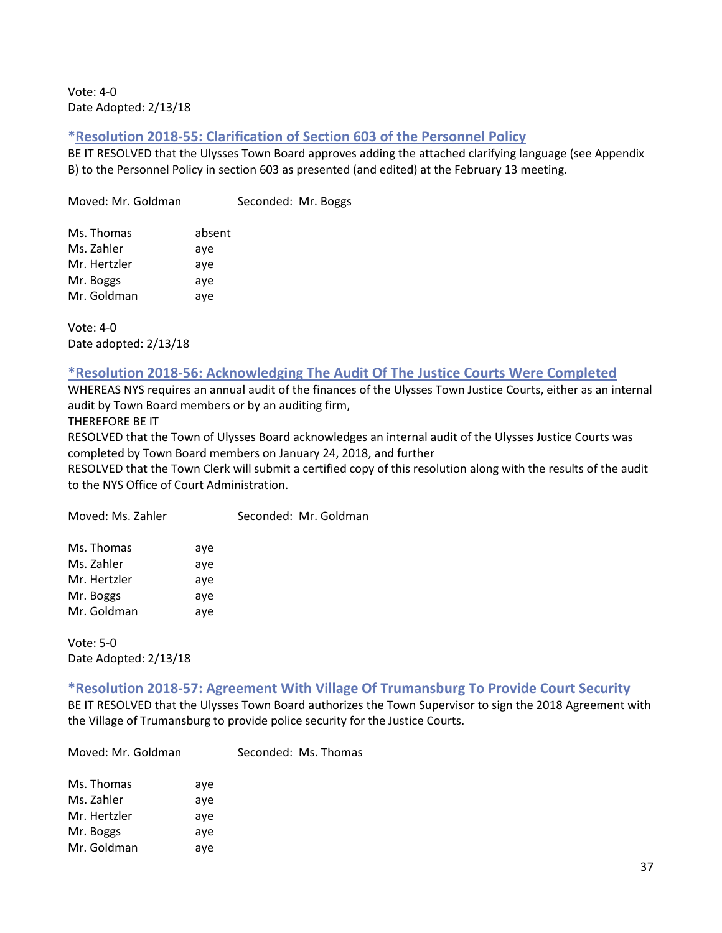Vote: 4-0 Date Adopted: 2/13/18

### **\*Resolution 2018-55: Clarification of Section 603 of the Personnel Policy**

BE IT RESOLVED that the Ulysses Town Board approves adding the attached clarifying language (see Appendix B) to the Personnel Policy in section 603 as presented (and edited) at the February 13 meeting.

Moved: Mr. Goldman Seconded: Mr. Boggs

| Ms. Thomas   | absent |
|--------------|--------|
| Ms. Zahler   | aye    |
| Mr. Hertzler | aye    |
| Mr. Boggs    | aye    |
| Mr. Goldman  | aye    |

Vote: 4-0 Date adopted: 2/13/18

### **\*Resolution 2018-56: Acknowledging The Audit Of The Justice Courts Were Completed**

WHEREAS NYS requires an annual audit of the finances of the Ulysses Town Justice Courts, either as an internal audit by Town Board members or by an auditing firm,

THEREFORE BE IT

RESOLVED that the Town of Ulysses Board acknowledges an internal audit of the Ulysses Justice Courts was completed by Town Board members on January 24, 2018, and further

RESOLVED that the Town Clerk will submit a certified copy of this resolution along with the results of the audit to the NYS Office of Court Administration.

| Moved: Ms. Zahler |     | Seconded: Mr. Goldman |
|-------------------|-----|-----------------------|
| Ms. Thomas        | aye |                       |
| Ms. Zahler        | aye |                       |
| Mr. Hertzler      | aye |                       |
| Mr. Boggs         | aye |                       |
| Mr. Goldman       | aye |                       |

Vote: 5-0 Date Adopted: 2/13/18

#### **\*Resolution 2018-57: Agreement With Village Of Trumansburg To Provide Court Security**

BE IT RESOLVED that the Ulysses Town Board authorizes the Town Supervisor to sign the 2018 Agreement with the Village of Trumansburg to provide police security for the Justice Courts.

Moved: Mr. Goldman Seconded: Ms. Thomas

| Ms. Thomas   | aye |
|--------------|-----|
| Ms. Zahler   | aye |
| Mr. Hertzler | aye |
| Mr. Boggs    | aye |
| Mr. Goldman  | ave |
|              |     |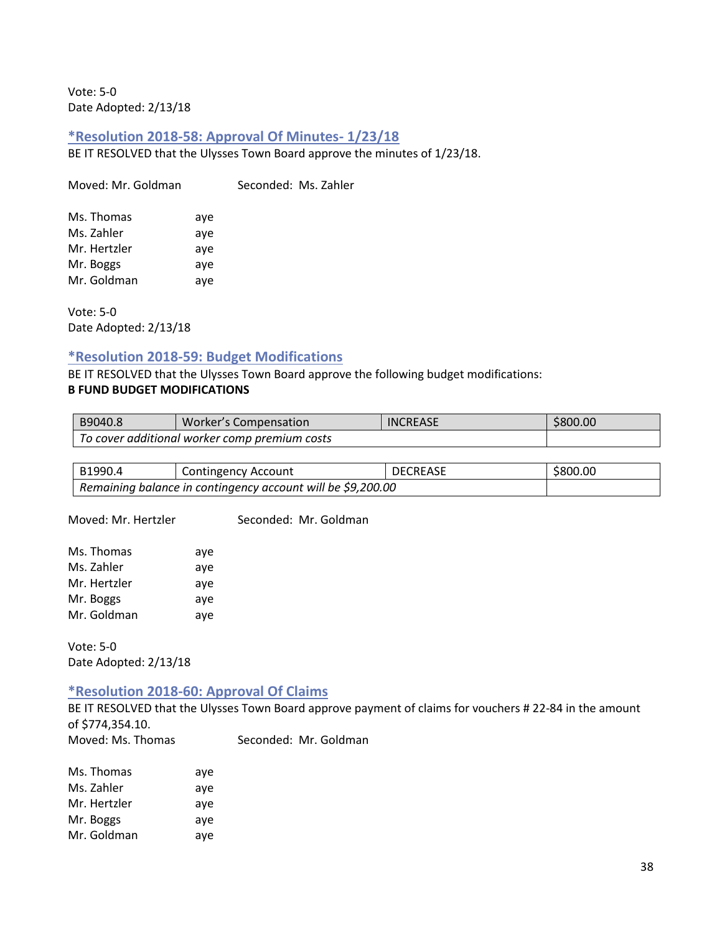Vote: 5-0 Date Adopted: 2/13/18

### **\*Resolution 2018-58: Approval Of Minutes- 1/23/18**

BE IT RESOLVED that the Ulysses Town Board approve the minutes of 1/23/18.

Moved: Mr. Goldman Seconded: Ms. Zahler

| Ms. Thomas   | aye |
|--------------|-----|
| Ms. Zahler   | aye |
| Mr. Hertzler | aye |
| Mr. Boggs    | aye |
| Mr. Goldman  | aye |

Vote: 5-0 Date Adopted: 2/13/18

### **\*Resolution 2018-59: Budget Modifications**

BE IT RESOLVED that the Ulysses Town Board approve the following budget modifications: **B FUND BUDGET MODIFICATIONS**

| B9040.8                                       | Worker's Compensation | <b>INCREASE</b> | \$800.00 |  |
|-----------------------------------------------|-----------------------|-----------------|----------|--|
| To cover additional worker comp premium costs |                       |                 |          |  |

| B1990.4                                                     | Contingency Account | <b>DECREASE</b> | \$800.00 |
|-------------------------------------------------------------|---------------------|-----------------|----------|
| Remaining balance in contingency account will be \$9,200.00 |                     |                 |          |

Moved: Mr. Hertzler Seconded: Mr. Goldman

| Ms. Thomas   | aye |
|--------------|-----|
| Ms. Zahler   | aye |
| Mr. Hertzler | aye |
| Mr. Boggs    | aye |
| Mr. Goldman  | aye |

Vote: 5-0 Date Adopted: 2/13/18

### **\*Resolution 2018-60: Approval Of Claims**

BE IT RESOLVED that the Ulysses Town Board approve payment of claims for vouchers # 22-84 in the amount of \$774,354.10. Moved: Ms. Thomas Seconded: Mr. Goldman

| Ms. Thomas   | aye |
|--------------|-----|
| Ms. Zahler   | aye |
| Mr. Hertzler | aye |
| Mr. Boggs    | aye |
| Mr. Goldman  | aye |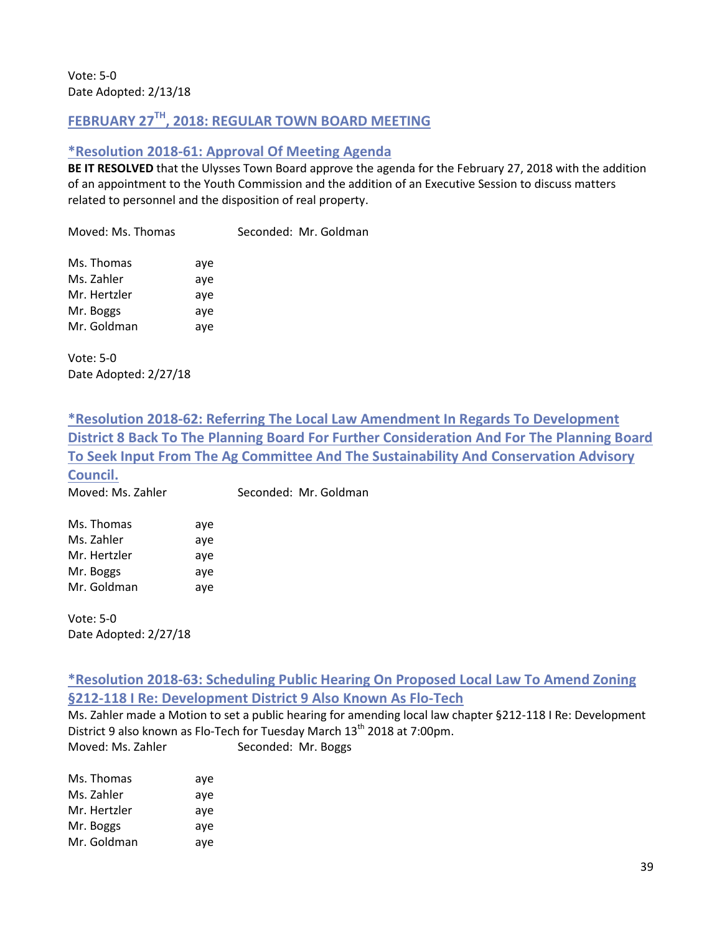# **FEBRUARY 27TH, 2018: REGULAR TOWN BOARD MEETING**

### **\*Resolution 2018-61: Approval Of Meeting Agenda**

**BE IT RESOLVED** that the Ulysses Town Board approve the agenda for the February 27, 2018 with the addition of an appointment to the Youth Commission and the addition of an Executive Session to discuss matters related to personnel and the disposition of real property.

Moved: Ms. Thomas Seconded: Mr. Goldman Ms. Thomas aye Ms. Zahler aye Mr. Hertzler aye Mr. Boggs aye Mr. Goldman ave

Vote: 5-0 Date Adopted: 2/27/18

**\*Resolution 2018-62: Referring The Local Law Amendment In Regards To Development District 8 Back To The Planning Board For Further Consideration And For The Planning Board To Seek Input From The Ag Committee And The Sustainability And Conservation Advisory Council.** 

|  | Moved: Ms. Zahler | Seconded: Mr. Goldman |
|--|-------------------|-----------------------|

| Ms. Thomas   | aye |
|--------------|-----|
| Ms. Zahler   | aye |
| Mr. Hertzler | aye |
| Mr. Boggs    | aye |
| Mr. Goldman  | aye |

Vote: 5-0 Date Adopted: 2/27/18

# **\*Resolution 2018-63: Scheduling Public Hearing On Proposed Local Law To Amend Zoning §212-118 I Re: Development District 9 Also Known As Flo-Tech**

Ms. Zahler made a Motion to set a public hearing for amending local law chapter §212-118 I Re: Development District 9 also known as Flo-Tech for Tuesday March 13<sup>th</sup> 2018 at 7:00pm. Moved: Ms. Zahler Seconded: Mr. Boggs

| Ms. Thomas   | aye |
|--------------|-----|
| Ms. Zahler   | aye |
| Mr. Hertzler | aye |
| Mr. Boggs    | aye |
| Mr. Goldman  | aye |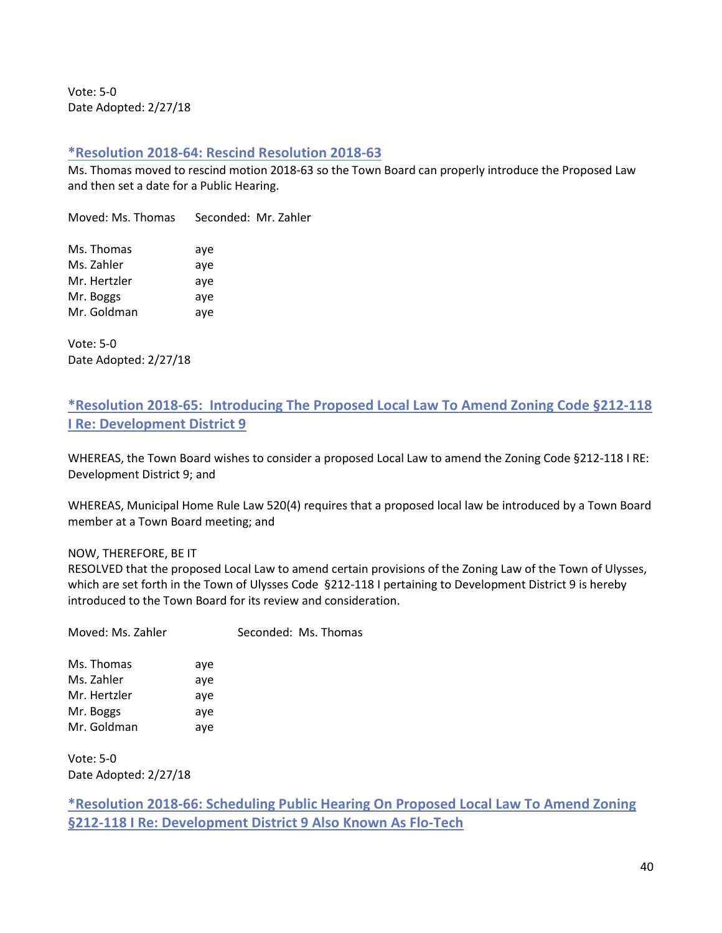Vote: 5-0 Date Adopted: 2/27/18

#### **\*Resolution 2018-64: Rescind Resolution 2018-63**

Ms. Thomas moved to rescind motion 2018-63 so the Town Board can properly introduce the Proposed Law and then set a date for a Public Hearing.

Moved: Ms. Thomas Seconded: Mr. Zahler

Ms. Thomas aye Ms. Zahler aye Mr. Hertzler aye Mr. Boggs aye Mr. Goldman aye

Vote: 5-0 Date Adopted: 2/27/18

# **\*Resolution 2018-65: Introducing The Proposed Local Law To Amend Zoning Code §212-118 I Re: Development District 9**

WHEREAS, the Town Board wishes to consider a proposed Local Law to amend the Zoning Code §212-118 I RE: Development District 9; and

WHEREAS, Municipal Home Rule Law 520(4) requires that a proposed local law be introduced by a Town Board member at a Town Board meeting; and

#### NOW, THEREFORE, BE IT

RESOLVED that the proposed Local Law to amend certain provisions of the Zoning Law of the Town of Ulysses, which are set forth in the Town of Ulysses Code §212-118 I pertaining to Development District 9 is hereby introduced to the Town Board for its review and consideration.

| Moved: Ms. Zahler |     | Seconded: Ms. Thomas |  |
|-------------------|-----|----------------------|--|
| Ms. Thomas        | ave |                      |  |

Ms. Zahler aye Mr. Hertzler aye Mr. Boggs aye Mr. Goldman aye

Vote: 5-0 Date Adopted: 2/27/18

**\*Resolution 2018-66: Scheduling Public Hearing On Proposed Local Law To Amend Zoning §212-118 I Re: Development District 9 Also Known As Flo-Tech**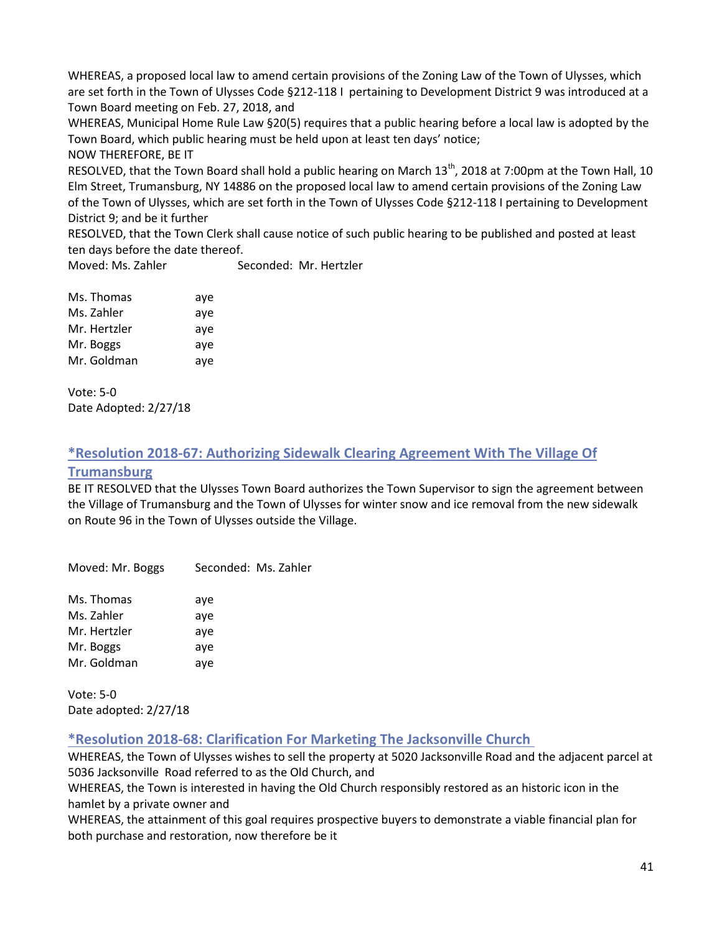WHEREAS, a proposed local law to amend certain provisions of the Zoning Law of the Town of Ulysses, which are set forth in the Town of Ulysses Code §212-118 I pertaining to Development District 9 was introduced at a Town Board meeting on Feb. 27, 2018, and

WHEREAS, Municipal Home Rule Law §20(5) requires that a public hearing before a local law is adopted by the Town Board, which public hearing must be held upon at least ten days' notice;

#### NOW THEREFORE, BE IT

RESOLVED, that the Town Board shall hold a public hearing on March 13<sup>th</sup>, 2018 at 7:00pm at the Town Hall, 10 Elm Street, Trumansburg, NY 14886 on the proposed local law to amend certain provisions of the Zoning Law of the Town of Ulysses, which are set forth in the Town of Ulysses Code §212-118 I pertaining to Development District 9; and be it further

RESOLVED, that the Town Clerk shall cause notice of such public hearing to be published and posted at least ten days before the date thereof.

Moved: Ms. Zahler Seconded: Mr. Hertzler

| Ms. Thomas   | aye |
|--------------|-----|
| Ms. Zahler   | aye |
| Mr. Hertzler | aye |
| Mr. Boggs    | aye |
| Mr. Goldman  | aye |

Vote: 5-0 Date Adopted: 2/27/18

# **\*Resolution 2018-67: Authorizing Sidewalk Clearing Agreement With The Village Of**

### **Trumansburg**

BE IT RESOLVED that the Ulysses Town Board authorizes the Town Supervisor to sign the agreement between the Village of Trumansburg and the Town of Ulysses for winter snow and ice removal from the new sidewalk on Route 96 in the Town of Ulysses outside the Village.

Moved: Mr. Boggs Seconded: Ms. Zahler Ms. Thomas aye Ms. Zahler aye Mr. Hertzler aye Mr. Boggs aye Mr. Goldman aye

Vote: 5-0 Date adopted: 2/27/18

# **\*Resolution 2018-68: Clarification For Marketing The Jacksonville Church**

WHEREAS, the Town of Ulysses wishes to sell the property at [5020 Jacksonville Road](https://maps.google.com/?q=5020+Jacksonville+Road&entry=gmail&source=g) and the adjacent parcel at 5036 Jacksonville Road referred to as the Old Church, and

WHEREAS, the Town is interested in having the Old Church responsibly restored as an historic icon in the hamlet by a private owner and

WHEREAS, the attainment of this goal requires prospective buyers to demonstrate a viable financial plan for both purchase and restoration, now therefore be it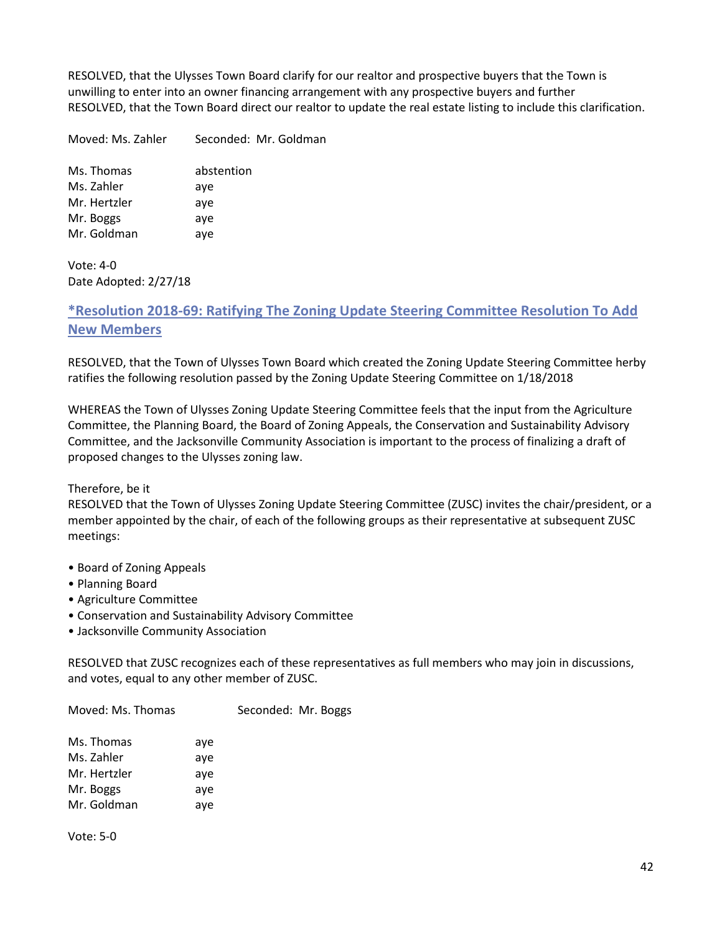RESOLVED, that the Ulysses Town Board clarify for our realtor and prospective buyers that the Town is unwilling to enter into an owner financing arrangement with any prospective buyers and further RESOLVED, that the Town Board direct our realtor to update the real estate listing to include this clarification.

Moved: Ms. Zahler Seconded: Mr. Goldman

Ms. Thomas abstention Ms. Zahler aye Mr. Hertzler aye Mr. Boggs aye Mr. Goldman aye

Vote: 4-0 Date Adopted: 2/27/18

# **\*Resolution 2018-69: Ratifying The Zoning Update Steering Committee Resolution To Add New Members**

RESOLVED, that the Town of Ulysses Town Board which created the Zoning Update Steering Committee herby ratifies the following resolution passed by the Zoning Update Steering Committee on 1/18/2018

WHEREAS the Town of Ulysses Zoning Update Steering Committee feels that the input from the Agriculture Committee, the Planning Board, the Board of Zoning Appeals, the Conservation and Sustainability Advisory Committee, and the Jacksonville Community Association is important to the process of finalizing a draft of proposed changes to the Ulysses zoning law.

Therefore, be it

RESOLVED that the Town of Ulysses Zoning Update Steering Committee (ZUSC) invites the chair/president, or a member appointed by the chair, of each of the following groups as their representative at subsequent ZUSC meetings:

- Board of Zoning Appeals
- Planning Board
- Agriculture Committee
- Conservation and Sustainability Advisory Committee
- Jacksonville Community Association

RESOLVED that ZUSC recognizes each of these representatives as full members who may join in discussions, and votes, equal to any other member of ZUSC.

Moved: Ms. Thomas Seconded: Mr. Boggs

| Ms. Thomas   | aye |
|--------------|-----|
| Ms. Zahler   | aye |
| Mr. Hertzler | aye |
| Mr. Boggs    | aye |
| Mr. Goldman  | aye |

Vote: 5-0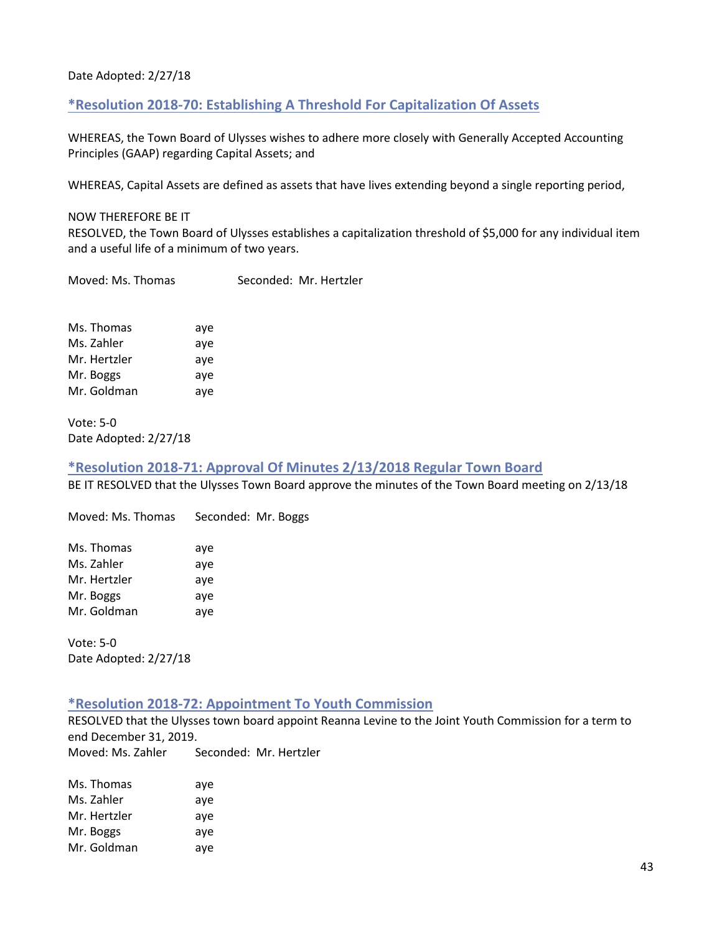#### Date Adopted: 2/27/18

#### **\*Resolution 2018-70: Establishing A Threshold For Capitalization Of Assets**

WHEREAS, the Town Board of Ulysses wishes to adhere more closely with Generally Accepted Accounting Principles (GAAP) regarding Capital Assets; and

WHEREAS, Capital Assets are defined as assets that have lives extending beyond a single reporting period,

#### NOW THEREFORE BE IT

RESOLVED, the Town Board of Ulysses establishes a capitalization threshold of \$5,000 for any individual item and a useful life of a minimum of two years.

Moved: Ms. Thomas Seconded: Mr. Hertzler

Ms. Thomas aye Ms. Zahler aye Mr. Hertzler aye Mr. Boggs aye Mr. Goldman ave

Vote: 5-0 Date Adopted: 2/27/18

#### **\*Resolution 2018-71: Approval Of Minutes 2/13/2018 Regular Town Board**

BE IT RESOLVED that the Ulysses Town Board approve the minutes of the Town Board meeting on 2/13/18

Moved: Ms. Thomas Seconded: Mr. Boggs

| Ms. Thomas   | aye |
|--------------|-----|
| Ms. Zahler   | aye |
| Mr. Hertzler | aye |
| Mr. Boggs    | aye |
| Mr. Goldman  | aye |

Vote: 5-0 Date Adopted: 2/27/18

#### **\*Resolution 2018-72: Appointment To Youth Commission**

RESOLVED that the Ulysses town board appoint Reanna Levine to the Joint Youth Commission for a term to end December 31, 2019. Moved: Ms. Zahler Seconded: Mr. Hertzler

| Ms. Thomas   | aye |
|--------------|-----|
| Ms. Zahler   | aye |
| Mr. Hertzler | aye |
| Mr. Boggs    | aye |
| Mr. Goldman  | aye |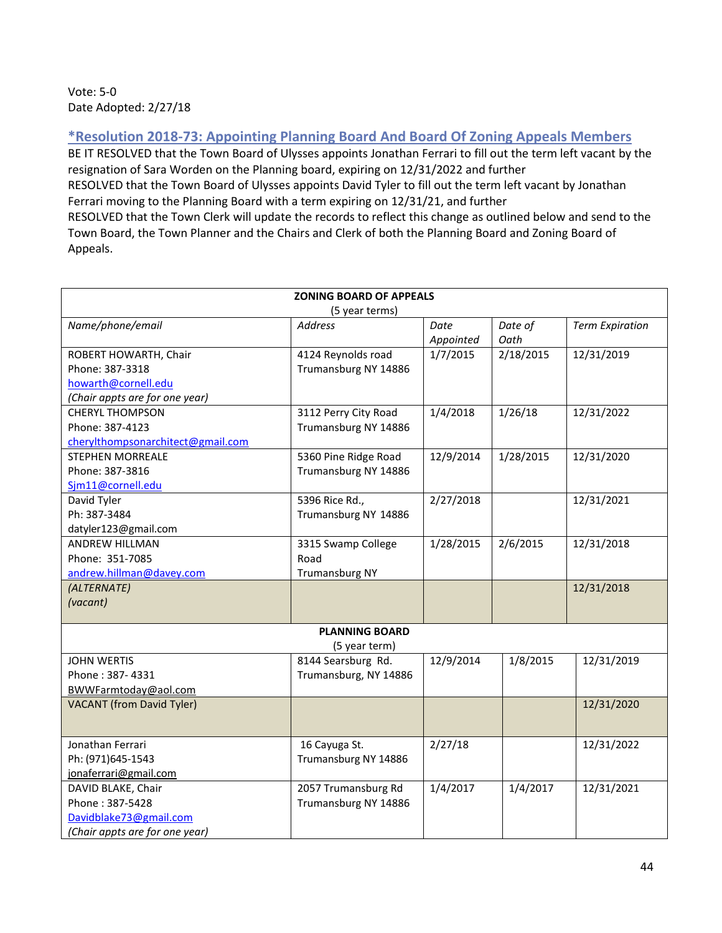### Vote: 5-0 Date Adopted: 2/27/18

# **\*Resolution 2018-73: Appointing Planning Board And Board Of Zoning Appeals Members**

BE IT RESOLVED that the Town Board of Ulysses appoints Jonathan Ferrari to fill out the term left vacant by the resignation of Sara Worden on the Planning board, expiring on 12/31/2022 and further RESOLVED that the Town Board of Ulysses appoints David Tyler to fill out the term left vacant by Jonathan Ferrari moving to the Planning Board with a term expiring on 12/31/21, and further RESOLVED that the Town Clerk will update the records to reflect this change as outlined below and send to the Town Board, the Town Planner and the Chairs and Clerk of both the Planning Board and Zoning Board of Appeals.

| <b>ZONING BOARD OF APPEALS</b>    |                       |           |           |                        |
|-----------------------------------|-----------------------|-----------|-----------|------------------------|
| (5 year terms)                    |                       |           |           |                        |
| Name/phone/email                  | <b>Address</b>        | Date      | Date of   | <b>Term Expiration</b> |
|                                   |                       | Appointed | Oath      |                        |
| ROBERT HOWARTH, Chair             | 4124 Reynolds road    | 1/7/2015  | 2/18/2015 | 12/31/2019             |
| Phone: 387-3318                   | Trumansburg NY 14886  |           |           |                        |
| howarth@cornell.edu               |                       |           |           |                        |
| (Chair appts are for one year)    |                       |           |           |                        |
| <b>CHERYL THOMPSON</b>            | 3112 Perry City Road  | 1/4/2018  | 1/26/18   | 12/31/2022             |
| Phone: 387-4123                   | Trumansburg NY 14886  |           |           |                        |
| cherylthompsonarchitect@gmail.com |                       |           |           |                        |
| <b>STEPHEN MORREALE</b>           | 5360 Pine Ridge Road  | 12/9/2014 | 1/28/2015 | 12/31/2020             |
| Phone: 387-3816                   | Trumansburg NY 14886  |           |           |                        |
| Sim11@cornell.edu                 |                       |           |           |                        |
| David Tyler                       | 5396 Rice Rd.,        | 2/27/2018 |           | 12/31/2021             |
| Ph: 387-3484                      | Trumansburg NY 14886  |           |           |                        |
| datyler123@gmail.com              |                       |           |           |                        |
| ANDREW HILLMAN                    | 3315 Swamp College    | 1/28/2015 | 2/6/2015  | 12/31/2018             |
| Phone: 351-7085                   | Road                  |           |           |                        |
| andrew.hillman@davey.com          | <b>Trumansburg NY</b> |           |           |                        |
| (ALTERNATE)                       |                       |           |           | 12/31/2018             |
| (vacant)                          |                       |           |           |                        |
|                                   |                       |           |           |                        |
| <b>PLANNING BOARD</b>             |                       |           |           |                        |
|                                   | (5 year term)         |           |           |                        |
| <b>JOHN WERTIS</b>                | 8144 Searsburg Rd.    | 12/9/2014 | 1/8/2015  | 12/31/2019             |
| Phone: 387-4331                   | Trumansburg, NY 14886 |           |           |                        |
| BWWFarmtoday@aol.com              |                       |           |           |                        |
| <b>VACANT</b> (from David Tyler)  |                       |           |           | 12/31/2020             |
|                                   |                       |           |           |                        |
| Jonathan Ferrari                  | 16 Cayuga St.         | 2/27/18   |           | 12/31/2022             |
| Ph: (971)645-1543                 | Trumansburg NY 14886  |           |           |                        |
| jonaferrari@gmail.com             |                       |           |           |                        |
| DAVID BLAKE, Chair                | 2057 Trumansburg Rd   | 1/4/2017  | 1/4/2017  | 12/31/2021             |
| Phone: 387-5428                   | Trumansburg NY 14886  |           |           |                        |
| Davidblake73@gmail.com            |                       |           |           |                        |
| (Chair appts are for one year)    |                       |           |           |                        |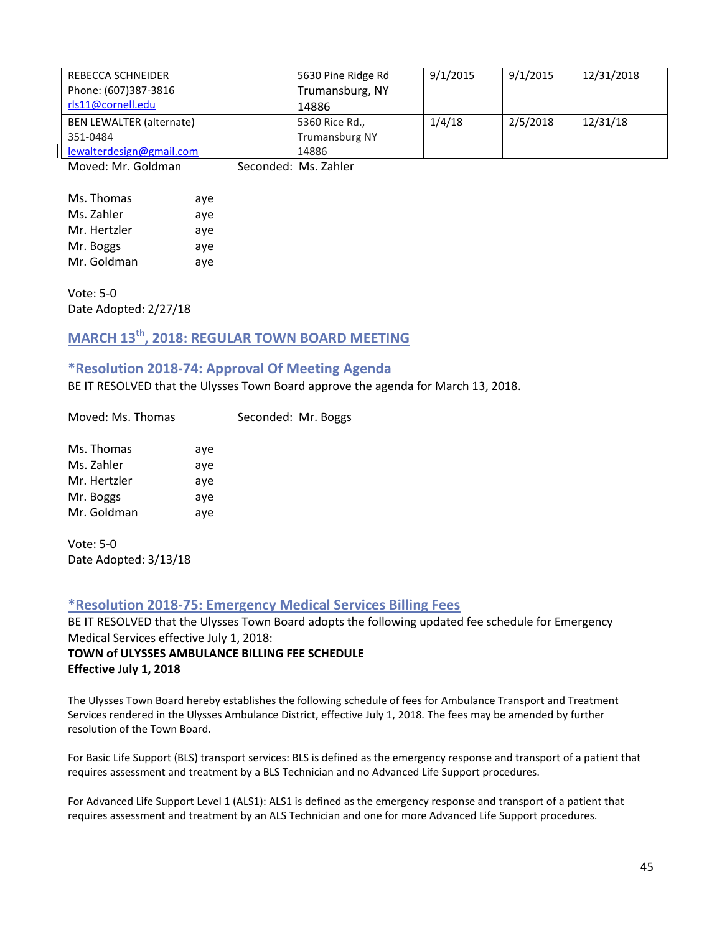| REBECCA SCHNEIDER               | 5630 Pine Ridge Rd    | 9/1/2015 | 9/1/2015 | 12/31/2018 |
|---------------------------------|-----------------------|----------|----------|------------|
| Phone: (607)387-3816            | Trumansburg, NY       |          |          |            |
| rls11@cornell.edu               | 14886                 |          |          |            |
| <b>BEN LEWALTER (alternate)</b> | 5360 Rice Rd.,        | 1/4/18   | 2/5/2018 | 12/31/18   |
| 351-0484                        | <b>Trumansburg NY</b> |          |          |            |
| lewalterdesign@gmail.com        | 14886                 |          |          |            |
| <b>MARINA CALLA</b>             |                       |          |          |            |

Moved: Mr. Goldman Seconded: Ms. Zahler

| Ms. Thomas   | aye |
|--------------|-----|
| Ms. Zahler   | aye |
| Mr. Hertzler | aye |
| Mr. Boggs    | aye |
| Mr. Goldman  | aye |

Vote: 5-0 Date Adopted: 2/27/18

# **MARCH 13th, 2018: REGULAR TOWN BOARD MEETING**

### **\*Resolution 2018-74: Approval Of Meeting Agenda**

BE IT RESOLVED that the Ulysses Town Board approve the agenda for March 13, 2018.

Moved: Ms. Thomas Seconded: Mr. Boggs

| Ms. Thomas   | aye |
|--------------|-----|
| Ms. Zahler   | aye |
| Mr. Hertzler | aye |
| Mr. Boggs    | aye |
| Mr. Goldman  | aye |

Vote: 5-0 Date Adopted: 3/13/18

#### **\*Resolution 2018-75: Emergency Medical Services Billing Fees**

BE IT RESOLVED that the Ulysses Town Board adopts the following updated fee schedule for Emergency Medical Services effective July 1, 2018: **TOWN of ULYSSES AMBULANCE BILLING FEE SCHEDULE Effective July 1, 2018**

The Ulysses Town Board hereby establishes the following schedule of fees for Ambulance Transport and Treatment Services rendered in the Ulysses Ambulance District, effective July 1, 2018*.* The fees may be amended by further resolution of the Town Board.

For Basic Life Support (BLS) transport services: BLS is defined as the emergency response and transport of a patient that requires assessment and treatment by a BLS Technician and no Advanced Life Support procedures.

For Advanced Life Support Level 1 (ALS1): ALS1 is defined as the emergency response and transport of a patient that requires assessment and treatment by an ALS Technician and one for more Advanced Life Support procedures.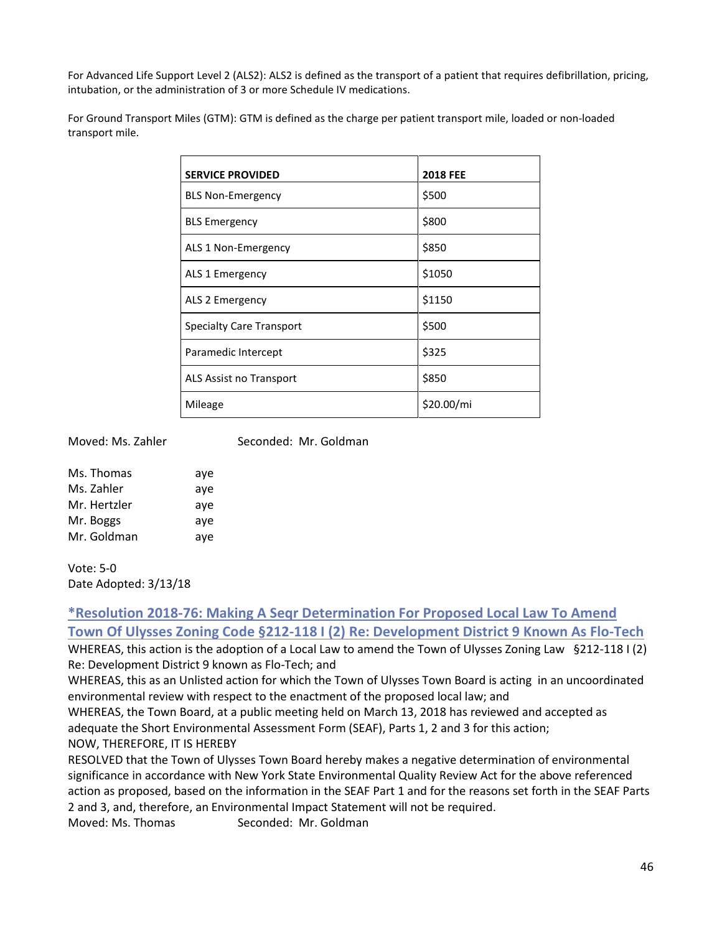For Advanced Life Support Level 2 (ALS2): ALS2 is defined as the transport of a patient that requires defibrillation, pricing, intubation, or the administration of 3 or more Schedule IV medications.

| For Ground Transport Miles (GTM): GTM is defined as the charge per patient transport mile, loaded or non-loaded |
|-----------------------------------------------------------------------------------------------------------------|
| transport mile.                                                                                                 |

| <b>SERVICE PROVIDED</b>         | <b>2018 FEE</b> |
|---------------------------------|-----------------|
| <b>BLS Non-Emergency</b>        | \$500           |
| <b>BLS Emergency</b>            | \$800           |
| ALS 1 Non-Emergency             | \$850           |
| ALS 1 Emergency                 | \$1050          |
| ALS 2 Emergency                 | \$1150          |
| <b>Specialty Care Transport</b> | \$500           |
| Paramedic Intercept             | \$325           |
| ALS Assist no Transport         | \$850           |
| Mileage                         | \$20.00/mi      |

Moved: Ms. Zahler Seconded: Mr. Goldman

| aye |
|-----|
| aye |
| aye |
| ave |
| ave |
|     |

Vote: 5-0 Date Adopted: 3/13/18

# **\*Resolution 2018-76: Making A Seqr Determination For Proposed Local Law To Amend Town Of Ulysses Zoning Code §212-118 I (2) Re: Development District 9 Known As Flo-Tech**

WHEREAS, this action is the adoption of a Local Law to amend the Town of Ulysses Zoning Law §212-118 I (2) Re: Development District 9 known as Flo-Tech; and

WHEREAS, this as an Unlisted action for which the Town of Ulysses Town Board is acting in an uncoordinated environmental review with respect to the enactment of the proposed local law; and

WHEREAS, the Town Board, at a public meeting held on March 13, 2018 has reviewed and accepted as adequate the Short Environmental Assessment Form (SEAF), Parts 1, 2 and 3 for this action; NOW, THEREFORE, IT IS HEREBY

RESOLVED that the Town of Ulysses Town Board hereby makes a negative determination of environmental significance in accordance with New York State Environmental Quality Review Act for the above referenced action as proposed, based on the information in the SEAF Part 1 and for the reasons set forth in the SEAF Parts 2 and 3, and, therefore, an Environmental Impact Statement will not be required.

Moved: Ms. Thomas Seconded: Mr. Goldman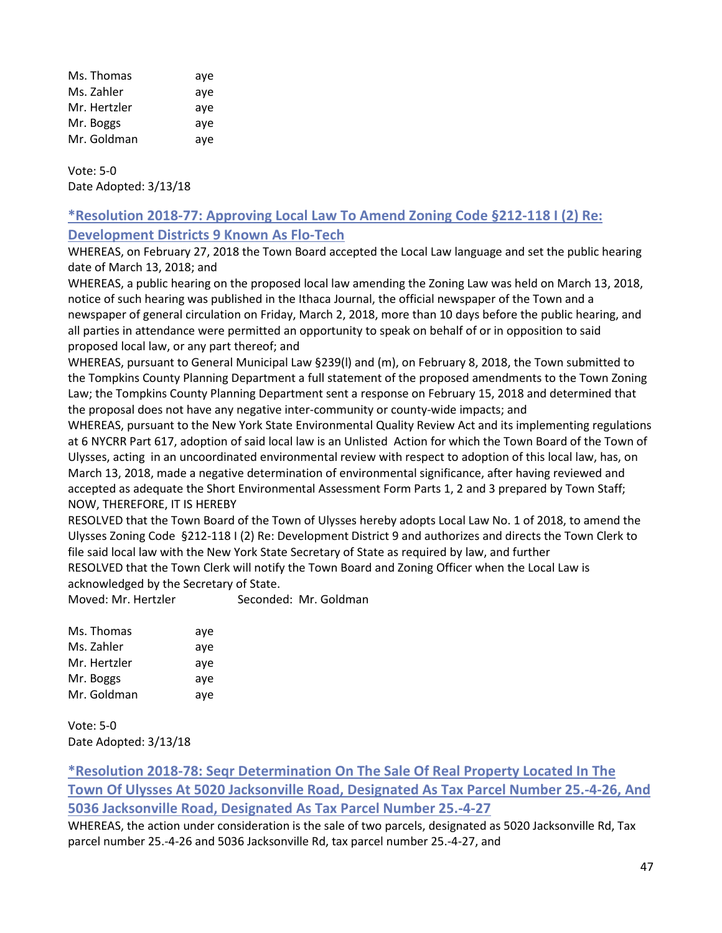| Ms. Thomas   | aye |
|--------------|-----|
| Ms. Zahler   | aye |
| Mr. Hertzler | aye |
| Mr. Boggs    | aye |
| Mr. Goldman  | aye |

Vote: 5-0 Date Adopted: 3/13/18

# **\*Resolution 2018-77: Approving Local Law To Amend Zoning Code §212-118 I (2) Re: Development Districts 9 Known As Flo-Tech**

WHEREAS, on February 27, 2018 the Town Board accepted the Local Law language and set the public hearing date of March 13, 2018; and

WHEREAS, a public hearing on the proposed local law amending the Zoning Law was held on March 13, 2018, notice of such hearing was published in the Ithaca Journal, the official newspaper of the Town and a newspaper of general circulation on Friday, March 2, 2018, more than 10 days before the public hearing, and all parties in attendance were permitted an opportunity to speak on behalf of or in opposition to said proposed local law, or any part thereof; and

WHEREAS, pursuant to General Municipal Law §239(l) and (m), on February 8, 2018, the Town submitted to the Tompkins County Planning Department a full statement of the proposed amendments to the Town Zoning Law; the Tompkins County Planning Department sent a response on February 15, 2018 and determined that the proposal does not have any negative inter-community or county-wide impacts; and

WHEREAS, pursuant to the New York State Environmental Quality Review Act and its implementing regulations at 6 NYCRR Part 617, adoption of said local law is an Unlisted Action for which the Town Board of the Town of Ulysses, acting in an uncoordinated environmental review with respect to adoption of this local law, has, on March 13, 2018, made a negative determination of environmental significance, after having reviewed and accepted as adequate the Short Environmental Assessment Form Parts 1, 2 and 3 prepared by Town Staff; NOW, THEREFORE, IT IS HEREBY

RESOLVED that the Town Board of the Town of Ulysses hereby adopts Local Law No. 1 of 2018, to amend the Ulysses Zoning Code §212-118 I (2) Re: Development District 9 and authorizes and directs the Town Clerk to file said local law with the New York State Secretary of State as required by law, and further RESOLVED that the Town Clerk will notify the Town Board and Zoning Officer when the Local Law is acknowledged by the Secretary of State.

Moved: Mr. Hertzler Seconded: Mr. Goldman

Vote: 5-0 Date Adopted: 3/13/18

**\*Resolution 2018-78: Seqr Determination On The Sale Of Real Property Located In The Town Of Ulysses At 5020 Jacksonville Road, Designated As Tax Parcel Number 25.-4-26, And 5036 Jacksonville Road, Designated As Tax Parcel Number 25.-4-27**

WHEREAS, the action under consideration is the sale of two parcels, designated as 5020 Jacksonville Rd, Tax parcel number 25.-4-26 and 5036 Jacksonville Rd, tax parcel number 25.-4-27, and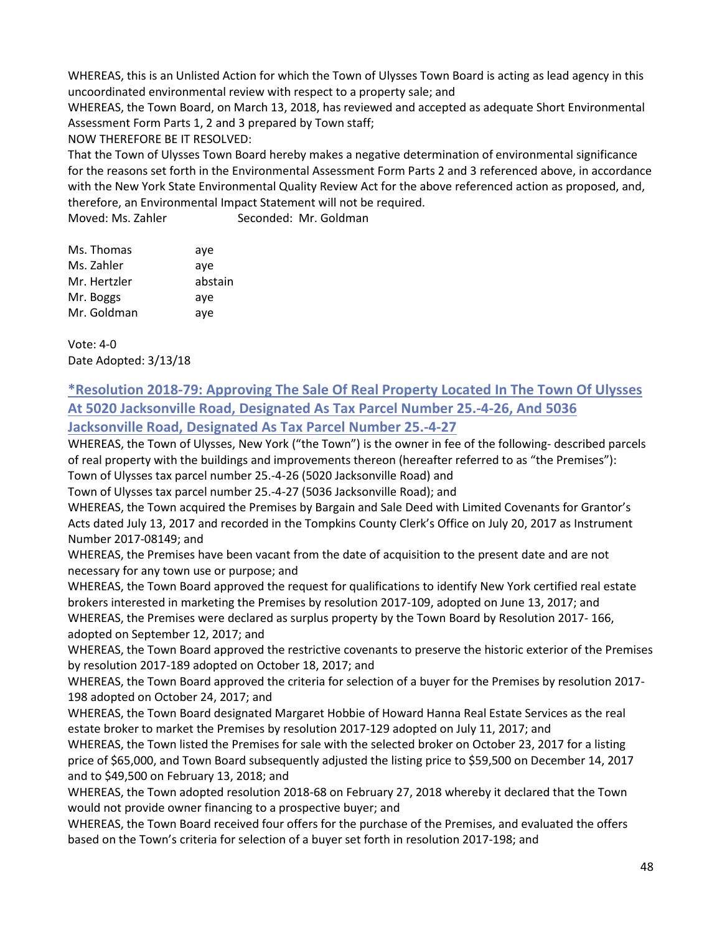WHEREAS, this is an Unlisted Action for which the Town of Ulysses Town Board is acting as lead agency in this uncoordinated environmental review with respect to a property sale; and

WHEREAS, the Town Board, on March 13, 2018, has reviewed and accepted as adequate Short Environmental Assessment Form Parts 1, 2 and 3 prepared by Town staff;

NOW THEREFORE BE IT RESOLVED:

That the Town of Ulysses Town Board hereby makes a negative determination of environmental significance for the reasons set forth in the Environmental Assessment Form Parts 2 and 3 referenced above, in accordance with the New York State Environmental Quality Review Act for the above referenced action as proposed, and, therefore, an Environmental Impact Statement will not be required.

Moved: Ms. Zahler Seconded: Mr. Goldman

| Ms. Thomas   | aye     |
|--------------|---------|
| Ms. Zahler   | aye     |
| Mr. Hertzler | abstain |
| Mr. Boggs    | aye     |
| Mr. Goldman  | aye     |

Vote: 4-0 Date Adopted: 3/13/18

# **\*Resolution 2018-79: Approving The Sale Of Real Property Located In The Town Of Ulysses At 5020 Jacksonville Road, Designated As Tax Parcel Number 25.-4-26, And 5036 Jacksonville Road, Designated As Tax Parcel Number 25.-4-27**

WHEREAS, the Town of Ulysses, New York ("the Town") is the owner in fee of the following- described parcels of real property with the buildings and improvements thereon (hereafter referred to as "the Premises"):

Town of Ulysses tax parcel number 25.-4-26 (5020 Jacksonville Road) and

Town of Ulysses tax parcel number 25.-4-27 (5036 Jacksonville Road); and

WHEREAS, the Town acquired the Premises by Bargain and Sale Deed with Limited Covenants for Grantor's Acts dated July 13, 2017 and recorded in the Tompkins County Clerk's Office on July 20, 2017 as Instrument Number 2017-08149; and

WHEREAS, the Premises have been vacant from the date of acquisition to the present date and are not necessary for any town use or purpose; and

WHEREAS, the Town Board approved the request for qualifications to identify New York certified real estate brokers interested in marketing the Premises by resolution 2017-109, adopted on June 13, 2017; and

WHEREAS, the Premises were declared as surplus property by the Town Board by Resolution 2017- 166, adopted on September 12, 2017; and

WHEREAS, the Town Board approved the restrictive covenants to preserve the historic exterior of the Premises by resolution 2017-189 adopted on October 18, 2017; and

WHEREAS, the Town Board approved the criteria for selection of a buyer for the Premises by resolution 2017- 198 adopted on October 24, 2017; and

WHEREAS, the Town Board designated Margaret Hobbie of Howard Hanna Real Estate Services as the real estate broker to market the Premises by resolution 2017-129 adopted on July 11, 2017; and

WHEREAS, the Town listed the Premises for sale with the selected broker on October 23, 2017 for a listing price of \$65,000, and Town Board subsequently adjusted the listing price to \$59,500 on December 14, 2017 and to \$49,500 on February 13, 2018; and

WHEREAS, the Town adopted resolution 2018-68 on February 27, 2018 whereby it declared that the Town would not provide owner financing to a prospective buyer; and

WHEREAS, the Town Board received four offers for the purchase of the Premises, and evaluated the offers based on the Town's criteria for selection of a buyer set forth in resolution 2017-198; and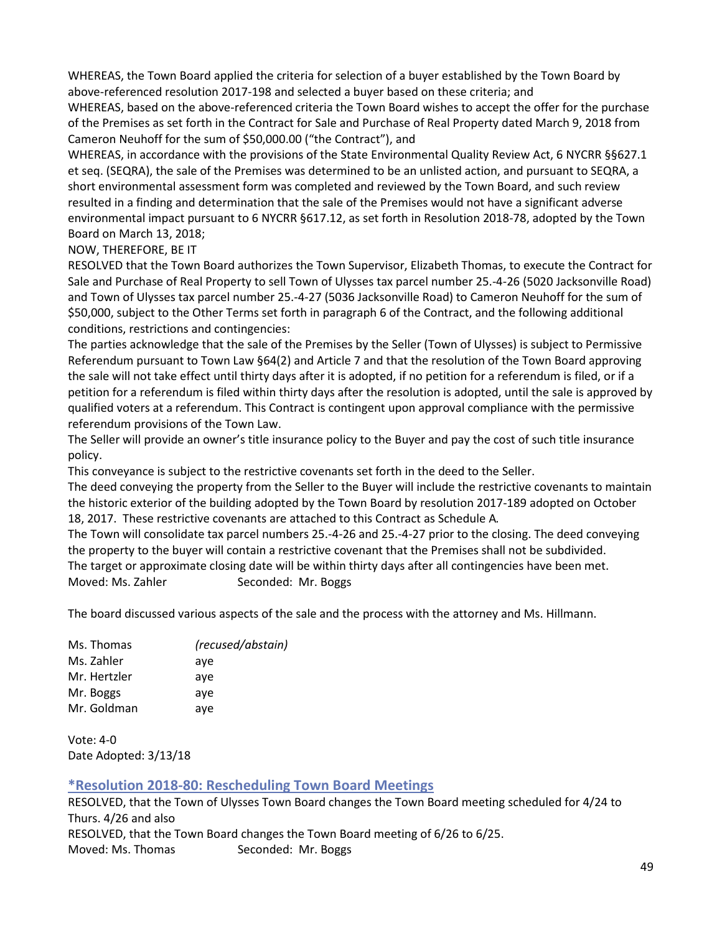WHEREAS, the Town Board applied the criteria for selection of a buyer established by the Town Board by above-referenced resolution 2017-198 and selected a buyer based on these criteria; and

WHEREAS, based on the above-referenced criteria the Town Board wishes to accept the offer for the purchase of the Premises as set forth in the Contract for Sale and Purchase of Real Property dated March 9, 2018 from Cameron Neuhoff for the sum of \$50,000.00 ("the Contract"), and

WHEREAS, in accordance with the provisions of the State Environmental Quality Review Act, 6 NYCRR §§627.1 et seq. (SEQRA), the sale of the Premises was determined to be an unlisted action, and pursuant to SEQRA, a short environmental assessment form was completed and reviewed by the Town Board, and such review resulted in a finding and determination that the sale of the Premises would not have a significant adverse environmental impact pursuant to 6 NYCRR §617.12, as set forth in Resolution 2018-78, adopted by the Town Board on March 13, 2018;

NOW, THEREFORE, BE IT

RESOLVED that the Town Board authorizes the Town Supervisor, Elizabeth Thomas, to execute the Contract for Sale and Purchase of Real Property to sell Town of Ulysses tax parcel number 25.-4-26 (5020 Jacksonville Road) and Town of Ulysses tax parcel number 25.-4-27 (5036 Jacksonville Road) to Cameron Neuhoff for the sum of \$50,000, subject to the Other Terms set forth in paragraph 6 of the Contract, and the following additional conditions, restrictions and contingencies:

The parties acknowledge that the sale of the Premises by the Seller (Town of Ulysses) is subject to Permissive Referendum pursuant to Town Law §64(2) and Article 7 and that the resolution of the Town Board approving the sale will not take effect until thirty days after it is adopted, if no petition for a referendum is filed, or if a petition for a referendum is filed within thirty days after the resolution is adopted, until the sale is approved by qualified voters at a referendum. This Contract is contingent upon approval compliance with the permissive referendum provisions of the Town Law.

The Seller will provide an owner's title insurance policy to the Buyer and pay the cost of such title insurance policy.

This conveyance is subject to the restrictive covenants set forth in the deed to the Seller.

The deed conveying the property from the Seller to the Buyer will include the restrictive covenants to maintain the historic exterior of the building adopted by the Town Board by resolution 2017-189 adopted on October 18, 2017. These restrictive covenants are attached to this Contract as Schedule A*.*

The Town will consolidate tax parcel numbers 25.-4-26 and 25.-4-27 prior to the closing. The deed conveying the property to the buyer will contain a restrictive covenant that the Premises shall not be subdivided. The target or approximate closing date will be within thirty days after all contingencies have been met. Moved: Ms. Zahler Seconded: Mr. Boggs

The board discussed various aspects of the sale and the process with the attorney and Ms. Hillmann.

| Ms. Thomas   | (recused/abstain) |
|--------------|-------------------|
| Ms. Zahler   | aye               |
| Mr. Hertzler | aye               |
| Mr. Boggs    | aye               |
| Mr. Goldman  | aye               |
|              |                   |

Vote: 4-0 Date Adopted: 3/13/18

# **\*Resolution 2018-80: Rescheduling Town Board Meetings**

RESOLVED, that the Town of Ulysses Town Board changes the Town Board meeting scheduled for 4/24 to Thurs. 4/26 and also RESOLVED, that the Town Board changes the Town Board meeting of 6/26 to 6/25. Moved: Ms. Thomas Seconded: Mr. Boggs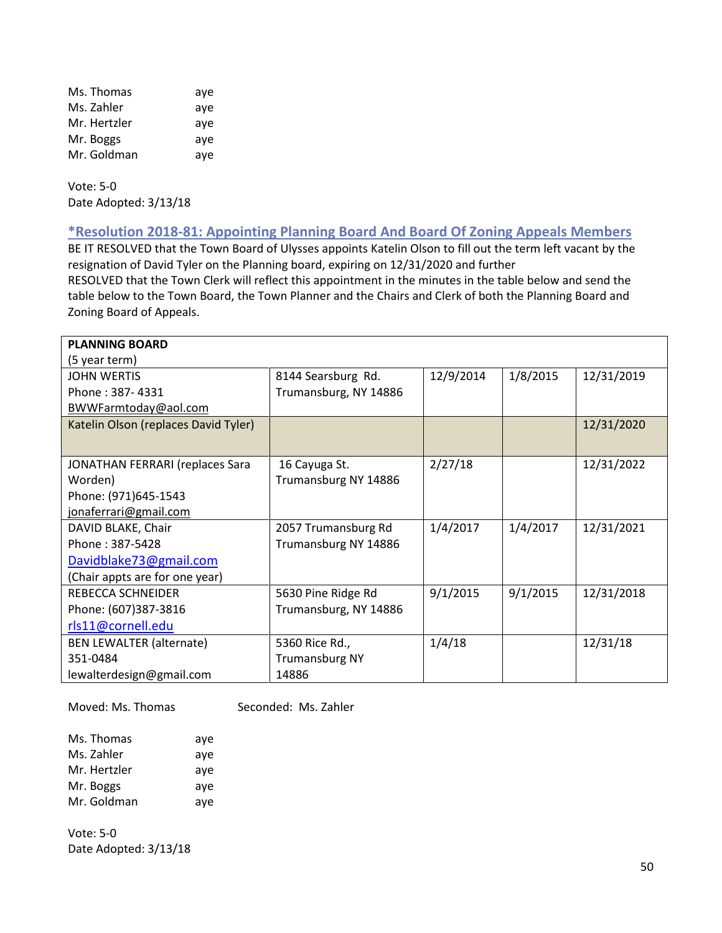| Ms. Thomas   | aye |
|--------------|-----|
| Ms. Zahler   | aye |
| Mr. Hertzler | aye |
| Mr. Boggs    | aye |
| Mr. Goldman  | aye |

Vote: 5-0 Date Adopted: 3/13/18

**\*Resolution 2018-81: Appointing Planning Board And Board Of Zoning Appeals Members**

BE IT RESOLVED that the Town Board of Ulysses appoints Katelin Olson to fill out the term left vacant by the resignation of David Tyler on the Planning board, expiring on 12/31/2020 and further

RESOLVED that the Town Clerk will reflect this appointment in the minutes in the table below and send the table below to the Town Board, the Town Planner and the Chairs and Clerk of both the Planning Board and Zoning Board of Appeals.

| <b>PLANNING BOARD</b>                |                       |           |          |            |
|--------------------------------------|-----------------------|-----------|----------|------------|
| (5 year term)                        |                       |           |          |            |
| <b>JOHN WERTIS</b>                   | 8144 Searsburg Rd.    | 12/9/2014 | 1/8/2015 | 12/31/2019 |
| Phone: 387-4331                      | Trumansburg, NY 14886 |           |          |            |
| BWWFarmtoday@aol.com                 |                       |           |          |            |
| Katelin Olson (replaces David Tyler) |                       |           |          | 12/31/2020 |
|                                      |                       |           |          |            |
| JONATHAN FERRARI (replaces Sara      | 16 Cayuga St.         | 2/27/18   |          | 12/31/2022 |
| Worden)                              | Trumansburg NY 14886  |           |          |            |
| Phone: (971)645-1543                 |                       |           |          |            |
| jonaferrari@gmail.com                |                       |           |          |            |
| DAVID BLAKE, Chair                   | 2057 Trumansburg Rd   | 1/4/2017  | 1/4/2017 | 12/31/2021 |
| Phone: 387-5428                      | Trumansburg NY 14886  |           |          |            |
| Davidblake73@gmail.com               |                       |           |          |            |
| (Chair appts are for one year)       |                       |           |          |            |
| REBECCA SCHNEIDER                    | 5630 Pine Ridge Rd    | 9/1/2015  | 9/1/2015 | 12/31/2018 |
| Phone: (607)387-3816                 | Trumansburg, NY 14886 |           |          |            |
| rls11@cornell.edu                    |                       |           |          |            |
| <b>BEN LEWALTER (alternate)</b>      | 5360 Rice Rd.,        | 1/4/18    |          | 12/31/18   |
| 351-0484                             | <b>Trumansburg NY</b> |           |          |            |
| lewalterdesign@gmail.com             | 14886                 |           |          |            |

Moved: Ms. Thomas Seconded: Ms. Zahler

| Ms. Thomas   | aye |
|--------------|-----|
| Ms. Zahler   | aye |
| Mr. Hertzler | aye |
| Mr. Boggs    | aye |
| Mr. Goldman  | aye |

Vote: 5-0 Date Adopted: 3/13/18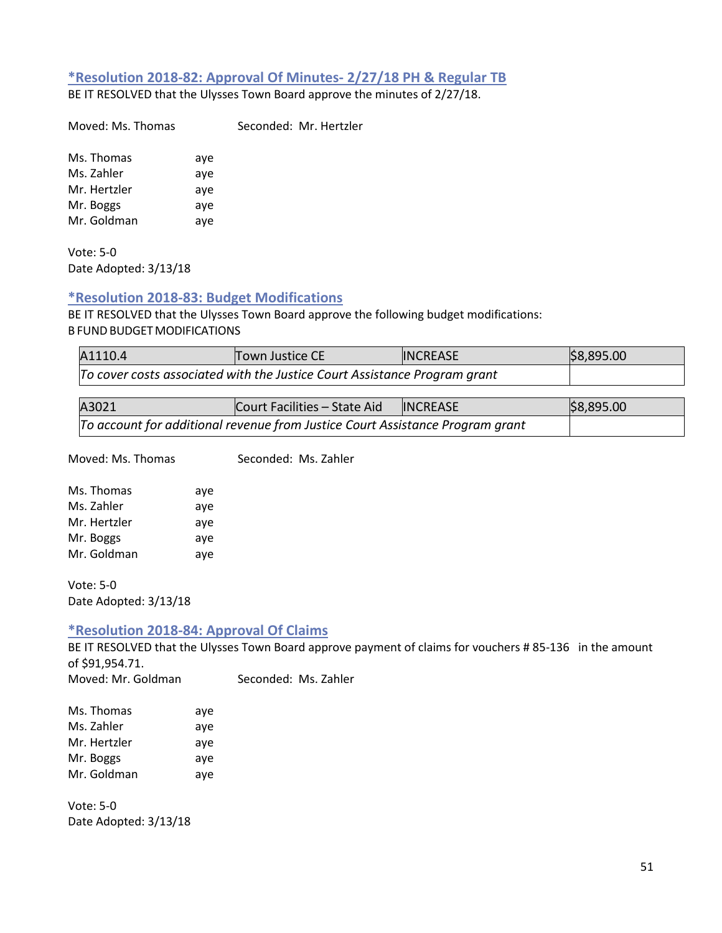### **\*Resolution 2018-82: Approval Of Minutes- 2/27/18 PH & Regular TB**

BE IT RESOLVED that the Ulysses Town Board approve the minutes of 2/27/18.

Moved: Ms. Thomas Seconded: Mr. Hertzler

Ms. Thomas aye Ms. Zahler aye Mr. Hertzler aye Mr. Boggs aye Mr. Goldman aye

Vote: 5-0 Date Adopted: 3/13/18

### **\*Resolution 2018-83: Budget Modifications**

BE IT RESOLVED that the Ulysses Town Board approve the following budget modifications: **B FUND BUDGET MODIFICATIONS** 

| A1110.4 | Town Justice CE                                                           | <b>INCREASE</b> | \$8,895.00 |
|---------|---------------------------------------------------------------------------|-----------------|------------|
|         | To cover costs associated with the Justice Court Assistance Program grant |                 |            |

| A3021 | Court Facilities – State Aid                                                  | <b>INCREASE</b> | \$8,895.00 |
|-------|-------------------------------------------------------------------------------|-----------------|------------|
|       | To account for additional revenue from Justice Court Assistance Program grant |                 |            |

Moved: Ms. Thomas Seconded: Ms. Zahler

| Ms. Thomas   | aye |
|--------------|-----|
| Ms. Zahler   | aye |
| Mr. Hertzler | aye |
| Mr. Boggs    | aye |
| Mr. Goldman  | aye |
|              |     |

Vote: 5-0 Date Adopted: 3/13/18

# **\*Resolution 2018-84: Approval Of Claims**

BE IT RESOLVED that the Ulysses Town Board approve payment of claims for vouchers # 85-136 in the amount of \$91,954.71.

Moved: Mr. Goldman Seconded: Ms. Zahler

| Ms. Thomas   | aye |
|--------------|-----|
| Ms. Zahler   | aye |
| Mr. Hertzler | aye |
| Mr. Boggs    | aye |
| Mr. Goldman  | aye |

Vote: 5-0 Date Adopted: 3/13/18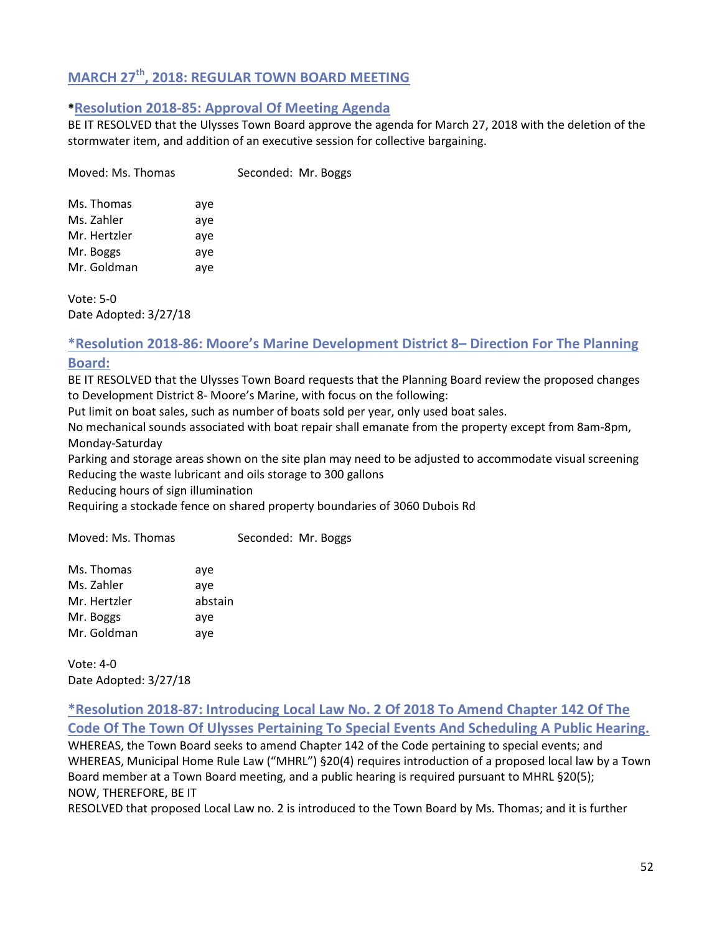# **MARCH 27th, 2018: REGULAR TOWN BOARD MEETING**

### **\*Resolution 2018-85: Approval Of Meeting Agenda**

BE IT RESOLVED that the Ulysses Town Board approve the agenda for March 27, 2018 with the deletion of the stormwater item, and addition of an executive session for collective bargaining.

| Moved: Ms. Thomas |     | Seconded: Mr. Boggs |  |
|-------------------|-----|---------------------|--|
| Ms. Thomas        | aye |                     |  |
| Ms. Zahler        | aye |                     |  |
| Mr. Hertzler      | aye |                     |  |
| Mr. Boggs         | aye |                     |  |
| Mr. Goldman       | aye |                     |  |
|                   |     |                     |  |

Vote: 5-0 Date Adopted: 3/27/18

# **\*Resolution 2018-86: Moore's Marine Development District 8– Direction For The Planning Board:**

BE IT RESOLVED that the Ulysses Town Board requests that the Planning Board review the proposed changes to Development District 8- Moore's Marine, with focus on the following:

Put limit on boat sales, such as number of boats sold per year, only used boat sales.

No mechanical sounds associated with boat repair shall emanate from the property except from 8am-8pm, Monday-Saturday

Parking and storage areas shown on the site plan may need to be adjusted to accommodate visual screening Reducing the waste lubricant and oils storage to 300 gallons

Reducing hours of sign illumination

Requiring a stockade fence on shared property boundaries of 3060 Dubois Rd

Moved: Ms. Thomas Seconded: Mr. Boggs

| Ms. Thomas   | aye     |
|--------------|---------|
| Ms. Zahler   | aye     |
| Mr. Hertzler | abstain |
| Mr. Boggs    | aye     |
| Mr. Goldman  | aye     |

Vote: 4-0 Date Adopted: 3/27/18

**\*Resolution 2018-87: Introducing Local Law No. 2 Of 2018 To Amend Chapter 142 Of The Code Of The Town Of Ulysses Pertaining To Special Events And Scheduling A Public Hearing.** WHEREAS, the Town Board seeks to amend Chapter 142 of the Code pertaining to special events; and WHEREAS, Municipal Home Rule Law ("MHRL") §20(4) requires introduction of a proposed local law by a Town Board member at a Town Board meeting, and a public hearing is required pursuant to MHRL §20(5); NOW, THEREFORE, BE IT

RESOLVED that proposed Local Law no. 2 is introduced to the Town Board by Ms. Thomas; and it is further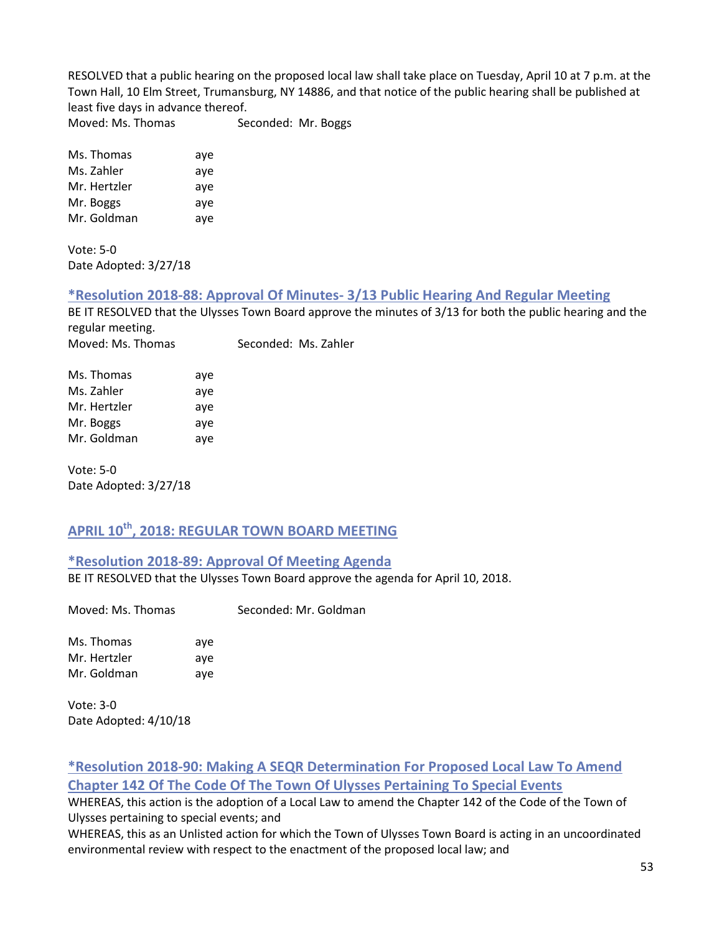RESOLVED that a public hearing on the proposed local law shall take place on Tuesday, April 10 at 7 p.m. at the Town Hall, 10 Elm Street, Trumansburg, NY 14886, and that notice of the public hearing shall be published at least five days in advance thereof.

Moved: Ms. Thomas Seconded: Mr. Boggs

Ms. Thomas aye Ms. Zahler aye Mr. Hertzler aye Mr. Boggs aye Mr. Goldman aye

Vote: 5-0 Date Adopted: 3/27/18

### **\*Resolution 2018-88: Approval Of Minutes- 3/13 Public Hearing And Regular Meeting**

BE IT RESOLVED that the Ulysses Town Board approve the minutes of 3/13 for both the public hearing and the regular meeting. Moved: Ms. Thomas Seconded: Ms. Zahler

| Ms. Thomas   | aye |
|--------------|-----|
| Ms. Zahler   | aye |
| Mr. Hertzler | aye |
| Mr. Boggs    | aye |
| Mr. Goldman  | aye |

Vote: 5-0 Date Adopted: 3/27/18

# **APRIL 10th, 2018: REGULAR TOWN BOARD MEETING**

### **\*Resolution 2018-89: Approval Of Meeting Agenda**

BE IT RESOLVED that the Ulysses Town Board approve the agenda for April 10, 2018.

Moved: Ms. Thomas Seconded: Mr. Goldman

Ms. Thomas aye Mr. Hertzler aye Mr. Goldman aye

Vote: 3-0 Date Adopted: 4/10/18

# **\*Resolution 2018-90: Making A SEQR Determination For Proposed Local Law To Amend Chapter 142 Of The Code Of The Town Of Ulysses Pertaining To Special Events**

WHEREAS, this action is the adoption of a Local Law to amend the Chapter 142 of the Code of the Town of Ulysses pertaining to special events; and

WHEREAS, this as an Unlisted action for which the Town of Ulysses Town Board is acting in an uncoordinated environmental review with respect to the enactment of the proposed local law; and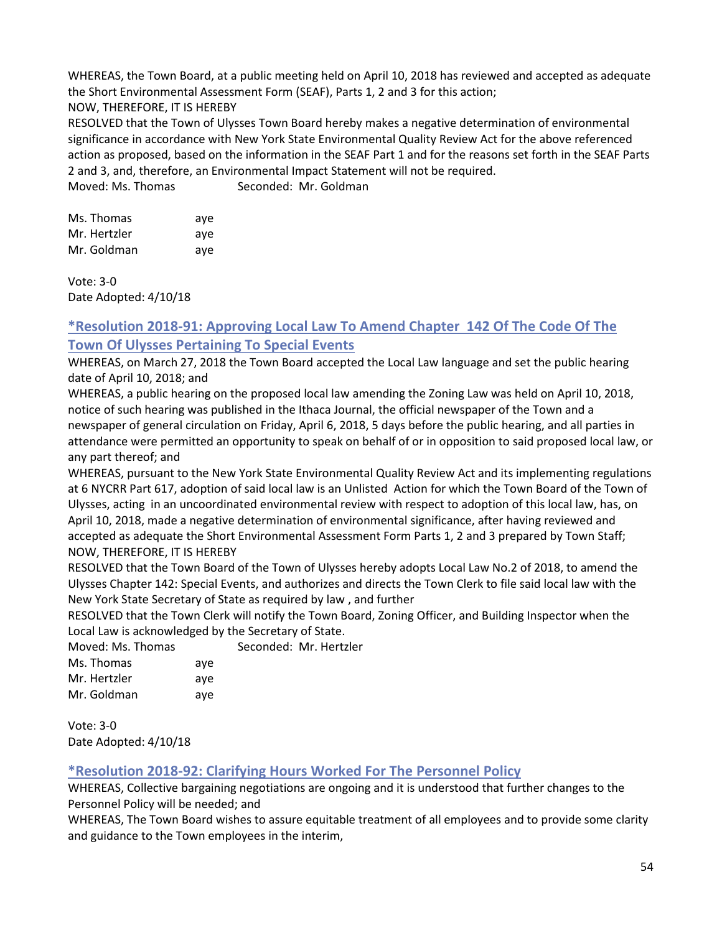WHEREAS, the Town Board, at a public meeting held on April 10, 2018 has reviewed and accepted as adequate the Short Environmental Assessment Form (SEAF), Parts 1, 2 and 3 for this action;

### NOW, THEREFORE, IT IS HEREBY

RESOLVED that the Town of Ulysses Town Board hereby makes a negative determination of environmental significance in accordance with New York State Environmental Quality Review Act for the above referenced action as proposed, based on the information in the SEAF Part 1 and for the reasons set forth in the SEAF Parts 2 and 3, and, therefore, an Environmental Impact Statement will not be required.

Moved: Ms. Thomas Seconded: Mr. Goldman

| Ms. Thomas   | ave |
|--------------|-----|
| Mr. Hertzler | ave |
| Mr. Goldman  | ave |

Vote: 3-0 Date Adopted: 4/10/18

# **\*Resolution 2018-91: Approving Local Law To Amend Chapter 142 Of The Code Of The Town Of Ulysses Pertaining To Special Events**

WHEREAS, on March 27, 2018 the Town Board accepted the Local Law language and set the public hearing date of April 10, 2018; and

WHEREAS, a public hearing on the proposed local law amending the Zoning Law was held on April 10, 2018, notice of such hearing was published in the Ithaca Journal, the official newspaper of the Town and a newspaper of general circulation on Friday, April 6, 2018, 5 days before the public hearing, and all parties in attendance were permitted an opportunity to speak on behalf of or in opposition to said proposed local law, or any part thereof; and

WHEREAS, pursuant to the New York State Environmental Quality Review Act and its implementing regulations at 6 NYCRR Part 617, adoption of said local law is an Unlisted Action for which the Town Board of the Town of Ulysses, acting in an uncoordinated environmental review with respect to adoption of this local law, has, on April 10, 2018, made a negative determination of environmental significance, after having reviewed and accepted as adequate the Short Environmental Assessment Form Parts 1, 2 and 3 prepared by Town Staff; NOW, THEREFORE, IT IS HEREBY

RESOLVED that the Town Board of the Town of Ulysses hereby adopts Local Law No.2 of 2018, to amend the Ulysses Chapter 142: Special Events, and authorizes and directs the Town Clerk to file said local law with the New York State Secretary of State as required by law , and further

RESOLVED that the Town Clerk will notify the Town Board, Zoning Officer, and Building Inspector when the Local Law is acknowledged by the Secretary of State.

| Moved: Ms. Thomas |     | Seconded: Mr. Hertzler |
|-------------------|-----|------------------------|
| Ms. Thomas        | ave |                        |
| Mr. Hertzler      | ave |                        |
| Mr. Goldman       | ave |                        |

Vote: 3-0 Date Adopted: 4/10/18

# **\*Resolution 2018-92: Clarifying Hours Worked For The Personnel Policy**

WHEREAS, Collective bargaining negotiations are ongoing and it is understood that further changes to the Personnel Policy will be needed; and

WHEREAS, The Town Board wishes to assure equitable treatment of all employees and to provide some clarity and guidance to the Town employees in the interim,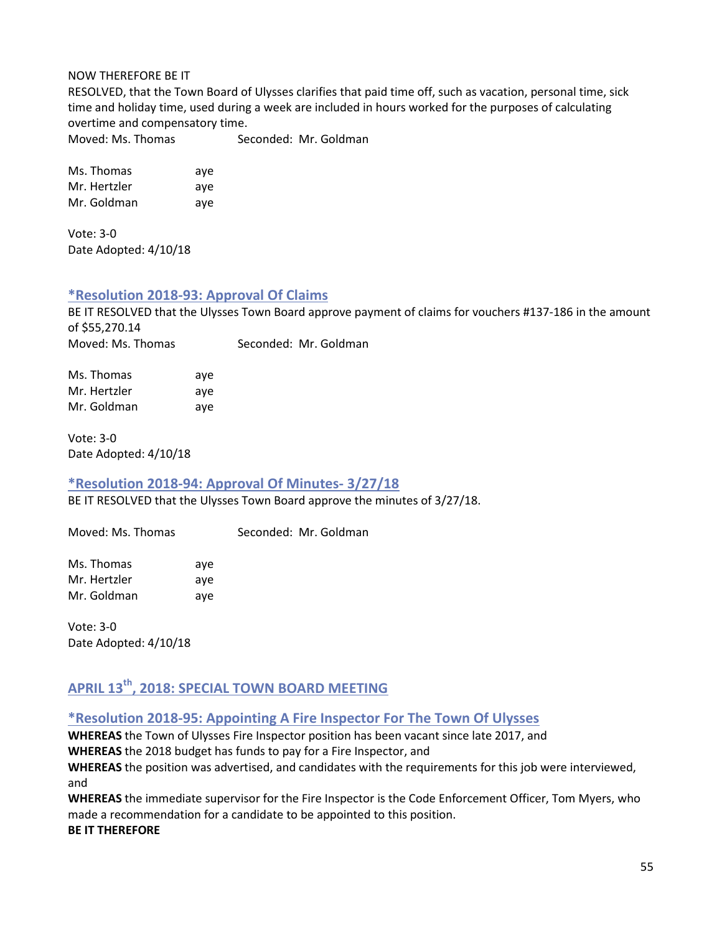#### NOW THEREFORE BE IT

RESOLVED, that the Town Board of Ulysses clarifies that paid time off, such as vacation, personal time, sick time and holiday time, used during a week are included in hours worked for the purposes of calculating overtime and compensatory time.

Moved: Ms. Thomas Seconded: Mr. Goldman

Ms. Thomas aye Mr. Hertzler aye Mr. Goldman aye

Vote: 3-0 Date Adopted: 4/10/18

### **\*Resolution 2018-93: Approval Of Claims**

BE IT RESOLVED that the Ulysses Town Board approve payment of claims for vouchers #137-186 in the amount of \$55,270.14 Moved: Ms. Thomas Seconded: Mr. Goldman

| Ms. Thomas   | ave |
|--------------|-----|
| Mr. Hertzler | ave |
| Mr. Goldman  | ave |

Vote: 3-0 Date Adopted: 4/10/18

### **\*Resolution 2018-94: Approval Of Minutes- 3/27/18**

BE IT RESOLVED that the Ulysses Town Board approve the minutes of 3/27/18.

Moved: Ms. Thomas Seconded: Mr. Goldman

Ms. Thomas aye Mr. Hertzler aye Mr. Goldman aye

Vote: 3-0 Date Adopted: 4/10/18

# **APRIL 13th, 2018: SPECIAL TOWN BOARD MEETING**

### **\*Resolution 2018-95: Appointing A Fire Inspector For The Town Of Ulysses**

**WHEREAS** the Town of Ulysses Fire Inspector position has been vacant since late 2017, and **WHEREAS** the 2018 budget has funds to pay for a Fire Inspector, and

**WHEREAS** the position was advertised, and candidates with the requirements for this job were interviewed, and

**WHEREAS** the immediate supervisor for the Fire Inspector is the Code Enforcement Officer, Tom Myers, who made a recommendation for a candidate to be appointed to this position.

**BE IT THEREFORE**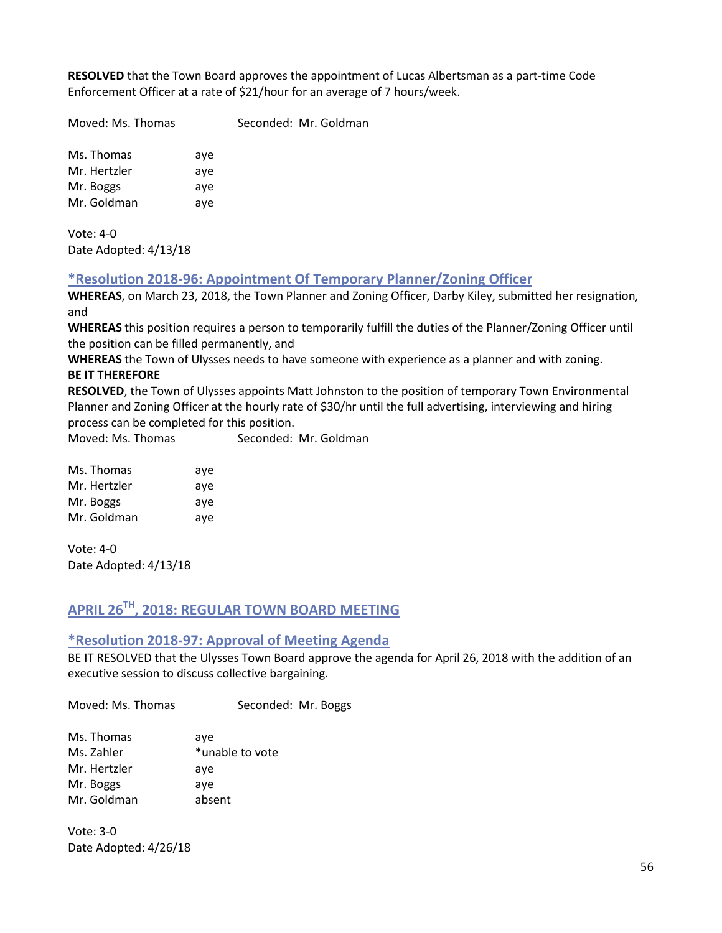**RESOLVED** that the Town Board approves the appointment of Lucas Albertsman as a part-time Code Enforcement Officer at a rate of \$21/hour for an average of 7 hours/week.

Moved: Ms. Thomas Seconded: Mr. Goldman

Ms. Thomas aye Mr. Hertzler aye Mr. Boggs aye Mr. Goldman aye

Vote: 4-0 Date Adopted: 4/13/18

**\*Resolution 2018-96: Appointment Of Temporary Planner/Zoning Officer**

**WHEREAS**, on March 23, 2018, the Town Planner and Zoning Officer, Darby Kiley, submitted her resignation, and

**WHEREAS** this position requires a person to temporarily fulfill the duties of the Planner/Zoning Officer until the position can be filled permanently, and

**WHEREAS** the Town of Ulysses needs to have someone with experience as a planner and with zoning. **BE IT THEREFORE**

**RESOLVED**, the Town of Ulysses appoints Matt Johnston to the position of temporary Town Environmental Planner and Zoning Officer at the hourly rate of \$30/hr until the full advertising, interviewing and hiring process can be completed for this position.

Moved: Ms. Thomas Seconded: Mr. Goldman

| Ms. Thomas   | ave |
|--------------|-----|
| Mr. Hertzler | aye |
| Mr. Boggs    | aye |
| Mr. Goldman  | ave |

Vote: 4-0 Date Adopted: 4/13/18

# **APRIL 26TH, 2018: REGULAR TOWN BOARD MEETING**

### **\*Resolution 2018-97: Approval of Meeting Agenda**

BE IT RESOLVED that the Ulysses Town Board approve the agenda for April 26, 2018 with the addition of an executive session to discuss collective bargaining.

Moved: Ms. Thomas Seconded: Mr. Boggs

| Ms. Thomas   | aye             |
|--------------|-----------------|
| Ms. Zahler   | *unable to vote |
| Mr. Hertzler | aye             |
| Mr. Boggs    | aye             |
| Mr. Goldman  | absent          |

Vote: 3-0 Date Adopted: 4/26/18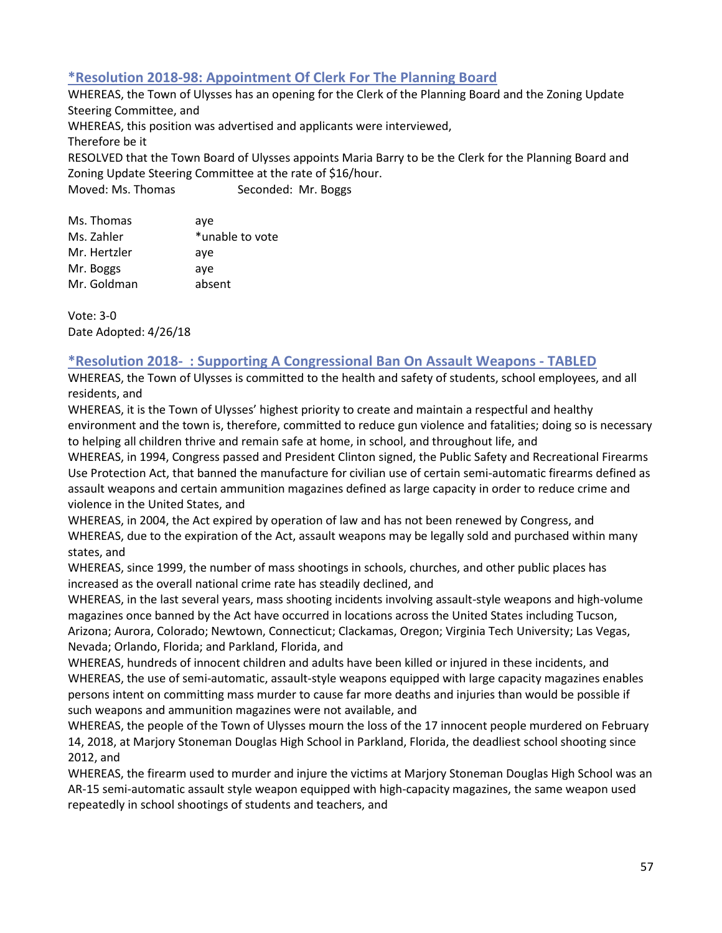# **\*Resolution 2018-98: Appointment Of Clerk For The Planning Board**

WHEREAS, the Town of Ulysses has an opening for the Clerk of the Planning Board and the Zoning Update Steering Committee, and WHEREAS, this position was advertised and applicants were interviewed, Therefore be it RESOLVED that the Town Board of Ulysses appoints Maria Barry to be the Clerk for the Planning Board and Zoning Update Steering Committee at the rate of \$16/hour. Moved: Ms. Thomas Seconded: Mr. Boggs

| Ms. Thomas   | aye             |
|--------------|-----------------|
| Ms. Zahler   | *unable to vote |
| Mr. Hertzler | aye             |
| Mr. Boggs    | aye             |
| Mr. Goldman  | absent          |
|              |                 |

Vote: 3-0 Date Adopted: 4/26/18

### **\*Resolution 2018- : Supporting A Congressional Ban On Assault Weapons - TABLED**

WHEREAS, the Town of Ulysses is committed to the health and safety of students, school employees, and all residents, and

WHEREAS, it is the Town of Ulysses' highest priority to create and maintain a respectful and healthy environment and the town is, therefore, committed to reduce gun violence and fatalities; doing so is necessary to helping all children thrive and remain safe at home, in school, and throughout life, and

WHEREAS, in 1994, Congress passed and President Clinton signed, the Public Safety and Recreational Firearms Use Protection Act, that banned the manufacture for civilian use of certain semi-automatic firearms defined as assault weapons and certain ammunition magazines defined as large capacity in order to reduce crime and violence in the United States, and

WHEREAS, in 2004, the Act expired by operation of law and has not been renewed by Congress, and WHEREAS, due to the expiration of the Act, assault weapons may be legally sold and purchased within many states, and

WHEREAS, since 1999, the number of mass shootings in schools, churches, and other public places has increased as the overall national crime rate has steadily declined, and

WHEREAS, in the last several years, mass shooting incidents involving assault-style weapons and high-volume magazines once banned by the Act have occurred in locations across the United States including Tucson, Arizona; Aurora, Colorado; Newtown, Connecticut; Clackamas, Oregon; Virginia Tech University; Las Vegas, Nevada; Orlando, Florida; and Parkland, Florida, and

WHEREAS, hundreds of innocent children and adults have been killed or injured in these incidents, and WHEREAS, the use of semi-automatic, assault-style weapons equipped with large capacity magazines enables persons intent on committing mass murder to cause far more deaths and injuries than would be possible if such weapons and ammunition magazines were not available, and

WHEREAS, the people of the Town of Ulysses mourn the loss of the 17 innocent people murdered on February 14, 2018, at Marjory Stoneman Douglas High School in Parkland, Florida, the deadliest school shooting since 2012, and

WHEREAS, the firearm used to murder and injure the victims at Marjory Stoneman Douglas High School was an AR-15 semi-automatic assault style weapon equipped with high-capacity magazines, the same weapon used repeatedly in school shootings of students and teachers, and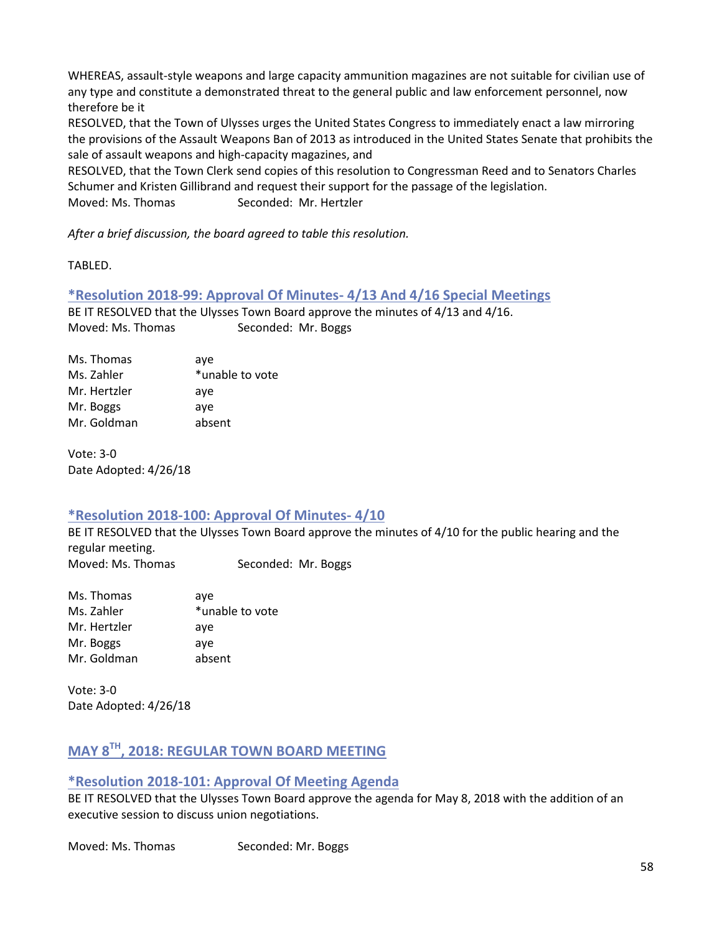WHEREAS, assault-style weapons and large capacity ammunition magazines are not suitable for civilian use of any type and constitute a demonstrated threat to the general public and law enforcement personnel, now therefore be it

RESOLVED, that the Town of Ulysses urges the United States Congress to immediately enact a law mirroring the provisions of the Assault Weapons Ban of 2013 as introduced in the United States Senate that prohibits the sale of assault weapons and high-capacity magazines, and

RESOLVED, that the Town Clerk send copies of this resolution to Congressman Reed and to Senators Charles Schumer and Kristen Gillibrand and request their support for the passage of the legislation. Moved: Ms. Thomas Seconded: Mr. Hertzler

*After a brief discussion, the board agreed to table this resolution.*

TABLED.

**\*Resolution 2018-99: Approval Of Minutes- 4/13 And 4/16 Special Meetings**

BE IT RESOLVED that the Ulysses Town Board approve the minutes of 4/13 and 4/16. Moved: Ms. Thomas Seconded: Mr. Boggs

| Ms. Thomas   | aye             |
|--------------|-----------------|
| Ms. Zahler   | *unable to vote |
| Mr. Hertzler | aye             |
| Mr. Boggs    | ave             |
| Mr. Goldman  | absent          |

Vote: 3-0 Date Adopted: 4/26/18

### **\*Resolution 2018-100: Approval Of Minutes- 4/10**

BE IT RESOLVED that the Ulysses Town Board approve the minutes of 4/10 for the public hearing and the regular meeting.

Moved: Ms. Thomas Seconded: Mr. Boggs

| Ms. Thomas   | ave             |
|--------------|-----------------|
| Ms. Zahler   | *unable to vote |
| Mr. Hertzler | aye             |
| Mr. Boggs    | ave             |
| Mr. Goldman  | absent          |

Vote: 3-0 Date Adopted: 4/26/18

# **MAY 8TH, 2018: REGULAR TOWN BOARD MEETING**

# **\*Resolution 2018-101: Approval Of Meeting Agenda**

BE IT RESOLVED that the Ulysses Town Board approve the agenda for May 8, 2018 with the addition of an executive session to discuss union negotiations.

Moved: Ms. Thomas Seconded: Mr. Boggs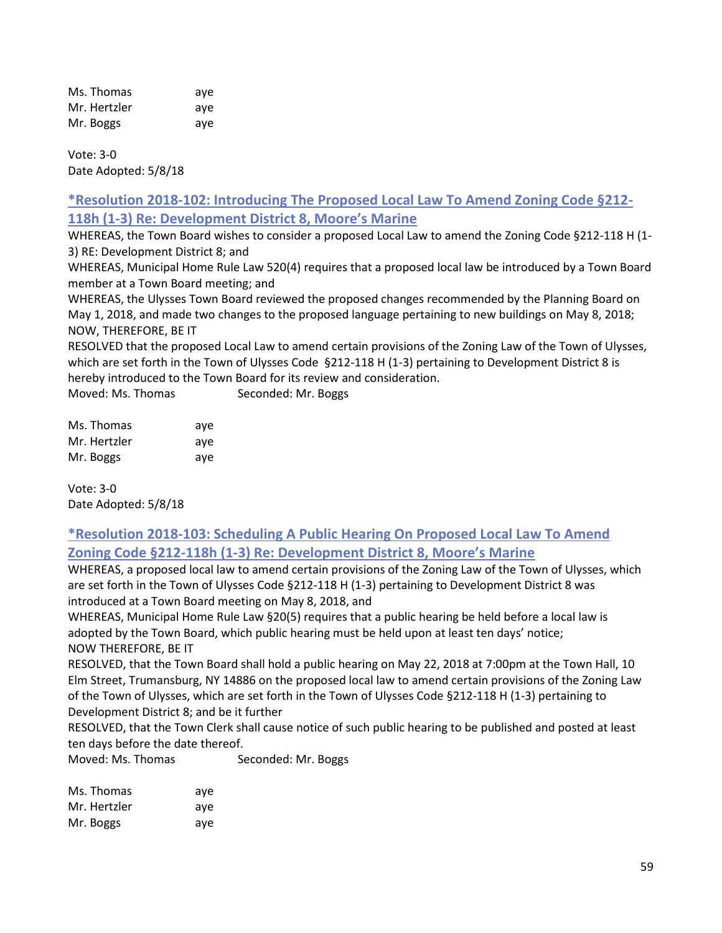| Ms. Thomas   | ave |
|--------------|-----|
| Mr. Hertzler | ave |
| Mr. Boggs    | aye |

Vote: 3-0 Date Adopted: 5/8/18

# **\*Resolution 2018-102: Introducing The Proposed Local Law To Amend Zoning Code §212- 118h (1-3) Re: Development District 8, Moore's Marine**

WHEREAS, the Town Board wishes to consider a proposed Local Law to amend the Zoning Code §212-118 H (1- 3) RE: Development District 8; and

WHEREAS, Municipal Home Rule Law 520(4) requires that a proposed local law be introduced by a Town Board member at a Town Board meeting; and

WHEREAS, the Ulysses Town Board reviewed the proposed changes recommended by the Planning Board on May 1, 2018, and made two changes to the proposed language pertaining to new buildings on May 8, 2018; NOW, THEREFORE, BE IT

RESOLVED that the proposed Local Law to amend certain provisions of the Zoning Law of the Town of Ulysses, which are set forth in the Town of Ulysses Code §212-118 H (1-3) pertaining to Development District 8 is hereby introduced to the Town Board for its review and consideration.

Moved: Ms. Thomas Seconded: Mr. Boggs

| Ms. Thomas   | aye |
|--------------|-----|
| Mr. Hertzler | aye |
| Mr. Boggs    | ave |

Vote: 3-0 Date Adopted: 5/8/18

# **\*Resolution 2018-103: Scheduling A Public Hearing On Proposed Local Law To Amend Zoning Code §212-118h (1-3) Re: Development District 8, Moore's Marine**

WHEREAS, a proposed local law to amend certain provisions of the Zoning Law of the Town of Ulysses, which are set forth in the Town of Ulysses Code §212-118 H (1-3) pertaining to Development District 8 was introduced at a Town Board meeting on May 8, 2018, and

WHEREAS, Municipal Home Rule Law §20(5) requires that a public hearing be held before a local law is adopted by the Town Board, which public hearing must be held upon at least ten days' notice; NOW THEREFORE, BE IT

RESOLVED, that the Town Board shall hold a public hearing on May 22, 2018 at 7:00pm at the Town Hall, 10 Elm Street, Trumansburg, NY 14886 on the proposed local law to amend certain provisions of the Zoning Law of the Town of Ulysses, which are set forth in the Town of Ulysses Code §212-118 H (1-3) pertaining to Development District 8; and be it further

RESOLVED, that the Town Clerk shall cause notice of such public hearing to be published and posted at least ten days before the date thereof.

Moved: Ms. Thomas Seconded: Mr. Boggs

| Ms. Thomas   | ave |
|--------------|-----|
| Mr. Hertzler | ave |
| Mr. Boggs    | ave |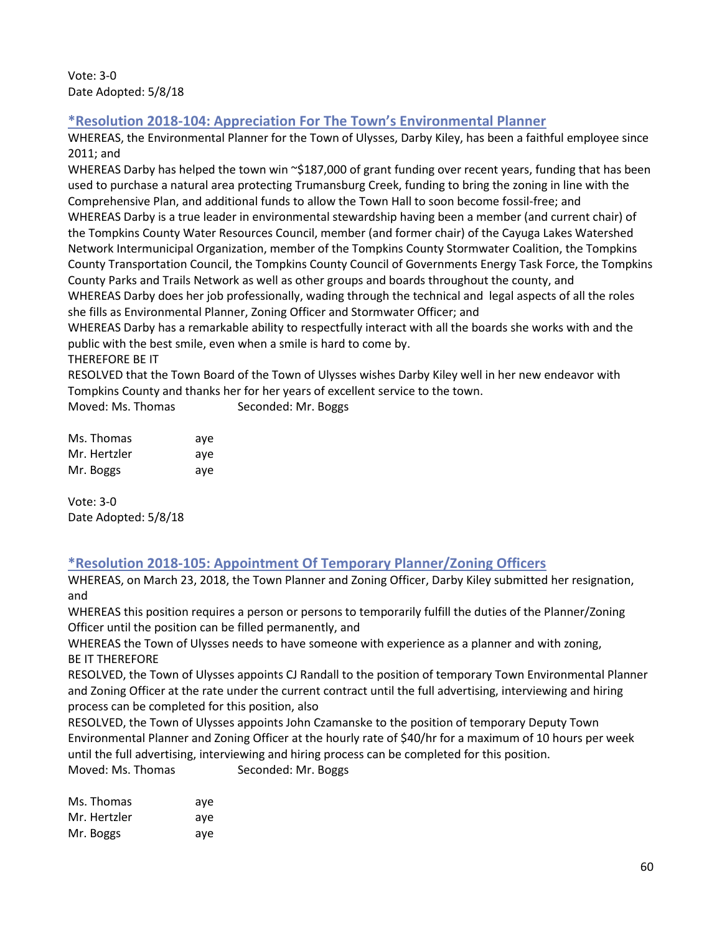Vote: 3-0 Date Adopted: 5/8/18

# **\*Resolution 2018-104: Appreciation For The Town's Environmental Planner**

WHEREAS, the Environmental Planner for the Town of Ulysses, Darby Kiley, has been a faithful employee since 2011; and

WHEREAS Darby has helped the town win  $\sim$ \$187,000 of grant funding over recent years, funding that has been used to purchase a natural area protecting Trumansburg Creek, funding to bring the zoning in line with the Comprehensive Plan, and additional funds to allow the Town Hall to soon become fossil-free; and WHEREAS Darby is a true leader in environmental stewardship having been a member (and current chair) of the Tompkins County Water Resources Council, member (and former chair) of the Cayuga Lakes Watershed Network Intermunicipal Organization, member of the Tompkins County Stormwater Coalition, the Tompkins County Transportation Council, the Tompkins County Council of Governments Energy Task Force, the Tompkins County Parks and Trails Network as well as other groups and boards throughout the county, and WHEREAS Darby does her job professionally, wading through the technical and legal aspects of all the roles she fills as Environmental Planner, Zoning Officer and Stormwater Officer; and

WHEREAS Darby has a remarkable ability to respectfully interact with all the boards she works with and the public with the best smile, even when a smile is hard to come by.

### THEREFORE BE IT

RESOLVED that the Town Board of the Town of Ulysses wishes Darby Kiley well in her new endeavor with Tompkins County and thanks her for her years of excellent service to the town.

| Moved: Ms. Thomas | Seconded: Mr. Boggs |  |
|-------------------|---------------------|--|
|-------------------|---------------------|--|

| Ms. Thomas   | ave |
|--------------|-----|
| Mr. Hertzler | ave |
| Mr. Boggs    | ave |

Vote: 3-0 Date Adopted: 5/8/18

# **\*Resolution 2018-105: Appointment Of Temporary Planner/Zoning Officers**

WHEREAS, on March 23, 2018, the Town Planner and Zoning Officer, Darby Kiley submitted her resignation, and

WHEREAS this position requires a person or persons to temporarily fulfill the duties of the Planner/Zoning Officer until the position can be filled permanently, and

WHEREAS the Town of Ulysses needs to have someone with experience as a planner and with zoning, BE IT THEREFORE

RESOLVED, the Town of Ulysses appoints CJ Randall to the position of temporary Town Environmental Planner and Zoning Officer at the rate under the current contract until the full advertising, interviewing and hiring process can be completed for this position, also

RESOLVED, the Town of Ulysses appoints John Czamanske to the position of temporary Deputy Town Environmental Planner and Zoning Officer at the hourly rate of \$40/hr for a maximum of 10 hours per week until the full advertising, interviewing and hiring process can be completed for this position. Moved: Ms. Thomas Seconded: Mr. Boggs

| Ms. Thomas   | ave |
|--------------|-----|
| Mr. Hertzler | ave |
| Mr. Boggs    | ave |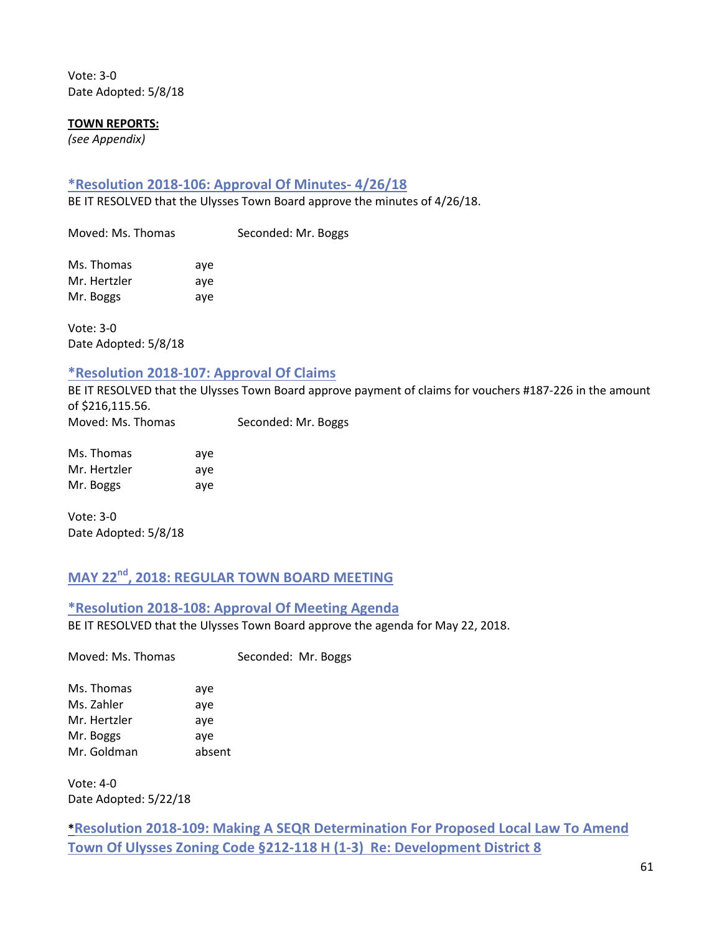Vote: 3-0 Date Adopted: 5/8/18

#### **TOWN REPORTS:**

*(see Appendix)*

### **\*Resolution 2018-106: Approval Of Minutes- 4/26/18**

BE IT RESOLVED that the Ulysses Town Board approve the minutes of 4/26/18.

Moved: Ms. Thomas Seconded: Mr. Boggs

Ms. Thomas aye Mr. Hertzler aye Mr. Boggs aye

Vote: 3-0 Date Adopted: 5/8/18

### **\*Resolution 2018-107: Approval Of Claims**

BE IT RESOLVED that the Ulysses Town Board approve payment of claims for vouchers #187-226 in the amount of \$216,115.56. Moved: Ms. Thomas Seconded: Mr. Boggs

| Ms. Thomas   | ave |
|--------------|-----|
| Mr. Hertzler | ave |
| Mr. Boggs    | ave |

Vote: 3-0 Date Adopted: 5/8/18

# **MAY 22nd, 2018: REGULAR TOWN BOARD MEETING**

**\*Resolution 2018-108: Approval Of Meeting Agenda** BE IT RESOLVED that the Ulysses Town Board approve the agenda for May 22, 2018.

Moved: Ms. Thomas Seconded: Mr. Boggs

Ms. Thomas aye Ms. Zahler aye Mr. Hertzler aye Mr. Boggs aye Mr. Goldman absent

Vote: 4-0 Date Adopted: 5/22/18

# **\*Resolution 2018-109: Making A SEQR Determination For Proposed Local Law To Amend Town Of Ulysses Zoning Code §212-118 H (1-3) Re: Development District 8**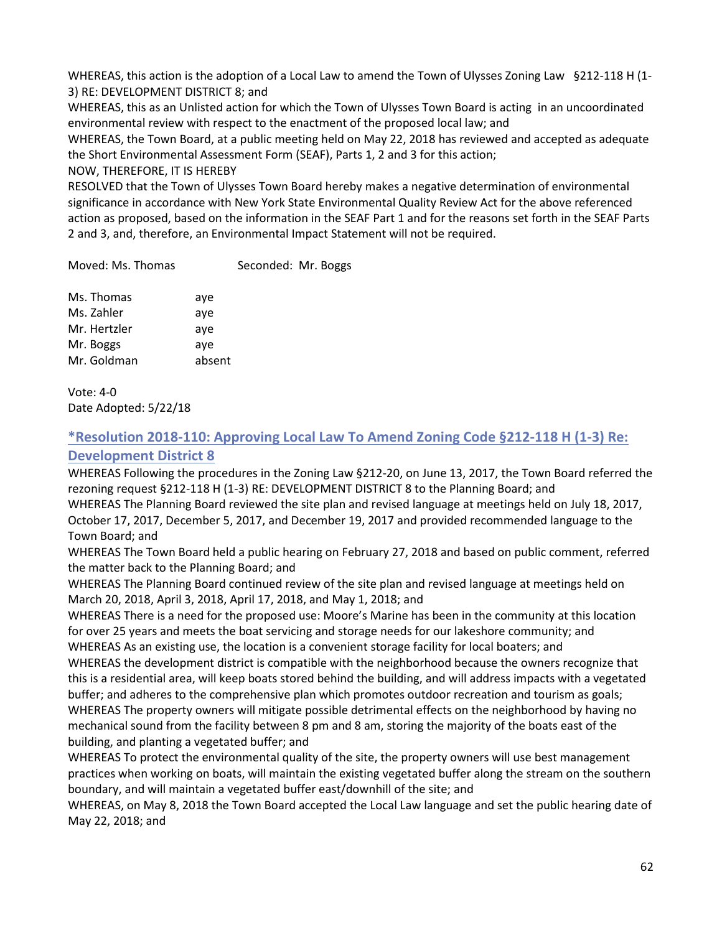WHEREAS, this action is the adoption of a Local Law to amend the Town of Ulysses Zoning Law §212-118 H (1-3) RE: DEVELOPMENT DISTRICT 8; and

WHEREAS, this as an Unlisted action for which the Town of Ulysses Town Board is acting in an uncoordinated environmental review with respect to the enactment of the proposed local law; and

WHEREAS, the Town Board, at a public meeting held on May 22, 2018 has reviewed and accepted as adequate the Short Environmental Assessment Form (SEAF), Parts 1, 2 and 3 for this action;

NOW, THEREFORE, IT IS HEREBY

RESOLVED that the Town of Ulysses Town Board hereby makes a negative determination of environmental significance in accordance with New York State Environmental Quality Review Act for the above referenced action as proposed, based on the information in the SEAF Part 1 and for the reasons set forth in the SEAF Parts 2 and 3, and, therefore, an Environmental Impact Statement will not be required.

Moved: Ms. Thomas Seconded: Mr. Boggs

| Ms. Thomas   | aye    |
|--------------|--------|
| Ms. Zahler   | aye    |
| Mr. Hertzler | aye    |
| Mr. Boggs    | aye    |
| Mr. Goldman  | absent |
|              |        |

Vote: 4-0 Date Adopted: 5/22/18

# **\*Resolution 2018-110: Approving Local Law To Amend Zoning Code §212-118 H (1-3) Re:**

# **Development District 8**

WHEREAS Following the procedures in the Zoning Law §212-20, on June 13, 2017, the Town Board referred the rezoning request §212-118 H (1-3) RE: DEVELOPMENT DISTRICT 8 to the Planning Board; and WHEREAS The Planning Board reviewed the site plan and revised language at meetings held on July 18, 2017, October 17, 2017, December 5, 2017, and December 19, 2017 and provided recommended language to the Town Board; and

WHEREAS The Town Board held a public hearing on February 27, 2018 and based on public comment, referred the matter back to the Planning Board; and

WHEREAS The Planning Board continued review of the site plan and revised language at meetings held on March 20, 2018, April 3, 2018, April 17, 2018, and May 1, 2018; and

WHEREAS There is a need for the proposed use: Moore's Marine has been in the community at this location for over 25 years and meets the boat servicing and storage needs for our lakeshore community; and WHEREAS As an existing use, the location is a convenient storage facility for local boaters; and

WHEREAS the development district is compatible with the neighborhood because the owners recognize that this is a residential area, will keep boats stored behind the building, and will address impacts with a vegetated buffer; and adheres to the comprehensive plan which promotes outdoor recreation and tourism as goals; WHEREAS The property owners will mitigate possible detrimental effects on the neighborhood by having no mechanical sound from the facility between 8 pm and 8 am, storing the majority of the boats east of the building, and planting a vegetated buffer; and

WHEREAS To protect the environmental quality of the site, the property owners will use best management practices when working on boats, will maintain the existing vegetated buffer along the stream on the southern boundary, and will maintain a vegetated buffer east/downhill of the site; and

WHEREAS, on May 8, 2018 the Town Board accepted the Local Law language and set the public hearing date of May 22, 2018; and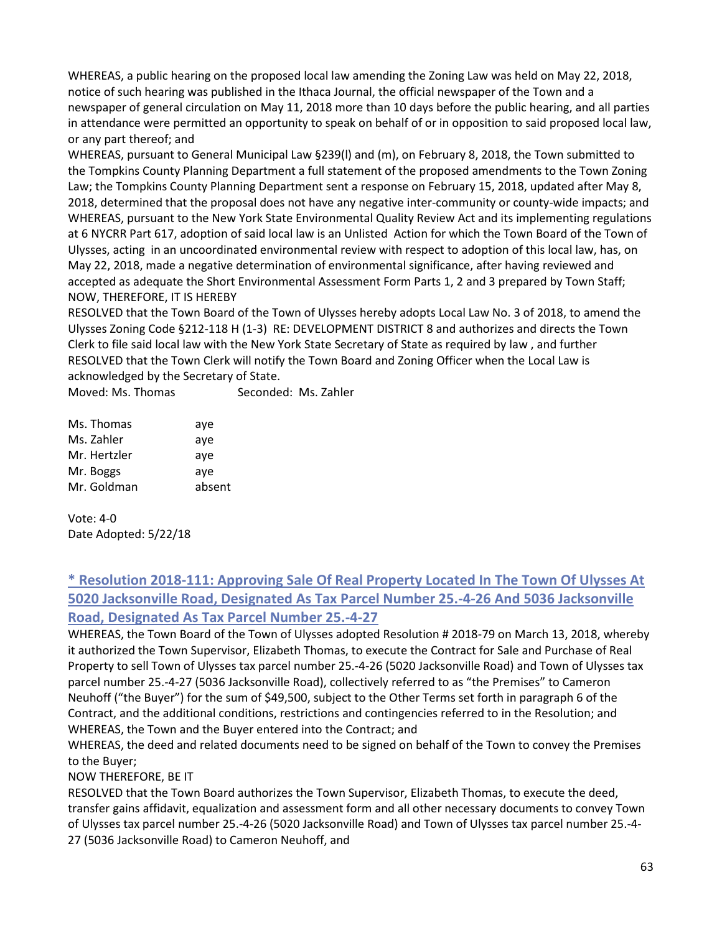WHEREAS, a public hearing on the proposed local law amending the Zoning Law was held on May 22, 2018, notice of such hearing was published in the Ithaca Journal, the official newspaper of the Town and a newspaper of general circulation on May 11, 2018 more than 10 days before the public hearing, and all parties in attendance were permitted an opportunity to speak on behalf of or in opposition to said proposed local law, or any part thereof; and

WHEREAS, pursuant to General Municipal Law §239(l) and (m), on February 8, 2018, the Town submitted to the Tompkins County Planning Department a full statement of the proposed amendments to the Town Zoning Law; the Tompkins County Planning Department sent a response on February 15, 2018, updated after May 8, 2018, determined that the proposal does not have any negative inter-community or county-wide impacts; and WHEREAS, pursuant to the New York State Environmental Quality Review Act and its implementing regulations at 6 NYCRR Part 617, adoption of said local law is an Unlisted Action for which the Town Board of the Town of Ulysses, acting in an uncoordinated environmental review with respect to adoption of this local law, has, on May 22, 2018, made a negative determination of environmental significance, after having reviewed and accepted as adequate the Short Environmental Assessment Form Parts 1, 2 and 3 prepared by Town Staff; NOW, THEREFORE, IT IS HEREBY

RESOLVED that the Town Board of the Town of Ulysses hereby adopts Local Law No. 3 of 2018, to amend the Ulysses Zoning Code §212-118 H (1-3) RE: DEVELOPMENT DISTRICT 8 and authorizes and directs the Town Clerk to file said local law with the New York State Secretary of State as required by law , and further RESOLVED that the Town Clerk will notify the Town Board and Zoning Officer when the Local Law is acknowledged by the Secretary of State.

Moved: Ms. Thomas Seconded: Ms. Zahler

| Ms. Thomas   | aye    |
|--------------|--------|
| Ms. Zahler   | aye    |
| Mr. Hertzler | aye    |
| Mr. Boggs    | aye    |
| Mr. Goldman  | absent |

Vote: 4-0 Date Adopted: 5/22/18

# **\* Resolution 2018-111: Approving Sale Of Real Property Located In The Town Of Ulysses At 5020 Jacksonville Road, Designated As Tax Parcel Number 25.-4-26 And 5036 Jacksonville Road, Designated As Tax Parcel Number 25.-4-27**

WHEREAS, the Town Board of the Town of Ulysses adopted Resolution # 2018-79 on March 13, 2018, whereby it authorized the Town Supervisor, Elizabeth Thomas, to execute the Contract for Sale and Purchase of Real Property to sell Town of Ulysses tax parcel number 25.-4-26 (5020 Jacksonville Road) and Town of Ulysses tax parcel number 25.-4-27 (5036 Jacksonville Road), collectively referred to as "the Premises" to Cameron Neuhoff ("the Buyer") for the sum of \$49,500, subject to the Other Terms set forth in paragraph 6 of the Contract, and the additional conditions, restrictions and contingencies referred to in the Resolution; and WHEREAS, the Town and the Buyer entered into the Contract; and

WHEREAS, the deed and related documents need to be signed on behalf of the Town to convey the Premises to the Buyer;

NOW THEREFORE, BE IT

RESOLVED that the Town Board authorizes the Town Supervisor, Elizabeth Thomas, to execute the deed, transfer gains affidavit, equalization and assessment form and all other necessary documents to convey Town of Ulysses tax parcel number 25.-4-26 (5020 Jacksonville Road) and Town of Ulysses tax parcel number 25.-4- 27 (5036 Jacksonville Road) to Cameron Neuhoff, and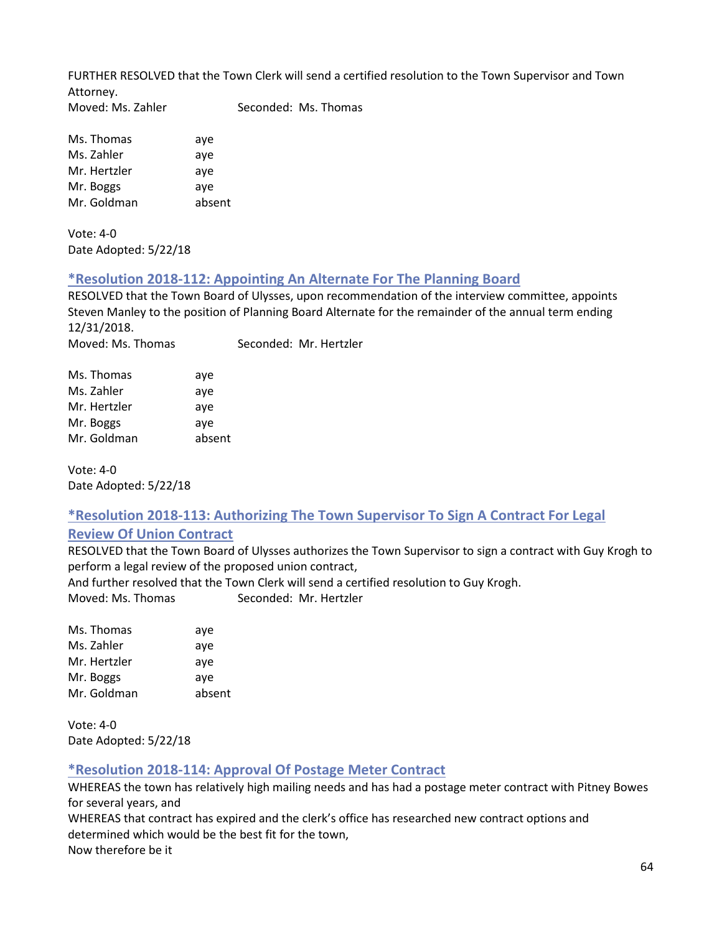FURTHER RESOLVED that the Town Clerk will send a certified resolution to the Town Supervisor and Town Attorney. Moved: Ms. Zahler Seconded: Ms. Thomas

Ms. Thomas aye Ms. Zahler aye Mr. Hertzler aye Mr. Boggs aye Mr. Goldman absent

Vote: 4-0 Date Adopted: 5/22/18

### **\*Resolution 2018-112: Appointing An Alternate For The Planning Board**

RESOLVED that the Town Board of Ulysses, upon recommendation of the interview committee, appoints Steven Manley to the position of Planning Board Alternate for the remainder of the annual term ending  $12/31/2018.$ Moved: Ms. Theory sconded: Mr. Hertzler

| Moved: Ms. Thomas | Seconded: Mr. He |  |  |  |
|-------------------|------------------|--|--|--|
| Mc Thomas         | 21/8             |  |  |  |

| בסוווטווו נטו | аус    |
|---------------|--------|
| Ms. Zahler    | aye    |
| Mr. Hertzler  | aye    |
| Mr. Boggs     | ave    |
| Mr. Goldman   | absent |
|               |        |

Vote: 4-0 Date Adopted: 5/22/18

# **\*Resolution 2018-113: Authorizing The Town Supervisor To Sign A Contract For Legal**

# **Review Of Union Contract**

RESOLVED that the Town Board of Ulysses authorizes the Town Supervisor to sign a contract with Guy Krogh to perform a legal review of the proposed union contract,

And further resolved that the Town Clerk will send a certified resolution to Guy Krogh. Moved: Ms. Thomas Seconded: Mr. Hertzler

Ms. Thomas aye Ms. Zahler aye Mr. Hertzler aye Mr. Boggs aye Mr. Goldman absent

Vote: 4-0 Date Adopted: 5/22/18

# **\*Resolution 2018-114: Approval Of Postage Meter Contract**

WHEREAS the town has relatively high mailing needs and has had a postage meter contract with Pitney Bowes for several years, and

WHEREAS that contract has expired and the clerk's office has researched new contract options and determined which would be the best fit for the town, Now therefore be it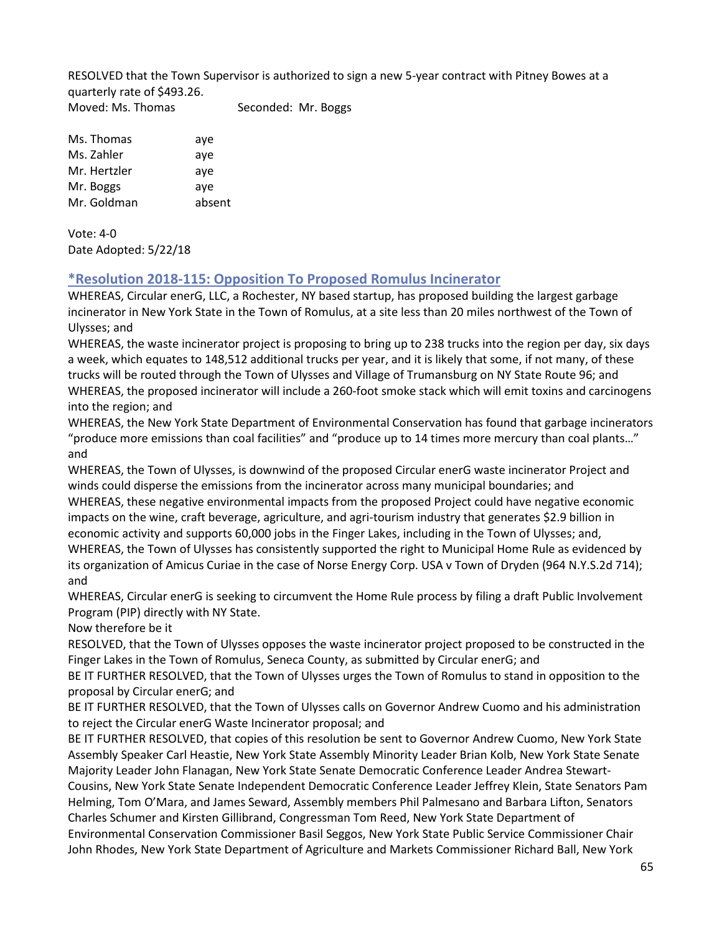RESOLVED that the Town Supervisor is authorized to sign a new 5-year contract with Pitney Bowes at a quarterly rate of \$493.26. Moved: Ms. Thomas Seconded: Mr. Boggs

Ms. Thomas aye Ms. Zahler aye Mr. Hertzler aye Mr. Boggs aye Mr. Goldman absent

Vote: 4-0 Date Adopted: 5/22/18

# **\*Resolution 2018-115: Opposition To Proposed Romulus Incinerator**

WHEREAS, Circular enerG, LLC, a Rochester, NY based startup, has proposed building the largest garbage incinerator in New York State in the Town of Romulus, at a site less than 20 miles northwest of the Town of Ulysses; and

WHEREAS, the waste incinerator project is proposing to bring up to 238 trucks into the region per day, six days a week, which equates to 148,512 additional trucks per year, and it is likely that some, if not many, of these trucks will be routed through the Town of Ulysses and Village of Trumansburg on NY State Route 96; and WHEREAS, the proposed incinerator will include a 260-foot smoke stack which will emit toxins and carcinogens into the region; and

WHEREAS, the New York State Department of Environmental Conservation has found that garbage incinerators "produce more emissions than coal facilities" and "produce up to 14 times more mercury than coal plants…" and

WHEREAS, the Town of Ulysses, is downwind of the proposed Circular enerG waste incinerator Project and winds could disperse the emissions from the incinerator across many municipal boundaries; and WHEREAS, these negative environmental impacts from the proposed Project could have negative economic impacts on the wine, craft beverage, agriculture, and agri-tourism industry that generates \$2.9 billion in economic activity and supports 60,000 jobs in the Finger Lakes, including in the Town of Ulysses; and, WHEREAS, the Town of Ulysses has consistently supported the right to Municipal Home Rule as evidenced by its organization of Amicus Curiae in the case of Norse Energy Corp. USA v Town of Dryden (964 N.Y.S.2d 714); and

WHEREAS, Circular enerG is seeking to circumvent the Home Rule process by filing a draft Public Involvement Program (PIP) directly with NY State.

Now therefore be it

RESOLVED, that the Town of Ulysses opposes the waste incinerator project proposed to be constructed in the Finger Lakes in the Town of Romulus, Seneca County, as submitted by Circular enerG; and

BE IT FURTHER RESOLVED, that the Town of Ulysses urges the Town of Romulus to stand in opposition to the proposal by Circular enerG; and

BE IT FURTHER RESOLVED, that the Town of Ulysses calls on Governor Andrew Cuomo and his administration to reject the Circular enerG Waste Incinerator proposal; and

BE IT FURTHER RESOLVED, that copies of this resolution be sent to Governor Andrew Cuomo, New York State Assembly Speaker Carl Heastie, New York State Assembly Minority Leader Brian Kolb, New York State Senate Majority Leader John Flanagan, New York State Senate Democratic Conference Leader Andrea Stewart-

Cousins, New York State Senate Independent Democratic Conference Leader Jeffrey Klein, State Senators Pam Helming, Tom O'Mara, and James Seward, Assembly members Phil Palmesano and Barbara Lifton, Senators Charles Schumer and Kirsten Gillibrand, Congressman Tom Reed, New York State Department of Environmental Conservation Commissioner Basil Seggos, New York State Public Service Commissioner Chair John Rhodes, New York State Department of Agriculture and Markets Commissioner Richard Ball, New York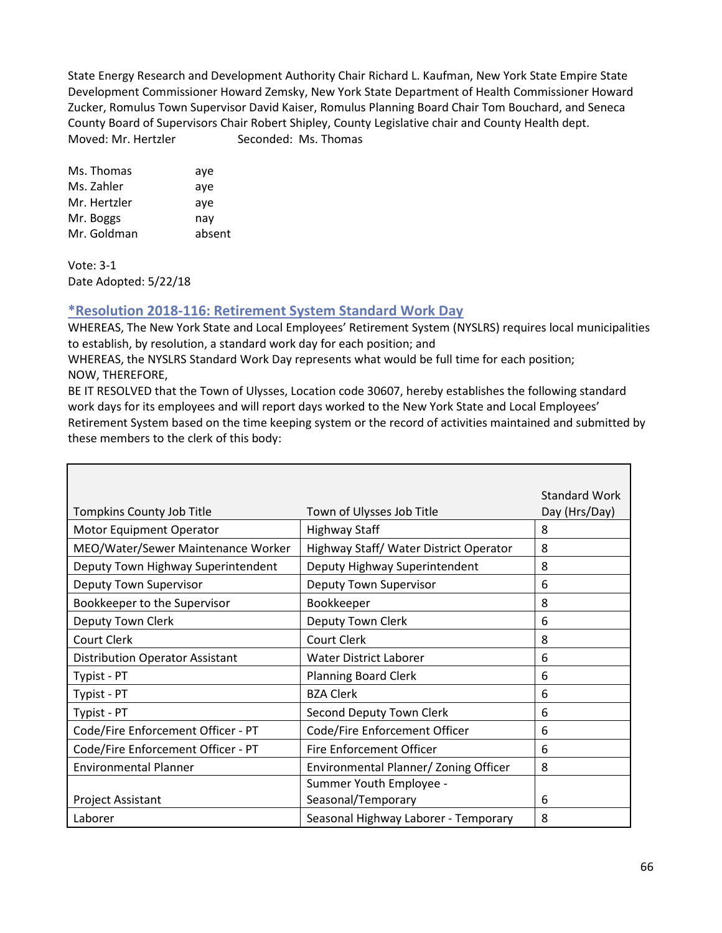State Energy Research and Development Authority Chair Richard L. Kaufman, New York State Empire State Development Commissioner Howard Zemsky, New York State Department of Health Commissioner Howard Zucker, Romulus Town Supervisor David Kaiser, Romulus Planning Board Chair Tom Bouchard, and Seneca County Board of Supervisors Chair Robert Shipley, County Legislative chair and County Health dept. Moved: Mr. Hertzler Seconded: Ms. Thomas

Ms. Thomas aye Ms. Zahler aye Mr. Hertzler aye Mr. Boggs nay Mr. Goldman absent

Vote: 3-1 Date Adopted: 5/22/18

# **\*Resolution 2018-116: Retirement System Standard Work Day**

WHEREAS, The New York State and Local Employees' Retirement System (NYSLRS) requires local municipalities to establish, by resolution, a standard work day for each position; and

WHEREAS, the NYSLRS Standard Work Day represents what would be full time for each position; NOW, THEREFORE,

BE IT RESOLVED that the Town of Ulysses, Location code 30607, hereby establishes the following standard work days for its employees and will report days worked to the New York State and Local Employees' Retirement System based on the time keeping system or the record of activities maintained and submitted by these members to the clerk of this body:

|                                        |                                        | <b>Standard Work</b> |
|----------------------------------------|----------------------------------------|----------------------|
| Tompkins County Job Title              | Town of Ulysses Job Title              | Day (Hrs/Day)        |
| Motor Equipment Operator               | <b>Highway Staff</b>                   | 8                    |
| MEO/Water/Sewer Maintenance Worker     | Highway Staff/ Water District Operator | 8                    |
| Deputy Town Highway Superintendent     | Deputy Highway Superintendent          | 8                    |
| Deputy Town Supervisor                 | Deputy Town Supervisor                 | 6                    |
| Bookkeeper to the Supervisor           | Bookkeeper                             | 8                    |
| Deputy Town Clerk                      | Deputy Town Clerk                      | 6                    |
| Court Clerk                            | Court Clerk                            | 8                    |
| <b>Distribution Operator Assistant</b> | <b>Water District Laborer</b>          | 6                    |
| Typist - PT                            | <b>Planning Board Clerk</b>            | 6                    |
| Typist - PT                            | <b>BZA Clerk</b>                       | 6                    |
| Typist - PT                            | Second Deputy Town Clerk               | 6                    |
| Code/Fire Enforcement Officer - PT     | Code/Fire Enforcement Officer          | 6                    |
| Code/Fire Enforcement Officer - PT     | Fire Enforcement Officer               | 6                    |
| <b>Environmental Planner</b>           | Environmental Planner/ Zoning Officer  | 8                    |
|                                        | Summer Youth Employee -                |                      |
| Project Assistant                      | Seasonal/Temporary                     | 6                    |
| Laborer                                | Seasonal Highway Laborer - Temporary   | 8                    |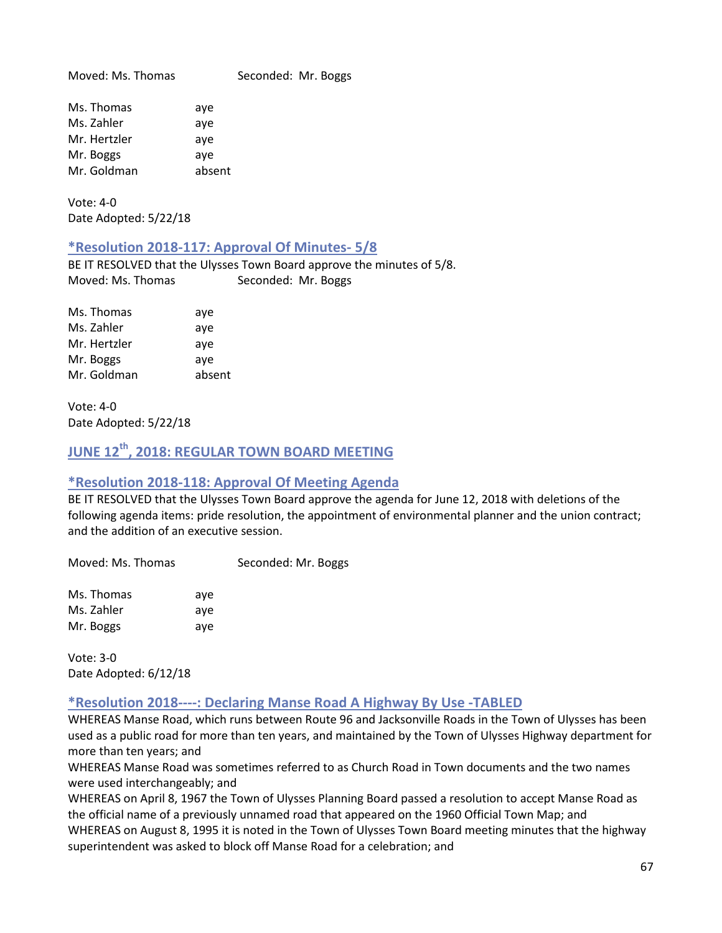Moved: Ms. Thomas Seconded: Mr. Boggs Ms. Thomas aye Ms. Zahler aye Mr. Hertzler aye Mr. Boggs aye Mr. Goldman absent

Vote: 4-0 Date Adopted: 5/22/18

### **\*Resolution 2018-117: Approval Of Minutes- 5/8**

BE IT RESOLVED that the Ulysses Town Board approve the minutes of 5/8. Moved: Ms. Thomas Seconded: Mr. Boggs

Ms. Thomas aye Ms. Zahler aye Mr. Hertzler aye Mr. Boggs aye Mr. Goldman absent

Vote: 4-0 Date Adopted: 5/22/18

# **JUNE 12th, 2018: REGULAR TOWN BOARD MEETING**

### **\*Resolution 2018-118: Approval Of Meeting Agenda**

BE IT RESOLVED that the Ulysses Town Board approve the agenda for June 12, 2018 with deletions of the following agenda items: pride resolution, the appointment of environmental planner and the union contract; and the addition of an executive session.

Moved: Ms. Thomas Seconded: Mr. Boggs

Ms. Thomas aye Ms. Zahler ave Mr. Boggs aye

Vote: 3-0 Date Adopted: 6/12/18

# **\*Resolution 2018----: Declaring Manse Road A Highway By Use -TABLED**

WHEREAS Manse Road, which runs between Route 96 and Jacksonville Roads in the Town of Ulysses has been used as a public road for more than ten years, and maintained by the Town of Ulysses Highway department for more than ten years; and

WHEREAS Manse Road was sometimes referred to as Church Road in Town documents and the two names were used interchangeably; and

WHEREAS on April 8, 1967 the Town of Ulysses Planning Board passed a resolution to accept Manse Road as the official name of a previously unnamed road that appeared on the 1960 Official Town Map; and WHEREAS on August 8, 1995 it is noted in the Town of Ulysses Town Board meeting minutes that the highway superintendent was asked to block off Manse Road for a celebration; and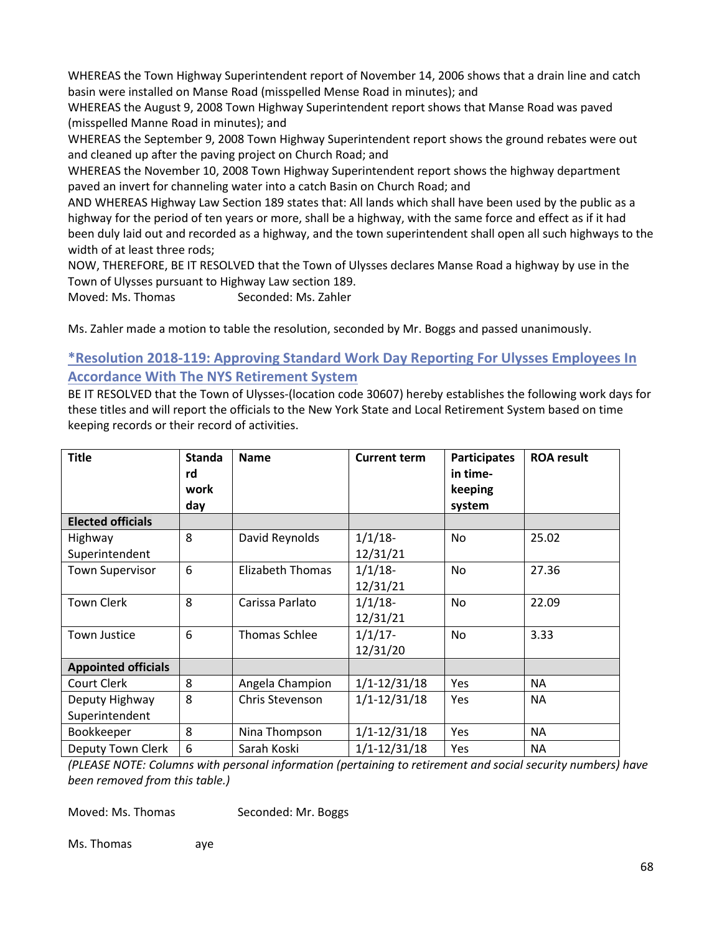WHEREAS the Town Highway Superintendent report of November 14, 2006 shows that a drain line and catch basin were installed on Manse Road (misspelled Mense Road in minutes); and

WHEREAS the August 9, 2008 Town Highway Superintendent report shows that Manse Road was paved (misspelled Manne Road in minutes); and

WHEREAS the September 9, 2008 Town Highway Superintendent report shows the ground rebates were out and cleaned up after the paving project on Church Road; and

WHEREAS the November 10, 2008 Town Highway Superintendent report shows the highway department paved an invert for channeling water into a catch Basin on Church Road; and

AND WHEREAS Highway Law Section 189 states that: All lands which shall have been used by the public as a highway for the period of ten years or more, shall be a highway, with the same force and effect as if it had been duly laid out and recorded as a highway, and the town superintendent shall open all such highways to the width of at least three rods;

NOW, THEREFORE, BE IT RESOLVED that the Town of Ulysses declares Manse Road a highway by use in the Town of Ulysses pursuant to Highway Law section 189.

Moved: Ms. Thomas Seconded: Ms. Zahler

Ms. Zahler made a motion to table the resolution, seconded by Mr. Boggs and passed unanimously.

# **\*Resolution 2018-119: Approving Standard Work Day Reporting For Ulysses Employees In Accordance With The NYS Retirement System**

BE IT RESOLVED that the Town of Ulysses-(location code 30607) hereby establishes the following work days for these titles and will report the officials to the New York State and Local Retirement System based on time keeping records or their record of activities.

| <b>Title</b>               | <b>Standa</b><br>rd<br>work | <b>Name</b>          | <b>Current term</b> | <b>Participates</b><br>in time-<br>keeping | <b>ROA</b> result |
|----------------------------|-----------------------------|----------------------|---------------------|--------------------------------------------|-------------------|
|                            | day                         |                      |                     | system                                     |                   |
| <b>Elected officials</b>   |                             |                      |                     |                                            |                   |
| Highway                    | 8                           | David Reynolds       | $1/1/18$ -          | <b>No</b>                                  | 25.02             |
| Superintendent             |                             |                      | 12/31/21            |                                            |                   |
| <b>Town Supervisor</b>     | 6                           | Elizabeth Thomas     | $1/1/18$ -          | No                                         | 27.36             |
|                            |                             |                      | 12/31/21            |                                            |                   |
| <b>Town Clerk</b>          | 8                           | Carissa Parlato      | $1/1/18$ -          | No                                         | 22.09             |
|                            |                             |                      | 12/31/21            |                                            |                   |
| <b>Town Justice</b>        | 6                           | <b>Thomas Schlee</b> | $1/1/17$ -          | No                                         | 3.33              |
|                            |                             |                      | 12/31/20            |                                            |                   |
| <b>Appointed officials</b> |                             |                      |                     |                                            |                   |
| Court Clerk                | 8                           | Angela Champion      | $1/1 - 12/31/18$    | Yes                                        | <b>NA</b>         |
| Deputy Highway             | 8                           | Chris Stevenson      | $1/1 - 12/31/18$    | Yes                                        | <b>NA</b>         |
| Superintendent             |                             |                      |                     |                                            |                   |
| Bookkeeper                 | 8                           | Nina Thompson        | $1/1 - 12/31/18$    | Yes                                        | <b>NA</b>         |
| Deputy Town Clerk          | 6                           | Sarah Koski          | $1/1 - 12/31/18$    | <b>Yes</b>                                 | <b>NA</b>         |

*(PLEASE NOTE: Columns with personal information (pertaining to retirement and social security numbers) have been removed from this table.)*

Moved: Ms. Thomas Seconded: Mr. Boggs

Ms. Thomas aye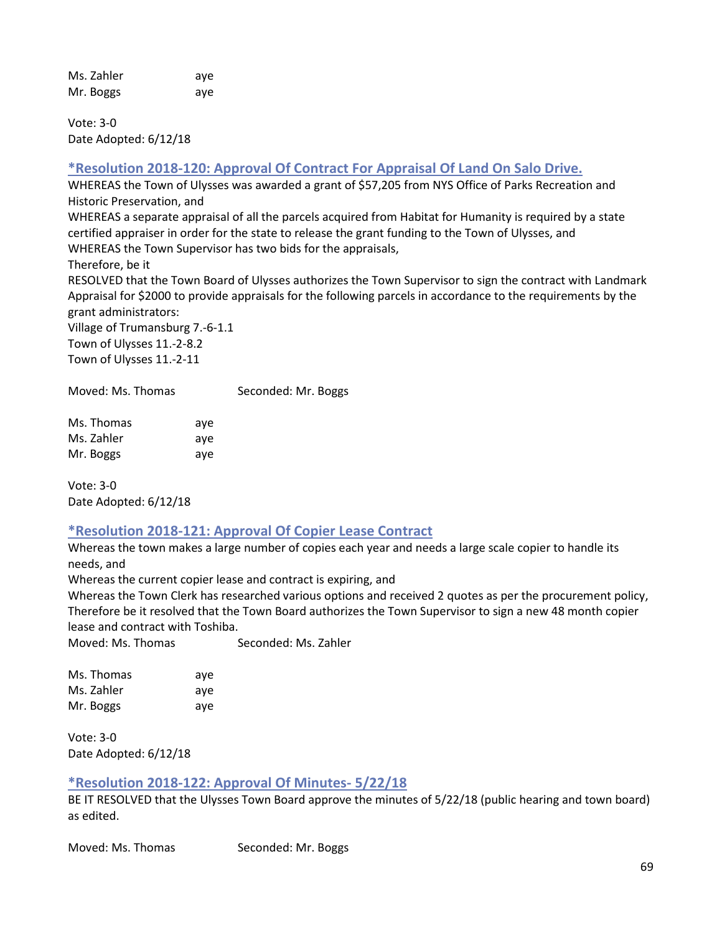Ms. Zahler aye Mr. Boggs aye

Vote: 3-0 Date Adopted: 6/12/18

# **\*Resolution 2018-120: Approval Of Contract For Appraisal Of Land On Salo Drive.**

WHEREAS the Town of Ulysses was awarded a grant of \$57,205 from NYS Office of Parks Recreation and Historic Preservation, and

WHEREAS a separate appraisal of all the parcels acquired from Habitat for Humanity is required by a state certified appraiser in order for the state to release the grant funding to the Town of Ulysses, and WHEREAS the Town Supervisor has two bids for the appraisals,

Therefore, be it

RESOLVED that the Town Board of Ulysses authorizes the Town Supervisor to sign the contract with Landmark Appraisal for \$2000 to provide appraisals for the following parcels in accordance to the requirements by the grant administrators:

Village of Trumansburg 7.-6-1.1 Town of Ulysses 11.-2-8.2 Town of Ulysses 11.-2-11

Moved: Ms. Thomas Seconded: Mr. Boggs

Ms. Thomas aye Ms. Zahler aye Mr. Boggs aye

Vote: 3-0 Date Adopted: 6/12/18

# **\*Resolution 2018-121: Approval Of Copier Lease Contract**

Whereas the town makes a large number of copies each year and needs a large scale copier to handle its needs, and

Whereas the current copier lease and contract is expiring, and

Whereas the Town Clerk has researched various options and received 2 quotes as per the procurement policy, Therefore be it resolved that the Town Board authorizes the Town Supervisor to sign a new 48 month copier lease and contract with Toshiba.

Moved: Ms. Thomas Seconded: Ms. Zahler

| Ms. Thomas | aye |
|------------|-----|
| Ms. Zahler | ave |
| Mr. Boggs  | aye |

Vote: 3-0 Date Adopted: 6/12/18

# **\*Resolution 2018-122: Approval Of Minutes- 5/22/18**

BE IT RESOLVED that the Ulysses Town Board approve the minutes of 5/22/18 (public hearing and town board) as edited.

Moved: Ms. Thomas Seconded: Mr. Boggs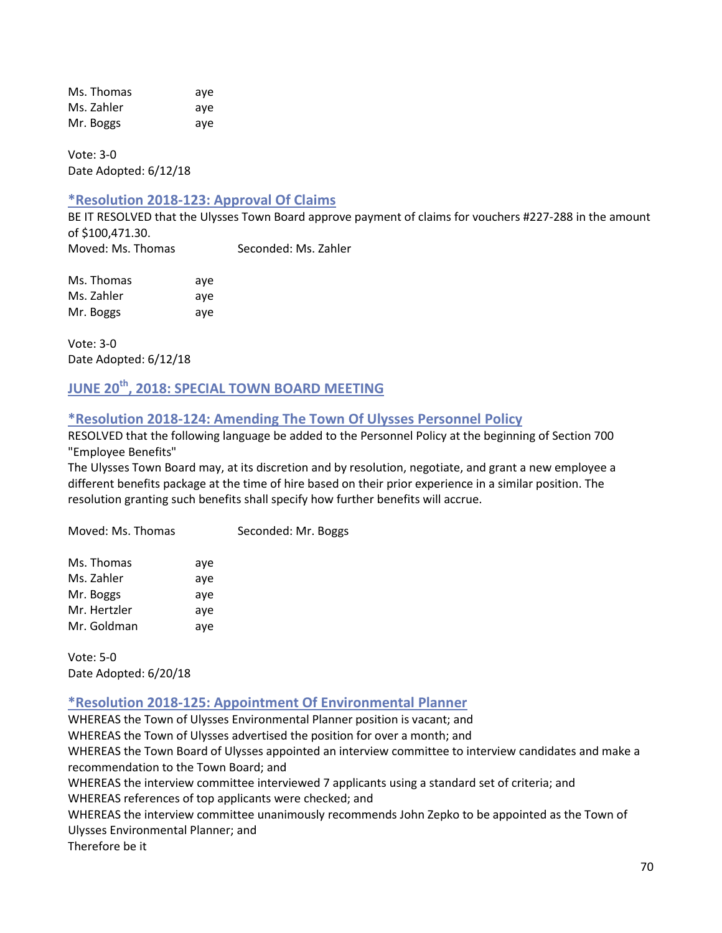Ms. Thomas aye Ms. Zahler aye Mr. Boggs aye

Vote: 3-0 Date Adopted: 6/12/18

### **\*Resolution 2018-123: Approval Of Claims**

BE IT RESOLVED that the Ulysses Town Board approve payment of claims for vouchers #227-288 in the amount of \$100,471.30. Moved: Ms. Thomas Seconded: Ms. Zahler

Ms. Thomas aye Ms. Zahler aye Mr. Boggs aye

Vote: 3-0 Date Adopted: 6/12/18

# **JUNE 20th, 2018: SPECIAL TOWN BOARD MEETING**

### **\*Resolution 2018-124: Amending The Town Of Ulysses Personnel Policy**

RESOLVED that the following language be added to the Personnel Policy at the beginning of Section 700 "Employee Benefits"

The Ulysses Town Board may, at its discretion and by resolution, negotiate, and grant a new employee a different benefits package at the time of hire based on their prior experience in a similar position. The resolution granting such benefits shall specify how further benefits will accrue.

Moved: Ms. Thomas Seconded: Mr. Boggs

| Ms. Thomas   | aye |
|--------------|-----|
| Ms. Zahler   | aye |
| Mr. Boggs    | aye |
| Mr. Hertzler | aye |
| Mr. Goldman  | aye |

Vote: 5-0 Date Adopted: 6/20/18

### **\*Resolution 2018-125: Appointment Of Environmental Planner**

WHEREAS the Town of Ulysses Environmental Planner position is vacant; and WHEREAS the Town of Ulysses advertised the position for over a month; and WHEREAS the Town Board of Ulysses appointed an interview committee to interview candidates and make a recommendation to the Town Board; and WHEREAS the interview committee interviewed 7 applicants using a standard set of criteria; and WHEREAS references of top applicants were checked; and WHEREAS the interview committee unanimously recommends John Zepko to be appointed as the Town of Ulysses Environmental Planner; and Therefore be it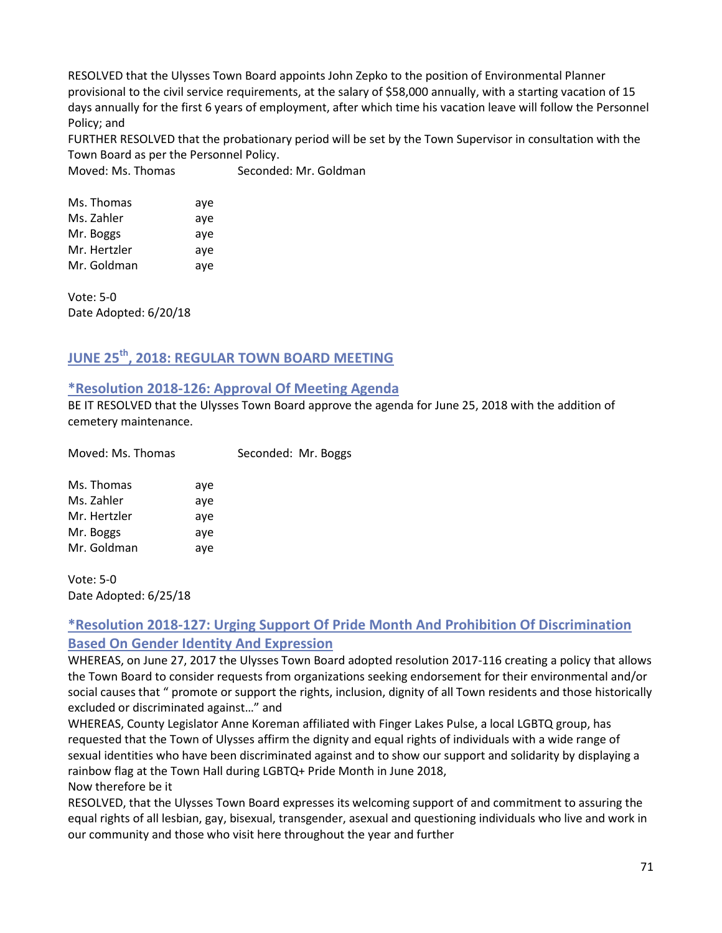RESOLVED that the Ulysses Town Board appoints John Zepko to the position of Environmental Planner provisional to the civil service requirements, at the salary of \$58,000 annually, with a starting vacation of 15 days annually for the first 6 years of employment, after which time his vacation leave will follow the Personnel Policy; and

FURTHER RESOLVED that the probationary period will be set by the Town Supervisor in consultation with the Town Board as per the Personnel Policy.

Moved: Ms. Thomas Seconded: Mr. Goldman

| Ms. Thomas   | aye |
|--------------|-----|
| Ms. Zahler   | aye |
| Mr. Boggs    | aye |
| Mr. Hertzler | aye |
| Mr. Goldman  | aye |

Vote: 5-0 Date Adopted: 6/20/18

# **JUNE 25th, 2018: REGULAR TOWN BOARD MEETING**

### **\*Resolution 2018-126: Approval Of Meeting Agenda**

BE IT RESOLVED that the Ulysses Town Board approve the agenda for June 25, 2018 with the addition of cemetery maintenance.

| Moved: Ms. Thomas |     | Seconded: Mr. Boggs |  |
|-------------------|-----|---------------------|--|
| Ms. Thomas        | aye |                     |  |
| Ms. Zahler        | ave |                     |  |
| Mr. Hertzler      | aye |                     |  |
| Mr. Boggs         | aye |                     |  |
| Mr. Goldman       | aye |                     |  |
|                   |     |                     |  |

Vote: 5-0 Date Adopted: 6/25/18

# **\*Resolution 2018-127: Urging Support Of Pride Month And Prohibition Of Discrimination Based On Gender Identity And Expression**

WHEREAS, on June 27, 2017 the Ulysses Town Board adopted resolution 2017-116 creating a policy that allows the Town Board to consider requests from organizations seeking endorsement for their environmental and/or social causes that " promote or support the rights, inclusion, dignity of all Town residents and those historically excluded or discriminated against…" and

WHEREAS, County Legislator Anne Koreman affiliated with Finger Lakes Pulse, a local LGBTQ group, has requested that the Town of Ulysses affirm the dignity and equal rights of individuals with a wide range of sexual identities who have been discriminated against and to show our support and solidarity by displaying a rainbow flag at the Town Hall during LGBTQ+ Pride Month in June 2018,

Now therefore be it

RESOLVED, that the Ulysses Town Board expresses its welcoming support of and commitment to assuring the equal rights of all lesbian, gay, bisexual, transgender, asexual and questioning individuals who live and work in our community and those who visit here throughout the year and further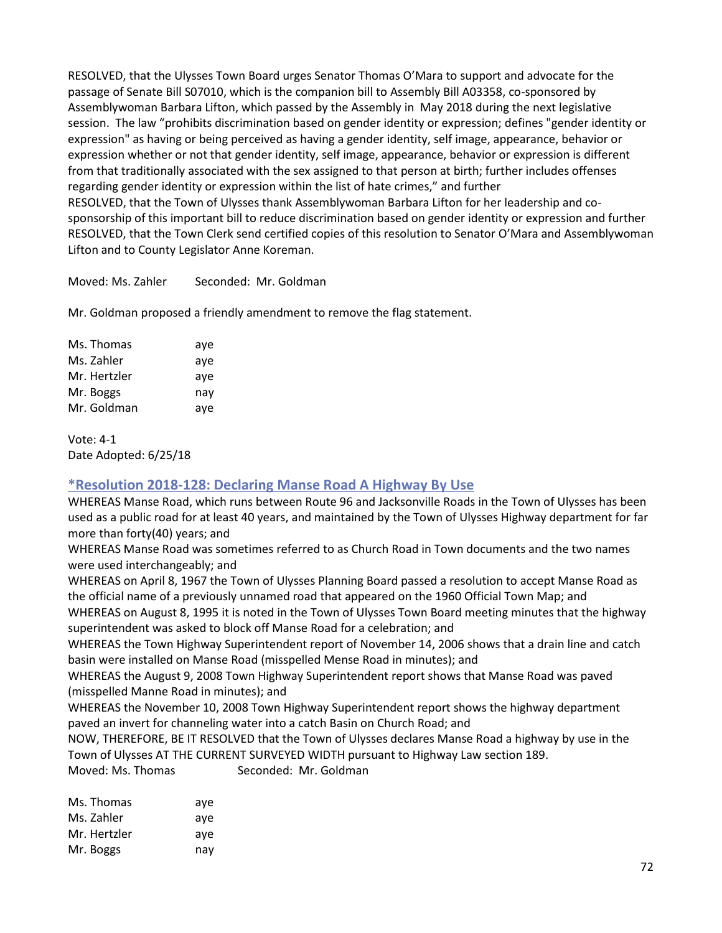RESOLVED, that the Ulysses Town Board urges Senator Thomas O'Mara to support and advocate for the passage of Senate Bill S07010, which is the companion bill to Assembly Bill A03358, co-sponsored by Assemblywoman Barbara Lifton, which passed by the Assembly in May 2018 during the next legislative session. The law "prohibits discrimination based on gender identity or expression; defines "gender identity or expression" as having or being perceived as having a gender identity, self image, appearance, behavior or expression whether or not that gender identity, self image, appearance, behavior or expression is different from that traditionally associated with the sex assigned to that person at birth; further includes offenses regarding gender identity or expression within the list of hate crimes," and further RESOLVED, that the Town of Ulysses thank Assemblywoman Barbara Lifton for her leadership and cosponsorship of this important bill to reduce discrimination based on gender identity or expression and further RESOLVED, that the Town Clerk send certified copies of this resolution to Senator O'Mara and Assemblywoman Lifton and to County Legislator Anne Koreman.

Moved: Ms. Zahler Seconded: Mr. Goldman

Mr. Goldman proposed a friendly amendment to remove the flag statement.

| Ms. Thomas   | aye |
|--------------|-----|
| Ms. Zahler   | aye |
| Mr. Hertzler | aye |
| Mr. Boggs    | nay |
| Mr. Goldman  | aye |

Vote: 4-1 Date Adopted: 6/25/18

# **\*Resolution 2018-128: Declaring Manse Road A Highway By Use**

WHEREAS Manse Road, which runs between Route 96 and Jacksonville Roads in the Town of Ulysses has been used as a public road for at least 40 years, and maintained by the Town of Ulysses Highway department for far more than forty(40) years; and

WHEREAS Manse Road was sometimes referred to as Church Road in Town documents and the two names were used interchangeably; and

WHEREAS on April 8, 1967 the Town of Ulysses Planning Board passed a resolution to accept Manse Road as the official name of a previously unnamed road that appeared on the 1960 Official Town Map; and

WHEREAS on August 8, 1995 it is noted in the Town of Ulysses Town Board meeting minutes that the highway superintendent was asked to block off Manse Road for a celebration; and

WHEREAS the Town Highway Superintendent report of November 14, 2006 shows that a drain line and catch basin were installed on Manse Road (misspelled Mense Road in minutes); and

WHEREAS the August 9, 2008 Town Highway Superintendent report shows that Manse Road was paved (misspelled Manne Road in minutes); and

WHEREAS the November 10, 2008 Town Highway Superintendent report shows the highway department paved an invert for channeling water into a catch Basin on Church Road; and

NOW, THEREFORE, BE IT RESOLVED that the Town of Ulysses declares Manse Road a highway by use in the Town of Ulysses AT THE CURRENT SURVEYED WIDTH pursuant to Highway Law section 189. Moved: Ms. Thomas Seconded: Mr. Goldman

| Ms. Thomas   | aye |
|--------------|-----|
| Ms. Zahler   | aye |
| Mr. Hertzler | aye |
| Mr. Boggs    | nav |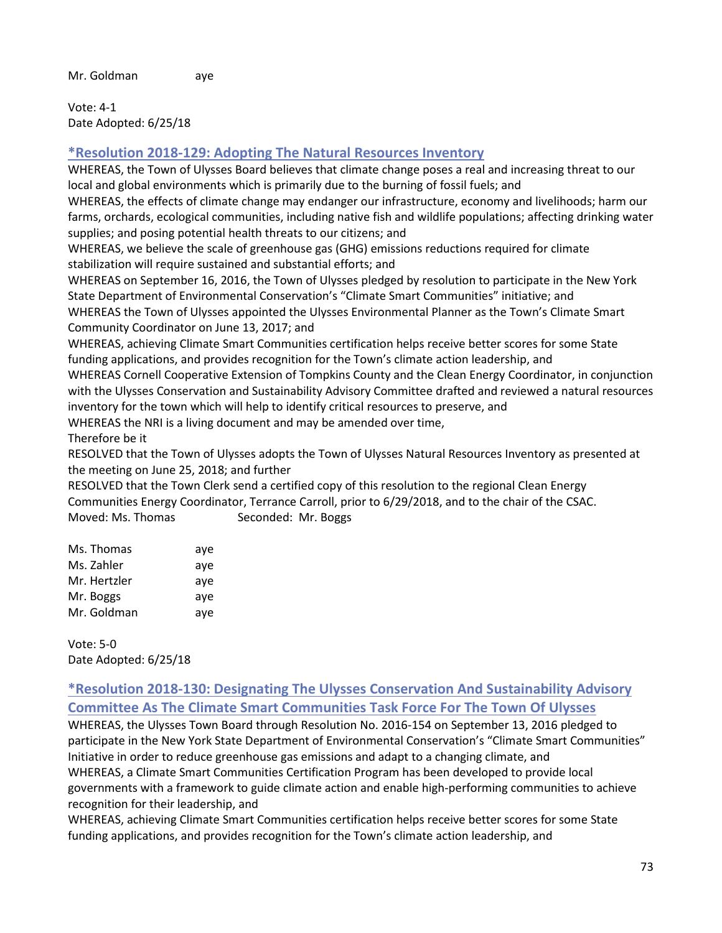Vote: 4-1 Date Adopted: 6/25/18

## **\*Resolution 2018-129: Adopting The Natural Resources Inventory**

WHEREAS, the Town of Ulysses Board believes that climate change poses a real and increasing threat to our local and global environments which is primarily due to the burning of fossil fuels; and

WHEREAS, the effects of climate change may endanger our infrastructure, economy and livelihoods; harm our farms, orchards, ecological communities, including native fish and wildlife populations; affecting drinking water supplies; and posing potential health threats to our citizens; and

WHEREAS, we believe the scale of greenhouse gas (GHG) emissions reductions required for climate stabilization will require sustained and substantial efforts; and

WHEREAS on September 16, 2016, the Town of Ulysses pledged by resolution to participate in the New York State Department of Environmental Conservation's "Climate Smart Communities" initiative; and WHEREAS the Town of Ulysses appointed the Ulysses Environmental Planner as the Town's Climate Smart Community Coordinator on June 13, 2017; and

WHEREAS, achieving Climate Smart Communities certification helps receive better scores for some State funding applications, and provides recognition for the Town's climate action leadership, and

WHEREAS Cornell Cooperative Extension of Tompkins County and the Clean Energy Coordinator, in conjunction with the Ulysses Conservation and Sustainability Advisory Committee drafted and reviewed a natural resources inventory for the town which will help to identify critical resources to preserve, and

WHEREAS the NRI is a living document and may be amended over time,

Therefore be it

RESOLVED that the Town of Ulysses adopts the Town of Ulysses Natural Resources Inventory as presented at the meeting on June 25, 2018; and further

RESOLVED that the Town Clerk send a certified copy of this resolution to the regional Clean Energy Communities Energy Coordinator, Terrance Carroll, prior to 6/29/2018, and to the chair of the CSAC. Moved: Ms. Thomas Seconded: Mr. Boggs

| Ms. Thomas   | aye |
|--------------|-----|
| Ms. Zahler   | aye |
| Mr. Hertzler | aye |
| Mr. Boggs    | aye |
| Mr. Goldman  | aye |

Vote: 5-0 Date Adopted: 6/25/18

## **\*Resolution 2018-130: Designating The Ulysses Conservation And Sustainability Advisory Committee As The Climate Smart Communities Task Force For The Town Of Ulysses**

WHEREAS, the Ulysses Town Board through Resolution No. 2016-154 on September 13, 2016 pledged to participate in the New York State Department of Environmental Conservation's "Climate Smart Communities" Initiative in order to reduce greenhouse gas emissions and adapt to a changing climate, and WHEREAS, a Climate Smart Communities Certification Program has been developed to provide local governments with a framework to guide climate action and enable high-performing communities to achieve recognition for their leadership, and

WHEREAS, achieving Climate Smart Communities certification helps receive better scores for some State funding applications, and provides recognition for the Town's climate action leadership, and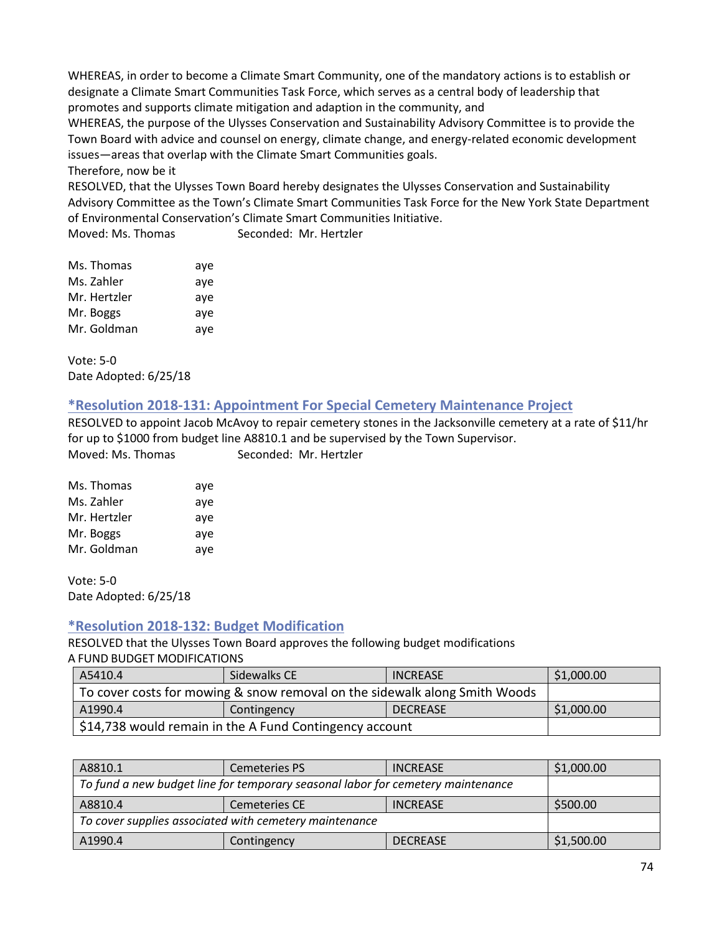WHEREAS, in order to become a Climate Smart Community, one of the mandatory actions is to establish or designate a Climate Smart Communities Task Force, which serves as a central body of leadership that promotes and supports climate mitigation and adaption in the community, and

WHEREAS, the purpose of the Ulysses Conservation and Sustainability Advisory Committee is to provide the Town Board with advice and counsel on energy, climate change, and energy-related economic development issues—areas that overlap with the Climate Smart Communities goals.

Therefore, now be it

RESOLVED, that the Ulysses Town Board hereby designates the Ulysses Conservation and Sustainability Advisory Committee as the Town's Climate Smart Communities Task Force for the New York State Department of Environmental Conservation's Climate Smart Communities Initiative.

Moved: Ms. Thomas Seconded: Mr. Hertzler

| Ms. Thomas   | aye |
|--------------|-----|
| Ms. Zahler   | aye |
| Mr. Hertzler | aye |
| Mr. Boggs    | aye |
| Mr. Goldman  | aye |

Vote: 5-0 Date Adopted: 6/25/18

## **\*Resolution 2018-131: Appointment For Special Cemetery Maintenance Project**

RESOLVED to appoint Jacob McAvoy to repair cemetery stones in the Jacksonville cemetery at a rate of \$11/hr for up to \$1000 from budget line A8810.1 and be supervised by the Town Supervisor. Moved: Ms. Thomas Seconded: Mr. Hertzler

| Ms. Thomas   | aye |
|--------------|-----|
| Ms. Zahler   | aye |
| Mr. Hertzler | aye |
| Mr. Boggs    | aye |
| Mr. Goldman  | aye |

Vote: 5-0 Date Adopted: 6/25/18

## **\*Resolution 2018-132: Budget Modification**

RESOLVED that the Ulysses Town Board approves the following budget modifications A FUND BUDGET MODIFICATIONS

| A5410.4                                                                    | Sidewalks CE | <b>INCREASE</b> | \$1,000.00 |
|----------------------------------------------------------------------------|--------------|-----------------|------------|
| To cover costs for mowing & snow removal on the sidewalk along Smith Woods |              |                 |            |
| A1990.4                                                                    | Contingency  | <b>DECREASE</b> | \$1,000.00 |
| \$14,738 would remain in the A Fund Contingency account                    |              |                 |            |

| A8810.1                                                                         | <b>Cemeteries PS</b> | <b>INCREASE</b> | \$1,000.00 |
|---------------------------------------------------------------------------------|----------------------|-----------------|------------|
| To fund a new budget line for temporary seasonal labor for cemetery maintenance |                      |                 |            |
| A8810.4                                                                         | <b>Cemeteries CE</b> | <b>INCREASE</b> | \$500.00   |
| To cover supplies associated with cemetery maintenance                          |                      |                 |            |
| A1990.4                                                                         | Contingency          | <b>DECREASE</b> | \$1,500.00 |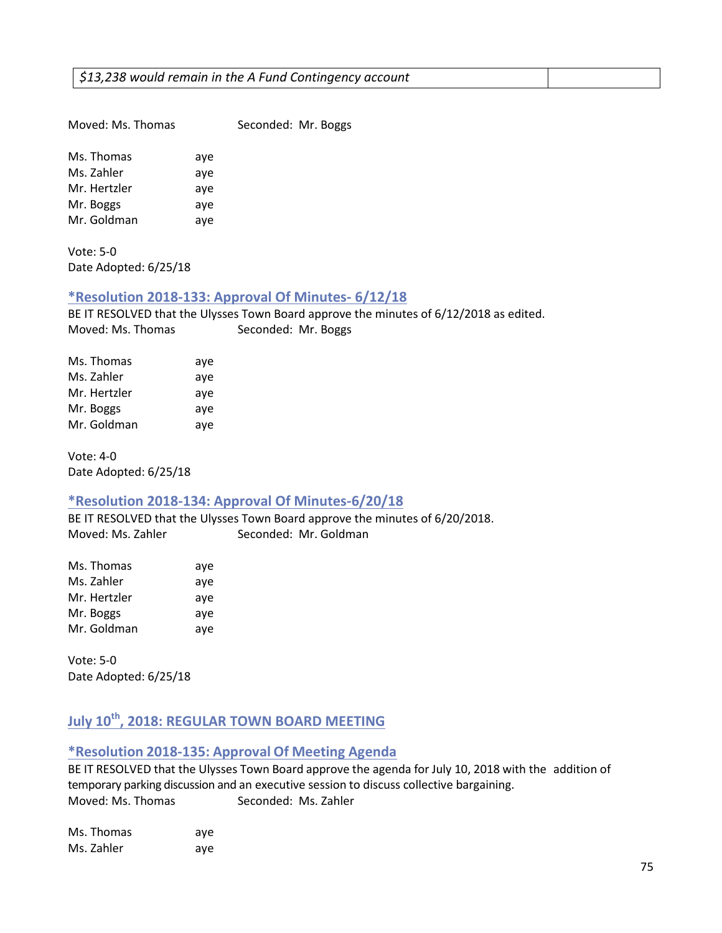| Moved: Ms. Thomas | Seconded: Mr. Boggs |  |
|-------------------|---------------------|--|

Ms. Thomas aye Ms. Zahler aye Mr. Hertzler aye Mr. Boggs aye Mr. Goldman aye

Vote: 5-0 Date Adopted: 6/25/18

## **\*Resolution 2018-133: Approval Of Minutes- 6/12/18**

BE IT RESOLVED that the Ulysses Town Board approve the minutes of 6/12/2018 as edited. Moved: Ms. Thomas Seconded: Mr. Boggs

| Ms. Thomas   | aye |
|--------------|-----|
| Ms. Zahler   | aye |
| Mr. Hertzler | aye |
| Mr. Boggs    | aye |
| Mr. Goldman  | aye |

Vote: 4-0 Date Adopted: 6/25/18

## **\*Resolution 2018-134: Approval Of Minutes-6/20/18**

BE IT RESOLVED that the Ulysses Town Board approve the minutes of 6/20/2018. Moved: Ms. Zahler Seconded: Mr. Goldman

| Ms. Thomas   | aye |
|--------------|-----|
| Ms. Zahler   | aye |
| Mr. Hertzler | aye |
| Mr. Boggs    | aye |
| Mr. Goldman  | aye |

Vote: 5-0 Date Adopted: 6/25/18

# **July 10th, 2018: REGULAR TOWN BOARD MEETING**

## **\*Resolution 2018-135: Approval Of Meeting Agenda**

BE IT RESOLVED that the Ulysses Town Board approve the agenda for July 10, 2018 with the addition of temporary parking discussion and an executive session to discuss collective bargaining. Moved: Ms. Thomas Seconded: Ms. Zahler

| Ms. Thomas | aye |
|------------|-----|
| Ms. Zahler | aye |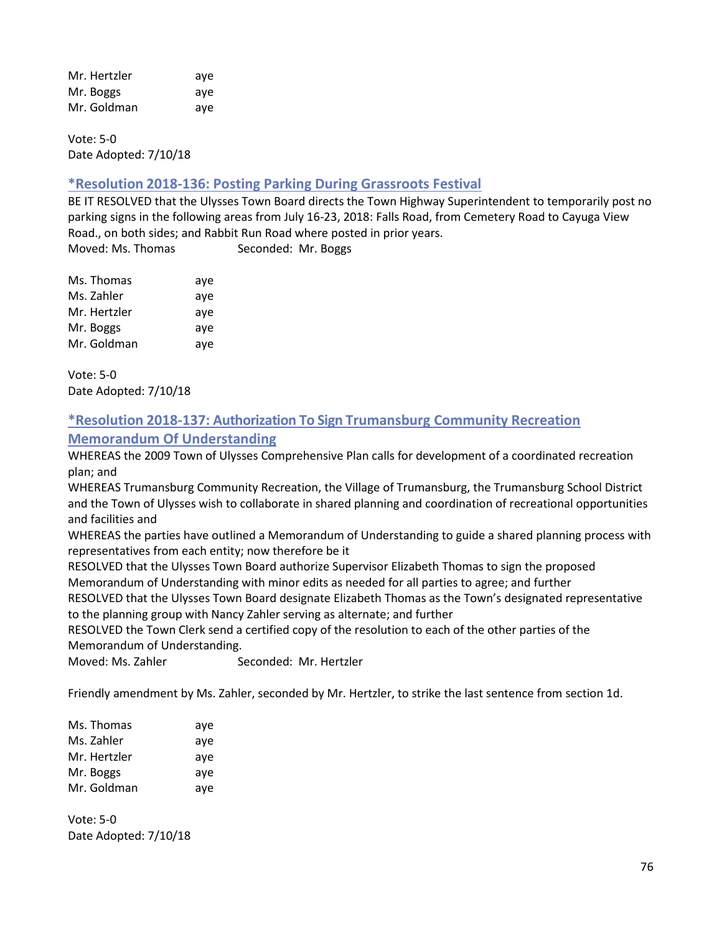| Mr. Hertzler | ave |
|--------------|-----|
| Mr. Boggs    | ave |
| Mr. Goldman  | ave |

Vote: 5-0 Date Adopted: 7/10/18

## **\*Resolution 2018-136: Posting Parking During Grassroots Festival**

BE IT RESOLVED that the Ulysses Town Board directs the Town Highway Superintendent to temporarily post no parking signs in the following areas from July 16-23, 2018: Falls Road, from Cemetery Road to Cayuga View Road., on both sides; and Rabbit Run Road where posted in prior years. Moved: Ms. Thomas Seconded: Mr. Boggs

| Ms. Thomas   | aye |
|--------------|-----|
| Ms. Zahler   | aye |
| Mr. Hertzler | aye |
| Mr. Boggs    | aye |
| Mr. Goldman  | aye |

Vote: 5-0 Date Adopted: 7/10/18

## **\*Resolution 2018-137: Authorization To Sign Trumansburg Community Recreation Memorandum Of Understanding**

WHEREAS the 2009 Town of Ulysses Comprehensive Plan calls for development of a coordinated recreation plan; and

WHEREAS Trumansburg Community Recreation, the Village of Trumansburg, the Trumansburg School District and the Town of Ulysses wish to collaborate in shared planning and coordination of recreational opportunities and facilities and

WHEREAS the parties have outlined a Memorandum of Understanding to guide a shared planning process with representatives from each entity; now therefore be it

RESOLVED that the Ulysses Town Board authorize Supervisor Elizabeth Thomas to sign the proposed Memorandum of Understanding with minor edits as needed for all parties to agree; and further

RESOLVED that the Ulysses Town Board designate Elizabeth Thomas as the Town's designated representative to the planning group with Nancy Zahler serving as alternate; and further

RESOLVED the Town Clerk send a certified copy of the resolution to each of the other parties of the Memorandum of Understanding.

Moved: Ms. Zahler Seconded: Mr. Hertzler

Friendly amendment by Ms. Zahler, seconded by Mr. Hertzler, to strike the last sentence from section 1d.

| Ms. Thomas   | aye |
|--------------|-----|
| Ms. Zahler   | aye |
| Mr. Hertzler | aye |
| Mr. Boggs    | aye |
| Mr. Goldman  | aye |

Vote: 5-0 Date Adopted: 7/10/18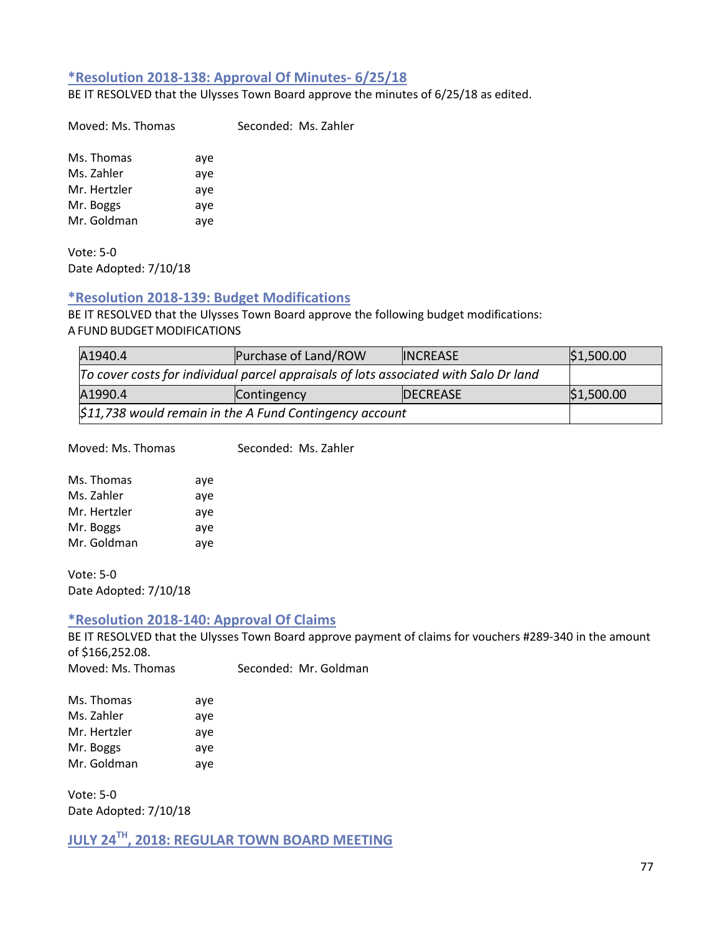## **\*Resolution 2018-138: Approval Of Minutes- 6/25/18**

BE IT RESOLVED that the Ulysses Town Board approve the minutes of 6/25/18 as edited.

Moved: Ms. Thomas Seconded: Ms. Zahler

Ms. Thomas aye Ms. Zahler aye Mr. Hertzler aye Mr. Boggs aye Mr. Goldman aye

Vote: 5-0 Date Adopted: 7/10/18

#### **\*Resolution 2018-139: Budget Modifications**

BE IT RESOLVED that the Ulysses Town Board approve the following budget modifications: A FUND BUDGET MODIFICATIONS

| A1940.4                                                                              | Purchase of Land/ROW | <b>INCREASE</b> | \$1,500.00 |
|--------------------------------------------------------------------------------------|----------------------|-----------------|------------|
| To cover costs for individual parcel appraisals of lots associated with Salo Dr land |                      |                 |            |
| A1990.4                                                                              | Contingency          | <b>DECREASE</b> | \$1,500.00 |
| $$11,738$ would remain in the A Fund Contingency account                             |                      |                 |            |

Moved: Ms. Thomas Seconded: Ms. Zahler

| Ms. Thomas   | aye |
|--------------|-----|
| Ms. Zahler   | aye |
| Mr. Hertzler | aye |
| Mr. Boggs    | aye |
| Mr. Goldman  | ave |

Vote: 5-0 Date Adopted: 7/10/18

#### **\*Resolution 2018-140: Approval Of Claims**

BE IT RESOLVED that the Ulysses Town Board approve payment of claims for vouchers #289-340 in the amount of \$166,252.08.

| Moved: Ms. Thomas | Seconded: Mr. Goldman |
|-------------------|-----------------------|
|                   |                       |

| Ms. Thomas   | aye |
|--------------|-----|
| Ms. Zahler   | aye |
| Mr. Hertzler | aye |
| Mr. Boggs    | aye |
| Mr. Goldman  | aye |

Vote: 5-0 Date Adopted: 7/10/18

**JULY 24TH, 2018: REGULAR TOWN BOARD MEETING**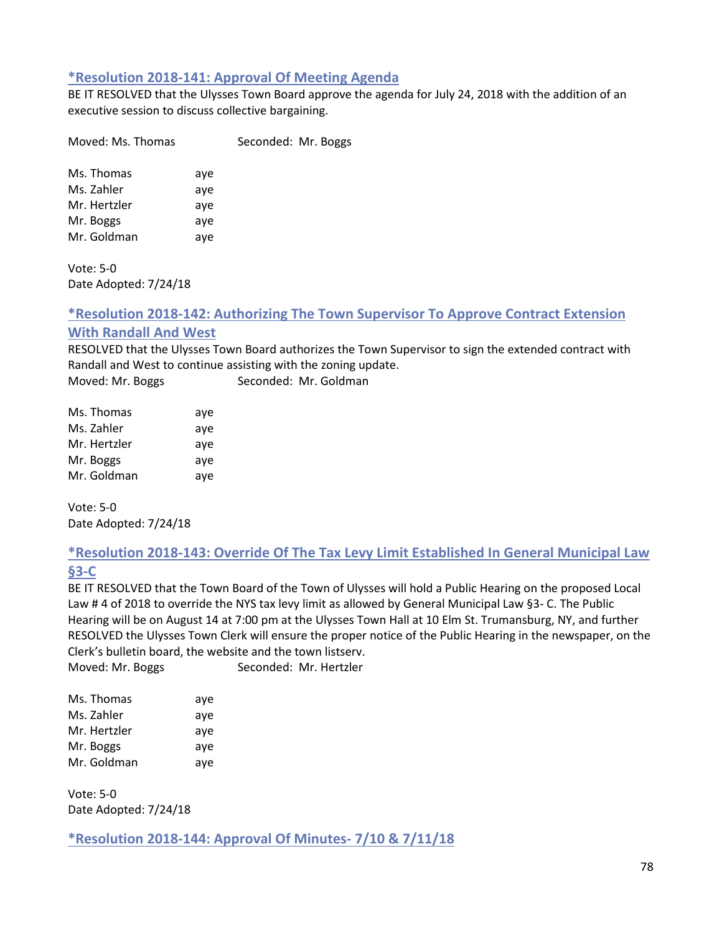## **\*Resolution 2018-141: Approval Of Meeting Agenda**

BE IT RESOLVED that the Ulysses Town Board approve the agenda for July 24, 2018 with the addition of an executive session to discuss collective bargaining.

Moved: Ms. Thomas Seconded: Mr. Boggs

Ms. Thomas aye Ms. Zahler aye Mr. Hertzler aye Mr. Boggs aye Mr. Goldman aye

Vote: 5-0 Date Adopted: 7/24/18

## **\*Resolution 2018-142: Authorizing The Town Supervisor To Approve Contract Extension With Randall And West**

RESOLVED that the Ulysses Town Board authorizes the Town Supervisor to sign the extended contract with Randall and West to continue assisting with the zoning update.

Moved: Mr. Boggs Seconded: Mr. Goldman

| Ms. Thomas   | aye |
|--------------|-----|
| Ms. Zahler   | aye |
| Mr. Hertzler | aye |
| Mr. Boggs    | aye |
| Mr. Goldman  | aye |

Vote: 5-0 Date Adopted: 7/24/18

## **\*Resolution 2018-143: Override Of The Tax Levy Limit Established In General Municipal Law §3-C**

BE IT RESOLVED that the Town Board of the Town of Ulysses will hold a Public Hearing on the proposed Local Law # 4 of 2018 to override the NYS tax levy limit as allowed by General Municipal Law §3- C. The Public Hearing will be on August 14 at 7:00 pm at the Ulysses Town Hall at 10 Elm St. Trumansburg, NY, and further RESOLVED the Ulysses Town Clerk will ensure the proper notice of the Public Hearing in the newspaper, on the Clerk's bulletin board, the website and the town listserv.

Moved: Mr. Boggs Seconded: Mr. Hertzler

| Ms. Thomas   | aye |
|--------------|-----|
| Ms. Zahler   | aye |
| Mr. Hertzler | aye |
| Mr. Boggs    | ave |
| Mr. Goldman  | aye |

Vote: 5-0 Date Adopted: 7/24/18

**\*Resolution 2018-144: Approval Of Minutes- 7/10 & 7/11/18**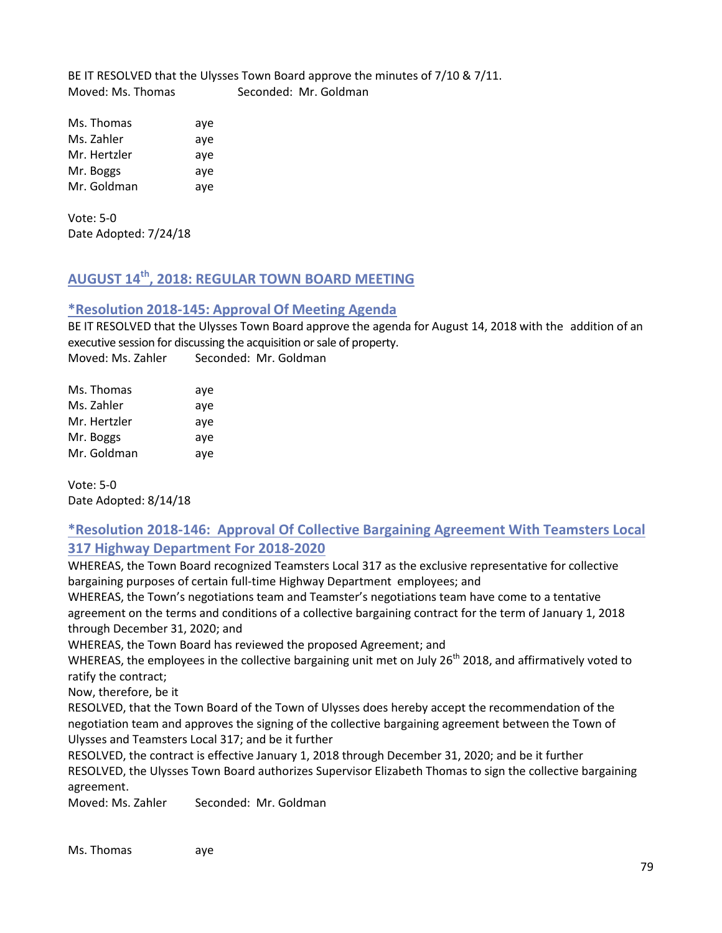BE IT RESOLVED that the Ulysses Town Board approve the minutes of 7/10 & 7/11. Moved: Ms. Thomas Seconded: Mr. Goldman

Ms. Thomas aye Ms. Zahler aye Mr. Hertzler aye Mr. Boggs aye Mr. Goldman aye

Vote: 5-0 Date Adopted: 7/24/18

# **AUGUST 14th, 2018: REGULAR TOWN BOARD MEETING**

## **\*Resolution 2018-145: Approval Of Meeting Agenda**

BE IT RESOLVED that the Ulysses Town Board approve the agenda for August 14, 2018 with the addition of an executive session for discussing the acquisition or sale of property. Moved: Ms. Zahler Seconded: Mr. Goldman

| Ms. Thomas   | aye |
|--------------|-----|
| Ms. Zahler   | aye |
| Mr. Hertzler | aye |
| Mr. Boggs    | aye |
| Mr. Goldman  | aye |

Vote: 5-0 Date Adopted: 8/14/18

## **\*Resolution 2018-146: Approval Of Collective Bargaining Agreement With Teamsters Local 317 Highway Department For 2018-2020**

WHEREAS, the Town Board recognized Teamsters Local 317 as the exclusive representative for collective bargaining purposes of certain full-time Highway Department employees; and

WHEREAS, the Town's negotiations team and Teamster's negotiations team have come to a tentative agreement on the terms and conditions of a collective bargaining contract for the term of January 1, 2018 through December 31, 2020; and

WHEREAS, the Town Board has reviewed the proposed Agreement; and

WHEREAS, the employees in the collective bargaining unit met on July 26<sup>th</sup> 2018, and affirmatively voted to ratify the contract;

Now, therefore, be it

RESOLVED, that the Town Board of the Town of Ulysses does hereby accept the recommendation of the negotiation team and approves the signing of the collective bargaining agreement between the Town of Ulysses and Teamsters Local 317; and be it further

RESOLVED, the contract is effective January 1, 2018 through December 31, 2020; and be it further RESOLVED, the Ulysses Town Board authorizes Supervisor Elizabeth Thomas to sign the collective bargaining agreement.

Moved: Ms. Zahler Seconded: Mr. Goldman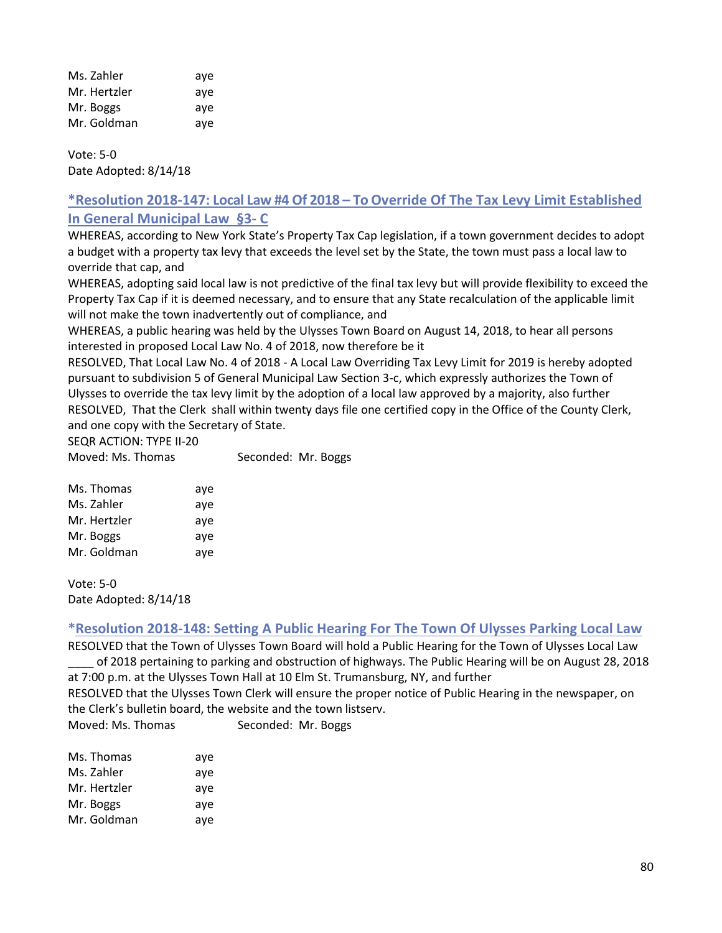| Ms. Zahler   | ave |
|--------------|-----|
| Mr. Hertzler | ave |
| Mr. Boggs    | ave |
| Mr. Goldman  | aye |

Vote: 5-0 Date Adopted: 8/14/18

## **\*Resolution 2018-147: Local Law #4 Of 2018 – To Override Of The Tax Levy Limit Established In General Municipal Law §3- C**

WHEREAS, according to New York State's Property Tax Cap legislation, if a town government decides to adopt a budget with a property tax levy that exceeds the level set by the State, the town must pass a local law to override that cap, and

WHEREAS, adopting said local law is not predictive of the final tax levy but will provide flexibility to exceed the Property Tax Cap if it is deemed necessary, and to ensure that any State recalculation of the applicable limit will not make the town inadvertently out of compliance, and

WHEREAS, a public hearing was held by the Ulysses Town Board on August 14, 2018, to hear all persons interested in proposed Local Law No. 4 of 2018, now therefore be it

RESOLVED, That Local Law No. 4 of 2018 - A Local Law Overriding Tax Levy Limit for 2019 is hereby adopted pursuant to subdivision 5 of General Municipal Law Section 3-c, which expressly authorizes the Town of Ulysses to override the tax levy limit by the adoption of a local law approved by a majority, also further RESOLVED, That the Clerk shall within twenty days file one certified copy in the Office of the County Clerk, and one copy with the Secretary of State.

SEQR ACTION: TYPE II-20

Moved: Ms. Thomas Seconded: Mr. Boggs

Vote: 5-0 Date Adopted: 8/14/18

## **\*Resolution 2018-148: Setting A Public Hearing For The Town Of Ulysses Parking Local Law**

RESOLVED that the Town of Ulysses Town Board will hold a Public Hearing for the Town of Ulysses Local Law \_\_\_\_ of 2018 pertaining to parking and obstruction of highways. The Public Hearing will be on August 28, 2018

at 7:00 p.m. at the Ulysses Town Hall at 10 Elm St. Trumansburg, NY, and further RESOLVED that the Ulysses Town Clerk will ensure the proper notice of Public Hearing in the newspaper, on the Clerk's bulletin board, the website and the town listserv.

Moved: Ms. Thomas Seconded: Mr. Boggs

| Ms. Thomas   | aye |
|--------------|-----|
| Ms. Zahler   | aye |
| Mr. Hertzler | aye |
| Mr. Boggs    | aye |
| Mr. Goldman  | aye |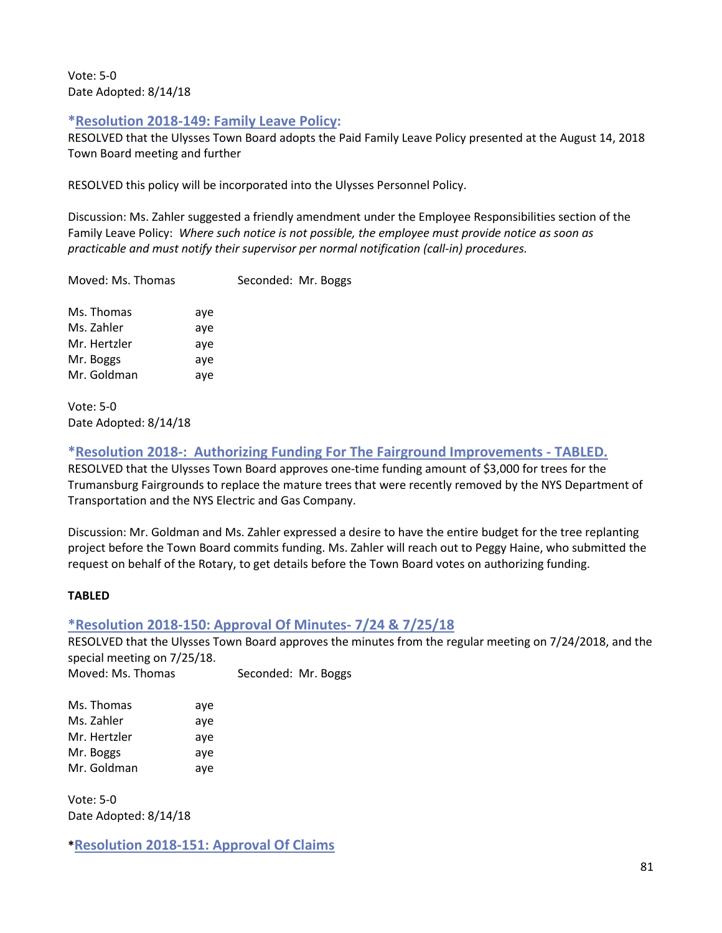Vote: 5-0 Date Adopted: 8/14/18

## **\*Resolution 2018-149: Family Leave Policy:**

RESOLVED that the Ulysses Town Board adopts the Paid Family Leave Policy presented at the August 14, 2018 Town Board meeting and further

RESOLVED this policy will be incorporated into the Ulysses Personnel Policy.

Discussion: Ms. Zahler suggested a friendly amendment under the Employee Responsibilities section of the Family Leave Policy: *Where such notice is not possible, the employee must provide notice as soon as practicable and must notify their supervisor per normal notification (call-in) procedures.* 

Moved: Ms. Thomas Seconded: Mr. Boggs

Ms. Thomas aye Ms. Zahler aye Mr. Hertzler aye Mr. Boggs aye Mr. Goldman aye

Vote: 5-0 Date Adopted: 8/14/18

**\*Resolution 2018-: Authorizing Funding For The Fairground Improvements - TABLED.** 

RESOLVED that the Ulysses Town Board approves one-time funding amount of \$3,000 for trees for the Trumansburg Fairgrounds to replace the mature trees that were recently removed by the NYS Department of Transportation and the NYS Electric and Gas Company.

Discussion: Mr. Goldman and Ms. Zahler expressed a desire to have the entire budget for the tree replanting project before the Town Board commits funding. Ms. Zahler will reach out to Peggy Haine, who submitted the request on behalf of the Rotary, to get details before the Town Board votes on authorizing funding.

## **TABLED**

## **\*Resolution 2018-150: Approval Of Minutes- 7/24 & 7/25/18**

RESOLVED that the Ulysses Town Board approves the minutes from the regular meeting on 7/24/2018, and the special meeting on 7/25/18.

Moved: Ms. Thomas Seconded: Mr. Boggs

| Ms. Thomas   | aye |
|--------------|-----|
| Ms. Zahler   | aye |
| Mr. Hertzler | aye |
| Mr. Boggs    | aye |
| Mr. Goldman  | aye |

Vote: 5-0 Date Adopted: 8/14/18

**\*Resolution 2018-151: Approval Of Claims**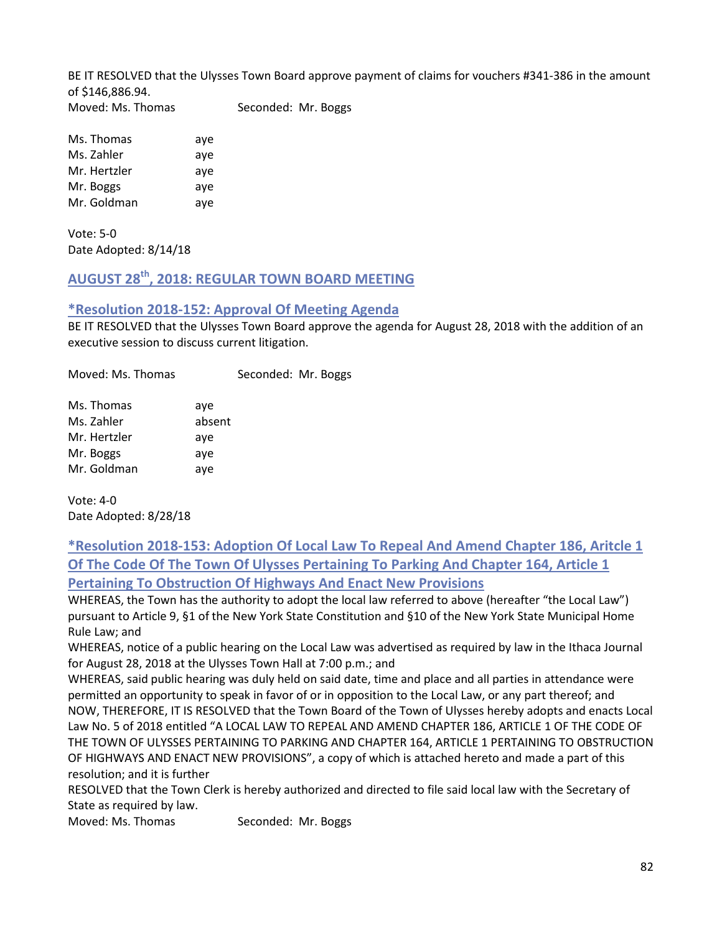BE IT RESOLVED that the Ulysses Town Board approve payment of claims for vouchers #341-386 in the amount of \$146,886.94. Moved: Ms. Thomas Seconded: Mr. Boggs

Ms. Thomas aye Ms. Zahler aye Mr. Hertzler aye Mr. Boggs aye Mr. Goldman aye

Vote: 5-0 Date Adopted: 8/14/18

# **AUGUST 28th, 2018: REGULAR TOWN BOARD MEETING**

#### **\*Resolution 2018-152: Approval Of Meeting Agenda**

BE IT RESOLVED that the Ulysses Town Board approve the agenda for August 28, 2018 with the addition of an executive session to discuss current litigation.

Moved: Ms. Thomas Seconded: Mr. Boggs Ms. Thomas aye Ms. Zahler absent Mr. Hertzler aye Mr. Boggs aye Mr. Goldman ave

Vote: 4-0 Date Adopted: 8/28/18

**\*Resolution 2018-153: Adoption Of Local Law To Repeal And Amend Chapter 186, Aritcle 1 Of The Code Of The Town Of Ulysses Pertaining To Parking And Chapter 164, Article 1 Pertaining To Obstruction Of Highways And Enact New Provisions**

WHEREAS, the Town has the authority to adopt the local law referred to above (hereafter "the Local Law") pursuant to Article 9, §1 of the New York State Constitution and §10 of the New York State Municipal Home Rule Law; and

WHEREAS, notice of a public hearing on the Local Law was advertised as required by law in the Ithaca Journal for August 28, 2018 at the Ulysses Town Hall at 7:00 p.m.; and

WHEREAS, said public hearing was duly held on said date, time and place and all parties in attendance were permitted an opportunity to speak in favor of or in opposition to the Local Law, or any part thereof; and NOW, THEREFORE, IT IS RESOLVED that the Town Board of the Town of Ulysses hereby adopts and enacts Local Law No. 5 of 2018 entitled "A LOCAL LAW TO REPEAL AND AMEND CHAPTER 186, ARTICLE 1 OF THE CODE OF THE TOWN OF ULYSSES PERTAINING TO PARKING AND CHAPTER 164, ARTICLE 1 PERTAINING TO OBSTRUCTION OF HIGHWAYS AND ENACT NEW PROVISIONS", a copy of which is attached hereto and made a part of this resolution; and it is further

RESOLVED that the Town Clerk is hereby authorized and directed to file said local law with the Secretary of State as required by law.

Moved: Ms. Thomas Seconded: Mr. Boggs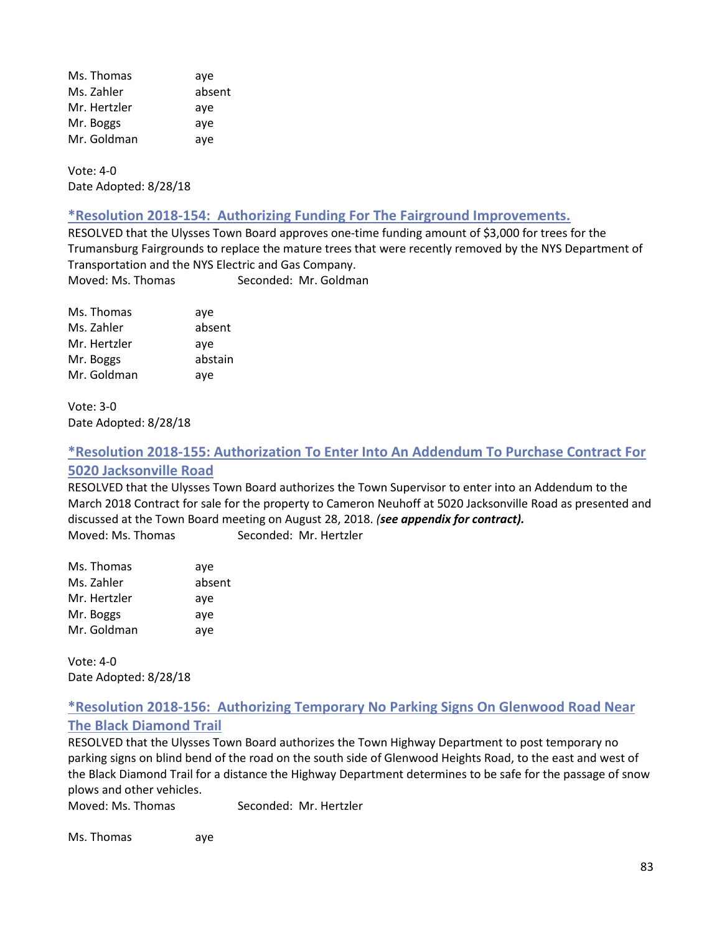Ms. Thomas aye Ms. Zahler absent Mr. Hertzler ave Mr. Boggs aye Mr. Goldman aye

Vote: 4-0 Date Adopted: 8/28/18

#### **\*Resolution 2018-154: Authorizing Funding For The Fairground Improvements.**

RESOLVED that the Ulysses Town Board approves one-time funding amount of \$3,000 for trees for the Trumansburg Fairgrounds to replace the mature trees that were recently removed by the NYS Department of Transportation and the NYS Electric and Gas Company. Moved: Ms. Thomas Seconded: Mr. Goldman

Ms. Thomas aye Ms. Zahler absent Mr. Hertzler aye Mr. Boggs abstain Mr. Goldman aye

Vote: 3-0 Date Adopted: 8/28/18

## **\*Resolution 2018-155: Authorization To Enter Into An Addendum To Purchase Contract For 5020 Jacksonville Road**

RESOLVED that the Ulysses Town Board authorizes the Town Supervisor to enter into an Addendum to the March 2018 Contract for sale for the property to Cameron Neuhoff at 5020 Jacksonville Road as presented and discussed at the Town Board meeting on August 28, 2018. *(see appendix for contract).* Moved: Ms. Thomas Seconded: Mr. Hertzler

| Ms. Thomas   | aye    |
|--------------|--------|
| Ms. Zahler   | absent |
| Mr. Hertzler | aye    |
| Mr. Boggs    | aye    |
| Mr. Goldman  | aye    |

Vote: 4-0 Date Adopted: 8/28/18

## **\*Resolution 2018-156: Authorizing Temporary No Parking Signs On Glenwood Road Near The Black Diamond Trail**

RESOLVED that the Ulysses Town Board authorizes the Town Highway Department to post temporary no parking signs on blind bend of the road on the south side of Glenwood Heights Road, to the east and west of the Black Diamond Trail for a distance the Highway Department determines to be safe for the passage of snow plows and other vehicles.

Moved: Ms. Thomas Seconded: Mr. Hertzler

Ms. Thomas aye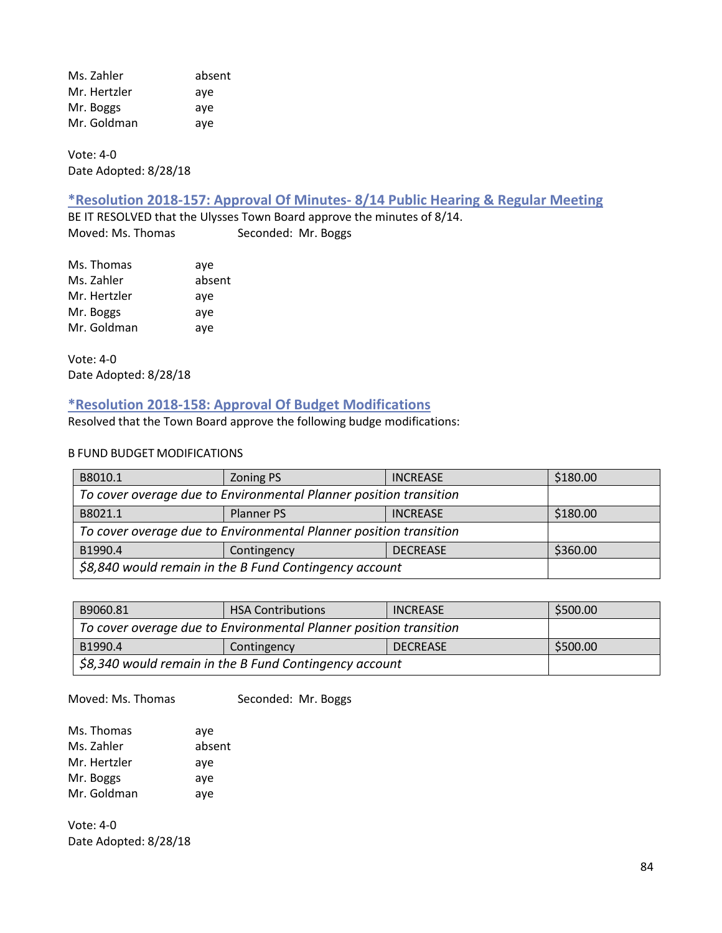Ms. Zahler absent Mr. Hertzler aye Mr. Boggs aye Mr. Goldman aye

Vote: 4-0 Date Adopted: 8/28/18

#### **\*Resolution 2018-157: Approval Of Minutes- 8/14 Public Hearing & Regular Meeting**

BE IT RESOLVED that the Ulysses Town Board approve the minutes of 8/14. Moved: Ms. Thomas Seconded: Mr. Boggs

| Ms. Thomas   | aye    |
|--------------|--------|
| Ms. Zahler   | absent |
| Mr. Hertzler | aye    |
| Mr. Boggs    | aye    |
| Mr. Goldman  | aye    |

Vote: 4-0 Date Adopted: 8/28/18

## **\*Resolution 2018-158: Approval Of Budget Modifications**

Resolved that the Town Board approve the following budge modifications:

#### B FUND BUDGET MODIFICATIONS

| B8010.1                                                           | <b>Zoning PS</b> | <b>INCREASE</b> | \$180.00 |
|-------------------------------------------------------------------|------------------|-----------------|----------|
| To cover overage due to Environmental Planner position transition |                  |                 |          |
| B8021.1                                                           | Planner PS       | <b>INCREASE</b> | \$180.00 |
| To cover overage due to Environmental Planner position transition |                  |                 |          |
| B1990.4                                                           | Contingency      | <b>DECREASE</b> | \$360.00 |
| \$8,840 would remain in the B Fund Contingency account            |                  |                 |          |

| B9060.81                                                          | <b>HSA Contributions</b> | <b>INCREASE</b> | \$500.00 |
|-------------------------------------------------------------------|--------------------------|-----------------|----------|
| To cover overage due to Environmental Planner position transition |                          |                 |          |
| B1990.4                                                           | \$500.00                 |                 |          |
| \$8,340 would remain in the B Fund Contingency account            |                          |                 |          |

Moved: Ms. Thomas Seconded: Mr. Boggs

| Ms. Thomas   | aye    |
|--------------|--------|
| Ms. Zahler   | absent |
| Mr. Hertzler | aye    |
| Mr. Boggs    | aye    |
| Mr. Goldman  | aye    |

Vote: 4-0 Date Adopted: 8/28/18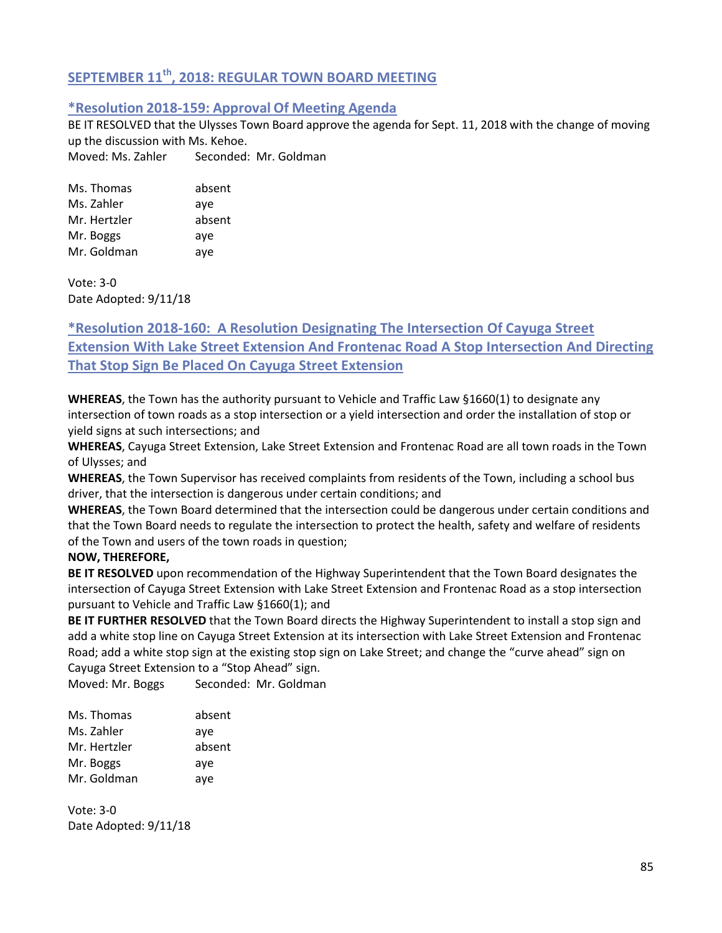# **SEPTEMBER 11th, 2018: REGULAR TOWN BOARD MEETING**

## **\*Resolution 2018-159: Approval Of Meeting Agenda**

BE IT RESOLVED that the Ulysses Town Board approve the agenda for Sept. 11, 2018 with the change of moving up the discussion with Ms. Kehoe.

Moved: Ms. Zahler Seconded: Mr. Goldman

| Ms. Thomas   | absent |
|--------------|--------|
| Ms. Zahler   | aye    |
| Mr. Hertzler | absent |
| Mr. Boggs    | aye    |
| Mr. Goldman  | aye    |

Vote: 3-0 Date Adopted: 9/11/18

# **\*Resolution 2018-160: A Resolution Designating The Intersection Of Cayuga Street Extension With Lake Street Extension And Frontenac Road A Stop Intersection And Directing That Stop Sign Be Placed On Cayuga Street Extension**

**WHEREAS**, the Town has the authority pursuant to Vehicle and Traffic Law §1660(1) to designate any intersection of town roads as a stop intersection or a yield intersection and order the installation of stop or yield signs at such intersections; and

**WHEREAS**, Cayuga Street Extension, Lake Street Extension and Frontenac Road are all town roads in the Town of Ulysses; and

**WHEREAS**, the Town Supervisor has received complaints from residents of the Town, including a school bus driver, that the intersection is dangerous under certain conditions; and

**WHEREAS**, the Town Board determined that the intersection could be dangerous under certain conditions and that the Town Board needs to regulate the intersection to protect the health, safety and welfare of residents of the Town and users of the town roads in question;

## **NOW, THEREFORE,**

**BE IT RESOLVED** upon recommendation of the Highway Superintendent that the Town Board designates the intersection of Cayuga Street Extension with Lake Street Extension and Frontenac Road as a stop intersection pursuant to Vehicle and Traffic Law §1660(1); and

**BE IT FURTHER RESOLVED** that the Town Board directs the Highway Superintendent to install a stop sign and add a white stop line on Cayuga Street Extension at its intersection with Lake Street Extension and Frontenac Road; add a white stop sign at the existing stop sign on Lake Street; and change the "curve ahead" sign on Cayuga Street Extension to a "Stop Ahead" sign.

Moved: Mr. Boggs Seconded: Mr. Goldman

| Ms. Thomas   | absent |
|--------------|--------|
| Ms. Zahler   | aye    |
| Mr. Hertzler | absent |
| Mr. Boggs    | aye    |
| Mr. Goldman  | aye    |

Vote: 3-0 Date Adopted: 9/11/18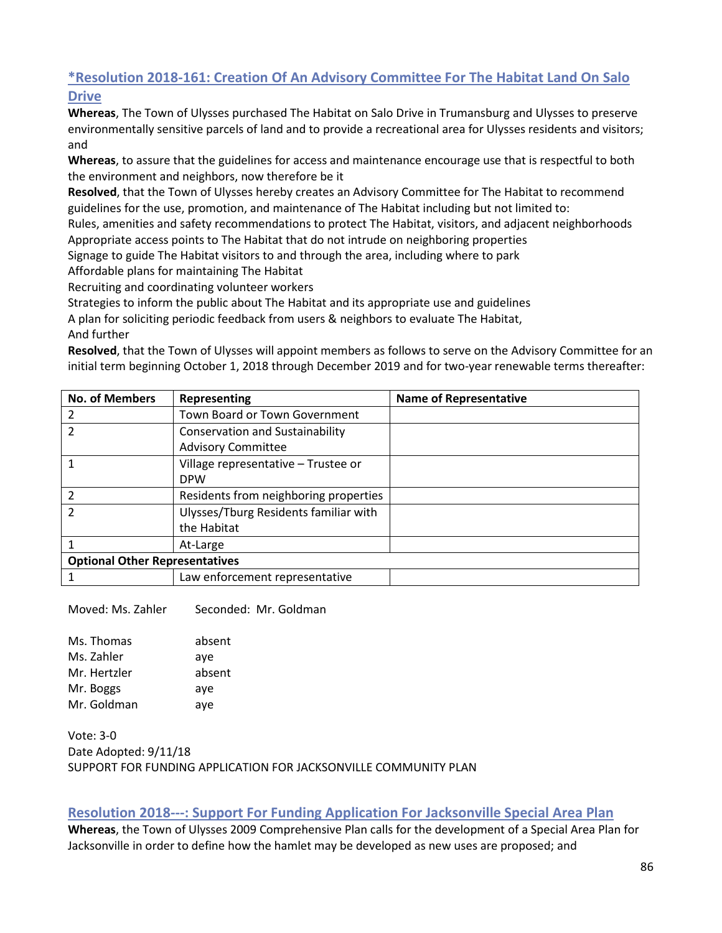# **\*Resolution 2018-161: Creation Of An Advisory Committee For The Habitat Land On Salo**

**Drive**

**Whereas**, The Town of Ulysses purchased The Habitat on Salo Drive in Trumansburg and Ulysses to preserve environmentally sensitive parcels of land and to provide a recreational area for Ulysses residents and visitors; and

**Whereas**, to assure that the guidelines for access and maintenance encourage use that is respectful to both the environment and neighbors, now therefore be it

**Resolved**, that the Town of Ulysses hereby creates an Advisory Committee for The Habitat to recommend guidelines for the use, promotion, and maintenance of The Habitat including but not limited to:

Rules, amenities and safety recommendations to protect The Habitat, visitors, and adjacent neighborhoods Appropriate access points to The Habitat that do not intrude on neighboring properties

Signage to guide The Habitat visitors to and through the area, including where to park

Affordable plans for maintaining The Habitat

Recruiting and coordinating volunteer workers

Strategies to inform the public about The Habitat and its appropriate use and guidelines

A plan for soliciting periodic feedback from users & neighbors to evaluate The Habitat,

And further

**Resolved**, that the Town of Ulysses will appoint members as follows to serve on the Advisory Committee for an initial term beginning October 1, 2018 through December 2019 and for two-year renewable terms thereafter:

| <b>No. of Members</b>                 | Representing                           | <b>Name of Representative</b> |
|---------------------------------------|----------------------------------------|-------------------------------|
|                                       | Town Board or Town Government          |                               |
|                                       | <b>Conservation and Sustainability</b> |                               |
|                                       | <b>Advisory Committee</b>              |                               |
|                                       | Village representative - Trustee or    |                               |
|                                       | <b>DPW</b>                             |                               |
| $\mathcal{P}$                         | Residents from neighboring properties  |                               |
|                                       | Ulysses/Tburg Residents familiar with  |                               |
|                                       | the Habitat                            |                               |
|                                       | At-Large                               |                               |
| <b>Optional Other Representatives</b> |                                        |                               |
|                                       | Law enforcement representative         |                               |

Moved: Ms. Zahler Seconded: Mr. Goldman

Ms. Thomas absent Ms. Zahler ave Mr. Hertzler absent Mr. Boggs aye Mr. Goldman aye

Vote: 3-0 Date Adopted: 9/11/18 SUPPORT FOR FUNDING APPLICATION FOR JACKSONVILLE COMMUNITY PLAN

## **Resolution 2018---: Support For Funding Application For Jacksonville Special Area Plan**

**Whereas**, the Town of Ulysses 2009 Comprehensive Plan calls for the development of a Special Area Plan for Jacksonville in order to define how the hamlet may be developed as new uses are proposed; and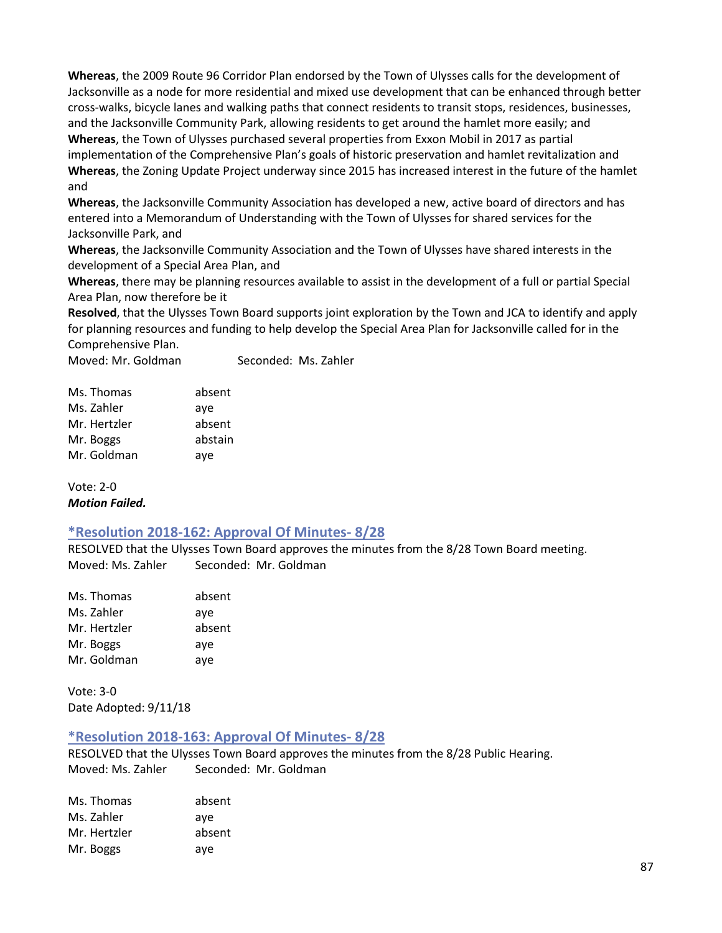**Whereas**, the 2009 Route 96 Corridor Plan endorsed by the Town of Ulysses calls for the development of Jacksonville as a node for more residential and mixed use development that can be enhanced through better cross-walks, bicycle lanes and walking paths that connect residents to transit stops, residences, businesses, and the Jacksonville Community Park, allowing residents to get around the hamlet more easily; and **Whereas**, the Town of Ulysses purchased several properties from Exxon Mobil in 2017 as partial implementation of the Comprehensive Plan's goals of historic preservation and hamlet revitalization and **Whereas**, the Zoning Update Project underway since 2015 has increased interest in the future of the hamlet and

**Whereas**, the Jacksonville Community Association has developed a new, active board of directors and has entered into a Memorandum of Understanding with the Town of Ulysses for shared services for the Jacksonville Park, and

**Whereas**, the Jacksonville Community Association and the Town of Ulysses have shared interests in the development of a Special Area Plan, and

**Whereas**, there may be planning resources available to assist in the development of a full or partial Special Area Plan, now therefore be it

**Resolved**, that the Ulysses Town Board supports joint exploration by the Town and JCA to identify and apply for planning resources and funding to help develop the Special Area Plan for Jacksonville called for in the Comprehensive Plan.

Moved: Mr. Goldman Seconded: Ms. Zahler

| Ms. Thomas   | absent  |
|--------------|---------|
| Ms. Zahler   | aye     |
| Mr. Hertzler | absent  |
| Mr. Boggs    | abstain |
| Mr. Goldman  | aye     |

Vote: 2-0 *Motion Failed.*

#### **\*Resolution 2018-162: Approval Of Minutes- 8/28**

RESOLVED that the Ulysses Town Board approves the minutes from the 8/28 Town Board meeting. Moved: Ms. Zahler Seconded: Mr. Goldman

| absent |
|--------|
| aye    |
| absent |
| aye    |
| aye    |
|        |

Vote: 3-0 Date Adopted: 9/11/18

#### **\*Resolution 2018-163: Approval Of Minutes- 8/28**

RESOLVED that the Ulysses Town Board approves the minutes from the 8/28 Public Hearing. Moved: Ms. Zahler Seconded: Mr. Goldman

| Ms. Thomas   | absent |
|--------------|--------|
| Ms. Zahler   | ave    |
| Mr. Hertzler | absent |
| Mr. Boggs    | aye    |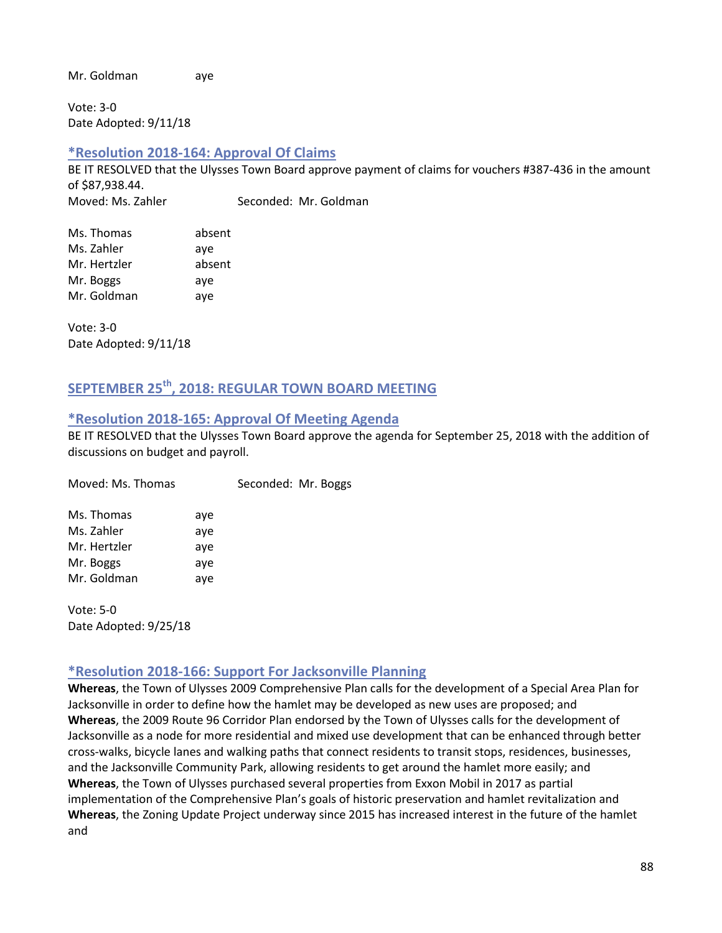Mr. Goldman aye

Vote: 3-0 Date Adopted: 9/11/18

## **\*Resolution 2018-164: Approval Of Claims**

BE IT RESOLVED that the Ulysses Town Board approve payment of claims for vouchers #387-436 in the amount of \$87,938.44. Moved: Ms. Zahler Seconded: Mr. Goldman

| Ms. Thomas   | absent |
|--------------|--------|
| Ms. Zahler   | aye    |
| Mr. Hertzler | absent |
| Mr. Boggs    | aye    |
| Mr. Goldman  | aye    |

Vote: 3-0 Date Adopted: 9/11/18

# **SEPTEMBER 25th, 2018: REGULAR TOWN BOARD MEETING**

#### **\*Resolution 2018-165: Approval Of Meeting Agenda**

BE IT RESOLVED that the Ulysses Town Board approve the agenda for September 25, 2018 with the addition of discussions on budget and payroll.

| Moved: Ms. Thomas |     | Seconded: Mr. Boggs |  |
|-------------------|-----|---------------------|--|
| Ms. Thomas        | aye |                     |  |
| Ms. Zahler        | aye |                     |  |
| Mr. Hertzler      | aye |                     |  |
| Mr. Boggs         | aye |                     |  |
| Mr. Goldman       | aye |                     |  |
|                   |     |                     |  |

Vote: 5-0 Date Adopted: 9/25/18

## **\*Resolution 2018-166: Support For Jacksonville Planning**

**Whereas**, the Town of Ulysses 2009 Comprehensive Plan calls for the development of a Special Area Plan for Jacksonville in order to define how the hamlet may be developed as new uses are proposed; and **Whereas**, the 2009 Route 96 Corridor Plan endorsed by the Town of Ulysses calls for the development of Jacksonville as a node for more residential and mixed use development that can be enhanced through better cross-walks, bicycle lanes and walking paths that connect residents to transit stops, residences, businesses, and the Jacksonville Community Park, allowing residents to get around the hamlet more easily; and **Whereas**, the Town of Ulysses purchased several properties from Exxon Mobil in 2017 as partial implementation of the Comprehensive Plan's goals of historic preservation and hamlet revitalization and **Whereas**, the Zoning Update Project underway since 2015 has increased interest in the future of the hamlet and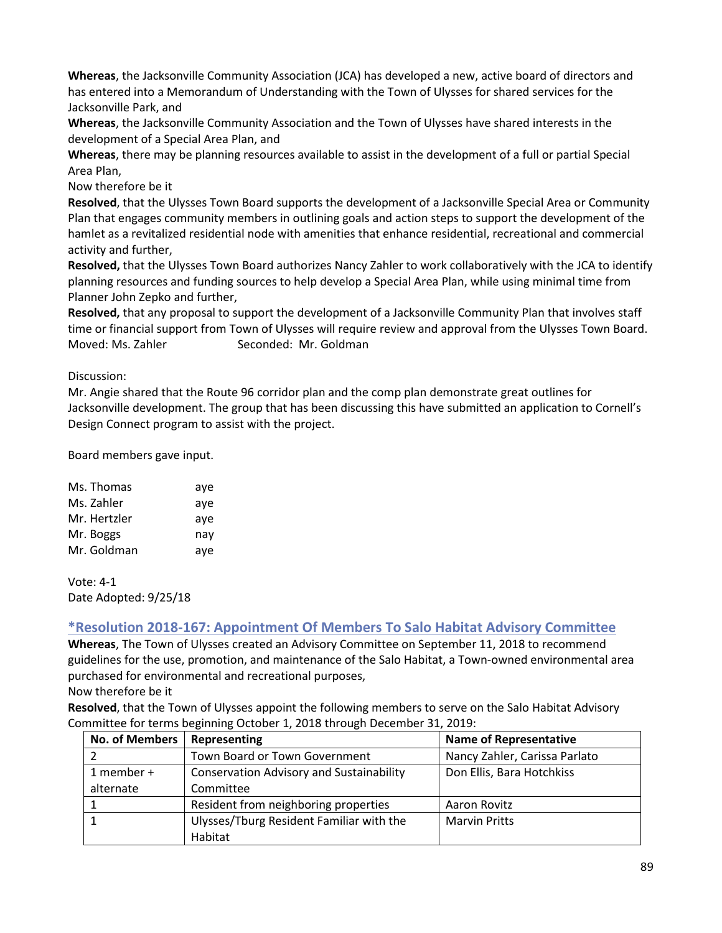**Whereas**, the Jacksonville Community Association (JCA) has developed a new, active board of directors and has entered into a Memorandum of Understanding with the Town of Ulysses for shared services for the Jacksonville Park, and

**Whereas**, the Jacksonville Community Association and the Town of Ulysses have shared interests in the development of a Special Area Plan, and

**Whereas**, there may be planning resources available to assist in the development of a full or partial Special Area Plan,

Now therefore be it

**Resolved**, that the Ulysses Town Board supports the development of a Jacksonville Special Area or Community Plan that engages community members in outlining goals and action steps to support the development of the hamlet as a revitalized residential node with amenities that enhance residential, recreational and commercial activity and further,

**Resolved,** that the Ulysses Town Board authorizes Nancy Zahler to work collaboratively with the JCA to identify planning resources and funding sources to help develop a Special Area Plan, while using minimal time from Planner John Zepko and further,

**Resolved,** that any proposal to support the development of a Jacksonville Community Plan that involves staff time or financial support from Town of Ulysses will require review and approval from the Ulysses Town Board. Moved: Ms. Zahler Seconded: Mr. Goldman

Discussion:

Mr. Angie shared that the Route 96 corridor plan and the comp plan demonstrate great outlines for Jacksonville development. The group that has been discussing this have submitted an application to Cornell's Design Connect program to assist with the project.

Board members gave input.

| Ms. Thomas   | aye |
|--------------|-----|
| Ms. Zahler   | aye |
| Mr. Hertzler | aye |
| Mr. Boggs    | nay |
| Mr. Goldman  | aye |

Vote: 4-1 Date Adopted: 9/25/18

## **\*Resolution 2018-167: Appointment Of Members To Salo Habitat Advisory Committee**

**Whereas**, The Town of Ulysses created an Advisory Committee on September 11, 2018 to recommend guidelines for the use, promotion, and maintenance of the Salo Habitat, a Town-owned environmental area purchased for environmental and recreational purposes,

Now therefore be it

**Resolved**, that the Town of Ulysses appoint the following members to serve on the Salo Habitat Advisory Committee for terms beginning October 1, 2018 through December 31, 2019:

| <b>No. of Members</b> | Representing                                    | <b>Name of Representative</b> |
|-----------------------|-------------------------------------------------|-------------------------------|
|                       | Town Board or Town Government                   | Nancy Zahler, Carissa Parlato |
| 1 member +            | <b>Conservation Advisory and Sustainability</b> | Don Ellis, Bara Hotchkiss     |
| alternate             | Committee                                       |                               |
|                       | Resident from neighboring properties            | Aaron Rovitz                  |
|                       | Ulysses/Tburg Resident Familiar with the        | <b>Marvin Pritts</b>          |
|                       | Habitat                                         |                               |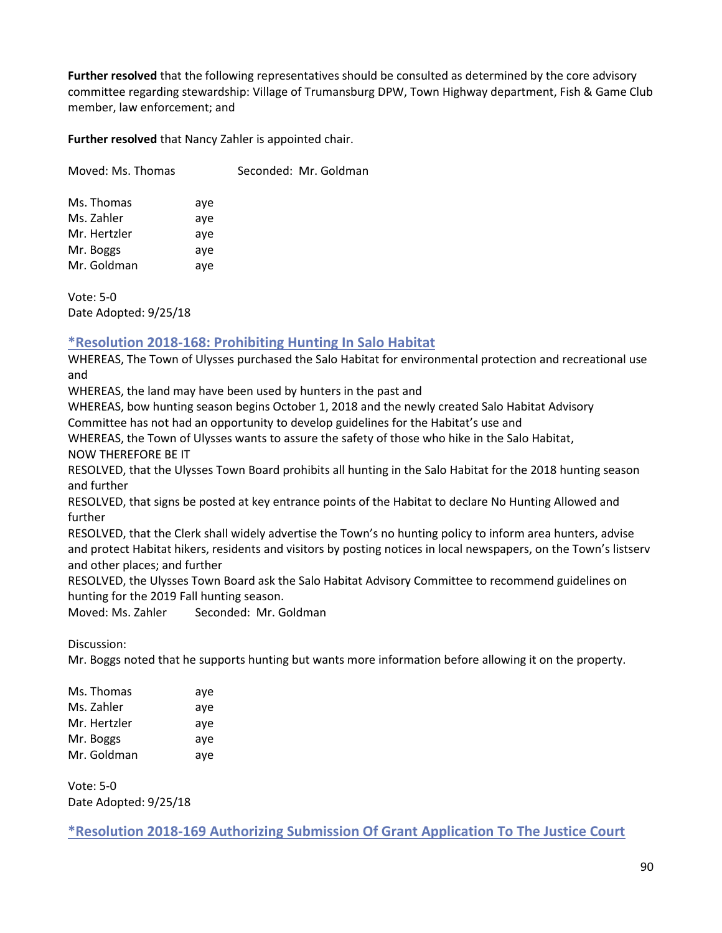**Further resolved** that the following representatives should be consulted as determined by the core advisory committee regarding stewardship: Village of Trumansburg DPW, Town Highway department, Fish & Game Club member, law enforcement; and

**Further resolved** that Nancy Zahler is appointed chair.

Moved: Ms. Thomas Seconded: Mr. Goldman

Ms. Thomas aye Ms. Zahler aye Mr. Hertzler aye Mr. Boggs aye Mr. Goldman aye

Vote: 5-0 Date Adopted: 9/25/18

## **\*Resolution 2018-168: Prohibiting Hunting In Salo Habitat**

WHEREAS, The Town of Ulysses purchased the Salo Habitat for environmental protection and recreational use and

WHEREAS, the land may have been used by hunters in the past and

WHEREAS, bow hunting season begins October 1, 2018 and the newly created Salo Habitat Advisory Committee has not had an opportunity to develop guidelines for the Habitat's use and

WHEREAS, the Town of Ulysses wants to assure the safety of those who hike in the Salo Habitat, NOW THEREFORE BE IT

RESOLVED, that the Ulysses Town Board prohibits all hunting in the Salo Habitat for the 2018 hunting season and further

RESOLVED, that signs be posted at key entrance points of the Habitat to declare No Hunting Allowed and further

RESOLVED, that the Clerk shall widely advertise the Town's no hunting policy to inform area hunters, advise and protect Habitat hikers, residents and visitors by posting notices in local newspapers, on the Town's listserv and other places; and further

RESOLVED, the Ulysses Town Board ask the Salo Habitat Advisory Committee to recommend guidelines on hunting for the 2019 Fall hunting season.

Moved: Ms. Zahler Seconded: Mr. Goldman

Discussion:

Mr. Boggs noted that he supports hunting but wants more information before allowing it on the property.

| Ms. Thomas   | aye |
|--------------|-----|
| Ms. Zahler   | aye |
| Mr. Hertzler | aye |
| Mr. Boggs    | aye |
| Mr. Goldman  | aye |
|              |     |

Vote: 5-0 Date Adopted: 9/25/18

**\*Resolution 2018-169 Authorizing Submission Of Grant Application To The Justice Court**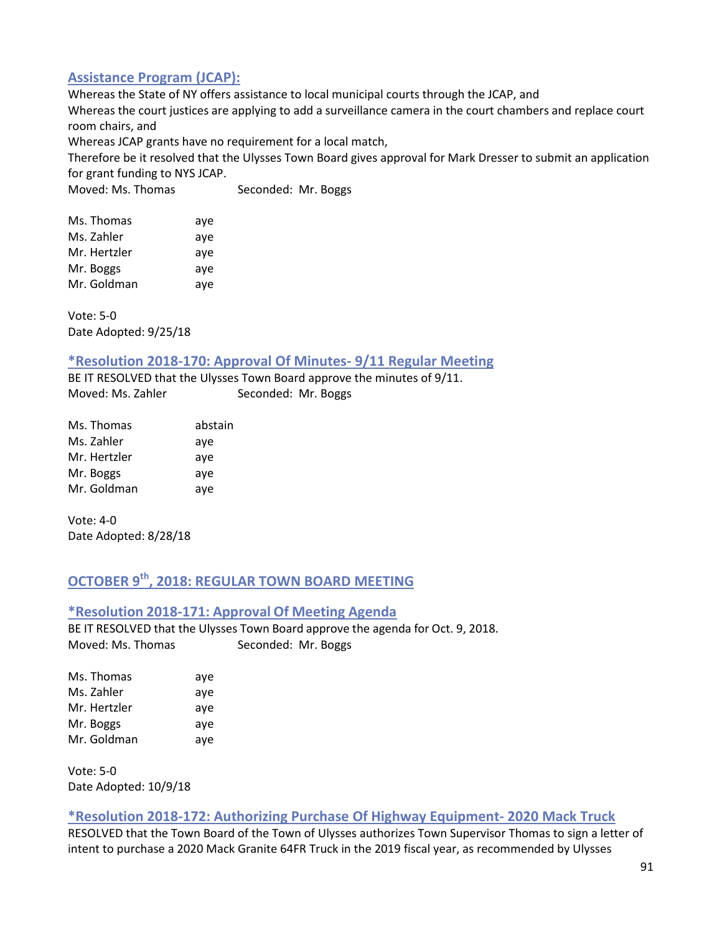## **Assistance Program (JCAP):**

Whereas the State of NY offers assistance to local municipal courts through the JCAP, and Whereas the court justices are applying to add a surveillance camera in the court chambers and replace court room chairs, and

Whereas JCAP grants have no requirement for a local match,

Therefore be it resolved that the Ulysses Town Board gives approval for Mark Dresser to submit an application for grant funding to NYS JCAP.

Moved: Ms. Thomas Seconded: Mr. Boggs

| aye |
|-----|
| aye |
| aye |
| aye |
| aye |
|     |

Vote: 5-0 Date Adopted: 9/25/18

#### **\*Resolution 2018-170: Approval Of Minutes- 9/11 Regular Meeting**

BE IT RESOLVED that the Ulysses Town Board approve the minutes of 9/11. Moved: Ms. Zahler Seconded: Mr. Boggs

| Ms. Thomas   | abstain |
|--------------|---------|
| Ms. Zahler   | aye     |
| Mr. Hertzler | aye     |
| Mr. Boggs    | aye     |
| Mr. Goldman  | aye     |

Vote: 4-0 Date Adopted: 8/28/18

# **OCTOBER 9th, 2018: REGULAR TOWN BOARD MEETING**

#### **\*Resolution 2018-171: Approval Of Meeting Agenda**

BE IT RESOLVED that the Ulysses Town Board approve the agenda for Oct. 9, 2018. Moved: Ms. Thomas Seconded: Mr. Boggs

| Ms. Thomas   | aye |
|--------------|-----|
| Ms. Zahler   | aye |
| Mr. Hertzler | aye |
| Mr. Boggs    | aye |
| Mr. Goldman  | aye |

Vote: 5-0 Date Adopted: 10/9/18

#### **\*Resolution 2018-172: Authorizing Purchase Of Highway Equipment- 2020 Mack Truck**

RESOLVED that the Town Board of the Town of Ulysses authorizes Town Supervisor Thomas to sign a letter of intent to purchase a 2020 Mack Granite 64FR Truck in the 2019 fiscal year, as recommended by Ulysses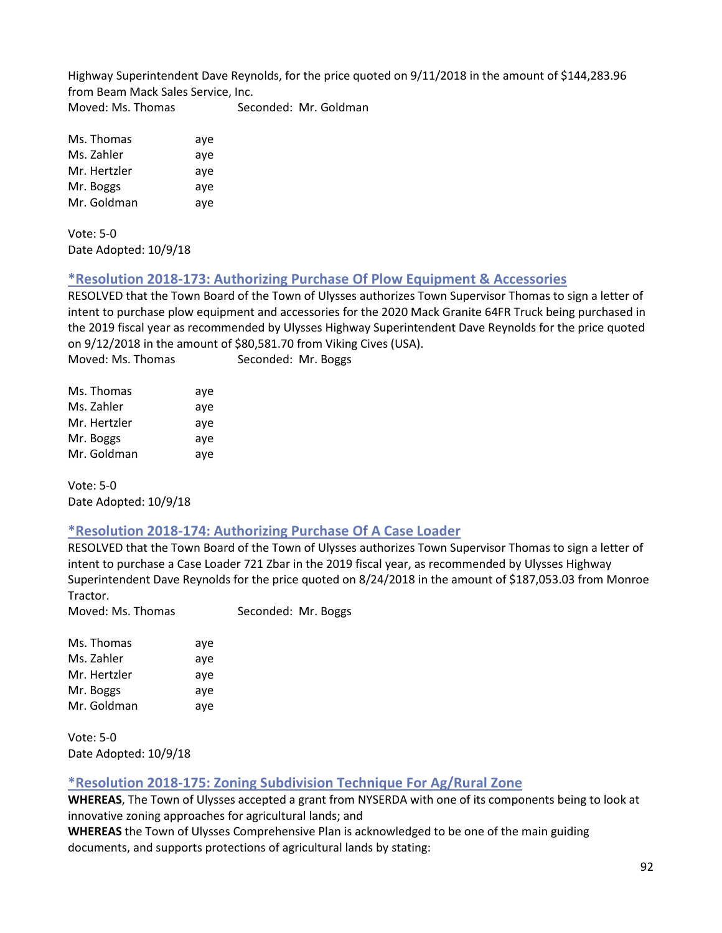Highway Superintendent Dave Reynolds, for the price quoted on 9/11/2018 in the amount of \$144,283.96 from Beam Mack Sales Service, Inc. Moved: Ms. Thomas Seconded: Mr. Goldman

| Ms. Thomas   | aye |
|--------------|-----|
| Ms. Zahler   | aye |
| Mr. Hertzler | aye |
| Mr. Boggs    | aye |
| Mr. Goldman  | aye |

Vote: 5-0 Date Adopted: 10/9/18

## **\*Resolution 2018-173: Authorizing Purchase Of Plow Equipment & Accessories**

RESOLVED that the Town Board of the Town of Ulysses authorizes Town Supervisor Thomas to sign a letter of intent to purchase plow equipment and accessories for the 2020 Mack Granite 64FR Truck being purchased in the 2019 fiscal year as recommended by Ulysses Highway Superintendent Dave Reynolds for the price quoted on 9/12/2018 in the amount of \$80,581.70 from Viking Cives (USA). Moved: Ms. Thomas Seconded: Mr. Boggs

| Ms. Thomas   | aye |
|--------------|-----|
| Ms. Zahler   | aye |
| Mr. Hertzler | aye |
| Mr. Boggs    | aye |
| Mr. Goldman  | aye |

Vote: 5-0 Date Adopted: 10/9/18

## **\*Resolution 2018-174: Authorizing Purchase Of A Case Loader**

RESOLVED that the Town Board of the Town of Ulysses authorizes Town Supervisor Thomas to sign a letter of intent to purchase a Case Loader 721 Zbar in the 2019 fiscal year, as recommended by Ulysses Highway Superintendent Dave Reynolds for the price quoted on 8/24/2018 in the amount of \$187,053.03 from Monroe Tractor.

Moved: Ms. Thomas Seconded: Mr. Boggs

| aye |
|-----|
| aye |
| aye |
| aye |
| aye |
|     |

Vote: 5-0 Date Adopted: 10/9/18

## **\*Resolution 2018-175: Zoning Subdivision Technique For Ag/Rural Zone**

**WHEREAS**, The Town of Ulysses accepted a grant from NYSERDA with one of its components being to look at innovative zoning approaches for agricultural lands; and

**WHEREAS** the Town of Ulysses Comprehensive Plan is acknowledged to be one of the main guiding documents, and supports protections of agricultural lands by stating: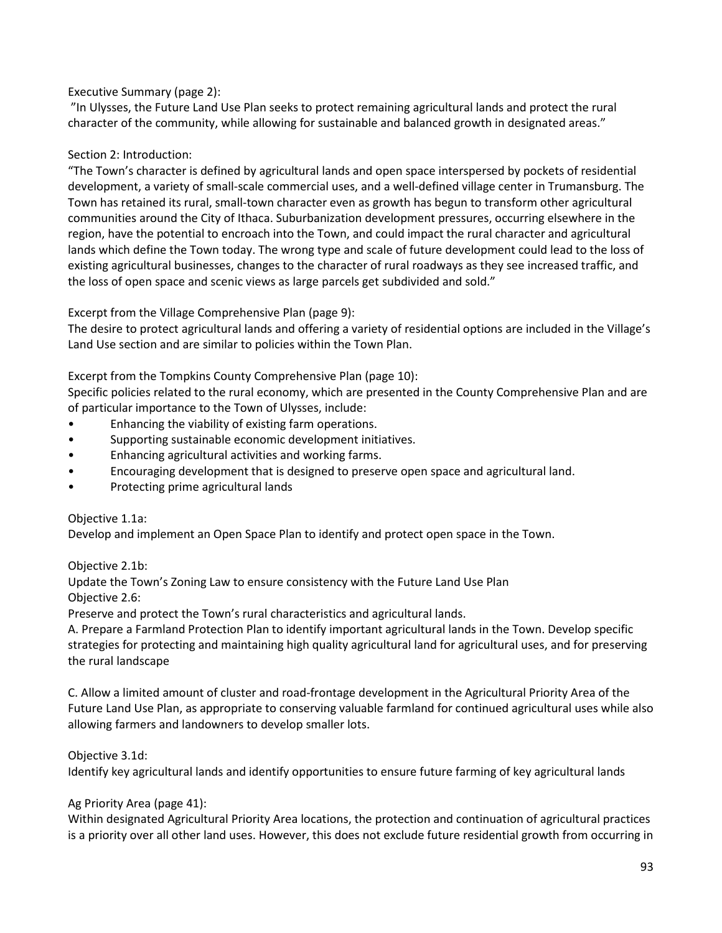## Executive Summary (page 2):

"In Ulysses, the Future Land Use Plan seeks to protect remaining agricultural lands and protect the rural character of the community, while allowing for sustainable and balanced growth in designated areas."

#### Section 2: Introduction:

"The Town's character is defined by agricultural lands and open space interspersed by pockets of residential development, a variety of small-scale commercial uses, and a well-defined village center in Trumansburg. The Town has retained its rural, small-town character even as growth has begun to transform other agricultural communities around the City of Ithaca. Suburbanization development pressures, occurring elsewhere in the region, have the potential to encroach into the Town, and could impact the rural character and agricultural lands which define the Town today. The wrong type and scale of future development could lead to the loss of existing agricultural businesses, changes to the character of rural roadways as they see increased traffic, and the loss of open space and scenic views as large parcels get subdivided and sold."

Excerpt from the Village Comprehensive Plan (page 9):

The desire to protect agricultural lands and offering a variety of residential options are included in the Village's Land Use section and are similar to policies within the Town Plan.

Excerpt from the Tompkins County Comprehensive Plan (page 10):

Specific policies related to the rural economy, which are presented in the County Comprehensive Plan and are of particular importance to the Town of Ulysses, include:

- Enhancing the viability of existing farm operations.
- Supporting sustainable economic development initiatives.
- Enhancing agricultural activities and working farms.
- Encouraging development that is designed to preserve open space and agricultural land.
- Protecting prime agricultural lands

#### Objective 1.1a:

Develop and implement an Open Space Plan to identify and protect open space in the Town.

## Objective 2.1b:

Update the Town's Zoning Law to ensure consistency with the Future Land Use Plan Objective 2.6:

Preserve and protect the Town's rural characteristics and agricultural lands.

A. Prepare a Farmland Protection Plan to identify important agricultural lands in the Town. Develop specific strategies for protecting and maintaining high quality agricultural land for agricultural uses, and for preserving the rural landscape

C. Allow a limited amount of cluster and road-frontage development in the Agricultural Priority Area of the Future Land Use Plan, as appropriate to conserving valuable farmland for continued agricultural uses while also allowing farmers and landowners to develop smaller lots.

## Objective 3.1d:

Identify key agricultural lands and identify opportunities to ensure future farming of key agricultural lands

#### Ag Priority Area (page 41):

Within designated Agricultural Priority Area locations, the protection and continuation of agricultural practices is a priority over all other land uses. However, this does not exclude future residential growth from occurring in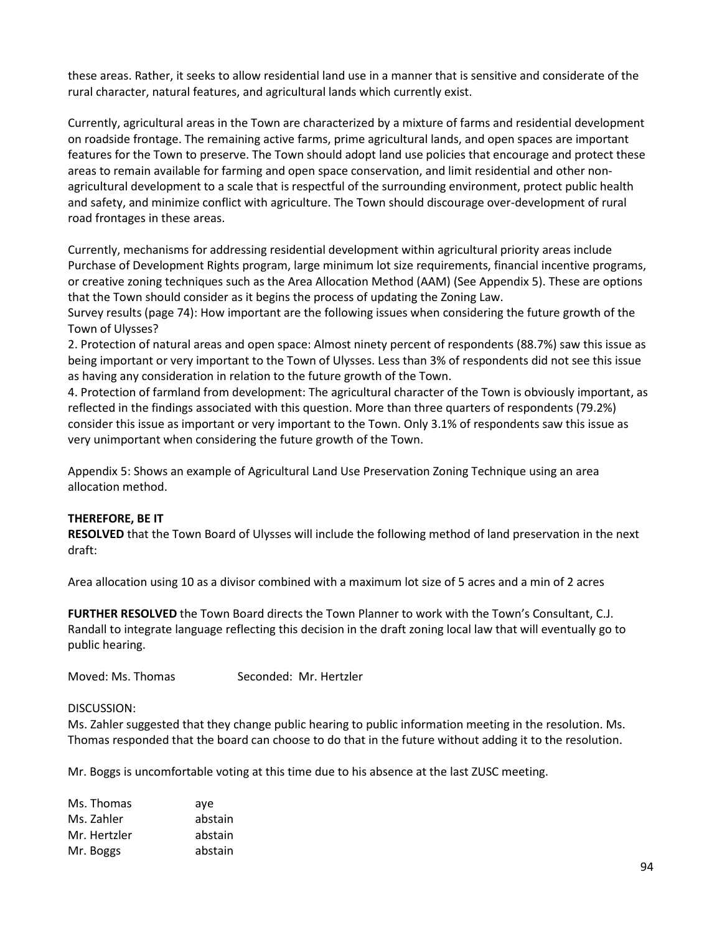these areas. Rather, it seeks to allow residential land use in a manner that is sensitive and considerate of the rural character, natural features, and agricultural lands which currently exist.

Currently, agricultural areas in the Town are characterized by a mixture of farms and residential development on roadside frontage. The remaining active farms, prime agricultural lands, and open spaces are important features for the Town to preserve. The Town should adopt land use policies that encourage and protect these areas to remain available for farming and open space conservation, and limit residential and other nonagricultural development to a scale that is respectful of the surrounding environment, protect public health and safety, and minimize conflict with agriculture. The Town should discourage over-development of rural road frontages in these areas.

Currently, mechanisms for addressing residential development within agricultural priority areas include Purchase of Development Rights program, large minimum lot size requirements, financial incentive programs, or creative zoning techniques such as the Area Allocation Method (AAM) (See Appendix 5). These are options that the Town should consider as it begins the process of updating the Zoning Law.

Survey results (page 74): How important are the following issues when considering the future growth of the Town of Ulysses?

2. Protection of natural areas and open space: Almost ninety percent of respondents (88.7%) saw this issue as being important or very important to the Town of Ulysses. Less than 3% of respondents did not see this issue as having any consideration in relation to the future growth of the Town.

4. Protection of farmland from development: The agricultural character of the Town is obviously important, as reflected in the findings associated with this question. More than three quarters of respondents (79.2%) consider this issue as important or very important to the Town. Only 3.1% of respondents saw this issue as very unimportant when considering the future growth of the Town.

Appendix 5: Shows an example of Agricultural Land Use Preservation Zoning Technique using an area allocation method.

#### **THEREFORE, BE IT**

**RESOLVED** that the Town Board of Ulysses will include the following method of land preservation in the next draft:

Area allocation using 10 as a divisor combined with a maximum lot size of 5 acres and a min of 2 acres

**FURTHER RESOLVED** the Town Board directs the Town Planner to work with the Town's Consultant, C.J. Randall to integrate language reflecting this decision in the draft zoning local law that will eventually go to public hearing.

Moved: Ms. Thomas Seconded: Mr. Hertzler

#### DISCUSSION:

Ms. Zahler suggested that they change public hearing to public information meeting in the resolution. Ms. Thomas responded that the board can choose to do that in the future without adding it to the resolution.

Mr. Boggs is uncomfortable voting at this time due to his absence at the last ZUSC meeting.

| Ms. Thomas   | ave     |
|--------------|---------|
| Ms. Zahler   | abstain |
| Mr. Hertzler | abstain |
| Mr. Boggs    | abstain |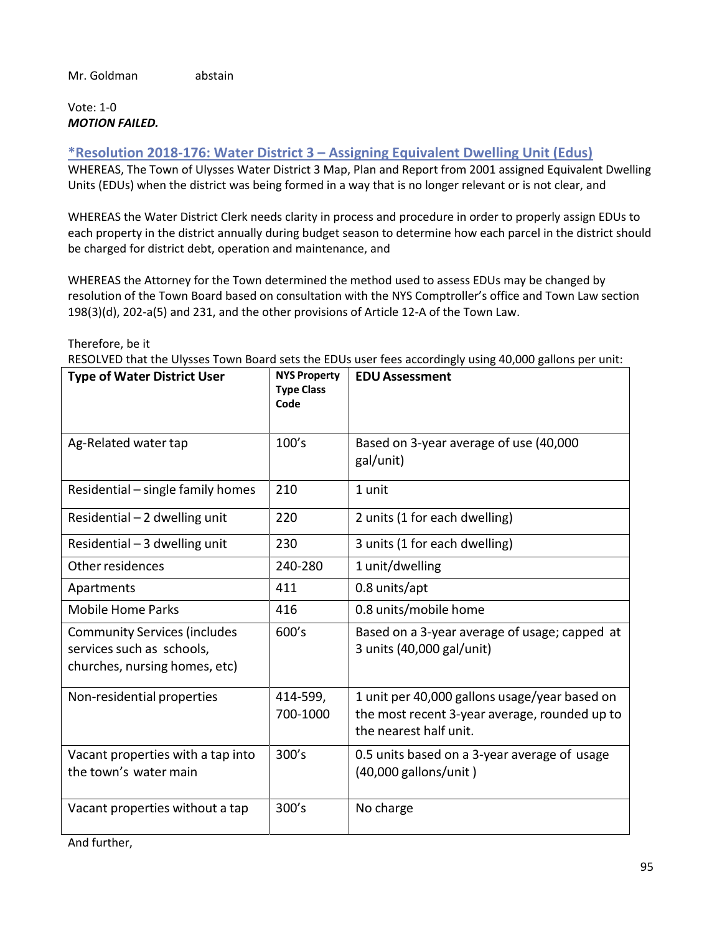## Vote: 1-0 *MOTION FAILED.*

## **\*Resolution 2018-176: Water District 3 – Assigning Equivalent Dwelling Unit (Edus)**

WHEREAS, The Town of Ulysses Water District 3 Map, Plan and Report from 2001 assigned Equivalent Dwelling Units (EDUs) when the district was being formed in a way that is no longer relevant or is not clear, and

WHEREAS the Water District Clerk needs clarity in process and procedure in order to properly assign EDUs to each property in the district annually during budget season to determine how each parcel in the district should be charged for district debt, operation and maintenance, and

WHEREAS the Attorney for the Town determined the method used to assess EDUs may be changed by resolution of the Town Board based on consultation with the NYS Comptroller's office and Town Law section 198(3)(d), 202-a(5) and 231, and the other provisions of Article 12-A of the Town Law.

Therefore, be it

RESOLVED that the Ulysses Town Board sets the EDUs user fees accordingly using 40,000 gallons per unit:

| <b>Type of Water District User</b>                                                                | <b>NYS Property</b><br><b>Type Class</b><br>Code | <b>EDU Assessment</b>                                                                                                    |
|---------------------------------------------------------------------------------------------------|--------------------------------------------------|--------------------------------------------------------------------------------------------------------------------------|
| Ag-Related water tap                                                                              | 100's                                            | Based on 3-year average of use (40,000<br>gal/unit)                                                                      |
| Residential - single family homes                                                                 | 210                                              | 1 unit                                                                                                                   |
| Residential - 2 dwelling unit                                                                     | 220                                              | 2 units (1 for each dwelling)                                                                                            |
| Residential $-3$ dwelling unit                                                                    | 230                                              | 3 units (1 for each dwelling)                                                                                            |
| Other residences                                                                                  | 240-280                                          | 1 unit/dwelling                                                                                                          |
| Apartments                                                                                        | 411                                              | 0.8 units/apt                                                                                                            |
| <b>Mobile Home Parks</b>                                                                          | 416                                              | 0.8 units/mobile home                                                                                                    |
| <b>Community Services (includes</b><br>services such as schools,<br>churches, nursing homes, etc) | 600's                                            | Based on a 3-year average of usage; capped at<br>3 units (40,000 gal/unit)                                               |
| Non-residential properties                                                                        | 414-599,<br>700-1000                             | 1 unit per 40,000 gallons usage/year based on<br>the most recent 3-year average, rounded up to<br>the nearest half unit. |
| Vacant properties with a tap into<br>the town's water main                                        | 300's                                            | 0.5 units based on a 3-year average of usage<br>(40,000 gallons/unit)                                                    |
| Vacant properties without a tap                                                                   | 300's                                            | No charge                                                                                                                |

And further,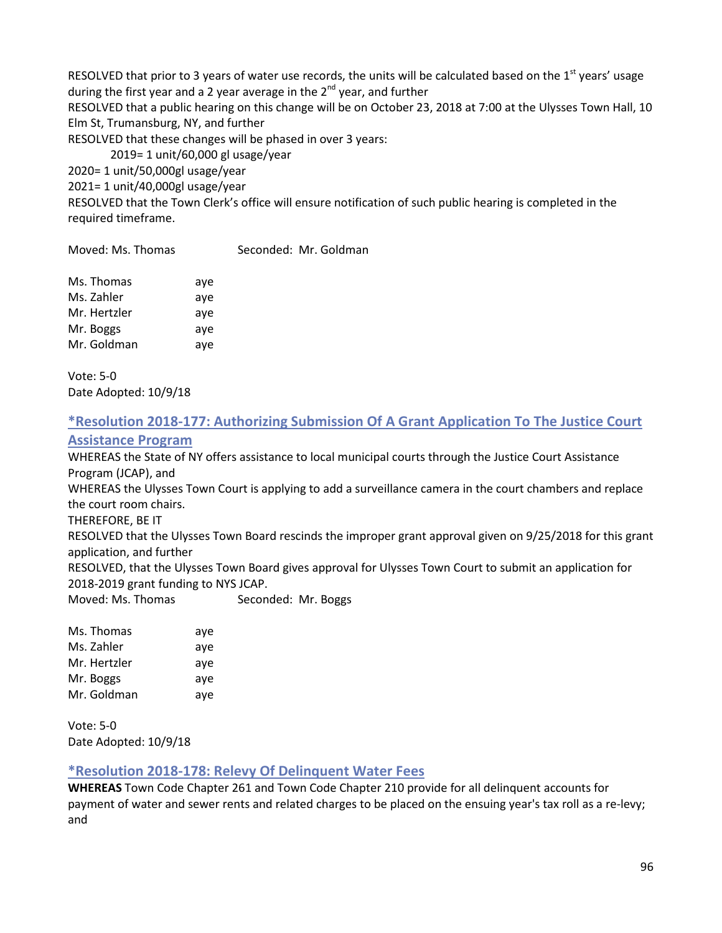RESOLVED that prior to 3 years of water use records, the units will be calculated based on the  $1<sup>st</sup>$  years' usage during the first year and a 2 year average in the  $2^{nd}$  year, and further RESOLVED that a public hearing on this change will be on October 23, 2018 at 7:00 at the Ulysses Town Hall, 10

Elm St, Trumansburg, NY, and further

RESOLVED that these changes will be phased in over 3 years:

2019= 1 unit/60,000 gl usage/year

2020= 1 unit/50,000gl usage/year

2021= 1 unit/40,000gl usage/year

RESOLVED that the Town Clerk's office will ensure notification of such public hearing is completed in the required timeframe.

Moved: Ms. Thomas Seconded: Mr. Goldman

| Ms. Thomas   | aye |
|--------------|-----|
| Ms. Zahler   | aye |
| Mr. Hertzler | aye |
| Mr. Boggs    | aye |
| Mr. Goldman  | aye |

Vote: 5-0 Date Adopted: 10/9/18

# **\*Resolution 2018-177: Authorizing Submission Of A Grant Application To The Justice Court**

#### **Assistance Program**

WHEREAS the State of NY offers assistance to local municipal courts through the Justice Court Assistance Program (JCAP), and

WHEREAS the Ulysses Town Court is applying to add a surveillance camera in the court chambers and replace the court room chairs.

THEREFORE, BE IT

RESOLVED that the Ulysses Town Board rescinds the improper grant approval given on 9/25/2018 for this grant application, and further

RESOLVED, that the Ulysses Town Board gives approval for Ulysses Town Court to submit an application for 2018-2019 grant funding to NYS JCAP.

Moved: Ms. Thomas Seconded: Mr. Boggs

Ms. Thomas aye Ms. Zahler aye Mr. Hertzler aye Mr. Boggs aye Mr. Goldman aye

Vote: 5-0 Date Adopted: 10/9/18

## **\*Resolution 2018-178: Relevy Of Delinquent Water Fees**

**WHEREAS** Town Code Chapter 261 and Town Code Chapter 210 provide for all delinquent accounts for payment of water and sewer rents and related charges to be placed on the ensuing year's tax roll as a re-levy; and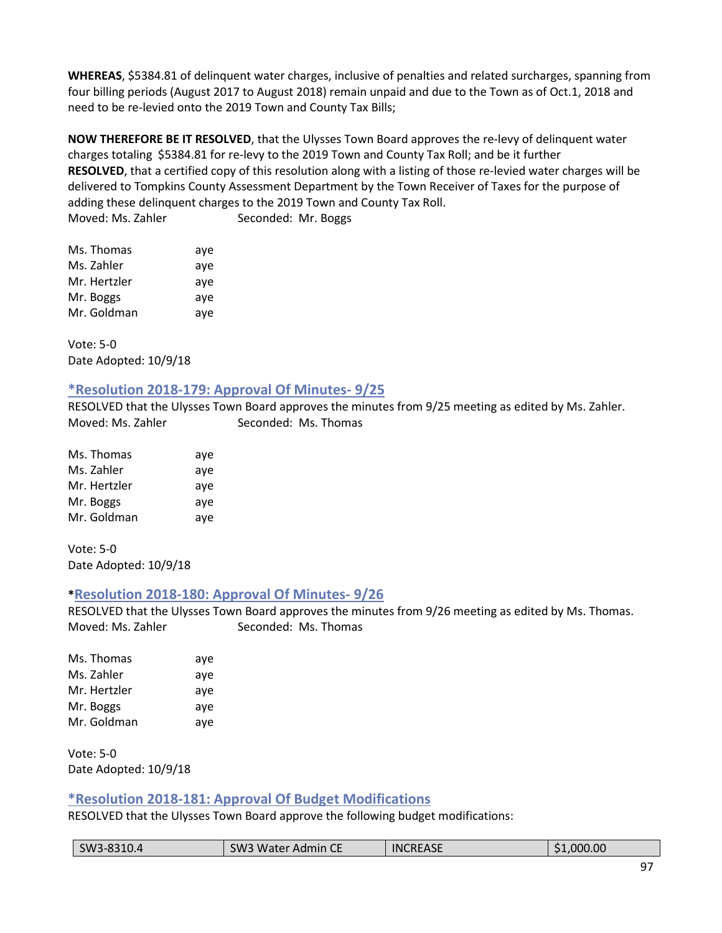**WHEREAS**, \$5384.81 of delinquent water charges, inclusive of penalties and related surcharges, spanning from four billing periods (August 2017 to August 2018) remain unpaid and due to the Town as of Oct.1, 2018 and need to be re-levied onto the 2019 Town and County Tax Bills;

**NOW THEREFORE BE IT RESOLVED**, that the Ulysses Town Board approves the re-levy of delinquent water charges totaling \$5384.81 for re-levy to the 2019 Town and County Tax Roll; and be it further **RESOLVED**, that a certified copy of this resolution along with a listing of those re-levied water charges will be delivered to Tompkins County Assessment Department by the Town Receiver of Taxes for the purpose of adding these delinquent charges to the 2019 Town and County Tax Roll. Moved: Ms. Zahler Seconded: Mr. Boggs

| Ms. Thomas   | aye |
|--------------|-----|
| Ms. Zahler   | aye |
| Mr. Hertzler | aye |
| Mr. Boggs    | aye |
| Mr. Goldman  | aye |

Vote: 5-0 Date Adopted: 10/9/18

## **\*Resolution 2018-179: Approval Of Minutes- 9/25**

RESOLVED that the Ulysses Town Board approves the minutes from 9/25 meeting as edited by Ms. Zahler. Moved: Ms. Zahler Seconded: Ms. Thomas

| Ms. Thomas   | aye |
|--------------|-----|
| Ms. Zahler   | aye |
| Mr. Hertzler | aye |
| Mr. Boggs    | aye |
| Mr. Goldman  | aye |

Vote: 5-0 Date Adopted: 10/9/18

## **\*Resolution 2018-180: Approval Of Minutes- 9/26**

RESOLVED that the Ulysses Town Board approves the minutes from 9/26 meeting as edited by Ms. Thomas. Moved: Ms. Zahler Seconded: Ms. Thomas

| Ms. Thomas   | aye |
|--------------|-----|
| Ms. Zahler   | aye |
| Mr. Hertzler | aye |
| Mr. Boggs    | aye |
| Mr. Goldman  | aye |

Vote: 5-0 Date Adopted: 10/9/18

## **\*Resolution 2018-181: Approval Of Budget Modifications**

RESOLVED that the Ulysses Town Board approve the following budget modifications:

| <b>INCREASE</b><br>1.000.00<br>SW3-8310.4<br>SW <sub>3</sub><br>13 Water Admin C∟ |
|-----------------------------------------------------------------------------------|
|-----------------------------------------------------------------------------------|